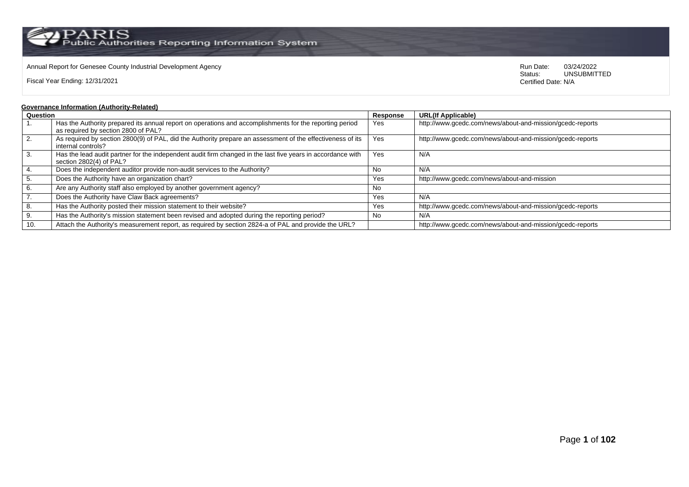### Annual Report for Genesee County Industrial Development Agency **Company of Connect Agency** Run Date: 03/24/2022<br>Status: UNSUBMIT

Fiscal Year Ending: 12/31/2021

UNSUBMITTED Certified Date: N/A

### **Governance Information (Authority-Related)**

| Question |                                                                                                             | Response | <b>URL(If Applicable)</b>                                 |
|----------|-------------------------------------------------------------------------------------------------------------|----------|-----------------------------------------------------------|
|          | Has the Authority prepared its annual report on operations and accomplishments for the reporting period     | Yes      | http://www.gcedc.com/news/about-and-mission/gcedc-reports |
|          | as required by section 2800 of PAL?                                                                         |          |                                                           |
| 2.       | As required by section 2800(9) of PAL, did the Authority prepare an assessment of the effectiveness of its  | Yes      | http://www.gcedc.com/news/about-and-mission/gcedc-reports |
|          | internal controls?                                                                                          |          |                                                           |
| 3.       | Has the lead audit partner for the independent audit firm changed in the last five years in accordance with | Yes      | N/A                                                       |
|          | section 2802(4) of PAL?                                                                                     |          |                                                           |
|          | Does the independent auditor provide non-audit services to the Authority?                                   | No       | N/A                                                       |
| 5.       | Does the Authority have an organization chart?                                                              | Yes      | http://www.gcedc.com/news/about-and-mission               |
| 6.       | Are any Authority staff also employed by another government agency?                                         | No       |                                                           |
|          | Does the Authority have Claw Back agreements?                                                               | Yes      | N/A                                                       |
| 8.       | Has the Authority posted their mission statement to their website?                                          | Yes      | http://www.gcedc.com/news/about-and-mission/gcedc-reports |
| 9.       | Has the Authority's mission statement been revised and adopted during the reporting period?                 | No.      | N/A                                                       |
| 10.      | Attach the Authority's measurement report, as required by section 2824-a of PAL and provide the URL?        |          | http://www.gcedc.com/news/about-and-mission/gcedc-reports |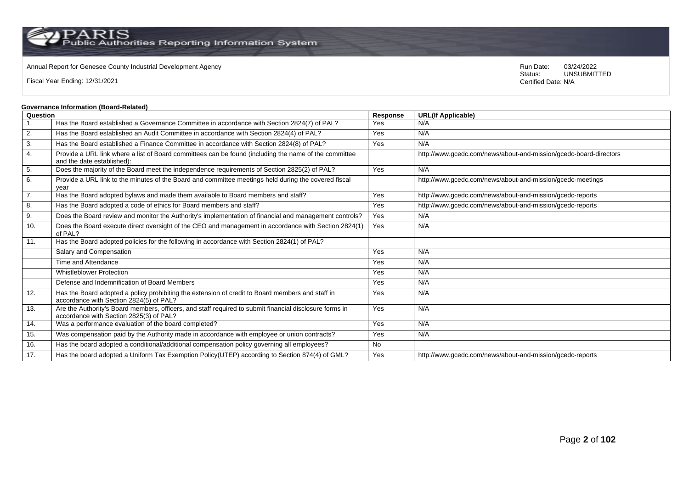Annual Report for Genesee County Industrial Development Agency **Company of Connect Agency** Run Date: 03/24/2022<br>Status: UNSUBMIT

Fiscal Year Ending: 12/31/2021

UNSUBMITTED Certified Date: N/A

### **Governance Information (Board-Related)**

| Question         |                                                                                                                                                    | Response  | <b>URL(If Applicable)</b>                                         |
|------------------|----------------------------------------------------------------------------------------------------------------------------------------------------|-----------|-------------------------------------------------------------------|
| $\mathbf{1}$ .   | Has the Board established a Governance Committee in accordance with Section 2824(7) of PAL?                                                        | Yes       | N/A                                                               |
| 2.               | Has the Board established an Audit Committee in accordance with Section 2824(4) of PAL?                                                            | Yes       | N/A                                                               |
| 3.               | Has the Board established a Finance Committee in accordance with Section 2824(8) of PAL?                                                           | Yes       | N/A                                                               |
| 4.               | Provide a URL link where a list of Board committees can be found (including the name of the committee<br>and the date established):                |           | http://www.gcedc.com/news/about-and-mission/gcedc-board-directors |
| 5.               | Does the majority of the Board meet the independence requirements of Section 2825(2) of PAL?                                                       | Yes       | N/A                                                               |
| 6.               | Provide a URL link to the minutes of the Board and committee meetings held during the covered fiscal<br>year                                       |           | http://www.gcedc.com/news/about-and-mission/gcedc-meetings        |
| $\overline{7}$ . | Has the Board adopted bylaws and made them available to Board members and staff?                                                                   | Yes       | http://www.gcedc.com/news/about-and-mission/gcedc-reports         |
| 8.               | Has the Board adopted a code of ethics for Board members and staff?                                                                                | Yes       | http://www.gcedc.com/news/about-and-mission/gcedc-reports         |
| 9.               | Does the Board review and monitor the Authority's implementation of financial and management controls?                                             | Yes       | N/A                                                               |
| 10.              | Does the Board execute direct oversight of the CEO and management in accordance with Section 2824(1)<br>of PAL?                                    | Yes       | N/A                                                               |
| 11.              | Has the Board adopted policies for the following in accordance with Section 2824(1) of PAL?                                                        |           |                                                                   |
|                  | Salary and Compensation                                                                                                                            | Yes       | N/A                                                               |
|                  | Time and Attendance                                                                                                                                | Yes       | N/A                                                               |
|                  | <b>Whistleblower Protection</b>                                                                                                                    | Yes       | N/A                                                               |
|                  | Defense and Indemnification of Board Members                                                                                                       | Yes       | N/A                                                               |
| 12.              | Has the Board adopted a policy prohibiting the extension of credit to Board members and staff in<br>accordance with Section 2824(5) of PAL?        | Yes       | N/A                                                               |
| 13.              | Are the Authority's Board members, officers, and staff required to submit financial disclosure forms in<br>accordance with Section 2825(3) of PAL? | Yes       | N/A                                                               |
| 14.              | Was a performance evaluation of the board completed?                                                                                               | Yes       | N/A                                                               |
| 15.              | Was compensation paid by the Authority made in accordance with employee or union contracts?                                                        | Yes       | N/A                                                               |
| 16.              | Has the board adopted a conditional/additional compensation policy governing all employees?                                                        | <b>No</b> |                                                                   |
| 17.              | Has the board adopted a Uniform Tax Exemption Policy(UTEP) according to Section 874(4) of GML?                                                     | Yes       | http://www.gcedc.com/news/about-and-mission/gcedc-reports         |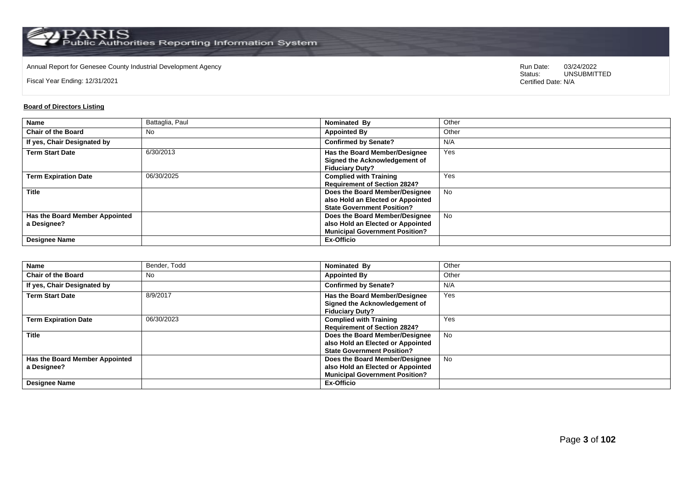$\operatorname{PARIS}_{\text{Public Authorities}\text{ Reporting Information System}}$ 

Annual Report for Genesee County Industrial Development Agency **Company of Connect Agency** Run Date: 03/24/2022<br>Status: UNSUBMIT

Fiscal Year Ending: 12/31/2021

UNSUBMITTED Certified Date: N/A

### **Board of Directors Listing**

| <b>Name</b>                    | Battaglia, Paul | Nominated By                          | Other     |
|--------------------------------|-----------------|---------------------------------------|-----------|
| <b>Chair of the Board</b>      | <b>No</b>       | <b>Appointed By</b>                   | Other     |
| If yes, Chair Designated by    |                 | <b>Confirmed by Senate?</b>           | N/A       |
| <b>Term Start Date</b>         | 6/30/2013       | Has the Board Member/Designee         | Yes       |
|                                |                 | Signed the Acknowledgement of         |           |
|                                |                 | <b>Fiduciary Duty?</b>                |           |
| <b>Term Expiration Date</b>    | 06/30/2025      | <b>Complied with Training</b>         | Yes       |
|                                |                 | <b>Requirement of Section 2824?</b>   |           |
| <b>Title</b>                   |                 | Does the Board Member/Designee        | <b>No</b> |
|                                |                 | also Hold an Elected or Appointed     |           |
|                                |                 | <b>State Government Position?</b>     |           |
| Has the Board Member Appointed |                 | Does the Board Member/Designee        | <b>No</b> |
| a Designee?                    |                 | also Hold an Elected or Appointed     |           |
|                                |                 | <b>Municipal Government Position?</b> |           |
| <b>Designee Name</b>           |                 | <b>Ex-Officio</b>                     |           |

| <b>Name</b>                                   | Bender, Todd | Nominated By                                                                                                 | Other     |
|-----------------------------------------------|--------------|--------------------------------------------------------------------------------------------------------------|-----------|
| <b>Chair of the Board</b>                     | No           | <b>Appointed By</b>                                                                                          | Other     |
| If yes, Chair Designated by                   |              | <b>Confirmed by Senate?</b>                                                                                  | N/A       |
| <b>Term Start Date</b>                        | 8/9/2017     | Has the Board Member/Designee<br>Signed the Acknowledgement of<br><b>Fiduciary Duty?</b>                     | Yes       |
| <b>Term Expiration Date</b>                   | 06/30/2023   | <b>Complied with Training</b><br><b>Requirement of Section 2824?</b>                                         | Yes       |
| <b>Title</b>                                  |              | Does the Board Member/Designee<br>also Hold an Elected or Appointed<br><b>State Government Position?</b>     | <b>No</b> |
| Has the Board Member Appointed<br>a Designee? |              | Does the Board Member/Designee<br>also Hold an Elected or Appointed<br><b>Municipal Government Position?</b> | <b>No</b> |
| <b>Designee Name</b>                          |              | <b>Ex-Officio</b>                                                                                            |           |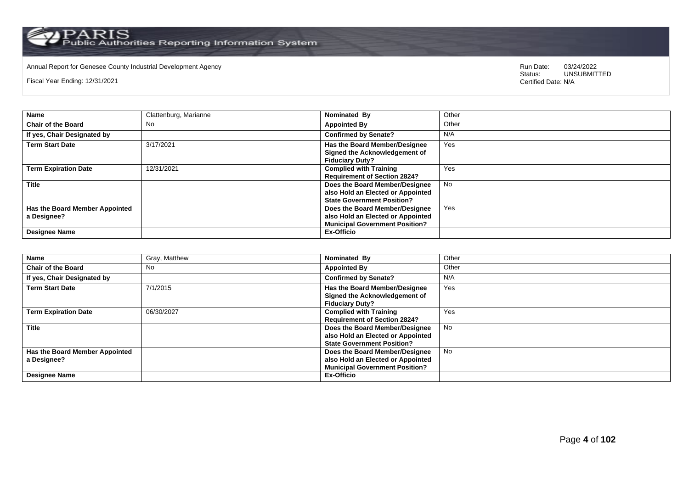$\operatorname{PARIS}_{\text{Public Authorities}\text{ Reporting Information System}}$ 

Annual Report for Genesee County Industrial Development Agency **Company of Connect Agency** Run Date: 03/24/2022<br>Status: UNSUBMIT

Fiscal Year Ending: 12/31/2021

| <b>Name</b>                    | Clattenburg, Marianne | Nominated By                          | Other     |
|--------------------------------|-----------------------|---------------------------------------|-----------|
| <b>Chair of the Board</b>      | No                    | <b>Appointed By</b>                   | Other     |
| If yes, Chair Designated by    |                       | <b>Confirmed by Senate?</b>           | N/A       |
| <b>Term Start Date</b>         | 3/17/2021             | Has the Board Member/Designee         | Yes       |
|                                |                       | Signed the Acknowledgement of         |           |
|                                |                       | <b>Fiduciary Duty?</b>                |           |
| <b>Term Expiration Date</b>    | 12/31/2021            | <b>Complied with Training</b>         | Yes       |
|                                |                       | <b>Requirement of Section 2824?</b>   |           |
| <b>Title</b>                   |                       | Does the Board Member/Designee        | <b>No</b> |
|                                |                       | also Hold an Elected or Appointed     |           |
|                                |                       | <b>State Government Position?</b>     |           |
| Has the Board Member Appointed |                       | Does the Board Member/Designee        | Yes       |
| a Designee?                    |                       | also Hold an Elected or Appointed     |           |
|                                |                       | <b>Municipal Government Position?</b> |           |
| <b>Designee Name</b>           |                       | <b>Ex-Officio</b>                     |           |

| <b>Name</b>                                                           | Gray, Matthew | Nominated By                                                                                                               | Other     |
|-----------------------------------------------------------------------|---------------|----------------------------------------------------------------------------------------------------------------------------|-----------|
| <b>Chair of the Board</b>                                             | No            | <b>Appointed By</b>                                                                                                        | Other     |
| If yes, Chair Designated by                                           |               | <b>Confirmed by Senate?</b>                                                                                                | N/A       |
| <b>Term Start Date</b>                                                | 7/1/2015      | <b>Has the Board Member/Designee</b><br>Signed the Acknowledgement of<br><b>Fiduciary Duty?</b>                            | Yes       |
| <b>Term Expiration Date</b>                                           | 06/30/2027    | <b>Complied with Training</b><br><b>Requirement of Section 2824?</b>                                                       | Yes       |
| <b>Title</b>                                                          |               | Does the Board Member/Designee<br>also Hold an Elected or Appointed<br><b>State Government Position?</b>                   | <b>No</b> |
| Has the Board Member Appointed<br>a Designee?<br><b>Designee Name</b> |               | Does the Board Member/Designee<br>also Hold an Elected or Appointed<br><b>Municipal Government Position?</b><br>Ex-Officio | <b>No</b> |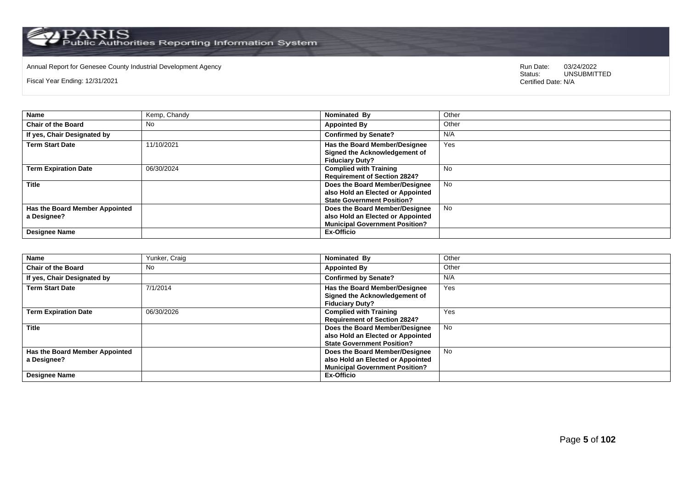$\mathrm{PARS} \ \mathrm{PARS}$ 

Annual Report for Genesee County Industrial Development Agency **Company of Connect Agency** Run Date: 03/24/2022<br>Status: UNSUBMIT

Fiscal Year Ending: 12/31/2021

| <b>Name</b>                    | Kemp, Chandy | Nominated By                          | Other     |
|--------------------------------|--------------|---------------------------------------|-----------|
| <b>Chair of the Board</b>      | No           | <b>Appointed By</b>                   | Other     |
| If yes, Chair Designated by    |              | <b>Confirmed by Senate?</b>           | N/A       |
| <b>Term Start Date</b>         | 11/10/2021   | Has the Board Member/Designee         | Yes       |
|                                |              | Signed the Acknowledgement of         |           |
|                                |              | <b>Fiduciary Duty?</b>                |           |
| <b>Term Expiration Date</b>    | 06/30/2024   | <b>Complied with Training</b>         | No        |
|                                |              | <b>Requirement of Section 2824?</b>   |           |
| <b>Title</b>                   |              | Does the Board Member/Designee        | <b>No</b> |
|                                |              | also Hold an Elected or Appointed     |           |
|                                |              | <b>State Government Position?</b>     |           |
| Has the Board Member Appointed |              | Does the Board Member/Designee        | <b>No</b> |
| a Designee?                    |              | also Hold an Elected or Appointed     |           |
|                                |              | <b>Municipal Government Position?</b> |           |
| <b>Designee Name</b>           |              | <b>Ex-Officio</b>                     |           |

| <b>Name</b>                    | Yunker, Craig | Nominated By                          | Other     |
|--------------------------------|---------------|---------------------------------------|-----------|
| <b>Chair of the Board</b>      | No.           | <b>Appointed By</b>                   | Other     |
| If yes, Chair Designated by    |               | <b>Confirmed by Senate?</b>           | N/A       |
| <b>Term Start Date</b>         | 7/1/2014      | Has the Board Member/Designee         | Yes       |
|                                |               | Signed the Acknowledgement of         |           |
|                                |               | <b>Fiduciary Duty?</b>                |           |
| <b>Term Expiration Date</b>    | 06/30/2026    | <b>Complied with Training</b>         | Yes       |
|                                |               | <b>Requirement of Section 2824?</b>   |           |
| <b>Title</b>                   |               | Does the Board Member/Designee        | <b>No</b> |
|                                |               | also Hold an Elected or Appointed     |           |
|                                |               | <b>State Government Position?</b>     |           |
| Has the Board Member Appointed |               | Does the Board Member/Designee        | <b>No</b> |
| a Designee?                    |               | also Hold an Elected or Appointed     |           |
|                                |               | <b>Municipal Government Position?</b> |           |
| <b>Designee Name</b>           |               | Ex-Officio                            |           |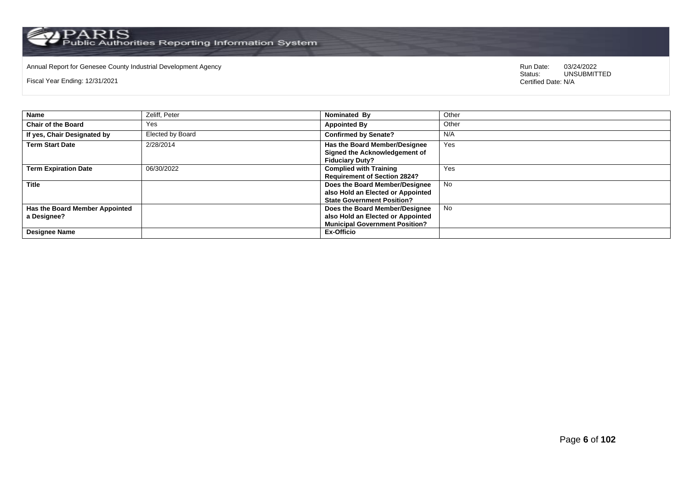Annual Report for Genesee County Industrial Development Agency **Company of Connect Agency** Run Date: 03/24/2022<br>Status: UNSUBMIT

Fiscal Year Ending: 12/31/2021

| <b>Name</b>                    | Zeliff, Peter    | Nominated By                          | Other     |
|--------------------------------|------------------|---------------------------------------|-----------|
| <b>Chair of the Board</b>      | Yes              | <b>Appointed By</b>                   | Other     |
| If yes, Chair Designated by    | Elected by Board | <b>Confirmed by Senate?</b>           | N/A       |
| <b>Term Start Date</b>         | 2/28/2014        | Has the Board Member/Designee         | Yes       |
|                                |                  | Signed the Acknowledgement of         |           |
|                                |                  | <b>Fiduciary Duty?</b>                |           |
| <b>Term Expiration Date</b>    | 06/30/2022       | <b>Complied with Training</b>         | Yes       |
|                                |                  | <b>Requirement of Section 2824?</b>   |           |
| <b>Title</b>                   |                  | Does the Board Member/Designee        | No.       |
|                                |                  | also Hold an Elected or Appointed     |           |
|                                |                  | <b>State Government Position?</b>     |           |
| Has the Board Member Appointed |                  | Does the Board Member/Designee        | <b>No</b> |
| a Designee?                    |                  | also Hold an Elected or Appointed     |           |
|                                |                  | <b>Municipal Government Position?</b> |           |
| <b>Designee Name</b>           |                  | Ex-Officio                            |           |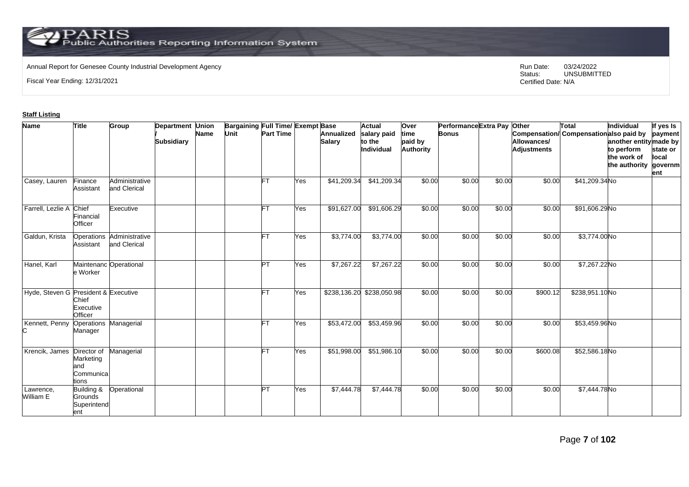# Annual Report for Genesee County Industrial Development Agency **Company of Connect Agency** Run Date: 03/24/2022<br>Status: UNSUBMIT

Fiscal Year Ending: 12/31/2021

UNSUBMITTED Certified Date: N/A

### **Staff Listing**

| <b>Name</b>                          | <b>Title</b>             | <b>Group</b>              | <b>Department Union</b> |             | <b>Bargaining Full Time/ Exempt Base</b> |                  |     |                   | <b>Actual</b> | Over             | PerformanceExtra Pay Other |        |                    | <b>Total</b>                            | Individual                | If yes $\overline{\mathsf{ls}}$ |
|--------------------------------------|--------------------------|---------------------------|-------------------------|-------------|------------------------------------------|------------------|-----|-------------------|---------------|------------------|----------------------------|--------|--------------------|-----------------------------------------|---------------------------|---------------------------------|
|                                      |                          |                           |                         | <b>Name</b> | Unit                                     | <b>Part Time</b> |     | <b>Annualized</b> | salary paid   | time             | <b>Bonus</b>               |        |                    | Compensation/ Compensation also paid by |                           | payment                         |
|                                      |                          |                           | <b>Subsidiary</b>       |             |                                          |                  |     | <b>Salary</b>     | to the        | paid by          |                            |        | Allowances/        |                                         | another entity made by    |                                 |
|                                      |                          |                           |                         |             |                                          |                  |     |                   | Individual    | <b>Authority</b> |                            |        | <b>Adjustments</b> |                                         | to perform<br>the work of | state or<br>local               |
|                                      |                          |                           |                         |             |                                          |                  |     |                   |               |                  |                            |        |                    |                                         | the authority             | governm                         |
|                                      |                          |                           |                         |             |                                          |                  |     |                   |               |                  |                            |        |                    |                                         |                           | ent                             |
| Casey, Lauren                        | Finance                  | Administrative            |                         |             |                                          | FT               | Yes | \$41,209.34       | \$41,209.34   | \$0.00           | \$0.00                     | \$0.00 | \$0.00             | \$41,209.34No                           |                           |                                 |
|                                      | Assistant                | and Clerical              |                         |             |                                          |                  |     |                   |               |                  |                            |        |                    |                                         |                           |                                 |
| Farrell, Lezlie A Chief              |                          | Executive                 |                         |             |                                          | FT               | Yes | \$91,627.00       | \$91,606.29   | \$0.00           | \$0.00                     | \$0.00 | \$0.00             | \$91,606.29No                           |                           |                                 |
|                                      | Financial                |                           |                         |             |                                          |                  |     |                   |               |                  |                            |        |                    |                                         |                           |                                 |
|                                      | Officer                  |                           |                         |             |                                          |                  |     |                   |               |                  |                            |        |                    |                                         |                           |                                 |
| Galdun, Krista                       |                          | Operations Administrative |                         |             |                                          | FT               | Yes | \$3,774.00        | \$3,774.00    | \$0.00           | \$0.00                     | \$0.00 | \$0.00             | \$3,774.00 No                           |                           |                                 |
|                                      | Assistant                | and Clerical              |                         |             |                                          |                  |     |                   |               |                  |                            |        |                    |                                         |                           |                                 |
| Hanel, Karl                          |                          | Maintenanc Operational    |                         |             |                                          | lРТ              | Yes | \$7,267.22        | \$7,267.22    | \$0.00           | \$0.00                     | \$0.00 | \$0.00             | \$7,267.22No                            |                           |                                 |
|                                      | e Worker                 |                           |                         |             |                                          |                  |     |                   |               |                  |                            |        |                    |                                         |                           |                                 |
| Hyde, Steven G President & Executive |                          |                           |                         |             |                                          | FT               | Yes | \$238,136.20      | \$238,050.98  | \$0.00           | \$0.00                     | \$0.00 | \$900.12           | \$238,951.10No                          |                           |                                 |
|                                      | Chief                    |                           |                         |             |                                          |                  |     |                   |               |                  |                            |        |                    |                                         |                           |                                 |
|                                      | Executive<br>Officer     |                           |                         |             |                                          |                  |     |                   |               |                  |                            |        |                    |                                         |                           |                                 |
| Kennett, Penny                       | Operations               | Managerial                |                         |             |                                          | FT               | Yes | \$53,472.00       | \$53,459.96   | \$0.00           | \$0.00                     | \$0.00 | \$0.00             | \$53,459.96 No                          |                           |                                 |
|                                      | Manager                  |                           |                         |             |                                          |                  |     |                   |               |                  |                            |        |                    |                                         |                           |                                 |
|                                      |                          |                           |                         |             |                                          |                  |     |                   |               |                  |                            |        |                    |                                         |                           |                                 |
| Krencik, James                       | Director of<br>Marketing | Managerial                |                         |             |                                          | FT               | Yes | \$51,998.00       | \$51,986.10   | \$0.00           | \$0.00                     | \$0.00 | \$600.08           | \$52,586.18No                           |                           |                                 |
|                                      | and                      |                           |                         |             |                                          |                  |     |                   |               |                  |                            |        |                    |                                         |                           |                                 |
|                                      | Communica<br>tions       |                           |                         |             |                                          |                  |     |                   |               |                  |                            |        |                    |                                         |                           |                                 |
| Lawrence,                            | Building &               | Operational               |                         |             |                                          | PT               | Yes | \$7,444.78        | \$7,444.78    | \$0.00           | \$0.00                     | \$0.00 | \$0.00             | \$7,444.78No                            |                           |                                 |
| William E                            | Grounds                  |                           |                         |             |                                          |                  |     |                   |               |                  |                            |        |                    |                                         |                           |                                 |
|                                      | Superintend              |                           |                         |             |                                          |                  |     |                   |               |                  |                            |        |                    |                                         |                           |                                 |
|                                      | ent                      |                           |                         |             |                                          |                  |     |                   |               |                  |                            |        |                    |                                         |                           |                                 |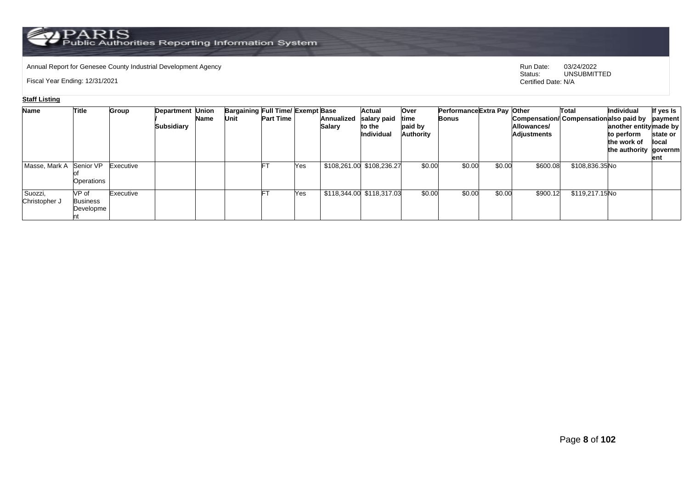$\operatorname{PARIS}_{\text{Public Authorities}\text{ Reporting Information System}}$ 

Annual Report for Genesee County Industrial Development Agency **Company of Connect Agency** Run Date: 03/24/2022<br>Status: UNSUBMIT

Fiscal Year Ending: 12/31/2021

### **Staff Listing**

| <b>Name</b>              | <b>Title</b>                   | <b>Group</b> | <b>Department Union</b><br><b>Subsidiary</b> | Name | <b>Bargaining Full Time/ Exempt Base</b><br>Unit | <b>Part Time</b> |     | Annualized<br><b>Salary</b> | Actual<br>salary paid<br>to the<br>Individual | <b>Over</b><br>time<br>paid by<br><b>Authority</b> | Performance Extra Pay Other<br>Bonus |        | Compensation/ Compensationalso paid by<br>Allowances/<br><b>Adjustments</b> | Total          | Individual<br>another entity made by<br>to perform<br>the work of<br>the authority governm | lf yes Is I<br>payment<br>state or<br>llocal<br>ent |
|--------------------------|--------------------------------|--------------|----------------------------------------------|------|--------------------------------------------------|------------------|-----|-----------------------------|-----------------------------------------------|----------------------------------------------------|--------------------------------------|--------|-----------------------------------------------------------------------------|----------------|--------------------------------------------------------------------------------------------|-----------------------------------------------------|
| Masse, Mark A Senior VP  | Operations                     | Executive    |                                              |      |                                                  |                  | Yes |                             | \$108,261.00 \$108,236.27                     | \$0.00                                             | \$0.00                               | \$0.00 | \$600.08                                                                    | \$108,836.35No |                                                                                            |                                                     |
| Suozzi,<br>Christopher J | VP of<br>Business<br>Developme | Executive    |                                              |      |                                                  |                  | Yes |                             | \$118,344.00 \$118,317.03                     | \$0.00                                             | \$0.00                               | \$0.00 | \$900.12                                                                    | \$119,217.15No |                                                                                            |                                                     |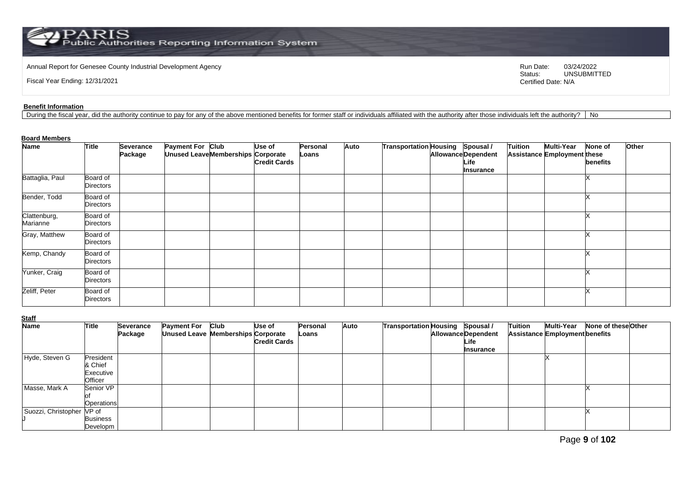$\operatorname{PARIS}_{\text{Public Authorities}\,\text{Reporting\,\text{Information System}}}$ 

Annual Report for Genesee County Industrial Development Agency **Connect Access 2009** Annual Report for Genesee County Industrial Development Agency **Run Date:** 03/24/2022<br>Status: UNSUBMIT

Fiscal Year Ending: 12/31/2021

UNSUBMITTED Certified Date: N/A

### **Benefit Information**

During the fiscal year, did the authority continue to pay for any of the above mentioned benefits for former staff or individuals affiliated with the authority after those individuals left the authority? | No

### **Board Members**

| <b>Name</b>              | <b>Title</b>          | Severance | Payment For Club |                                    | Use of              | Personal | Auto | Transportation Housing Spousal / |                                                 | <b>Tuition</b> | <b>Multi-Year</b>           | <b>None of</b> | Other |
|--------------------------|-----------------------|-----------|------------------|------------------------------------|---------------------|----------|------|----------------------------------|-------------------------------------------------|----------------|-----------------------------|----------------|-------|
|                          |                       | Package   |                  | Unused Leave Memberships Corporate | <b>Credit Cards</b> | Loans    |      |                                  | <b>Allowance Dependent</b><br>Life<br>Insurance |                | Assistance Employment these | benefits       |       |
| Battaglia, Paul          | Board of<br>Directors |           |                  |                                    |                     |          |      |                                  |                                                 |                |                             |                |       |
| Bender, Todd             | Board of<br>Directors |           |                  |                                    |                     |          |      |                                  |                                                 |                |                             |                |       |
| Clattenburg,<br>Marianne | Board of<br>Directors |           |                  |                                    |                     |          |      |                                  |                                                 |                |                             |                |       |
| Gray, Matthew            | Board of<br>Directors |           |                  |                                    |                     |          |      |                                  |                                                 |                |                             |                |       |
| Kemp, Chandy             | Board of<br>Directors |           |                  |                                    |                     |          |      |                                  |                                                 |                |                             |                |       |
| Yunker, Craig            | Board of<br>Directors |           |                  |                                    |                     |          |      |                                  |                                                 |                |                             |                |       |
| Zeliff, Peter            | Board of<br>Directors |           |                  |                                    |                     |          |      |                                  |                                                 |                |                             |                |       |

**Staff**

| <u>этан</u>               |                 |           |                                    |                     |          |      |                                  |                            |                |                                       |                    |  |
|---------------------------|-----------------|-----------|------------------------------------|---------------------|----------|------|----------------------------------|----------------------------|----------------|---------------------------------------|--------------------|--|
| <b>Name</b>               | Title           | Severance | <b>Payment For</b> Club            | Use of              | Personal | Auto | Transportation Housing Spousal / |                            | <b>Tuition</b> | Multi-Year                            | None of theseOther |  |
|                           |                 | Package   | Unused Leave Memberships Corporate |                     | Loans    |      |                                  | <b>Allowance Dependent</b> |                | <b>Assistance Employment benefits</b> |                    |  |
|                           |                 |           |                                    | <b>Credit Cards</b> |          |      |                                  | Life                       |                |                                       |                    |  |
|                           |                 |           |                                    |                     |          |      |                                  | <b>Insurance</b>           |                |                                       |                    |  |
| Hyde, Steven G            | President       |           |                                    |                     |          |      |                                  |                            |                |                                       |                    |  |
|                           | & Chief         |           |                                    |                     |          |      |                                  |                            |                |                                       |                    |  |
|                           | Executive       |           |                                    |                     |          |      |                                  |                            |                |                                       |                    |  |
|                           | Officer         |           |                                    |                     |          |      |                                  |                            |                |                                       |                    |  |
| Masse, Mark A             | Senior VP       |           |                                    |                     |          |      |                                  |                            |                |                                       |                    |  |
|                           |                 |           |                                    |                     |          |      |                                  |                            |                |                                       |                    |  |
|                           | Operations      |           |                                    |                     |          |      |                                  |                            |                |                                       |                    |  |
| Suozzi, Christopher VP of |                 |           |                                    |                     |          |      |                                  |                            |                |                                       |                    |  |
|                           | <b>Business</b> |           |                                    |                     |          |      |                                  |                            |                |                                       |                    |  |
|                           | Developm        |           |                                    |                     |          |      |                                  |                            |                |                                       |                    |  |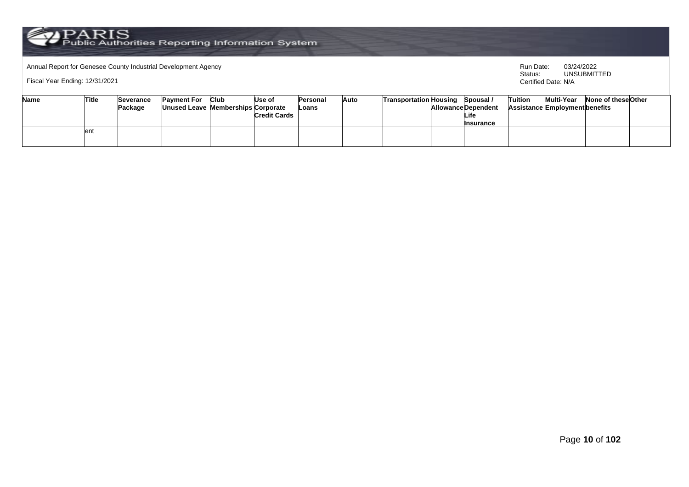Annual Report for Genesee County Industrial Development Agency **Company of Connect Agency** Run Date: 03/24/2022<br>Status: UNSUBMIT

Fiscal Year Ending: 12/31/2021

| <b>Name</b> | Title | <b>Severance</b> | <b>Payment For</b>                 | <b>Club</b> | Use of              | <b>Personal</b> | Auto | <b>Transportation Housing</b> | <b>Spousal</b> /          | <b>Tuition</b> | <b>Multi-Year</b>                     | None of theseOther |  |
|-------------|-------|------------------|------------------------------------|-------------|---------------------|-----------------|------|-------------------------------|---------------------------|----------------|---------------------------------------|--------------------|--|
|             |       | Package          | Unused Leave Memberships Corporate |             |                     | Loans           |      |                               | <b>AllowanceDependent</b> |                | <b>Assistance Employment benefits</b> |                    |  |
|             |       |                  |                                    |             | <b>Credit Cards</b> |                 |      |                               | Life                      |                |                                       |                    |  |
|             |       |                  |                                    |             |                     |                 |      |                               | <b>Insurance</b>          |                |                                       |                    |  |
|             | ent   |                  |                                    |             |                     |                 |      |                               |                           |                |                                       |                    |  |
|             |       |                  |                                    |             |                     |                 |      |                               |                           |                |                                       |                    |  |
|             |       |                  |                                    |             |                     |                 |      |                               |                           |                |                                       |                    |  |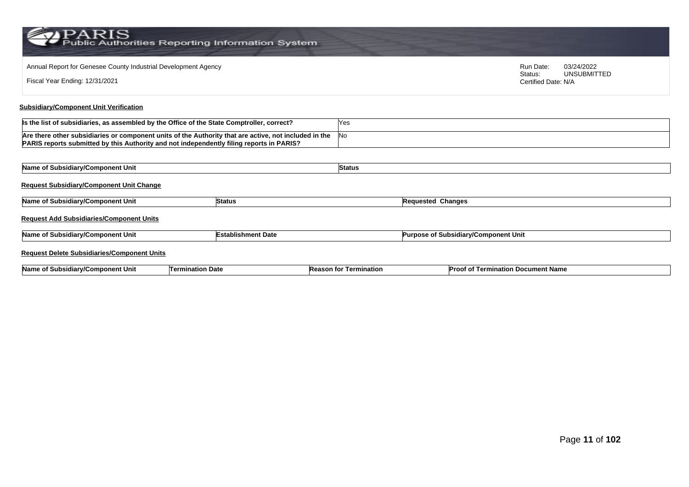$\operatorname{PARIS}_{\text{Public Authorities}}$  Reporting Information System

| Annual Report for Genesee County Industrial Development Agency<br>Fiscal Year Ending: 12/31/2021                                                                                                  |               |                                             |                          | Run Date:<br>Status:<br>Certified Date: N/A | 03/24/2022<br><b>UNSUBMITTED</b> |
|---------------------------------------------------------------------------------------------------------------------------------------------------------------------------------------------------|---------------|---------------------------------------------|--------------------------|---------------------------------------------|----------------------------------|
| <b>Subsidiary/Component Unit Verification</b>                                                                                                                                                     |               |                                             |                          |                                             |                                  |
| Is the list of subsidiaries, as assembled by the Office of the State Comptroller, correct?                                                                                                        |               | Yes                                         |                          |                                             |                                  |
| Are there other subsidiaries or component units of the Authority that are active, not included in the<br>PARIS reports submitted by this Authority and not independently filing reports in PARIS? | N٥            |                                             |                          |                                             |                                  |
|                                                                                                                                                                                                   |               |                                             |                          |                                             |                                  |
| Name of Subsidiary/Component Unit                                                                                                                                                                 |               | <b>Status</b>                               |                          |                                             |                                  |
| <b>Request Subsidiary/Component Unit Change</b>                                                                                                                                                   |               |                                             |                          |                                             |                                  |
| Name of Subsidiary/Component Unit                                                                                                                                                                 | <b>Status</b> |                                             | <b>Requested Changes</b> |                                             |                                  |
| <b>Request Add Subsidiaries/Component Units</b>                                                                                                                                                   |               |                                             |                          |                                             |                                  |
| Name of Subsidiary/Component Unit                                                                                                                                                                 |               | <b>Purpose of Subsidiary/Component Unit</b> |                          |                                             |                                  |
| <b>Request Delete Subsidiaries/Component Units</b>                                                                                                                                                |               |                                             |                          |                                             |                                  |

| Name c<br>`omponent Unit<br>.<br>tion Dat<br>Subsidiary<br>rmına | <b>Fermination</b><br>кеазон | <b>Termination Doct</b><br>Proc<br>ıment Name<br>വ |
|------------------------------------------------------------------|------------------------------|----------------------------------------------------|
|------------------------------------------------------------------|------------------------------|----------------------------------------------------|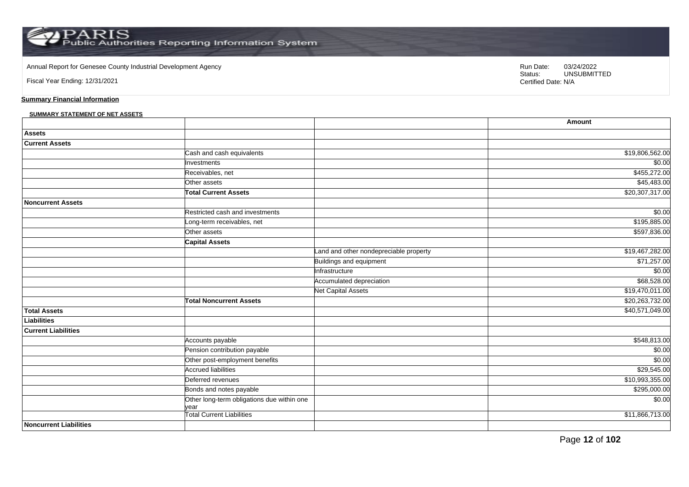Annual Report for Genesee County Industrial Development Agency **Connect Connect Connect Agency** Run Date: 03/24/2022<br>Status: UNSUBMIT

Fiscal Year Ending: 12/31/2021

**Summary Financial Information**

### **SUMMARY STATEMENT OF NET ASSETS**

|                               |                                                    |                                       | Amount          |
|-------------------------------|----------------------------------------------------|---------------------------------------|-----------------|
| <b>Assets</b>                 |                                                    |                                       |                 |
| <b>Current Assets</b>         |                                                    |                                       |                 |
|                               | Cash and cash equivalents                          |                                       | \$19,806,562.00 |
|                               | Investments                                        |                                       | \$0.00          |
|                               | Receivables, net                                   |                                       | \$455,272.00    |
|                               | Other assets                                       |                                       | \$45,483.00     |
|                               | <b>Total Current Assets</b>                        |                                       | \$20,307,317.00 |
| <b>Noncurrent Assets</b>      |                                                    |                                       |                 |
|                               | Restricted cash and investments                    |                                       | \$0.00          |
|                               | Long-term receivables, net                         |                                       | \$195,885.00    |
|                               | Other assets                                       |                                       | \$597,836.00    |
|                               | <b>Capital Assets</b>                              |                                       |                 |
|                               |                                                    | and and other nondepreciable property | \$19,467,282.00 |
|                               |                                                    | Buildings and equipment               | \$71,257.00     |
|                               |                                                    | Infrastructure                        | \$0.00          |
|                               |                                                    | Accumulated depreciation              | \$68,528.00     |
|                               |                                                    | <b>Net Capital Assets</b>             | \$19,470,011.00 |
|                               | <b>Total Noncurrent Assets</b>                     |                                       | \$20,263,732.00 |
| <b>Total Assets</b>           |                                                    |                                       | \$40,571,049.00 |
| Liabilities                   |                                                    |                                       |                 |
| <b>Current Liabilities</b>    |                                                    |                                       |                 |
|                               | Accounts payable                                   |                                       | \$548,813.00    |
|                               | Pension contribution payable                       |                                       | \$0.00          |
|                               | Other post-employment benefits                     |                                       | \$0.00          |
|                               | <b>Accrued liabilities</b>                         |                                       | \$29,545.00     |
|                               | Deferred revenues                                  |                                       | \$10,993,355.00 |
|                               | Bonds and notes payable                            |                                       | \$295,000.00    |
|                               | Other long-term obligations due within one<br>vear |                                       | \$0.00          |
|                               | <b>Total Current Liabilities</b>                   |                                       | \$11,866,713.00 |
| <b>Noncurrent Liabilities</b> |                                                    |                                       |                 |

UNSUBMITTED Certified Date: N/A

Page **12** of **102**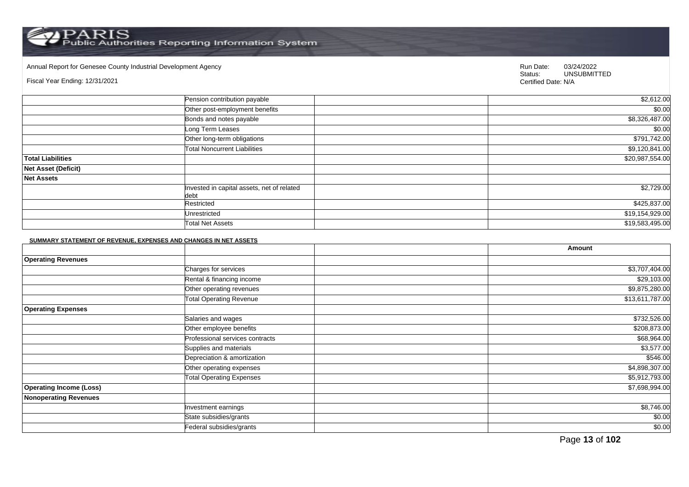Annual Report for Genesee County Industrial Development Agency **Connect Connect Connect Agency** Run Date: 03/24/2022<br>Status: UNSUBMIT

Fiscal Year Ending: 12/31/2021

UNSUBMITTED Certified Date: N/A

|                            | Pension contribution payable                       | \$2,612.00      |
|----------------------------|----------------------------------------------------|-----------------|
|                            | Other post-employment benefits                     | \$0.00          |
|                            | Bonds and notes payable                            | \$8,326,487.00  |
|                            | Long Term Leases                                   | \$0.00          |
|                            | Other long-term obligations                        | \$791,742.00    |
|                            | <b>Total Noncurrent Liabilities</b>                | \$9,120,841.00  |
| <b>Total Liabilities</b>   |                                                    | \$20,987,554.00 |
| <b>Net Asset (Deficit)</b> |                                                    |                 |
| <b>Net Assets</b>          |                                                    |                 |
|                            | Invested in capital assets, net of related<br>debt | \$2,729.00      |
|                            | Restricted                                         | \$425,837.00    |
|                            | Unrestricted                                       | \$19,154,929.00 |
|                            | <b>Total Net Assets</b>                            | \$19,583,495.00 |

#### **SUMMARY STATEMENT OF REVENUE, EXPENSES AND CHANGES IN NET ASSETS**

|                                |                                 | Amount          |
|--------------------------------|---------------------------------|-----------------|
| <b>Operating Revenues</b>      |                                 |                 |
|                                | Charges for services            | \$3,707,404.00  |
|                                | Rental & financing income       | \$29,103.00     |
|                                | Other operating revenues        | \$9,875,280.00  |
|                                | <b>Total Operating Revenue</b>  | \$13,611,787.00 |
| <b>Operating Expenses</b>      |                                 |                 |
|                                | Salaries and wages              | \$732,526.00    |
|                                | Other employee benefits         | \$208,873.00    |
|                                | Professional services contracts | \$68,964.00     |
|                                | Supplies and materials          | \$3,577.00      |
|                                | Depreciation & amortization     | \$546.00        |
|                                | Other operating expenses        | \$4,898,307.00  |
|                                | <b>Total Operating Expenses</b> | \$5,912,793.00  |
| <b>Operating Income (Loss)</b> |                                 | \$7,698,994.00  |
| <b>Nonoperating Revenues</b>   |                                 |                 |
|                                | Investment earnings             | \$8,746.00      |
|                                | State subsidies/grants          | \$0.00          |
|                                | Federal subsidies/grants        | \$0.00          |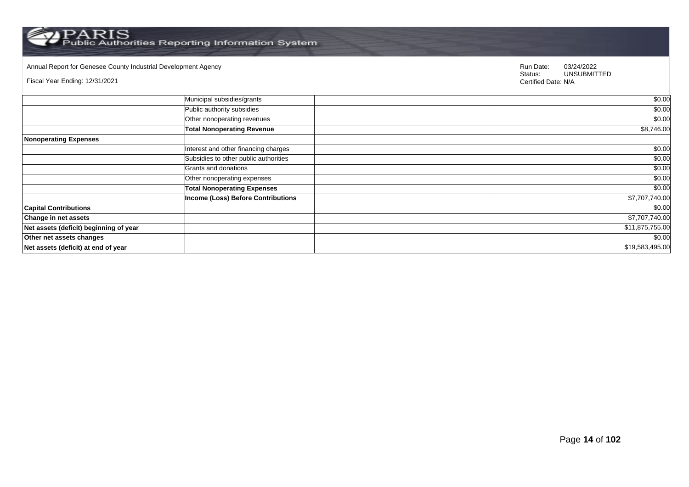Annual Report for Genesee County Industrial Development Agency **Company of Connect Agency** Run Date: 03/24/2022<br>Status: UNSUBMIT

Fiscal Year Ending: 12/31/2021

|                                        | Municipal subsidies/grants                | \$0.00          |
|----------------------------------------|-------------------------------------------|-----------------|
|                                        | Public authority subsidies                | \$0.00          |
|                                        | Other nonoperating revenues               | \$0.00          |
|                                        | <b>Total Nonoperating Revenue</b>         | \$8,746.00      |
| <b>Nonoperating Expenses</b>           |                                           |                 |
|                                        | Interest and other financing charges      | \$0.00          |
|                                        | Subsidies to other public authorities     | \$0.00          |
|                                        | Grants and donations                      | \$0.00          |
|                                        | Other nonoperating expenses               | \$0.00          |
|                                        | <b>Total Nonoperating Expenses</b>        | \$0.00          |
|                                        | <b>Income (Loss) Before Contributions</b> | \$7,707,740.00  |
| <b>Capital Contributions</b>           |                                           | \$0.00          |
| <b>Change in net assets</b>            |                                           | \$7,707,740.00  |
| Net assets (deficit) beginning of year |                                           | \$11,875,755.00 |
| Other net assets changes               |                                           | \$0.00          |
| Net assets (deficit) at end of year    |                                           | \$19,583,495.00 |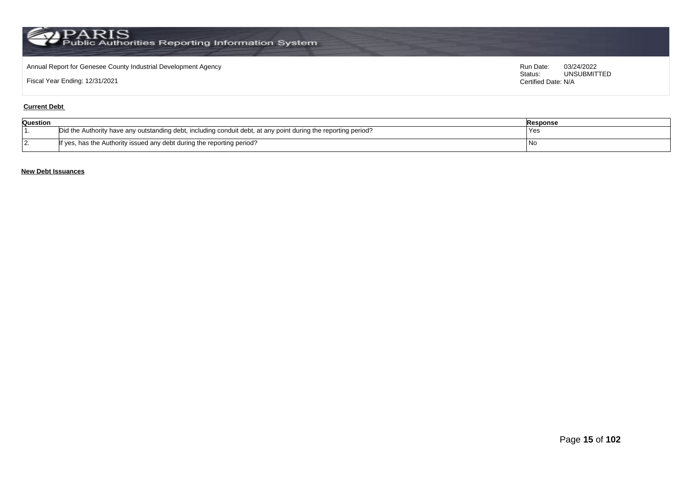$\mathrm{PARS} \ \mathrm{Fuss}$ 

### Annual Report for Genesee County Industrial Development Agency **Company of Connect Agency** Run Date: 03/24/2022<br>Status: UNSUBMIT

Fiscal Year Ending: 12/31/2021

UNSUBMITTED Certified Date: N/A

### **Current Debt**

| Question |                                                                                                                | Response |
|----------|----------------------------------------------------------------------------------------------------------------|----------|
|          | Did the Authority have any outstanding debt, including conduit debt, at any point during the reporting period? | Yes      |
| . د      | If yes, has the Authority issued any debt during the reporting period?                                         | I No     |

### **New Debt Issuances**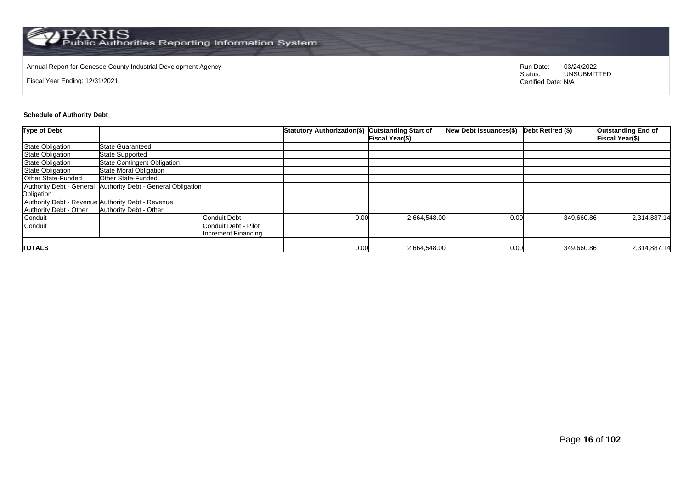# Annual Report for Genesee County Industrial Development Agency **Company of Connect Agency** Run Date: 03/24/2022<br>Status: UNSUBMIT

Fiscal Year Ending: 12/31/2021

UNSUBMITTED Certified Date: N/A

### **Schedule of Authority Debt**

| <b>Type of Debt</b>       |                                                   |                      | Statutory Authorization(\$) Outstanding Start of |                        | <b>New Debt Issuances(\$)</b> | Debt Retired (\$) | <b>Outstanding End of</b> |
|---------------------------|---------------------------------------------------|----------------------|--------------------------------------------------|------------------------|-------------------------------|-------------------|---------------------------|
|                           |                                                   |                      |                                                  | <b>Fiscal Year(\$)</b> |                               |                   | <b>Fiscal Year(\$)</b>    |
| State Obligation          | <b>State Guaranteed</b>                           |                      |                                                  |                        |                               |                   |                           |
| <b>State Obligation</b>   | <b>State Supported</b>                            |                      |                                                  |                        |                               |                   |                           |
| State Obligation          | <b>State Contingent Obligation</b>                |                      |                                                  |                        |                               |                   |                           |
| <b>State Obligation</b>   | <b>State Moral Obligation</b>                     |                      |                                                  |                        |                               |                   |                           |
| <b>Other State-Funded</b> | Other State-Funded                                |                      |                                                  |                        |                               |                   |                           |
| Authority Debt - General  | Authority Debt - General Obligation               |                      |                                                  |                        |                               |                   |                           |
| Obligation                |                                                   |                      |                                                  |                        |                               |                   |                           |
|                           | Authority Debt - Revenue Authority Debt - Revenue |                      |                                                  |                        |                               |                   |                           |
| Authority Debt - Other    | Authority Debt - Other                            |                      |                                                  |                        |                               |                   |                           |
| Conduit                   |                                                   | Conduit Debt         | 0.00                                             | 2,664,548.00           | 0.00                          | 349,660.86        | 2,314,887.14              |
| Conduit                   |                                                   | Conduit Debt - Pilot |                                                  |                        |                               |                   |                           |
|                           |                                                   | Increment Financing  |                                                  |                        |                               |                   |                           |
| <b>TOTALS</b>             |                                                   |                      | 0.00                                             | 2,664,548.00           | 0.00                          | 349,660.86        | 2,314,887.14              |
|                           |                                                   |                      |                                                  |                        |                               |                   |                           |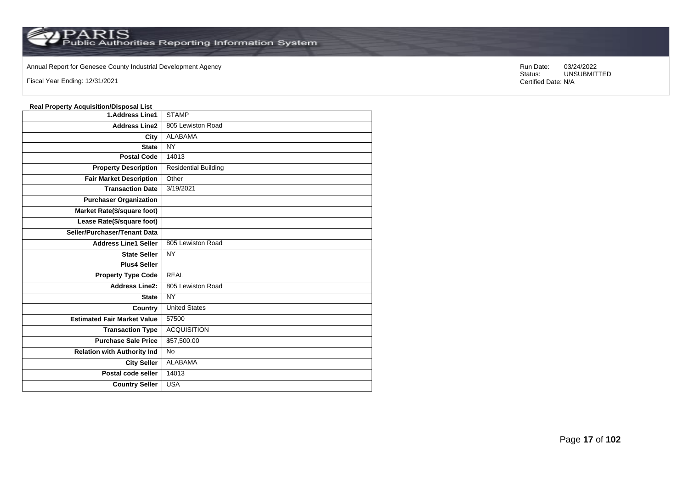# Annual Report for Genesee County Industrial Development Agency **Company of Connect Agency** Run Date: 03/24/2022<br>Status: UNSUBMIT

Fiscal Year Ending: 12/31/2021

#### **Real Property Acquisition/Disposal List**

| 1.Address Line1                    | <b>STAMP</b>                |
|------------------------------------|-----------------------------|
| <b>Address Line2</b>               | 805 Lewiston Road           |
| City                               | <b>ALABAMA</b>              |
| <b>State</b>                       | <b>NY</b>                   |
| <b>Postal Code</b>                 | 14013                       |
| <b>Property Description</b>        | <b>Residential Building</b> |
| <b>Fair Market Description</b>     | Other                       |
| <b>Transaction Date</b>            | 3/19/2021                   |
| <b>Purchaser Organization</b>      |                             |
| Market Rate(\$/square foot)        |                             |
| Lease Rate(\$/square foot)         |                             |
| Seller/Purchaser/Tenant Data       |                             |
| <b>Address Line1 Seller</b>        | 805 Lewiston Road           |
| <b>State Seller</b>                | $\overline{NY}$             |
| <b>Plus4 Seller</b>                |                             |
| <b>Property Type Code</b>          | <b>REAL</b>                 |
| <b>Address Line2:</b>              | 805 Lewiston Road           |
| <b>State</b>                       | <b>NY</b>                   |
| Country                            | <b>United States</b>        |
| <b>Estimated Fair Market Value</b> | 57500                       |
| <b>Transaction Type</b>            | <b>ACQUISITION</b>          |
| <b>Purchase Sale Price</b>         | \$57,500.00                 |
| <b>Relation with Authority Ind</b> | <b>No</b>                   |
| <b>City Seller</b>                 | <b>ALABAMA</b>              |
| Postal code seller                 | 14013                       |
| <b>Country Seller</b>              | <b>USA</b>                  |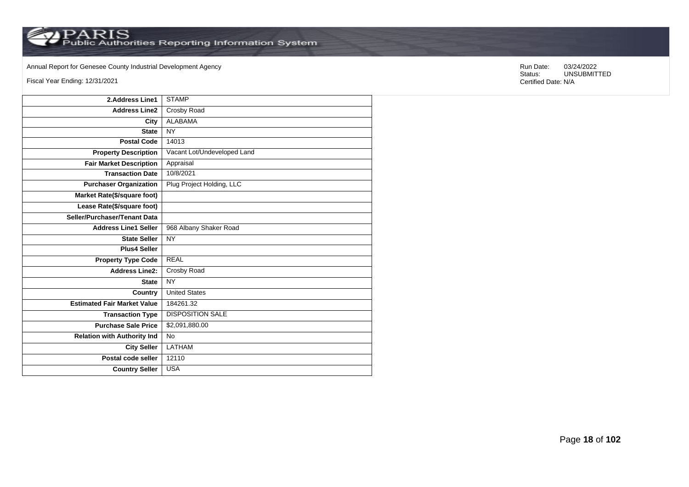# Annual Report for Genesee County Industrial Development Agency **Company of Connect Agency** Run Date: 03/24/2022<br>Status: UNSUBMIT

Fiscal Year Ending: 12/31/2021

| 2.Address Line1                    | <b>STAMP</b>                |
|------------------------------------|-----------------------------|
| <b>Address Line2</b>               | Crosby Road                 |
| City                               | <b>ALABAMA</b>              |
| <b>State</b>                       | <b>NY</b>                   |
| <b>Postal Code</b>                 | 14013                       |
| <b>Property Description</b>        | Vacant Lot/Undeveloped Land |
| <b>Fair Market Description</b>     | Appraisal                   |
| <b>Transaction Date</b>            | 10/8/2021                   |
| <b>Purchaser Organization</b>      | Plug Project Holding, LLC   |
| Market Rate(\$/square foot)        |                             |
| Lease Rate(\$/square foot)         |                             |
| Seller/Purchaser/Tenant Data       |                             |
| <b>Address Line1 Seller</b>        | 968 Albany Shaker Road      |
| <b>State Seller</b>                | <b>NY</b>                   |
| <b>Plus4 Seller</b>                |                             |
| <b>Property Type Code</b>          | <b>REAL</b>                 |
| <b>Address Line2:</b>              | Crosby Road                 |
| <b>State</b>                       | <b>NY</b>                   |
| Country                            | <b>United States</b>        |
| <b>Estimated Fair Market Value</b> | 184261.32                   |
| <b>Transaction Type</b>            | <b>DISPOSITION SALE</b>     |
| <b>Purchase Sale Price</b>         | \$2,091,880.00              |
| <b>Relation with Authority Ind</b> | <b>No</b>                   |
| <b>City Seller</b>                 | <b>LATHAM</b>               |
| Postal code seller                 | 12110                       |
| <b>Country Seller</b>              | <b>USA</b>                  |
|                                    |                             |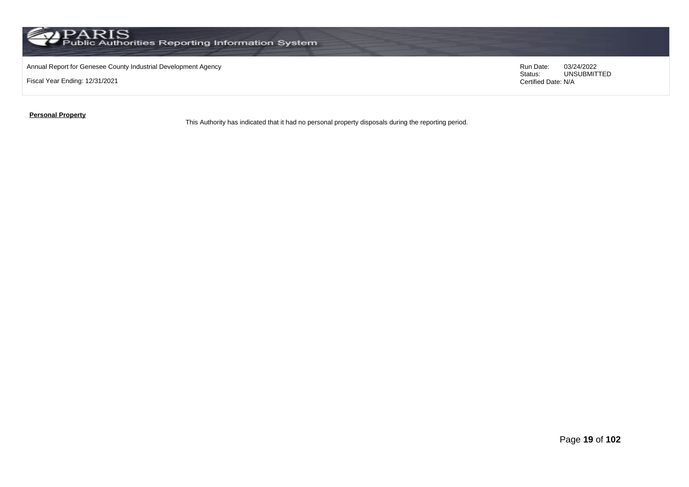Annual Report for Genesee County Industrial Development Agency **Company of Connect Agency** Run Date: 03/24/2022<br>Status: UNSUBMIT

Fiscal Year Ending: 12/31/2021

UNSUBMITTED Certified Date: N/A

**Personal Property**

This Authority has indicated that it had no personal property disposals during the reporting period.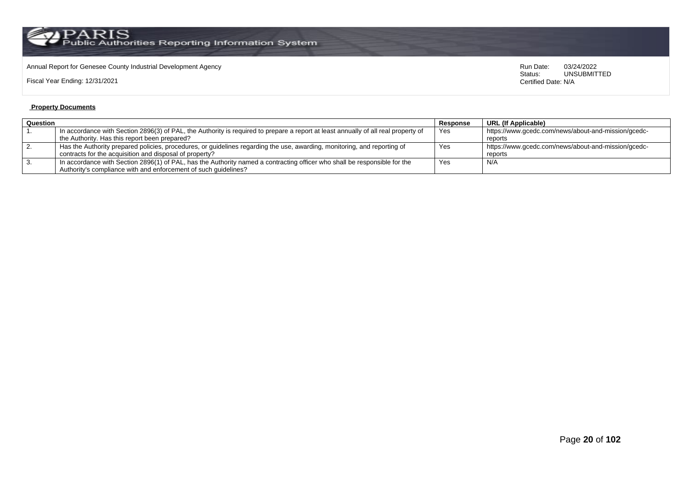# Annual Report for Genesee County Industrial Development Agency **Company of Connect Agency** Run Date: 03/24/2022<br>Status: UNSUBMIT

Fiscal Year Ending: 12/31/2021

UNSUBMITTED Certified Date: N/A

### **Property Documents**

| Question                                                                                                                           |     | <b>URL (If Applicable)</b>                          |
|------------------------------------------------------------------------------------------------------------------------------------|-----|-----------------------------------------------------|
| In accordance with Section 2896(3) of PAL, the Authority is required to prepare a report at least annually of all real property of | Yes | https://www.gcedc.com/news/about-and-mission/gcedc- |
| the Authority. Has this report been prepared?                                                                                      |     | reports                                             |
| Has the Authority prepared policies, procedures, or guidelines regarding the use, awarding, monitoring, and reporting of           | Yes | https://www.gcedc.com/news/about-and-mission/gcedc- |
| contracts for the acquisition and disposal of property?                                                                            |     | reports                                             |
| In accordance with Section 2896(1) of PAL, has the Authority named a contracting officer who shall be responsible for the          | Yes | N/A                                                 |
| Authority's compliance with and enforcement of such quidelines?                                                                    |     |                                                     |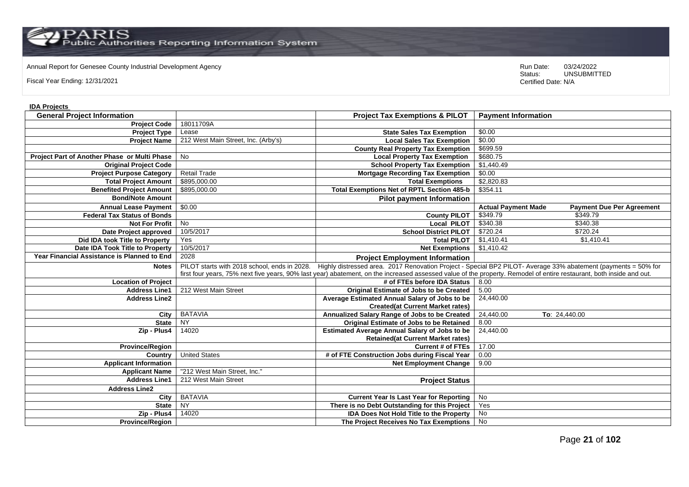$\operatorname{PARIS}_{\text{Public Authorities}\text{ Reporting Information System}}$ 

Annual Report for Genesee County Industrial Development Agency **Company of Connect Agency** Run Date: 03/24/2022<br>Status: UNSUBMIT

Fiscal Year Ending: 12/31/2021

UNSUBMITTED Certified Date: N/A

### **IDA Projects**

| <b>General Project Information</b>           |                                     | <b>Project Tax Exemptions &amp; PILOT</b>            | <b>Payment Information</b>                                                                                                                                           |
|----------------------------------------------|-------------------------------------|------------------------------------------------------|----------------------------------------------------------------------------------------------------------------------------------------------------------------------|
| <b>Project Code</b>                          | 18011709A                           |                                                      |                                                                                                                                                                      |
| <b>Project Type</b>                          | Lease                               | <b>State Sales Tax Exemption</b>                     | \$0.00                                                                                                                                                               |
| <b>Project Name</b>                          | 212 West Main Street, Inc. (Arby's) | <b>Local Sales Tax Exemption</b>                     | \$0.00                                                                                                                                                               |
|                                              |                                     | <b>County Real Property Tax Exemption</b>            | \$699.59                                                                                                                                                             |
| Project Part of Another Phase or Multi Phase | No                                  | <b>Local Property Tax Exemption</b>                  | \$680.75                                                                                                                                                             |
| <b>Original Project Code</b>                 |                                     | <b>School Property Tax Exemption</b>                 | \$1,440.49                                                                                                                                                           |
| <b>Project Purpose Category</b>              | <b>Retail Trade</b>                 | <b>Mortgage Recording Tax Exemption</b>              | \$0.00                                                                                                                                                               |
| <b>Total Project Amount</b>                  | \$895,000.00                        | <b>Total Exemptions</b>                              | \$2,820.83                                                                                                                                                           |
| <b>Benefited Project Amount</b>              | \$895,000.00                        | Total Exemptions Net of RPTL Section 485-b           | \$354.11                                                                                                                                                             |
| <b>Bond/Note Amount</b>                      |                                     | <b>Pilot payment Information</b>                     |                                                                                                                                                                      |
| <b>Annual Lease Payment</b>                  | \$0.00                              |                                                      | <b>Actual Payment Made</b><br><b>Payment Due Per Agreement</b>                                                                                                       |
| <b>Federal Tax Status of Bonds</b>           |                                     | <b>County PILOT</b>                                  | \$349.79<br>\$349.79                                                                                                                                                 |
| <b>Not For Profit</b>                        | No                                  | <b>Local PILOT</b>                                   | \$340.38<br>\$340.38                                                                                                                                                 |
| Date Project approved                        | 10/5/2017                           | <b>School District PILOT</b>                         | \$720.24<br>\$720.24                                                                                                                                                 |
| Did IDA took Title to Property               | Yes                                 | <b>Total PILOT</b>                                   | \$1,410.41<br>\$1,410.41                                                                                                                                             |
| Date IDA Took Title to Property              | 10/5/2017                           | <b>Net Exemptions</b>                                | \$1,410.42                                                                                                                                                           |
| Year Financial Assistance is Planned to End  | 2028                                | <b>Project Employment Information</b>                |                                                                                                                                                                      |
| <b>Notes</b>                                 |                                     |                                                      | PILOT starts with 2018 school, ends in 2028. Highly distressed area. 2017 Renovation Project - Special BP2 PILOT- Average 33% abatement (payments = 50% for          |
|                                              |                                     |                                                      | first four years, 75% next five years, 90% last year) abatement, on the increased assessed value of the property. Remodel of entire restaurant, both inside and out. |
| <b>Location of Project</b>                   |                                     | # of FTEs before IDA Status                          | 8.00                                                                                                                                                                 |
| <b>Address Line1</b>                         | 212 West Main Street                | <b>Original Estimate of Jobs to be Created</b>       | 5.00                                                                                                                                                                 |
| <b>Address Line2</b>                         |                                     | Average Estimated Annual Salary of Jobs to be        | 24,440.00                                                                                                                                                            |
|                                              |                                     | <b>Created(at Current Market rates)</b>              |                                                                                                                                                                      |
| City                                         | <b>BATAVIA</b>                      | Annualized Salary Range of Jobs to be Created        | 24,440.00<br>To: 24,440.00                                                                                                                                           |
| <b>State</b>                                 | <b>NY</b>                           | Original Estimate of Jobs to be Retained             | 8.00                                                                                                                                                                 |
| Zip - Plus4                                  | 14020                               | <b>Estimated Average Annual Salary of Jobs to be</b> | 24,440.00                                                                                                                                                            |
|                                              |                                     | <b>Retained(at Current Market rates)</b>             |                                                                                                                                                                      |
| <b>Province/Region</b>                       |                                     | <b>Current # of FTEs</b>                             | 17.00                                                                                                                                                                |
| Country                                      | <b>United States</b>                | # of FTE Construction Jobs during Fiscal Year        | 0.00                                                                                                                                                                 |
| <b>Applicant Information</b>                 |                                     | <b>Net Employment Change</b>                         | 9.00                                                                                                                                                                 |
| <b>Applicant Name</b>                        | "212 West Main Street, Inc."        |                                                      |                                                                                                                                                                      |
| <b>Address Line1</b>                         | 212 West Main Street                | <b>Project Status</b>                                |                                                                                                                                                                      |
| <b>Address Line2</b>                         |                                     |                                                      |                                                                                                                                                                      |
| City                                         | <b>BATAVIA</b>                      | <b>Current Year Is Last Year for Reporting</b>       | No                                                                                                                                                                   |
| <b>State</b>                                 | <b>NY</b>                           | There is no Debt Outstanding for this Project        | Yes                                                                                                                                                                  |
| Zip - Plus4                                  | 14020                               | <b>IDA Does Not Hold Title to the Property</b>       | No                                                                                                                                                                   |
| <b>Province/Region</b>                       |                                     | The Project Receives No Tax Exemptions               | <b>No</b>                                                                                                                                                            |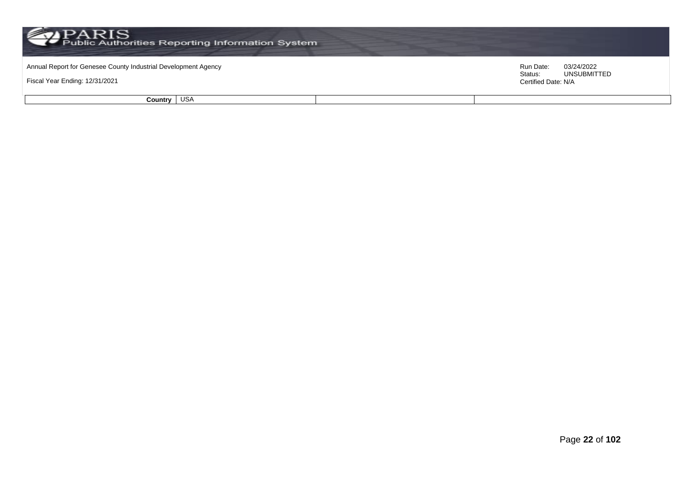$\operatorname{PARIS}$  PARIS<br>Public Authorities Reporting Information System Annual Report for Genesee County Industrial Development Agency **Company of Connect Agency** Run Date: 03/24/2022<br>Status: UNSUBMIT UNSUBMITTED Fiscal Year Ending: 12/31/2021 Certified Date: N/A **Country** USA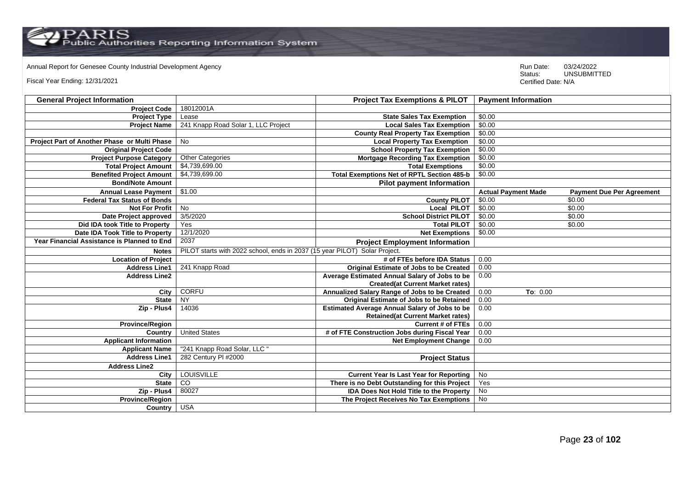# Annual Report for Genesee County Industrial Development Agency **Company of Connect Agency** Run Date: 03/24/2022<br>Status: UNSUBMIT

Fiscal Year Ending: 12/31/2021

| <b>General Project Information</b>           |                                                                            | <b>Project Tax Exemptions &amp; PILOT</b>            | <b>Payment Information</b> |                                  |
|----------------------------------------------|----------------------------------------------------------------------------|------------------------------------------------------|----------------------------|----------------------------------|
| <b>Project Code</b>                          | 18012001A                                                                  |                                                      |                            |                                  |
| <b>Project Type</b>                          | Lease                                                                      | <b>State Sales Tax Exemption</b>                     | \$0.00                     |                                  |
| <b>Project Name</b>                          | 241 Knapp Road Solar 1, LLC Project                                        | <b>Local Sales Tax Exemption</b>                     | \$0.00                     |                                  |
|                                              |                                                                            | <b>County Real Property Tax Exemption</b>            | \$0.00                     |                                  |
| Project Part of Another Phase or Multi Phase | <b>No</b>                                                                  | <b>Local Property Tax Exemption</b>                  | \$0.00                     |                                  |
| <b>Original Project Code</b>                 |                                                                            | <b>School Property Tax Exemption</b>                 | \$0.00                     |                                  |
| <b>Project Purpose Category</b>              | <b>Other Categories</b>                                                    | <b>Mortgage Recording Tax Exemption</b>              | \$0.00                     |                                  |
| <b>Total Project Amount</b>                  | \$4,739,699.00                                                             | <b>Total Exemptions</b>                              | \$0.00                     |                                  |
| <b>Benefited Project Amount</b>              | \$4,739,699.00                                                             | <b>Total Exemptions Net of RPTL Section 485-b</b>    | \$0.00                     |                                  |
| <b>Bond/Note Amount</b>                      |                                                                            | <b>Pilot payment Information</b>                     |                            |                                  |
| <b>Annual Lease Payment</b>                  | \$1.00                                                                     |                                                      | <b>Actual Payment Made</b> | <b>Payment Due Per Agreement</b> |
| <b>Federal Tax Status of Bonds</b>           |                                                                            | <b>County PILOT</b>                                  | \$0.00                     | \$0.00                           |
| <b>Not For Profit</b>                        | $\overline{N}$                                                             | <b>Local PILOT</b>                                   | \$0.00                     | \$0.00                           |
| Date Project approved                        | 3/5/2020                                                                   | <b>School District PILOT</b>                         | \$0.00                     | \$0.00                           |
| <b>Did IDA took Title to Property</b>        | Yes                                                                        | <b>Total PILOT</b>                                   | \$0.00                     | \$0.00                           |
| Date IDA Took Title to Property              | 12/1/2020                                                                  | <b>Net Exemptions</b>                                | \$0.00                     |                                  |
| Year Financial Assistance is Planned to End  | 2037                                                                       | <b>Project Employment Information</b>                |                            |                                  |
| <b>Notes</b>                                 | PILOT starts with 2022 school, ends in 2037 (15 year PILOT) Solar Project. |                                                      |                            |                                  |
| <b>Location of Project</b>                   |                                                                            | # of FTEs before IDA Status                          | 0.00                       |                                  |
| <b>Address Line1</b>                         | 241 Knapp Road                                                             | Original Estimate of Jobs to be Created              | 0.00                       |                                  |
| <b>Address Line2</b>                         |                                                                            | Average Estimated Annual Salary of Jobs to be        | 0.00                       |                                  |
|                                              |                                                                            | <b>Created(at Current Market rates)</b>              |                            |                                  |
| City                                         | <b>CORFU</b>                                                               | Annualized Salary Range of Jobs to be Created        | 0.00<br>To: 0.00           |                                  |
| <b>State</b>                                 | NY                                                                         | <b>Original Estimate of Jobs to be Retained</b>      | 0.00                       |                                  |
| Zip - Plus4                                  | 14036                                                                      | <b>Estimated Average Annual Salary of Jobs to be</b> | 0.00                       |                                  |
|                                              |                                                                            | <b>Retained(at Current Market rates)</b>             |                            |                                  |
| <b>Province/Region</b>                       |                                                                            | <b>Current # of FTEs</b>                             | 0.00                       |                                  |
| Country                                      | <b>United States</b>                                                       | # of FTE Construction Jobs during Fiscal Year        | 0.00                       |                                  |
| <b>Applicant Information</b>                 |                                                                            | <b>Net Employment Change</b>                         | 0.00                       |                                  |
| <b>Applicant Name</b>                        | "241 Knapp Road Solar, LLC "                                               |                                                      |                            |                                  |
| <b>Address Line1</b>                         | 282 Century PI #2000                                                       | <b>Project Status</b>                                |                            |                                  |
| <b>Address Line2</b>                         |                                                                            |                                                      |                            |                                  |
| City                                         | <b>LOUISVILLE</b>                                                          | <b>Current Year Is Last Year for Reporting</b>       | No                         |                                  |
| <b>State</b>                                 | $\overline{c}$                                                             | There is no Debt Outstanding for this Project        | Yes                        |                                  |
| Zip - Plus4                                  | 80027                                                                      | <b>IDA Does Not Hold Title to the Property</b>       | No                         |                                  |
| <b>Province/Region</b>                       |                                                                            | The Project Receives No Tax Exemptions               | <b>No</b>                  |                                  |
| <b>Country</b>                               | <b>USA</b>                                                                 |                                                      |                            |                                  |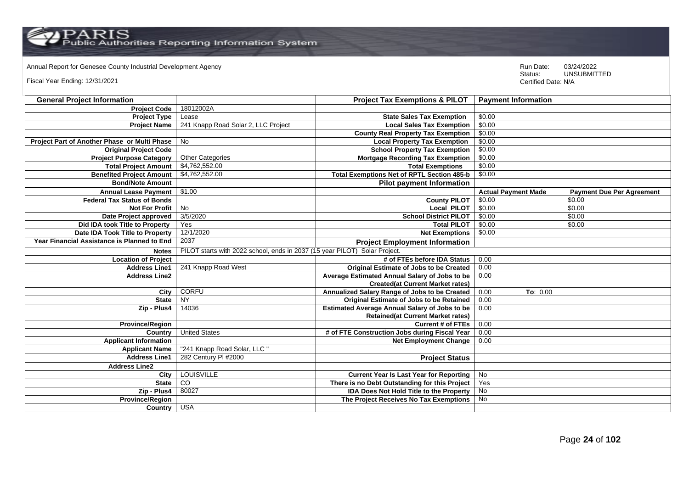# Annual Report for Genesee County Industrial Development Agency **Company of Connect Agency** Run Date: 03/24/2022<br>Status: UNSUBMIT

Fiscal Year Ending: 12/31/2021

| <b>General Project Information</b>           |                                                                            | <b>Project Tax Exemptions &amp; PILOT</b>            | <b>Payment Information</b> |                                  |
|----------------------------------------------|----------------------------------------------------------------------------|------------------------------------------------------|----------------------------|----------------------------------|
| <b>Project Code</b>                          | 18012002A                                                                  |                                                      |                            |                                  |
| <b>Project Type</b>                          | Lease                                                                      | <b>State Sales Tax Exemption</b>                     | \$0.00                     |                                  |
| <b>Project Name</b>                          | 241 Knapp Road Solar 2, LLC Project                                        | <b>Local Sales Tax Exemption</b>                     | \$0.00                     |                                  |
|                                              |                                                                            | <b>County Real Property Tax Exemption</b>            | \$0.00                     |                                  |
| Project Part of Another Phase or Multi Phase | <b>No</b>                                                                  | <b>Local Property Tax Exemption</b>                  | \$0.00                     |                                  |
| <b>Original Project Code</b>                 |                                                                            | <b>School Property Tax Exemption</b>                 | \$0.00                     |                                  |
| <b>Project Purpose Category</b>              | <b>Other Categories</b>                                                    | <b>Mortgage Recording Tax Exemption</b>              | \$0.00                     |                                  |
| <b>Total Project Amount</b>                  | \$4,762,552.00                                                             | <b>Total Exemptions</b>                              | \$0.00                     |                                  |
| <b>Benefited Project Amount</b>              | \$4,762,552.00                                                             | <b>Total Exemptions Net of RPTL Section 485-b</b>    | \$0.00                     |                                  |
| <b>Bond/Note Amount</b>                      |                                                                            | <b>Pilot payment Information</b>                     |                            |                                  |
| <b>Annual Lease Payment</b>                  | \$1.00                                                                     |                                                      | <b>Actual Payment Made</b> | <b>Payment Due Per Agreement</b> |
| <b>Federal Tax Status of Bonds</b>           |                                                                            | <b>County PILOT</b>                                  | \$0.00                     | \$0.00                           |
| <b>Not For Profit</b>                        | $\overline{N}$                                                             | <b>Local PILOT</b>                                   | \$0.00                     | \$0.00                           |
| Date Project approved                        | 3/5/2020                                                                   | <b>School District PILOT</b>                         | \$0.00                     | \$0.00                           |
| <b>Did IDA took Title to Property</b>        | Yes                                                                        | <b>Total PILOT</b>                                   | \$0.00                     | \$0.00                           |
| Date IDA Took Title to Property              | 12/1/2020                                                                  | <b>Net Exemptions</b>                                | \$0.00                     |                                  |
| Year Financial Assistance is Planned to End  | 2037                                                                       | <b>Project Employment Information</b>                |                            |                                  |
| <b>Notes</b>                                 | PILOT starts with 2022 school, ends in 2037 (15 year PILOT) Solar Project. |                                                      |                            |                                  |
| <b>Location of Project</b>                   |                                                                            | # of FTEs before IDA Status                          | 0.00                       |                                  |
| <b>Address Line1</b>                         | 241 Knapp Road West                                                        | Original Estimate of Jobs to be Created              | 0.00                       |                                  |
| <b>Address Line2</b>                         |                                                                            | Average Estimated Annual Salary of Jobs to be        | 0.00                       |                                  |
|                                              |                                                                            | <b>Created(at Current Market rates)</b>              |                            |                                  |
| City                                         | <b>CORFU</b>                                                               | Annualized Salary Range of Jobs to be Created        | 0.00<br>To: 0.00           |                                  |
| <b>State</b>                                 | NY                                                                         | <b>Original Estimate of Jobs to be Retained</b>      | 0.00                       |                                  |
| Zip - Plus4                                  | 14036                                                                      | <b>Estimated Average Annual Salary of Jobs to be</b> | 0.00                       |                                  |
|                                              |                                                                            | <b>Retained(at Current Market rates)</b>             |                            |                                  |
| <b>Province/Region</b>                       |                                                                            | <b>Current # of FTEs</b>                             | 0.00                       |                                  |
| Country                                      | <b>United States</b>                                                       | # of FTE Construction Jobs during Fiscal Year        | 0.00                       |                                  |
| <b>Applicant Information</b>                 |                                                                            | <b>Net Employment Change</b>                         | 0.00                       |                                  |
| <b>Applicant Name</b>                        | "241 Knapp Road Solar, LLC "                                               |                                                      |                            |                                  |
| <b>Address Line1</b>                         | 282 Century PI #2000                                                       | <b>Project Status</b>                                |                            |                                  |
| <b>Address Line2</b>                         |                                                                            |                                                      |                            |                                  |
| City                                         | <b>LOUISVILLE</b>                                                          | <b>Current Year Is Last Year for Reporting</b>       | No                         |                                  |
| <b>State</b>                                 | $\overline{c}$                                                             | There is no Debt Outstanding for this Project        | Yes                        |                                  |
| Zip - Plus4                                  | 80027                                                                      | <b>IDA Does Not Hold Title to the Property</b>       | No                         |                                  |
| <b>Province/Region</b>                       |                                                                            | The Project Receives No Tax Exemptions               | <b>No</b>                  |                                  |
| <b>Country</b>                               | <b>USA</b>                                                                 |                                                      |                            |                                  |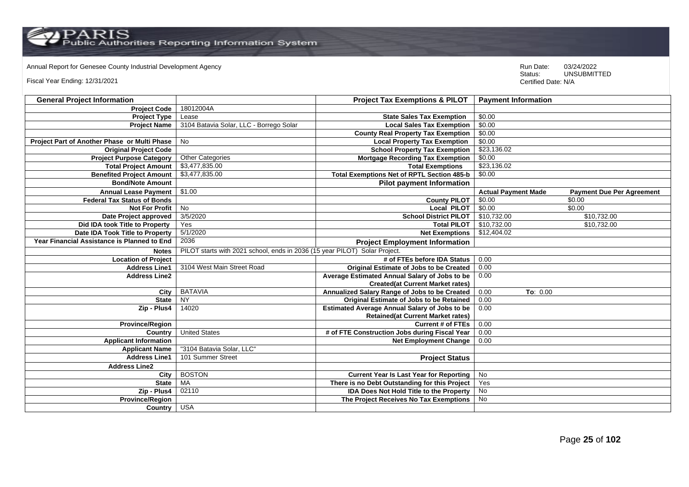# Annual Report for Genesee County Industrial Development Agency **Company of Connect Agency** Run Date: 03/24/2022<br>Status: UNSUBMIT

Fiscal Year Ending: 12/31/2021

| <b>General Project Information</b>           |                                                                            | <b>Project Tax Exemptions &amp; PILOT</b>            | <b>Payment Information</b> |                                  |
|----------------------------------------------|----------------------------------------------------------------------------|------------------------------------------------------|----------------------------|----------------------------------|
| <b>Project Code</b>                          | 18012004A                                                                  |                                                      |                            |                                  |
| <b>Project Type</b>                          | Lease                                                                      | <b>State Sales Tax Exemption</b>                     | \$0.00                     |                                  |
| <b>Project Name</b>                          | 3104 Batavia Solar, LLC - Borrego Solar                                    | <b>Local Sales Tax Exemption</b>                     | \$0.00                     |                                  |
|                                              |                                                                            | <b>County Real Property Tax Exemption</b>            | \$0.00                     |                                  |
| Project Part of Another Phase or Multi Phase | No                                                                         | <b>Local Property Tax Exemption</b>                  | \$0.00                     |                                  |
| <b>Original Project Code</b>                 |                                                                            | <b>School Property Tax Exemption</b>                 | \$23,136.02                |                                  |
| <b>Project Purpose Category</b>              | <b>Other Categories</b>                                                    | <b>Mortgage Recording Tax Exemption</b>              | \$0.00                     |                                  |
| <b>Total Project Amount</b>                  | \$3,477,835.00                                                             | <b>Total Exemptions</b>                              | \$23,136.02                |                                  |
| <b>Benefited Project Amount</b>              | \$3,477,835.00                                                             | <b>Total Exemptions Net of RPTL Section 485-b</b>    | \$0.00                     |                                  |
| <b>Bond/Note Amount</b>                      |                                                                            | <b>Pilot payment Information</b>                     |                            |                                  |
| <b>Annual Lease Payment</b>                  | \$1.00                                                                     |                                                      | <b>Actual Payment Made</b> | <b>Payment Due Per Agreement</b> |
| <b>Federal Tax Status of Bonds</b>           |                                                                            | County PILOT                                         | \$0.00                     | \$0.00                           |
| <b>Not For Profit</b>                        | No                                                                         | <b>Local PILOT</b>                                   | \$0.00                     | \$0.00                           |
| Date Project approved                        | 3/5/2020                                                                   | <b>School District PILOT</b>                         | \$10,732.00                | \$10,732.00                      |
| Did IDA took Title to Property               | Yes                                                                        | <b>Total PILOT</b>                                   | \$10,732.00                | \$10,732.00                      |
| Date IDA Took Title to Property              | 5/1/2020                                                                   | <b>Net Exemptions</b>                                | \$12,404.02                |                                  |
| Year Financial Assistance is Planned to End  | 2036                                                                       | <b>Project Employment Information</b>                |                            |                                  |
| <b>Notes</b>                                 | PILOT starts with 2021 school, ends in 2036 (15 year PILOT) Solar Project. |                                                      |                            |                                  |
| <b>Location of Project</b>                   |                                                                            | # of FTEs before IDA Status                          | 0.00                       |                                  |
| <b>Address Line1</b>                         | 3104 West Main Street Road                                                 | <b>Original Estimate of Jobs to be Created</b>       | 0.00                       |                                  |
| <b>Address Line2</b>                         |                                                                            | Average Estimated Annual Salary of Jobs to be        | 0.00                       |                                  |
|                                              |                                                                            | <b>Created(at Current Market rates)</b>              |                            |                                  |
| City                                         | <b>BATAVIA</b>                                                             | Annualized Salary Range of Jobs to be Created        | 0.00<br>To: 0.00           |                                  |
| <b>State</b>                                 | <b>NY</b>                                                                  | Original Estimate of Jobs to be Retained             | 0.00                       |                                  |
| Zip - Plus4                                  | 14020                                                                      | <b>Estimated Average Annual Salary of Jobs to be</b> | 0.00                       |                                  |
|                                              |                                                                            | <b>Retained(at Current Market rates)</b>             |                            |                                  |
| <b>Province/Region</b>                       |                                                                            | <b>Current # of FTEs</b>                             | 0.00                       |                                  |
| Country                                      | <b>United States</b>                                                       | # of FTE Construction Jobs during Fiscal Year        | 0.00                       |                                  |
| <b>Applicant Information</b>                 |                                                                            | <b>Net Employment Change</b>                         | 0.00                       |                                  |
| <b>Applicant Name</b>                        | "3104 Batavia Solar, LLC"                                                  |                                                      |                            |                                  |
| <b>Address Line1</b>                         | 101 Summer Street                                                          | <b>Project Status</b>                                |                            |                                  |
| <b>Address Line2</b>                         |                                                                            |                                                      |                            |                                  |
| City                                         | <b>BOSTON</b>                                                              | Current Year Is Last Year for Reporting              | No                         |                                  |
| <b>State</b>                                 | MA                                                                         | There is no Debt Outstanding for this Project        | Yes                        |                                  |
| Zip - Plus4                                  | 02110                                                                      | IDA Does Not Hold Title to the Property              | No                         |                                  |
| <b>Province/Region</b>                       |                                                                            | The Project Receives No Tax Exemptions               | <b>No</b>                  |                                  |
| Country USA                                  |                                                                            |                                                      |                            |                                  |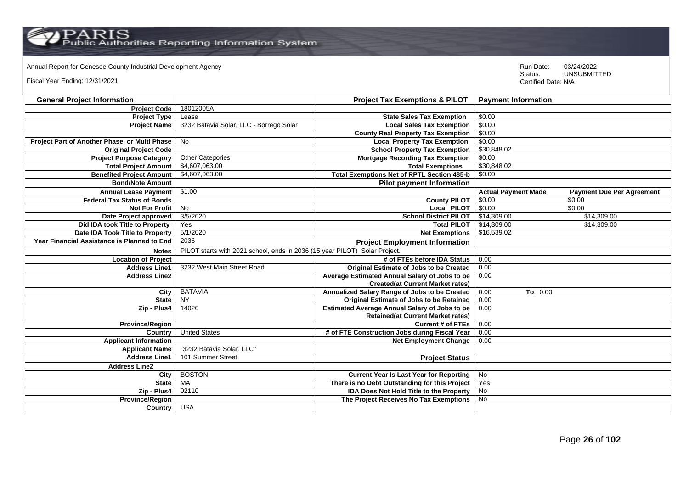# Annual Report for Genesee County Industrial Development Agency **Company of Connect Agency** Run Date: 03/24/2022<br>Status: UNSUBMIT

Fiscal Year Ending: 12/31/2021

| <b>General Project Information</b>           |                                                                            | <b>Project Tax Exemptions &amp; PILOT</b>            | <b>Payment Information</b> |                                  |
|----------------------------------------------|----------------------------------------------------------------------------|------------------------------------------------------|----------------------------|----------------------------------|
| <b>Project Code</b>                          | 18012005A                                                                  |                                                      |                            |                                  |
| <b>Project Type</b>                          | Lease                                                                      | <b>State Sales Tax Exemption</b>                     | \$0.00                     |                                  |
| <b>Project Name</b>                          | 3232 Batavia Solar, LLC - Borrego Solar                                    | <b>Local Sales Tax Exemption</b>                     | \$0.00                     |                                  |
|                                              |                                                                            | <b>County Real Property Tax Exemption</b>            | \$0.00                     |                                  |
| Project Part of Another Phase or Multi Phase | No                                                                         | <b>Local Property Tax Exemption</b>                  | \$0.00                     |                                  |
| <b>Original Project Code</b>                 |                                                                            | <b>School Property Tax Exemption</b>                 | \$30,848.02                |                                  |
| <b>Project Purpose Category</b>              | <b>Other Categories</b>                                                    | <b>Mortgage Recording Tax Exemption</b>              | \$0.00                     |                                  |
| <b>Total Project Amount</b>                  | \$4,607,063.00                                                             | <b>Total Exemptions</b>                              | \$30,848.02                |                                  |
| <b>Benefited Project Amount</b>              | \$4,607,063.00                                                             | <b>Total Exemptions Net of RPTL Section 485-b</b>    | \$0.00                     |                                  |
| <b>Bond/Note Amount</b>                      |                                                                            | <b>Pilot payment Information</b>                     |                            |                                  |
| <b>Annual Lease Payment</b>                  | \$1.00                                                                     |                                                      | <b>Actual Payment Made</b> | <b>Payment Due Per Agreement</b> |
| <b>Federal Tax Status of Bonds</b>           |                                                                            | County PILOT                                         | \$0.00                     | \$0.00                           |
| <b>Not For Profit</b>                        | No                                                                         | <b>Local PILOT</b>                                   | \$0.00                     | \$0.00                           |
| Date Project approved                        | 3/5/2020                                                                   | <b>School District PILOT</b>                         | \$14,309.00                | \$14,309.00                      |
| Did IDA took Title to Property               | Yes                                                                        | <b>Total PILOT</b>                                   | \$14,309.00                | \$14,309.00                      |
| Date IDA Took Title to Property              | 5/1/2020                                                                   | <b>Net Exemptions</b>                                | \$16,539.02                |                                  |
| Year Financial Assistance is Planned to End  | 2036                                                                       | <b>Project Employment Information</b>                |                            |                                  |
| <b>Notes</b>                                 | PILOT starts with 2021 school, ends in 2036 (15 year PILOT) Solar Project. |                                                      |                            |                                  |
| <b>Location of Project</b>                   |                                                                            | # of FTEs before IDA Status                          | 0.00                       |                                  |
| <b>Address Line1</b>                         | 3232 West Main Street Road                                                 | <b>Original Estimate of Jobs to be Created</b>       | 0.00                       |                                  |
| <b>Address Line2</b>                         |                                                                            | Average Estimated Annual Salary of Jobs to be        | 0.00                       |                                  |
|                                              |                                                                            | <b>Created(at Current Market rates)</b>              |                            |                                  |
| City                                         | <b>BATAVIA</b>                                                             | Annualized Salary Range of Jobs to be Created        | 0.00<br>To: 0.00           |                                  |
| <b>State</b>                                 | <b>NY</b>                                                                  | Original Estimate of Jobs to be Retained             | 0.00                       |                                  |
| Zip - Plus4                                  | 14020                                                                      | <b>Estimated Average Annual Salary of Jobs to be</b> | 0.00                       |                                  |
|                                              |                                                                            | <b>Retained(at Current Market rates)</b>             |                            |                                  |
| <b>Province/Region</b>                       |                                                                            | <b>Current # of FTEs</b>                             | 0.00                       |                                  |
| Country                                      | <b>United States</b>                                                       | # of FTE Construction Jobs during Fiscal Year        | 0.00                       |                                  |
| <b>Applicant Information</b>                 |                                                                            | <b>Net Employment Change</b>                         | 0.00                       |                                  |
| <b>Applicant Name</b>                        | "3232 Batavia Solar, LLC"                                                  |                                                      |                            |                                  |
| <b>Address Line1</b>                         | 101 Summer Street                                                          | <b>Project Status</b>                                |                            |                                  |
| <b>Address Line2</b>                         |                                                                            |                                                      |                            |                                  |
| City                                         | <b>BOSTON</b>                                                              | Current Year Is Last Year for Reporting              | No                         |                                  |
| <b>State</b>                                 | MA                                                                         | There is no Debt Outstanding for this Project        | Yes                        |                                  |
| Zip - Plus4                                  | 02110                                                                      | IDA Does Not Hold Title to the Property              | No                         |                                  |
| <b>Province/Region</b>                       |                                                                            | The Project Receives No Tax Exemptions               | <b>No</b>                  |                                  |
| Country USA                                  |                                                                            |                                                      |                            |                                  |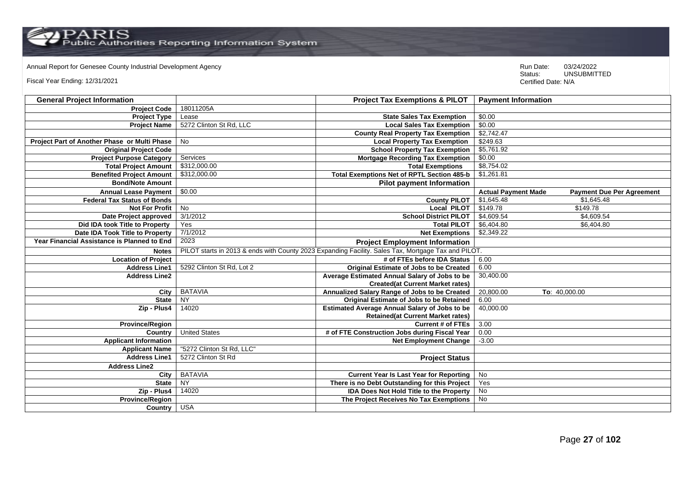$\mathrm{PARS} \ \mathrm{FMS}$ 

# Annual Report for Genesee County Industrial Development Agency **Company of Connect Agency** Run Date: 03/24/2022<br>Status: UNSUBMIT

Fiscal Year Ending: 12/31/2021

| <b>General Project Information</b>           |                           | <b>Project Tax Exemptions &amp; PILOT</b>                                                           | <b>Payment Information</b>                                     |
|----------------------------------------------|---------------------------|-----------------------------------------------------------------------------------------------------|----------------------------------------------------------------|
| <b>Project Code</b>                          | 18011205A                 |                                                                                                     |                                                                |
| <b>Project Type</b>                          | Lease                     | <b>State Sales Tax Exemption</b>                                                                    | \$0.00                                                         |
| <b>Project Name</b>                          | 5272 Clinton St Rd, LLC   | <b>Local Sales Tax Exemption</b>                                                                    | \$0.00                                                         |
|                                              |                           | <b>County Real Property Tax Exemption</b>                                                           | \$2,742.47                                                     |
| Project Part of Another Phase or Multi Phase | <b>No</b>                 | <b>Local Property Tax Exemption</b>                                                                 | \$249.63                                                       |
| <b>Original Project Code</b>                 |                           | <b>School Property Tax Exemption</b>                                                                | \$5,761.92                                                     |
| <b>Project Purpose Category</b>              | Services                  | <b>Mortgage Recording Tax Exemption</b>                                                             | \$0.00                                                         |
| <b>Total Project Amount</b>                  | \$312,000.00              | <b>Total Exemptions</b>                                                                             | \$8,754.02                                                     |
| <b>Benefited Project Amount</b>              | \$312,000.00              | Total Exemptions Net of RPTL Section 485-b                                                          | \$1,261.81                                                     |
| <b>Bond/Note Amount</b>                      |                           | <b>Pilot payment Information</b>                                                                    |                                                                |
| <b>Annual Lease Payment</b>                  | \$0.00                    |                                                                                                     | <b>Actual Payment Made</b><br><b>Payment Due Per Agreement</b> |
| <b>Federal Tax Status of Bonds</b>           |                           | <b>County PILOT</b>                                                                                 | \$1,645.48<br>\$1,645.48                                       |
| <b>Not For Profit</b>                        | No                        | <b>Local PILOT</b>                                                                                  | \$149.78<br>\$149.78                                           |
| Date Project approved                        | 3/1/2012                  | <b>School District PILOT</b>                                                                        | \$4,609.54<br>\$4,609.54                                       |
| Did IDA took Title to Property               | Yes                       | <b>Total PILOT</b>                                                                                  | \$6,404.80<br>\$6,404.80                                       |
| Date IDA Took Title to Property              | 7/1/2012                  | <b>Net Exemptions</b>                                                                               | \$2,349.22                                                     |
| Year Financial Assistance is Planned to End  | 2023                      | <b>Project Employment Information</b>                                                               |                                                                |
| <b>Notes</b>                                 |                           | PILOT starts in 2013 & ends with County 2023 Expanding Facility. Sales Tax, Mortgage Tax and PILOT. |                                                                |
| <b>Location of Project</b>                   |                           | # of FTEs before IDA Status                                                                         | 6.00                                                           |
| <b>Address Line1</b>                         | 5292 Clinton St Rd, Lot 2 | Original Estimate of Jobs to be Created                                                             | 6.00                                                           |
| <b>Address Line2</b>                         |                           | Average Estimated Annual Salary of Jobs to be                                                       | 30,400.00                                                      |
|                                              |                           | <b>Created(at Current Market rates)</b>                                                             |                                                                |
| City                                         | <b>BATAVIA</b>            | Annualized Salary Range of Jobs to be Created                                                       | 20,800.00<br>To: 40,000.00                                     |
| <b>State</b>                                 | <b>NY</b>                 | <b>Original Estimate of Jobs to be Retained</b>                                                     | 6.00                                                           |
| Zip - Plus4                                  | 14020                     | <b>Estimated Average Annual Salary of Jobs to be</b>                                                | 40,000.00                                                      |
|                                              |                           | <b>Retained(at Current Market rates)</b>                                                            |                                                                |
| <b>Province/Region</b>                       |                           | <b>Current # of FTEs</b>                                                                            | 3.00                                                           |
| Country                                      | <b>United States</b>      | # of FTE Construction Jobs during Fiscal Year                                                       | 0.00                                                           |
| <b>Applicant Information</b>                 |                           | <b>Net Employment Change</b>                                                                        | $-3.00$                                                        |
| <b>Applicant Name</b>                        | "5272 Clinton St Rd, LLC" |                                                                                                     |                                                                |
| <b>Address Line1</b>                         | 5272 Clinton St Rd        | <b>Project Status</b>                                                                               |                                                                |
| <b>Address Line2</b>                         |                           |                                                                                                     |                                                                |
| City                                         | <b>BATAVIA</b>            | <b>Current Year Is Last Year for Reporting</b>                                                      | No                                                             |
| <b>State</b>                                 | NY                        | There is no Debt Outstanding for this Project                                                       | Yes                                                            |
| Zip - Plus4                                  | 14020                     | IDA Does Not Hold Title to the Property                                                             | No                                                             |
| Province/Region                              |                           | The Project Receives No Tax Exemptions                                                              | No                                                             |
| Country                                      | <b>USA</b>                |                                                                                                     |                                                                |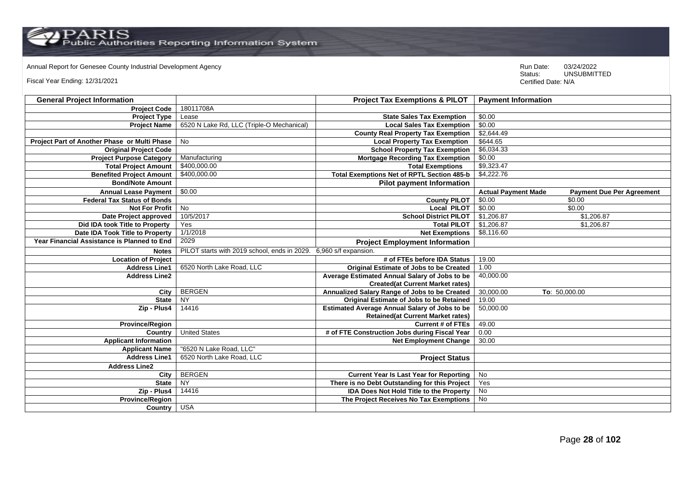# Annual Report for Genesee County Industrial Development Agency **Company of Connect Agency** Run Date: 03/24/2022<br>Status: UNSUBMIT

Fiscal Year Ending: 12/31/2021

| <b>General Project Information</b>           |                                              | <b>Project Tax Exemptions &amp; PILOT</b>            | <b>Payment Information</b>                                     |
|----------------------------------------------|----------------------------------------------|------------------------------------------------------|----------------------------------------------------------------|
| <b>Project Code</b>                          | 18011708A                                    |                                                      |                                                                |
| <b>Project Type</b>                          | Lease                                        | <b>State Sales Tax Exemption</b>                     | \$0.00                                                         |
| <b>Project Name</b>                          | 6520 N Lake Rd, LLC (Triple-O Mechanical)    | <b>Local Sales Tax Exemption</b>                     | \$0.00                                                         |
|                                              |                                              | <b>County Real Property Tax Exemption</b>            | \$2,644.49                                                     |
| Project Part of Another Phase or Multi Phase | No                                           | <b>Local Property Tax Exemption</b>                  | \$644.65                                                       |
| <b>Original Project Code</b>                 |                                              | <b>School Property Tax Exemption</b>                 | \$6,034.33                                                     |
| <b>Project Purpose Category</b>              | Manufacturing                                | <b>Mortgage Recording Tax Exemption</b>              | \$0.00                                                         |
| <b>Total Project Amount</b>                  | \$400,000.00                                 | <b>Total Exemptions</b>                              | \$9,323.47                                                     |
| <b>Benefited Project Amount</b>              | \$400,000.00                                 | <b>Total Exemptions Net of RPTL Section 485-b</b>    | \$4,222.76                                                     |
| <b>Bond/Note Amount</b>                      |                                              | <b>Pilot payment Information</b>                     |                                                                |
| <b>Annual Lease Payment</b>                  | \$0.00                                       |                                                      | <b>Actual Payment Made</b><br><b>Payment Due Per Agreement</b> |
| <b>Federal Tax Status of Bonds</b>           |                                              | <b>County PILOT</b>                                  | \$0.00<br>\$0.00                                               |
| <b>Not For Profit</b>                        | No                                           | Local PILOT                                          | \$0.00<br>\$0.00                                               |
| Date Project approved                        | 10/5/2017                                    | <b>School District PILOT</b>                         | \$1,206.87<br>\$1,206.87                                       |
| Did IDA took Title to Property               | Yes                                          | <b>Total PILOT</b>                                   | \$1,206.87<br>\$1,206.87                                       |
| Date IDA Took Title to Property              | 1/1/2018                                     | <b>Net Exemptions</b>                                | \$8,116.60                                                     |
| Year Financial Assistance is Planned to End  | 2029                                         | <b>Project Employment Information</b>                |                                                                |
| <b>Notes</b>                                 | PILOT starts with 2019 school, ends in 2029. | 6,960 s/f expansion.                                 |                                                                |
| <b>Location of Project</b>                   |                                              | # of FTEs before IDA Status                          | 19.00                                                          |
| <b>Address Line1</b>                         | 6520 North Lake Road, LLC                    | <b>Original Estimate of Jobs to be Created</b>       | 1.00                                                           |
| <b>Address Line2</b>                         |                                              | Average Estimated Annual Salary of Jobs to be        | 40,000.00                                                      |
|                                              |                                              | <b>Created(at Current Market rates)</b>              |                                                                |
| City                                         | <b>BERGEN</b>                                | Annualized Salary Range of Jobs to be Created        | 30,000.00<br>To: 50,000.00                                     |
| <b>State</b>                                 | <b>NY</b>                                    | Original Estimate of Jobs to be Retained             | 19.00                                                          |
| Zip - Plus4                                  | 14416                                        | <b>Estimated Average Annual Salary of Jobs to be</b> | 50,000.00                                                      |
|                                              |                                              | <b>Retained(at Current Market rates)</b>             |                                                                |
| <b>Province/Region</b>                       |                                              | <b>Current # of FTEs</b>                             | 49.00                                                          |
| Country                                      | <b>United States</b>                         | # of FTE Construction Jobs during Fiscal Year        | 0.00                                                           |
| <b>Applicant Information</b>                 |                                              | <b>Net Employment Change</b>                         | 30.00                                                          |
| <b>Applicant Name</b>                        | "6520 N Lake Road, LLC"                      |                                                      |                                                                |
| <b>Address Line1</b>                         | 6520 North Lake Road, LLC                    | <b>Project Status</b>                                |                                                                |
| <b>Address Line2</b>                         |                                              |                                                      |                                                                |
| City                                         | <b>BERGEN</b>                                | Current Year Is Last Year for Reporting              | No                                                             |
| <b>State</b>                                 | $\overline{NY}$                              | There is no Debt Outstanding for this Project        | Yes                                                            |
| Zip - Plus4                                  | 14416                                        | <b>IDA Does Not Hold Title to the Property</b>       | No                                                             |
| <b>Province/Region</b>                       |                                              | The Project Receives No Tax Exemptions               | <b>No</b>                                                      |
| Country USA                                  |                                              |                                                      |                                                                |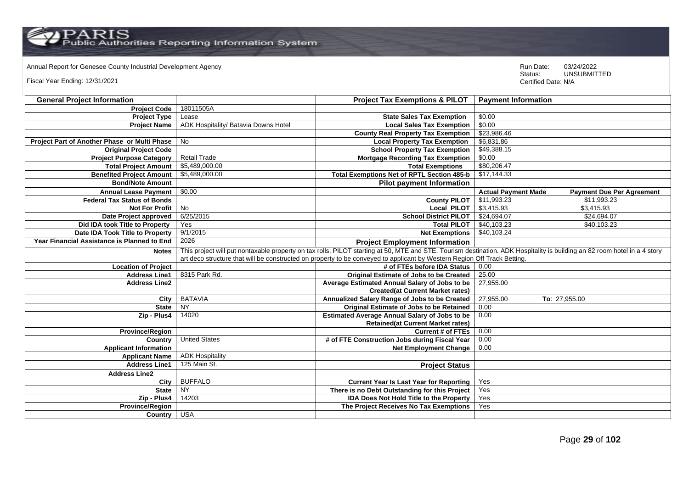# Annual Report for Genesee County Industrial Development Agency **Company of Connect Agency** Run Date: 03/24/2022<br>Status: UNSUBMIT

Fiscal Year Ending: 12/31/2021

| <b>General Project Information</b>                 |                                      | <b>Project Tax Exemptions &amp; PILOT</b>                                                                                | <b>Payment Information</b>                                                                                                                                                |
|----------------------------------------------------|--------------------------------------|--------------------------------------------------------------------------------------------------------------------------|---------------------------------------------------------------------------------------------------------------------------------------------------------------------------|
| <b>Project Code</b>                                | 18011505A                            |                                                                                                                          |                                                                                                                                                                           |
| <b>Project Type</b>                                | Lease                                | <b>State Sales Tax Exemption</b>                                                                                         | \$0.00                                                                                                                                                                    |
| <b>Project Name</b>                                | ADK Hospitality/ Batavia Downs Hotel | <b>Local Sales Tax Exemption</b>                                                                                         | \$0.00                                                                                                                                                                    |
|                                                    |                                      | <b>County Real Property Tax Exemption</b>                                                                                | \$23,986.46                                                                                                                                                               |
| Project Part of Another Phase or Multi Phase       | No                                   | <b>Local Property Tax Exemption</b>                                                                                      | \$6,831.86                                                                                                                                                                |
| <b>Original Project Code</b>                       |                                      | <b>School Property Tax Exemption</b>                                                                                     | \$49,388.15                                                                                                                                                               |
| <b>Project Purpose Category</b>                    | <b>Retail Trade</b>                  | <b>Mortgage Recording Tax Exemption</b>                                                                                  | \$0.00                                                                                                                                                                    |
| <b>Total Project Amount</b>                        | \$5.489.000.00                       | <b>Total Exemptions</b>                                                                                                  | \$80,206,47                                                                                                                                                               |
| <b>Benefited Project Amount</b>                    | \$5,489,000.00                       | <b>Total Exemptions Net of RPTL Section 485-b</b>                                                                        | \$17,144.33                                                                                                                                                               |
| <b>Bond/Note Amount</b>                            |                                      | <b>Pilot payment Information</b>                                                                                         |                                                                                                                                                                           |
| <b>Annual Lease Payment</b>                        | \$0.00                               |                                                                                                                          | <b>Actual Payment Made</b><br><b>Payment Due Per Agreement</b>                                                                                                            |
| <b>Federal Tax Status of Bonds</b>                 |                                      | <b>County PILOT</b>                                                                                                      | \$11,993.23<br>\$11,993.23                                                                                                                                                |
| <b>Not For Profit</b>                              | No                                   | <b>Local PILOT</b>                                                                                                       | \$3,415.93<br>\$3,415.93                                                                                                                                                  |
| Date Project approved                              | 6/25/2015                            | <b>School District PILOT</b>                                                                                             | \$24,694.07<br>\$24,694.07                                                                                                                                                |
| Did IDA took Title to Property                     | Yes                                  | <b>Total PILOT</b>                                                                                                       | \$40,103.23<br>\$40,103.23                                                                                                                                                |
| Date IDA Took Title to Property                    | 9/1/2015                             | <b>Net Exemptions</b>                                                                                                    | \$40,103.24                                                                                                                                                               |
| <b>Year Financial Assistance is Planned to End</b> | 2026                                 | <b>Project Employment Information</b>                                                                                    |                                                                                                                                                                           |
| <b>Notes</b>                                       |                                      |                                                                                                                          | This project will put nontaxable property on tax rolls, PILOT starting at 50, MTE and STE. Tourism destination. ADK Hospitality is building an 82 room hotel in a 4 story |
|                                                    |                                      | art deco structure that will be constructed on property to be conveyed to applicant by Western Region Off Track Betting. |                                                                                                                                                                           |
| <b>Location of Project</b>                         |                                      | # of FTEs before IDA Status                                                                                              | 0.00                                                                                                                                                                      |
| <b>Address Line1</b>                               | 8315 Park Rd.                        | <b>Original Estimate of Jobs to be Created</b>                                                                           | 25.00                                                                                                                                                                     |
| <b>Address Line2</b>                               |                                      | Average Estimated Annual Salary of Jobs to be                                                                            | 27,955.00                                                                                                                                                                 |
|                                                    |                                      | <b>Created(at Current Market rates)</b>                                                                                  |                                                                                                                                                                           |
| City                                               | <b>BATAVIA</b>                       | Annualized Salary Range of Jobs to be Created                                                                            | 27,955.00<br>To: 27,955.00                                                                                                                                                |
| <b>State</b>                                       | <b>NY</b>                            | Original Estimate of Jobs to be Retained                                                                                 | 0.00                                                                                                                                                                      |
| Zip - Plus4                                        | 14020                                | <b>Estimated Average Annual Salary of Jobs to be</b>                                                                     | 0.00                                                                                                                                                                      |
|                                                    |                                      | <b>Retained(at Current Market rates)</b>                                                                                 |                                                                                                                                                                           |
| <b>Province/Region</b>                             |                                      | <b>Current # of FTEs</b>                                                                                                 | 0.00                                                                                                                                                                      |
| Country                                            | <b>United States</b>                 | # of FTE Construction Jobs during Fiscal Year                                                                            | 0.00                                                                                                                                                                      |
| <b>Applicant Information</b>                       |                                      | <b>Net Employment Change</b>                                                                                             | 0.00                                                                                                                                                                      |
| <b>Applicant Name</b>                              | <b>ADK Hospitality</b>               |                                                                                                                          |                                                                                                                                                                           |
| <b>Address Line1</b>                               | 125 Main St.                         | <b>Project Status</b>                                                                                                    |                                                                                                                                                                           |
| <b>Address Line2</b>                               |                                      |                                                                                                                          |                                                                                                                                                                           |
| City                                               | <b>BUFFALO</b>                       | <b>Current Year Is Last Year for Reporting</b>                                                                           | Yes                                                                                                                                                                       |
| <b>State</b>                                       | <b>NY</b>                            | There is no Debt Outstanding for this Project                                                                            | Yes                                                                                                                                                                       |
| Zip - Plus4                                        | 14203                                | <b>IDA Does Not Hold Title to the Property</b>                                                                           | Yes                                                                                                                                                                       |
| <b>Province/Region</b>                             |                                      | The Project Receives No Tax Exemptions                                                                                   | Yes                                                                                                                                                                       |
| Country USA                                        |                                      |                                                                                                                          |                                                                                                                                                                           |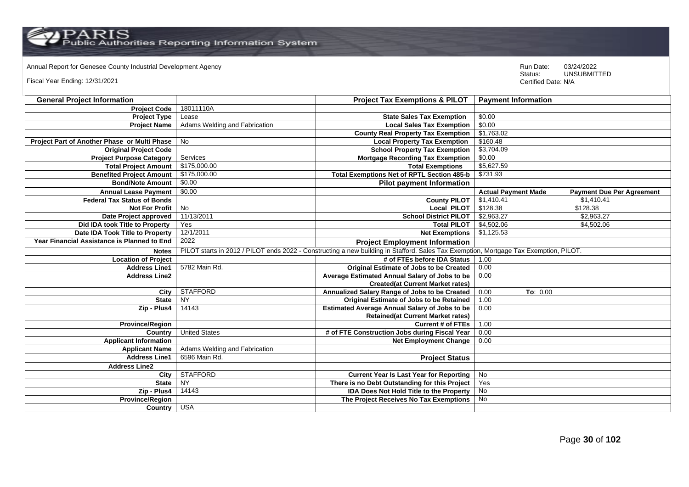Annual Report for Genesee County Industrial Development Agency **Company of Connect Agency** Run Date: 03/24/2022<br>Status: UNSUBMIT

Fiscal Year Ending: 12/31/2021

| <b>General Project Information</b>           |                               | <b>Project Tax Exemptions &amp; PILOT</b>                                                                                             | <b>Payment Information</b>                                     |
|----------------------------------------------|-------------------------------|---------------------------------------------------------------------------------------------------------------------------------------|----------------------------------------------------------------|
| <b>Project Code</b>                          | 18011110A                     |                                                                                                                                       |                                                                |
| <b>Project Type</b>                          | Lease                         | <b>State Sales Tax Exemption</b>                                                                                                      | \$0.00                                                         |
| <b>Project Name</b>                          | Adams Welding and Fabrication | <b>Local Sales Tax Exemption</b>                                                                                                      | \$0.00                                                         |
|                                              |                               | <b>County Real Property Tax Exemption</b>                                                                                             | \$1,763.02                                                     |
| Project Part of Another Phase or Multi Phase | No                            | <b>Local Property Tax Exemption</b>                                                                                                   | \$160.48                                                       |
| <b>Original Project Code</b>                 |                               | <b>School Property Tax Exemption</b>                                                                                                  | \$3,704.09                                                     |
| <b>Project Purpose Category</b>              | Services                      | <b>Mortgage Recording Tax Exemption</b>                                                                                               | \$0.00                                                         |
| <b>Total Project Amount</b>                  | \$175,000.00                  | <b>Total Exemptions</b>                                                                                                               | \$5,627.59                                                     |
| <b>Benefited Project Amount</b>              | \$175,000.00                  | Total Exemptions Net of RPTL Section 485-b                                                                                            | \$731.93                                                       |
| <b>Bond/Note Amount</b>                      | \$0.00                        | <b>Pilot payment Information</b>                                                                                                      |                                                                |
| <b>Annual Lease Payment</b>                  | \$0.00                        |                                                                                                                                       | <b>Actual Payment Made</b><br><b>Payment Due Per Agreement</b> |
| <b>Federal Tax Status of Bonds</b>           |                               | <b>County PILOT</b>                                                                                                                   | \$1,410.41<br>\$1,410.41                                       |
| <b>Not For Profit</b>                        | $\overline{N}$                | <b>Local PILOT</b>                                                                                                                    | \$128.38<br>\$128.38                                           |
| Date Project approved                        | 11/13/2011                    | <b>School District PILOT</b>                                                                                                          | \$2,963.27<br>\$2,963.27                                       |
| Did IDA took Title to Property               | Yes                           | <b>Total PILOT</b>                                                                                                                    | \$4,502.06<br>\$4,502.06                                       |
| Date IDA Took Title to Property              | 12/1/2011                     | <b>Net Exemptions</b>                                                                                                                 | \$1,125.53                                                     |
| Year Financial Assistance is Planned to End  | 2022                          | <b>Project Employment Information</b>                                                                                                 |                                                                |
| <b>Notes</b>                                 |                               | PILOT starts in 2012 / PILOT ends 2022 - Constructing a new building in Stafford. Sales Tax Exemption, Mortgage Tax Exemption, PILOT. |                                                                |
| <b>Location of Project</b>                   |                               | # of FTEs before IDA Status                                                                                                           | 1.00                                                           |
| <b>Address Line1</b>                         | 5782 Main Rd.                 | <b>Original Estimate of Jobs to be Created</b>                                                                                        | 0.00                                                           |
| <b>Address Line2</b>                         |                               | Average Estimated Annual Salary of Jobs to be                                                                                         | 0.00                                                           |
|                                              |                               | <b>Created(at Current Market rates)</b>                                                                                               |                                                                |
| City                                         | <b>STAFFORD</b>               | Annualized Salary Range of Jobs to be Created                                                                                         | 0.00<br>To: 0.00                                               |
| <b>State</b>                                 | NY                            | Original Estimate of Jobs to be Retained                                                                                              | 1.00                                                           |
| Zip - Plus4                                  | 14143                         | <b>Estimated Average Annual Salary of Jobs to be</b>                                                                                  | 0.00                                                           |
|                                              |                               | <b>Retained(at Current Market rates)</b>                                                                                              |                                                                |
| <b>Province/Region</b>                       |                               | <b>Current # of FTEs</b>                                                                                                              | 1.00                                                           |
| Country                                      | <b>United States</b>          | # of FTE Construction Jobs during Fiscal Year                                                                                         | 0.00                                                           |
| <b>Applicant Information</b>                 |                               | <b>Net Employment Change</b>                                                                                                          | 0.00                                                           |
| <b>Applicant Name</b>                        | Adams Welding and Fabrication |                                                                                                                                       |                                                                |
| <b>Address Line1</b>                         | 6596 Main Rd.                 | <b>Project Status</b>                                                                                                                 |                                                                |
| <b>Address Line2</b>                         |                               |                                                                                                                                       |                                                                |
| City                                         | <b>STAFFORD</b>               | <b>Current Year Is Last Year for Reporting</b>                                                                                        | No                                                             |
| <b>State</b>                                 | $\overline{NY}$               | There is no Debt Outstanding for this Project                                                                                         | Yes                                                            |
| Zip - Plus4                                  | 14143                         | <b>IDA Does Not Hold Title to the Property</b>                                                                                        | <b>No</b>                                                      |
| Province/Region                              |                               | The Project Receives No Tax Exemptions                                                                                                | <b>No</b>                                                      |
| <b>Country</b>                               | <b>USA</b>                    |                                                                                                                                       |                                                                |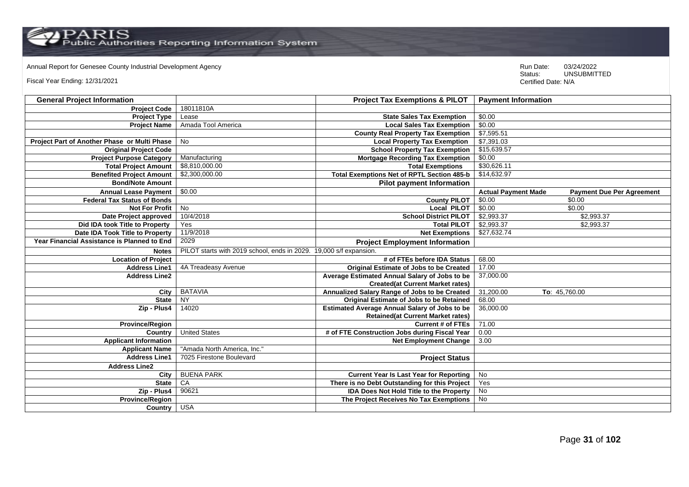$\mathrm{PARS} \ \mathrm{PARS}$ 

Annual Report for Genesee County Industrial Development Agency **Company of Connect Agency** Run Date: 03/24/2022<br>Status: UNSUBMIT

Fiscal Year Ending: 12/31/2021

| <b>General Project Information</b>           |                                                                    | <b>Project Tax Exemptions &amp; PILOT</b>            | <b>Payment Information</b>                                     |
|----------------------------------------------|--------------------------------------------------------------------|------------------------------------------------------|----------------------------------------------------------------|
| <b>Project Code</b>                          | 18011810A                                                          |                                                      |                                                                |
| <b>Project Type</b>                          | Lease                                                              | <b>State Sales Tax Exemption</b>                     | \$0.00                                                         |
| <b>Project Name</b>                          | Amada Tool America                                                 | <b>Local Sales Tax Exemption</b>                     | \$0.00                                                         |
|                                              |                                                                    | <b>County Real Property Tax Exemption</b>            | \$7,595.51                                                     |
| Project Part of Another Phase or Multi Phase | No                                                                 | <b>Local Property Tax Exemption</b>                  | \$7,391.03                                                     |
| <b>Original Project Code</b>                 |                                                                    | <b>School Property Tax Exemption</b>                 | \$15,639.57                                                    |
| <b>Project Purpose Category</b>              | Manufacturing                                                      | <b>Mortgage Recording Tax Exemption</b>              | \$0.00                                                         |
| <b>Total Project Amount</b>                  | \$8,810,000.00                                                     | <b>Total Exemptions</b>                              | \$30,626.11                                                    |
| <b>Benefited Project Amount</b>              | \$2,300,000.00                                                     | <b>Total Exemptions Net of RPTL Section 485-b</b>    | \$14,632.97                                                    |
| <b>Bond/Note Amount</b>                      |                                                                    | <b>Pilot payment Information</b>                     |                                                                |
| <b>Annual Lease Payment</b>                  | \$0.00                                                             |                                                      | <b>Actual Payment Made</b><br><b>Payment Due Per Agreement</b> |
| <b>Federal Tax Status of Bonds</b>           |                                                                    | <b>County PILOT</b>                                  | \$0.00<br>\$0.00                                               |
| <b>Not For Profit</b>                        | $\overline{N}$                                                     | <b>Local PILOT</b>                                   | \$0.00<br>\$0.00                                               |
| Date Project approved                        | 10/4/2018                                                          | <b>School District PILOT</b>                         | \$2,993.37<br>\$2,993.37                                       |
| Did IDA took Title to Property               | Yes                                                                | <b>Total PILOT</b>                                   | \$2,993.37<br>\$2,993.37                                       |
| Date IDA Took Title to Property              | 11/9/2018                                                          | <b>Net Exemptions</b>                                | \$27,632.74                                                    |
| Year Financial Assistance is Planned to End  | 2029                                                               | <b>Project Employment Information</b>                |                                                                |
| <b>Notes</b>                                 | PILOT starts with 2019 school, ends in 2029. 19,000 s/f expansion. |                                                      |                                                                |
| <b>Location of Project</b>                   |                                                                    | # of FTEs before IDA Status                          | 68.00                                                          |
| <b>Address Line1</b>                         | 4A Treadeasy Avenue                                                | <b>Original Estimate of Jobs to be Created</b>       | 17.00                                                          |
| <b>Address Line2</b>                         |                                                                    | Average Estimated Annual Salary of Jobs to be        | 37,000.00                                                      |
|                                              |                                                                    | <b>Created(at Current Market rates)</b>              |                                                                |
| City                                         | <b>BATAVIA</b>                                                     | Annualized Salary Range of Jobs to be Created        | 31,200.00<br>To: 45,760.00                                     |
| <b>State</b>                                 | NY                                                                 | Original Estimate of Jobs to be Retained             | 68.00                                                          |
| Zip - Plus4                                  | 14020                                                              | <b>Estimated Average Annual Salary of Jobs to be</b> | 36,000.00                                                      |
|                                              |                                                                    | <b>Retained(at Current Market rates)</b>             |                                                                |
| <b>Province/Region</b>                       |                                                                    | <b>Current # of FTEs</b>                             | 71.00                                                          |
| Country                                      | <b>United States</b>                                               | # of FTE Construction Jobs during Fiscal Year        | 0.00                                                           |
| <b>Applicant Information</b>                 |                                                                    | <b>Net Employment Change</b>                         | 3.00                                                           |
| <b>Applicant Name</b>                        | "Amada North America, Inc."                                        |                                                      |                                                                |
| <b>Address Line1</b>                         | 7025 Firestone Boulevard                                           | <b>Project Status</b>                                |                                                                |
| <b>Address Line2</b>                         |                                                                    |                                                      |                                                                |
| City                                         | <b>BUENA PARK</b>                                                  | <b>Current Year Is Last Year for Reporting</b>       | No                                                             |
| <b>State</b>                                 | CA                                                                 | There is no Debt Outstanding for this Project        | Yes                                                            |
| Zip - Plus4                                  | 90621                                                              | <b>IDA Does Not Hold Title to the Property</b>       | <b>No</b>                                                      |
| Province/Region                              |                                                                    | The Project Receives No Tax Exemptions               | <b>No</b>                                                      |
| Country                                      | <b>USA</b>                                                         |                                                      |                                                                |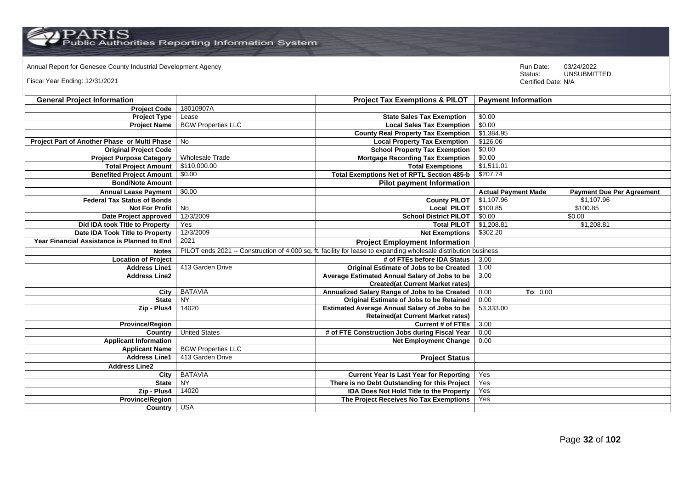Annual Report for Genesee County Industrial Development Agency **Company of Connect Agency** Run Date: 03/24/2022<br>Status: UNSUBMIT

Fiscal Year Ending: 12/31/2021

| <b>General Project Information</b>           |                           | <b>Project Tax Exemptions &amp; PILOT</b>                                                                        | <b>Payment Information</b> |                                  |
|----------------------------------------------|---------------------------|------------------------------------------------------------------------------------------------------------------|----------------------------|----------------------------------|
| <b>Project Code</b>                          | 18010907A                 |                                                                                                                  |                            |                                  |
| <b>Project Type</b>                          | Lease                     | <b>State Sales Tax Exemption</b>                                                                                 | \$0.00                     |                                  |
| <b>Project Name</b>                          | <b>BGW Properties LLC</b> | <b>Local Sales Tax Exemption</b>                                                                                 | \$0.00                     |                                  |
|                                              |                           | <b>County Real Property Tax Exemption</b>                                                                        | \$1,384.95                 |                                  |
| Project Part of Another Phase or Multi Phase | <b>No</b>                 | <b>Local Property Tax Exemption</b>                                                                              | \$126.06                   |                                  |
| <b>Original Project Code</b>                 |                           | <b>School Property Tax Exemption</b>                                                                             | \$0.00                     |                                  |
| <b>Project Purpose Category</b>              | <b>Wholesale Trade</b>    | <b>Mortgage Recording Tax Exemption</b>                                                                          | \$0.00                     |                                  |
| <b>Total Project Amount</b>                  | \$110,000.00              | <b>Total Exemptions</b>                                                                                          | \$1,511.01                 |                                  |
| <b>Benefited Project Amount</b>              | \$0.00                    | <b>Total Exemptions Net of RPTL Section 485-b</b>                                                                | \$207.74                   |                                  |
| <b>Bond/Note Amount</b>                      |                           | <b>Pilot payment Information</b>                                                                                 |                            |                                  |
| <b>Annual Lease Payment</b>                  | \$0.00                    |                                                                                                                  | <b>Actual Payment Made</b> | <b>Payment Due Per Agreement</b> |
| <b>Federal Tax Status of Bonds</b>           |                           | <b>County PILOT</b>                                                                                              | \$1,107.96                 | \$1,107.96                       |
| <b>Not For Profit</b>                        | No                        | <b>Local PILOT</b>                                                                                               | \$100.85                   | \$100.85                         |
| Date Project approved                        | 12/3/2009                 | <b>School District PILOT</b>                                                                                     | \$0.00                     | \$0.00                           |
| Did IDA took Title to Property               | Yes                       | <b>Total PILOT</b>                                                                                               | \$1,208.81                 | \$1,208.81                       |
| Date IDA Took Title to Property              | 12/3/2009                 | <b>Net Exemptions</b>                                                                                            | \$302.20                   |                                  |
| Year Financial Assistance is Planned to End  | 2021                      | <b>Project Employment Information</b>                                                                            |                            |                                  |
| <b>Notes</b>                                 |                           | PILOT ends 2021 -- Construction of 4,000 sq. ft. facility for lease to expanding wholesale distribution business |                            |                                  |
| <b>Location of Project</b>                   |                           | # of FTEs before IDA Status                                                                                      | 3.00                       |                                  |
| <b>Address Line1</b>                         | 413 Garden Drive          | <b>Original Estimate of Jobs to be Created</b>                                                                   | 1.00                       |                                  |
| <b>Address Line2</b>                         |                           | Average Estimated Annual Salary of Jobs to be                                                                    | 3.00                       |                                  |
|                                              |                           | <b>Created(at Current Market rates)</b>                                                                          |                            |                                  |
| City                                         | <b>BATAVIA</b>            | Annualized Salary Range of Jobs to be Created                                                                    | 0.00<br>To: 0.00           |                                  |
| <b>State</b>                                 | NY                        | Original Estimate of Jobs to be Retained                                                                         | 0.00                       |                                  |
| Zip - Plus4                                  | 14020                     | <b>Estimated Average Annual Salary of Jobs to be</b>                                                             | 53,333.00                  |                                  |
|                                              |                           | <b>Retained(at Current Market rates)</b>                                                                         |                            |                                  |
| <b>Province/Region</b>                       |                           | <b>Current # of FTEs</b>                                                                                         | 3.00                       |                                  |
| Country                                      | <b>United States</b>      | # of FTE Construction Jobs during Fiscal Year                                                                    | 0.00                       |                                  |
| <b>Applicant Information</b>                 |                           | <b>Net Employment Change</b>                                                                                     | 0.00                       |                                  |
| <b>Applicant Name</b>                        | <b>BGW Properties LLC</b> |                                                                                                                  |                            |                                  |
| <b>Address Line1</b>                         | 413 Garden Drive          | <b>Project Status</b>                                                                                            |                            |                                  |
| <b>Address Line2</b>                         |                           |                                                                                                                  |                            |                                  |
| City                                         | <b>BATAVIA</b>            | <b>Current Year Is Last Year for Reporting</b>                                                                   | Yes                        |                                  |
| <b>State</b>                                 | $\overline{NY}$           | There is no Debt Outstanding for this Project                                                                    | Yes                        |                                  |
| Zip - Plus4                                  | 14020                     | <b>IDA Does Not Hold Title to the Property</b>                                                                   | Yes                        |                                  |
| <b>Province/Region</b>                       |                           | The Project Receives No Tax Exemptions                                                                           | Yes                        |                                  |
| <b>Country</b>                               | <b>USA</b>                |                                                                                                                  |                            |                                  |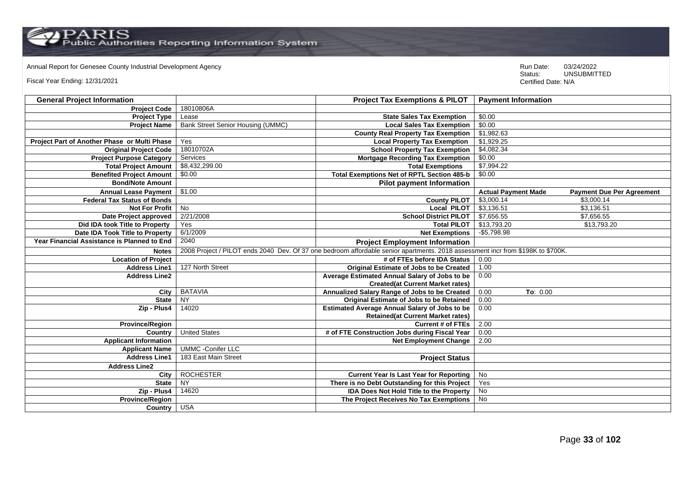# Annual Report for Genesee County Industrial Development Agency **Company of Connect Agency** Run Date: 03/24/2022<br>Status: UNSUBMIT

Fiscal Year Ending: 12/31/2021

| <b>General Project Information</b>           |                                          | <b>Project Tax Exemptions &amp; PILOT</b>                                                                                       | <b>Payment Information</b>                                     |
|----------------------------------------------|------------------------------------------|---------------------------------------------------------------------------------------------------------------------------------|----------------------------------------------------------------|
| <b>Project Code</b>                          | 18010806A                                |                                                                                                                                 |                                                                |
| <b>Project Type</b>                          | Lease                                    | <b>State Sales Tax Exemption</b>                                                                                                | \$0.00                                                         |
| <b>Project Name</b>                          | <b>Bank Street Senior Housing (UMMC)</b> | <b>Local Sales Tax Exemption</b>                                                                                                | \$0.00                                                         |
|                                              |                                          | <b>County Real Property Tax Exemption</b>                                                                                       | \$1,982.63                                                     |
| Project Part of Another Phase or Multi Phase | Yes                                      | <b>Local Property Tax Exemption</b>                                                                                             | \$1,929.25                                                     |
| <b>Original Project Code</b>                 | 18010702A                                | <b>School Property Tax Exemption</b>                                                                                            | \$4,082.34                                                     |
| <b>Project Purpose Category</b>              | Services                                 | <b>Mortgage Recording Tax Exemption</b>                                                                                         | \$0.00                                                         |
| <b>Total Project Amount</b>                  | \$8,432,299.00                           | <b>Total Exemptions</b>                                                                                                         | \$7,994.22                                                     |
| <b>Benefited Project Amount</b>              | \$0.00                                   | <b>Total Exemptions Net of RPTL Section 485-b</b>                                                                               | \$0.00                                                         |
| <b>Bond/Note Amount</b>                      |                                          | <b>Pilot payment Information</b>                                                                                                |                                                                |
| <b>Annual Lease Payment</b>                  | \$1.00                                   |                                                                                                                                 | <b>Actual Payment Made</b><br><b>Payment Due Per Agreement</b> |
| <b>Federal Tax Status of Bonds</b>           |                                          | County PILOT   \$3,000.14                                                                                                       | \$3,000.14                                                     |
| <b>Not For Profit</b>                        | No                                       | <b>Local PILOT</b>                                                                                                              | \$3,136.51<br>\$3,136.51                                       |
| Date Project approved                        | 2/21/2008                                | <b>School District PILOT</b>                                                                                                    | \$7,656.55<br>\$7,656.55                                       |
| Did IDA took Title to Property               | Yes                                      | <b>Total PILOT</b>                                                                                                              | \$13,793.20<br>\$13,793.20                                     |
| Date IDA Took Title to Property              | 6/1/2009                                 | <b>Net Exemptions</b>                                                                                                           | $-$5,798.98$                                                   |
| Year Financial Assistance is Planned to End  | 2040                                     | <b>Project Employment Information</b>                                                                                           |                                                                |
| <b>Notes</b>                                 |                                          | 2008 Project / PILOT ends 2040 Dev. Of 37 one bedroom affordable senior apartments. 2018 assessment incr from \$198K to \$700K. |                                                                |
| <b>Location of Project</b>                   |                                          | # of FTEs before IDA Status                                                                                                     | 0.00                                                           |
| <b>Address Line1</b>                         | 127 North Street                         | <b>Original Estimate of Jobs to be Created</b>                                                                                  | 1.00                                                           |
| <b>Address Line2</b>                         |                                          | Average Estimated Annual Salary of Jobs to be                                                                                   | 0.00                                                           |
|                                              |                                          | <b>Created(at Current Market rates)</b>                                                                                         |                                                                |
| City                                         | <b>BATAVIA</b>                           | Annualized Salary Range of Jobs to be Created                                                                                   | 0.00<br>To: 0.00                                               |
| <b>State</b>                                 | <b>NY</b>                                | Original Estimate of Jobs to be Retained                                                                                        | 0.00                                                           |
| Zip - Plus4                                  | 14020                                    | <b>Estimated Average Annual Salary of Jobs to be</b>                                                                            | 0.00                                                           |
|                                              |                                          | <b>Retained(at Current Market rates)</b>                                                                                        |                                                                |
| <b>Province/Region</b>                       |                                          | <b>Current # of FTEs</b>                                                                                                        | 2.00                                                           |
| Country                                      | <b>United States</b>                     | # of FTE Construction Jobs during Fiscal Year                                                                                   | 0.00                                                           |
| <b>Applicant Information</b>                 |                                          | <b>Net Employment Change</b>                                                                                                    | 2.00                                                           |
| <b>Applicant Name</b>                        | <b>UMMC</b> - Conifer LLC                |                                                                                                                                 |                                                                |
| <b>Address Line1</b>                         | 183 East Main Street                     | <b>Project Status</b>                                                                                                           |                                                                |
| <b>Address Line2</b>                         |                                          |                                                                                                                                 |                                                                |
| City                                         | <b>ROCHESTER</b>                         | Current Year Is Last Year for Reporting                                                                                         | No                                                             |
| <b>State</b>                                 | <b>NY</b>                                | There is no Debt Outstanding for this Project                                                                                   | Yes                                                            |
| Zip - Plus4                                  | 14620                                    | IDA Does Not Hold Title to the Property                                                                                         | No                                                             |
| <b>Province/Region</b>                       |                                          | The Project Receives No Tax Exemptions                                                                                          | <b>No</b>                                                      |
| Country USA                                  |                                          |                                                                                                                                 |                                                                |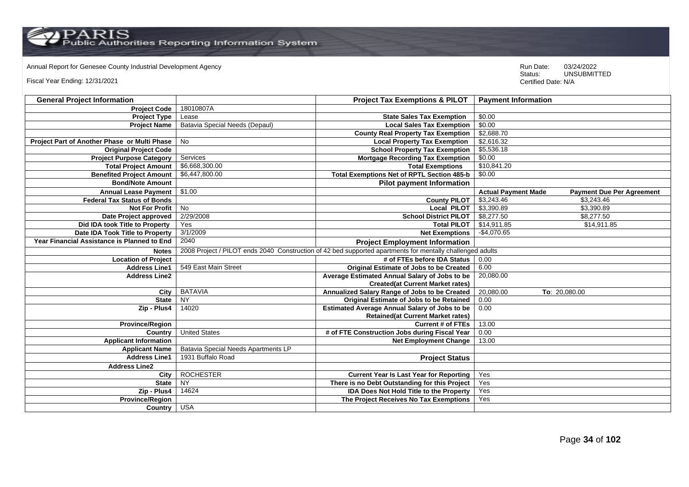Annual Report for Genesee County Industrial Development Agency **Company of Connect Agency** Run Date: 03/24/2022<br>Status: UNSUBMIT

Fiscal Year Ending: 12/31/2021

| <b>General Project Information</b>           |                                       | <b>Project Tax Exemptions &amp; PILOT</b>                                                                 | <b>Payment Information</b>                                     |
|----------------------------------------------|---------------------------------------|-----------------------------------------------------------------------------------------------------------|----------------------------------------------------------------|
| <b>Project Code</b>                          | 18010807A                             |                                                                                                           |                                                                |
| <b>Project Type</b>                          | Lease                                 | <b>State Sales Tax Exemption</b>                                                                          | \$0.00                                                         |
| <b>Project Name</b>                          | <b>Batavia Special Needs (Depaul)</b> | <b>Local Sales Tax Exemption</b>                                                                          | \$0.00                                                         |
|                                              |                                       | <b>County Real Property Tax Exemption</b>                                                                 | \$2,688.70                                                     |
| Project Part of Another Phase or Multi Phase | <b>No</b>                             | <b>Local Property Tax Exemption</b>                                                                       | \$2,616.32                                                     |
| <b>Original Project Code</b>                 |                                       | <b>School Property Tax Exemption</b>                                                                      | \$5,536.18                                                     |
| <b>Project Purpose Category</b>              | Services                              | <b>Mortgage Recording Tax Exemption</b>                                                                   | \$0.00                                                         |
| <b>Total Project Amount</b>                  | \$6,668,300.00                        | <b>Total Exemptions</b>                                                                                   | \$10,841.20                                                    |
| <b>Benefited Project Amount</b>              | \$6,447,800.00                        | <b>Total Exemptions Net of RPTL Section 485-b</b>                                                         | \$0.00                                                         |
| <b>Bond/Note Amount</b>                      |                                       | <b>Pilot payment Information</b>                                                                          |                                                                |
| <b>Annual Lease Payment</b>                  | \$1.00                                |                                                                                                           | <b>Actual Payment Made</b><br><b>Payment Due Per Agreement</b> |
| <b>Federal Tax Status of Bonds</b>           |                                       | <b>County PILOT</b>                                                                                       | \$3,243.46<br>\$3,243.46                                       |
| <b>Not For Profit</b>                        | $\overline{N}$                        | <b>Local PILOT</b>                                                                                        | \$3,390.89<br>\$3,390.89                                       |
| Date Project approved                        | 2/29/2008                             | <b>School District PILOT</b>                                                                              | \$8,277.50<br>\$8,277.50                                       |
| Did IDA took Title to Property               | Yes                                   | <b>Total PILOT</b>                                                                                        | \$14,911.85<br>\$14,911.85                                     |
| Date IDA Took Title to Property              | 3/1/2009                              | <b>Net Exemptions</b>                                                                                     | $-$4,070.65$                                                   |
| Year Financial Assistance is Planned to End  | 2040                                  | <b>Project Employment Information</b>                                                                     |                                                                |
| <b>Notes</b>                                 |                                       | 2008 Project / PILOT ends 2040 Construction of 42 bed supported apartments for mentally challenged adults |                                                                |
| <b>Location of Project</b>                   |                                       | # of FTEs before IDA Status                                                                               | 0.00                                                           |
| <b>Address Line1</b>                         | 549 East Main Street                  | Original Estimate of Jobs to be Created                                                                   | 6.00                                                           |
| <b>Address Line2</b>                         |                                       | Average Estimated Annual Salary of Jobs to be                                                             | 20,080.00                                                      |
|                                              |                                       | <b>Created(at Current Market rates)</b>                                                                   |                                                                |
| City                                         | <b>BATAVIA</b>                        | Annualized Salary Range of Jobs to be Created                                                             | 20,080.00<br>To: 20,080.00                                     |
| <b>State</b>                                 | NY                                    | <b>Original Estimate of Jobs to be Retained</b>                                                           | 0.00                                                           |
| Zip - Plus4                                  | 14020                                 | <b>Estimated Average Annual Salary of Jobs to be</b>                                                      | 0.00                                                           |
|                                              |                                       | <b>Retained(at Current Market rates)</b>                                                                  |                                                                |
| <b>Province/Region</b>                       |                                       | <b>Current # of FTEs</b>                                                                                  | 13.00                                                          |
| Country                                      | <b>United States</b>                  | # of FTE Construction Jobs during Fiscal Year                                                             | 0.00                                                           |
| <b>Applicant Information</b>                 |                                       | <b>Net Employment Change</b>                                                                              | 13.00                                                          |
| <b>Applicant Name</b>                        | Batavia Special Needs Apartments LP   |                                                                                                           |                                                                |
| <b>Address Line1</b>                         | 1931 Buffalo Road                     | <b>Project Status</b>                                                                                     |                                                                |
| <b>Address Line2</b>                         |                                       |                                                                                                           |                                                                |
| City                                         | <b>ROCHESTER</b>                      | <b>Current Year Is Last Year for Reporting</b>                                                            | Yes                                                            |
| <b>State</b>                                 | NY                                    | There is no Debt Outstanding for this Project                                                             | Yes                                                            |
| Zip - Plus4                                  | 14624                                 | IDA Does Not Hold Title to the Property                                                                   | Yes                                                            |
| Province/Region                              |                                       | The Project Receives No Tax Exemptions                                                                    | Yes                                                            |
| Country                                      | <b>USA</b>                            |                                                                                                           |                                                                |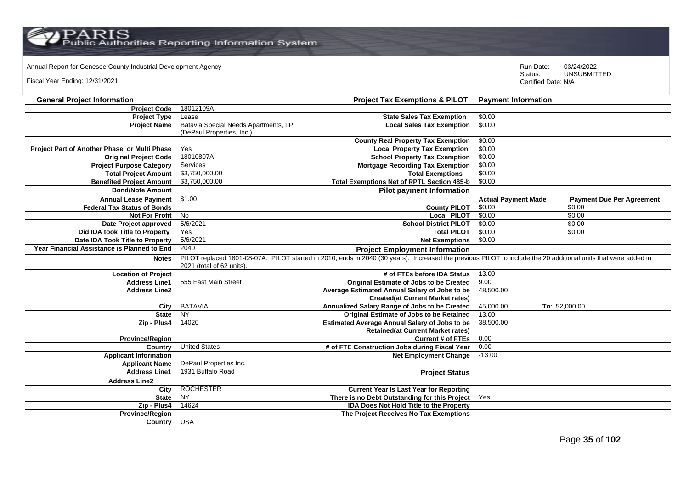$\operatorname{PARIS}_{\text{Public Authors}}$  Reporting Information System

# Annual Report for Genesee County Industrial Development Agency **Company of Connect Agency** Run Date: 03/24/2022<br>Status: UNSUBMIT

Fiscal Year Ending: 12/31/2021

| <b>General Project Information</b>           |                                      | <b>Project Tax Exemptions &amp; PILOT</b>            | <b>Payment Information</b>                                                                                                                                     |
|----------------------------------------------|--------------------------------------|------------------------------------------------------|----------------------------------------------------------------------------------------------------------------------------------------------------------------|
| <b>Project Code</b>                          | 18012109A                            |                                                      |                                                                                                                                                                |
| <b>Project Type</b>                          | Lease                                | <b>State Sales Tax Exemption</b>                     | \$0.00                                                                                                                                                         |
| <b>Project Name</b>                          | Batavia Special Needs Apartments, LP | <b>Local Sales Tax Exemption</b>                     | \$0.00                                                                                                                                                         |
|                                              | (DePaul Properties, Inc.)            |                                                      |                                                                                                                                                                |
|                                              |                                      | <b>County Real Property Tax Exemption</b>            | \$0.00                                                                                                                                                         |
| Project Part of Another Phase or Multi Phase | Yes                                  | <b>Local Property Tax Exemption</b>                  | \$0.00                                                                                                                                                         |
| <b>Original Project Code</b>                 | 18010807A                            | <b>School Property Tax Exemption</b>                 | \$0.00                                                                                                                                                         |
| <b>Project Purpose Category</b>              | Services                             | <b>Mortgage Recording Tax Exemption</b>              | \$0.00                                                                                                                                                         |
| <b>Total Project Amount</b>                  | \$3,750,000.00                       | <b>Total Exemptions</b>                              | \$0.00                                                                                                                                                         |
| <b>Benefited Project Amount</b>              | \$3,750,000.00                       | Total Exemptions Net of RPTL Section 485-b           | \$0.00                                                                                                                                                         |
| <b>Bond/Note Amount</b>                      |                                      | <b>Pilot payment Information</b>                     |                                                                                                                                                                |
| <b>Annual Lease Payment</b>                  | \$1.00                               |                                                      | <b>Actual Payment Made</b><br><b>Payment Due Per Agreement</b>                                                                                                 |
| <b>Federal Tax Status of Bonds</b>           |                                      | <b>County PILOT</b>                                  | \$0.00<br>\$0.00                                                                                                                                               |
| <b>Not For Profit</b>                        | No                                   | <b>Local PILOT</b>                                   | \$0.00<br>\$0.00                                                                                                                                               |
| Date Project approved                        | 5/6/2021                             | <b>School District PILOT</b>                         | \$0.00<br>\$0.00                                                                                                                                               |
| Did IDA took Title to Property               | Yes                                  | <b>Total PILOT</b>                                   | \$0.00<br>\$0.00                                                                                                                                               |
| Date IDA Took Title to Property              | 5/6/2021                             | <b>Net Exemptions</b>                                | \$0.00                                                                                                                                                         |
| Year Financial Assistance is Planned to End  | 2040                                 | <b>Project Employment Information</b>                |                                                                                                                                                                |
| <b>Notes</b>                                 |                                      |                                                      | PILOT replaced 1801-08-07A. PILOT started in 2010, ends in 2040 (30 years). Increased the previous PILOT to include the 20 additional units that were added in |
|                                              | 2021 (total of 62 units).            |                                                      |                                                                                                                                                                |
| <b>Location of Project</b>                   |                                      | # of FTEs before IDA Status                          | 13.00                                                                                                                                                          |
| <b>Address Line1</b>                         | 555 East Main Street                 | <b>Original Estimate of Jobs to be Created</b>       | 9.00                                                                                                                                                           |
| <b>Address Line2</b>                         |                                      | Average Estimated Annual Salary of Jobs to be        | 48,500.00                                                                                                                                                      |
|                                              |                                      | <b>Created(at Current Market rates)</b>              |                                                                                                                                                                |
| City                                         | <b>BATAVIA</b>                       | Annualized Salary Range of Jobs to be Created        | 45,000.00<br>To: 52,000.00                                                                                                                                     |
| <b>State</b>                                 | $\overline{NY}$                      | Original Estimate of Jobs to be Retained             | 13.00                                                                                                                                                          |
| Zip - Plus4                                  | 14020                                | <b>Estimated Average Annual Salary of Jobs to be</b> | 38,500.00                                                                                                                                                      |
|                                              |                                      | <b>Retained(at Current Market rates)</b>             |                                                                                                                                                                |
| <b>Province/Region</b>                       |                                      | <b>Current # of FTEs</b>                             | 0.00                                                                                                                                                           |
| Country                                      | <b>United States</b>                 | # of FTE Construction Jobs during Fiscal Year        | 0.00                                                                                                                                                           |
| <b>Applicant Information</b>                 |                                      | <b>Net Employment Change</b>                         | $-13.00$                                                                                                                                                       |
| <b>Applicant Name</b>                        | DePaul Properties Inc.               |                                                      |                                                                                                                                                                |
| <b>Address Line1</b>                         | 1931 Buffalo Road                    | <b>Project Status</b>                                |                                                                                                                                                                |
| <b>Address Line2</b>                         |                                      |                                                      |                                                                                                                                                                |
| City                                         | <b>ROCHESTER</b>                     | <b>Current Year Is Last Year for Reporting</b>       |                                                                                                                                                                |
| <b>State</b>                                 | <b>NY</b>                            | There is no Debt Outstanding for this Project        | Yes                                                                                                                                                            |
| Zip - Plus4                                  | 14624                                | IDA Does Not Hold Title to the Property              |                                                                                                                                                                |
| <b>Province/Region</b>                       |                                      | The Project Receives No Tax Exemptions               |                                                                                                                                                                |
| Country                                      | <b>USA</b>                           |                                                      |                                                                                                                                                                |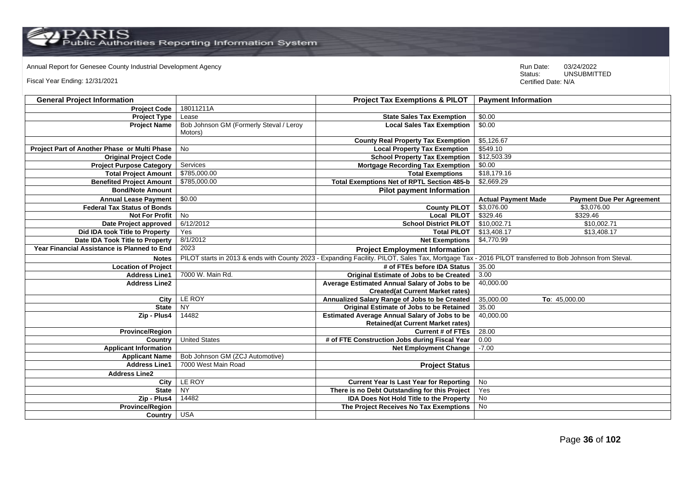Annual Report for Genesee County Industrial Development Agency **Company of Connect Agency** Run Date: 03/24/2022<br>Status: UNSUBMIT

Fiscal Year Ending: 12/31/2021

| <b>General Project Information</b>           |                                         | <b>Project Tax Exemptions &amp; PILOT</b>                                                                                                             | <b>Payment Information</b>                                     |  |
|----------------------------------------------|-----------------------------------------|-------------------------------------------------------------------------------------------------------------------------------------------------------|----------------------------------------------------------------|--|
| <b>Project Code</b>                          | 18011211A                               |                                                                                                                                                       |                                                                |  |
| <b>Project Type</b>                          | Lease                                   | <b>State Sales Tax Exemption</b>                                                                                                                      | \$0.00                                                         |  |
| <b>Project Name</b>                          | Bob Johnson GM (Formerly Steval / Leroy | <b>Local Sales Tax Exemption</b>                                                                                                                      | \$0.00                                                         |  |
|                                              | Motors)                                 |                                                                                                                                                       |                                                                |  |
|                                              |                                         | <b>County Real Property Tax Exemption</b>                                                                                                             | \$5,126.67                                                     |  |
| Project Part of Another Phase or Multi Phase | <b>No</b>                               | <b>Local Property Tax Exemption</b>                                                                                                                   | \$549.10                                                       |  |
| <b>Original Project Code</b>                 |                                         | <b>School Property Tax Exemption</b>                                                                                                                  | \$12,503.39                                                    |  |
| <b>Project Purpose Category</b>              | Services                                | <b>Mortgage Recording Tax Exemption</b>                                                                                                               | \$0.00                                                         |  |
| <b>Total Project Amount</b>                  | \$785,000.00                            | <b>Total Exemptions</b>                                                                                                                               | \$18,179.16                                                    |  |
| <b>Benefited Project Amount</b>              | \$785,000.00                            | <b>Total Exemptions Net of RPTL Section 485-b</b>                                                                                                     | \$2,669.29                                                     |  |
| <b>Bond/Note Amount</b>                      |                                         | <b>Pilot payment Information</b>                                                                                                                      |                                                                |  |
| <b>Annual Lease Payment</b>                  | \$0.00                                  |                                                                                                                                                       | <b>Actual Payment Made</b><br><b>Payment Due Per Agreement</b> |  |
| <b>Federal Tax Status of Bonds</b>           |                                         | <b>County PILOT</b>                                                                                                                                   | \$3,076.00<br>\$3,076.00                                       |  |
| <b>Not For Profit</b>                        | <b>No</b>                               | <b>Local PILOT</b>                                                                                                                                    | \$329.46<br>\$329.46                                           |  |
| Date Project approved                        | 6/12/2012                               | <b>School District PILOT</b>                                                                                                                          | \$10,002.71<br>\$10,002.71                                     |  |
| Did IDA took Title to Property               | Yes                                     | <b>Total PILOT</b>                                                                                                                                    | \$13,408.17<br>\$13,408.17                                     |  |
| Date IDA Took Title to Property              | 8/1/2012                                | <b>Net Exemptions</b>                                                                                                                                 | \$4,770.99                                                     |  |
| Year Financial Assistance is Planned to End  | 2023                                    | <b>Project Employment Information</b>                                                                                                                 |                                                                |  |
| <b>Notes</b>                                 |                                         | PILOT starts in 2013 & ends with County 2023 - Expanding Facility. PILOT, Sales Tax, Mortgage Tax - 2016 PILOT transferred to Bob Johnson from Steval |                                                                |  |
| <b>Location of Project</b>                   |                                         | # of FTEs before IDA Status                                                                                                                           | 35.00                                                          |  |
| <b>Address Line1</b>                         | 7000 W. Main Rd.                        | <b>Original Estimate of Jobs to be Created</b>                                                                                                        | 3.00                                                           |  |
| <b>Address Line2</b>                         |                                         | Average Estimated Annual Salary of Jobs to be                                                                                                         | 40,000.00                                                      |  |
|                                              |                                         | <b>Created(at Current Market rates)</b>                                                                                                               |                                                                |  |
| City                                         | LE ROY                                  | Annualized Salary Range of Jobs to be Created                                                                                                         | 35,000.00<br>To: 45,000.00                                     |  |
| <b>State</b>                                 | <b>NY</b>                               | <b>Original Estimate of Jobs to be Retained</b>                                                                                                       | 35.00                                                          |  |
| Zip - Plus4                                  | 14482                                   | <b>Estimated Average Annual Salary of Jobs to be</b>                                                                                                  | 40,000.00                                                      |  |
|                                              |                                         | <b>Retained(at Current Market rates)</b>                                                                                                              |                                                                |  |
| <b>Province/Region</b>                       |                                         | Current # of FTEs                                                                                                                                     | 28.00                                                          |  |
| Country                                      | <b>United States</b>                    | # of FTE Construction Jobs during Fiscal Year                                                                                                         | 0.00                                                           |  |
| <b>Applicant Information</b>                 |                                         | <b>Net Employment Change</b>                                                                                                                          | $-7.00$                                                        |  |
| <b>Applicant Name</b>                        | Bob Johnson GM (ZCJ Automotive)         |                                                                                                                                                       |                                                                |  |
| <b>Address Line1</b>                         | 7000 West Main Road                     | <b>Project Status</b>                                                                                                                                 |                                                                |  |
| <b>Address Line2</b>                         |                                         |                                                                                                                                                       |                                                                |  |
| City                                         | LE ROY                                  | <b>Current Year Is Last Year for Reporting</b>                                                                                                        | <b>No</b>                                                      |  |
| <b>State</b>                                 | NY                                      | There is no Debt Outstanding for this Project                                                                                                         | Yes                                                            |  |
| Zip - Plus4                                  | 14482                                   | IDA Does Not Hold Title to the Property                                                                                                               | <b>No</b>                                                      |  |
| <b>Province/Region</b>                       |                                         | The Project Receives No Tax Exemptions                                                                                                                | No                                                             |  |
| Country USA                                  |                                         |                                                                                                                                                       |                                                                |  |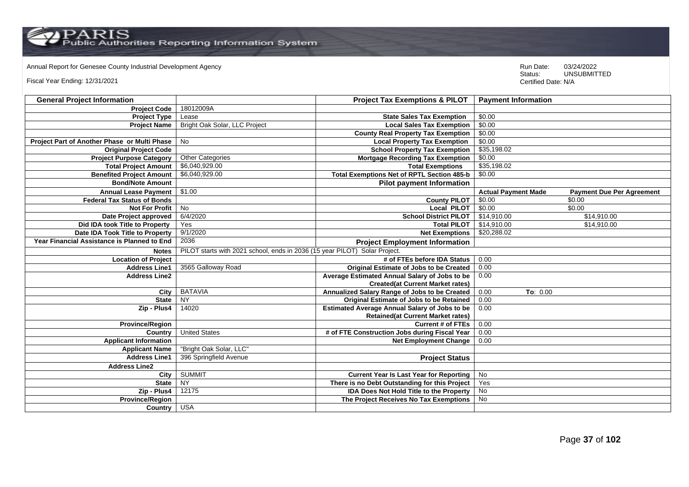$\mathrm{PARS} \ \mathrm{FMS}$ 

# Annual Report for Genesee County Industrial Development Agency **Company of Connect Agency** Run Date: 03/24/2022<br>Status: UNSUBMIT

Fiscal Year Ending: 12/31/2021

| <b>General Project Information</b>           |                                                                            | <b>Project Tax Exemptions &amp; PILOT</b>            | <b>Payment Information</b> |                                  |
|----------------------------------------------|----------------------------------------------------------------------------|------------------------------------------------------|----------------------------|----------------------------------|
| <b>Project Code</b>                          | 18012009A                                                                  |                                                      |                            |                                  |
| <b>Project Type</b>                          | Lease                                                                      | <b>State Sales Tax Exemption</b>                     | \$0.00                     |                                  |
| <b>Project Name</b>                          | Bright Oak Solar, LLC Project                                              | <b>Local Sales Tax Exemption</b>                     | \$0.00                     |                                  |
|                                              |                                                                            | <b>County Real Property Tax Exemption</b>            | \$0.00                     |                                  |
| Project Part of Another Phase or Multi Phase | <b>No</b>                                                                  | <b>Local Property Tax Exemption</b>                  | \$0.00                     |                                  |
| <b>Original Project Code</b>                 |                                                                            | <b>School Property Tax Exemption</b>                 | \$35,198.02                |                                  |
| <b>Project Purpose Category</b>              | <b>Other Categories</b>                                                    | <b>Mortgage Recording Tax Exemption</b>              | \$0.00                     |                                  |
| <b>Total Project Amount</b>                  | \$6,040,929.00                                                             | <b>Total Exemptions</b>                              | \$35,198.02                |                                  |
| <b>Benefited Project Amount</b>              | \$6,040,929.00                                                             | Total Exemptions Net of RPTL Section 485-b           | \$0.00                     |                                  |
| <b>Bond/Note Amount</b>                      |                                                                            | <b>Pilot payment Information</b>                     |                            |                                  |
| <b>Annual Lease Payment</b>                  | \$1.00                                                                     |                                                      | <b>Actual Payment Made</b> | <b>Payment Due Per Agreement</b> |
| <b>Federal Tax Status of Bonds</b>           |                                                                            | <b>County PILOT</b>                                  | \$0.00                     | \$0.00                           |
| <b>Not For Profit</b>                        | No                                                                         | <b>Local PILOT</b>                                   | \$0.00                     | \$0.00                           |
| Date Project approved                        | 6/4/2020                                                                   | <b>School District PILOT</b>                         | \$14,910.00                | \$14,910.00                      |
| Did IDA took Title to Property               | Yes                                                                        | <b>Total PILOT</b>                                   | \$14,910.00                | \$14,910.00                      |
| Date IDA Took Title to Property              | 9/1/2020                                                                   | <b>Net Exemptions</b>                                | \$20,288.02                |                                  |
| Year Financial Assistance is Planned to End  | 2036                                                                       | <b>Project Employment Information</b>                |                            |                                  |
| <b>Notes</b>                                 | PILOT starts with 2021 school, ends in 2036 (15 year PILOT) Solar Project. |                                                      |                            |                                  |
| <b>Location of Project</b>                   |                                                                            | # of FTEs before IDA Status                          | 0.00                       |                                  |
| <b>Address Line1</b>                         | 3565 Galloway Road                                                         | Original Estimate of Jobs to be Created              | 0.00                       |                                  |
| <b>Address Line2</b>                         |                                                                            | Average Estimated Annual Salary of Jobs to be        | 0.00                       |                                  |
|                                              |                                                                            | <b>Created(at Current Market rates)</b>              |                            |                                  |
| City                                         | <b>BATAVIA</b>                                                             | Annualized Salary Range of Jobs to be Created        | 0.00<br>To: 0.00           |                                  |
| <b>State</b>                                 | <b>NY</b>                                                                  | <b>Original Estimate of Jobs to be Retained</b>      | 0.00                       |                                  |
| Zip - Plus4                                  | 14020                                                                      | <b>Estimated Average Annual Salary of Jobs to be</b> | 0.00                       |                                  |
|                                              |                                                                            | <b>Retained(at Current Market rates)</b>             |                            |                                  |
| <b>Province/Region</b>                       |                                                                            | <b>Current # of FTEs</b>                             | 0.00                       |                                  |
| Country                                      | <b>United States</b>                                                       | # of FTE Construction Jobs during Fiscal Year        | 0.00                       |                                  |
| <b>Applicant Information</b>                 |                                                                            | <b>Net Employment Change</b>                         | 0.00                       |                                  |
| <b>Applicant Name</b>                        | "Bright Oak Solar, LLC"                                                    |                                                      |                            |                                  |
| <b>Address Line1</b>                         | 396 Springfield Avenue                                                     | <b>Project Status</b>                                |                            |                                  |
| <b>Address Line2</b>                         |                                                                            |                                                      |                            |                                  |
| City                                         | <b>SUMMIT</b>                                                              | <b>Current Year Is Last Year for Reporting</b>       | No                         |                                  |
| <b>State</b>                                 | $\overline{NY}$                                                            | There is no Debt Outstanding for this Project        | Yes                        |                                  |
| Zip - Plus4                                  | 12175                                                                      | IDA Does Not Hold Title to the Property              | No                         |                                  |
| Province/Region                              |                                                                            | The Project Receives No Tax Exemptions               | No                         |                                  |
| Country                                      | <b>USA</b>                                                                 |                                                      |                            |                                  |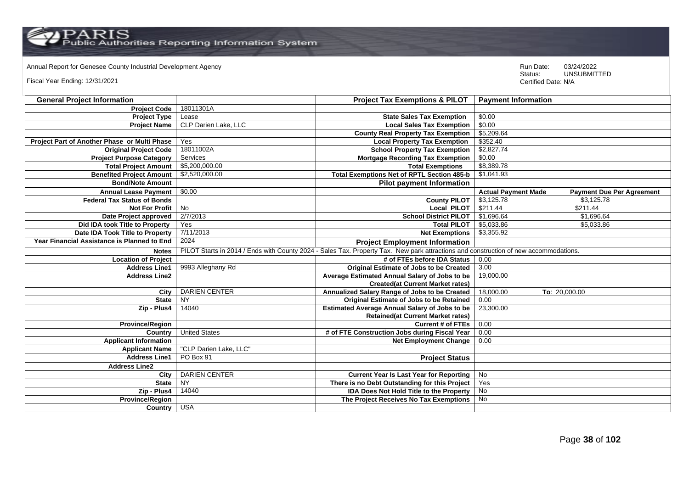# Annual Report for Genesee County Industrial Development Agency **Company of Connect Agency** Run Date: 03/24/2022<br>Status: UNSUBMIT

Fiscal Year Ending: 12/31/2021

| <b>General Project Information</b>           |                        | <b>Project Tax Exemptions &amp; PILOT</b>                                                                                            | <b>Payment Information</b>                                     |  |
|----------------------------------------------|------------------------|--------------------------------------------------------------------------------------------------------------------------------------|----------------------------------------------------------------|--|
| <b>Project Code</b>                          | 18011301A              |                                                                                                                                      |                                                                |  |
| <b>Project Type</b>                          | Lease                  | <b>State Sales Tax Exemption</b>                                                                                                     | \$0.00                                                         |  |
| <b>Project Name</b>                          | CLP Darien Lake, LLC   | <b>Local Sales Tax Exemption</b>                                                                                                     | \$0.00                                                         |  |
|                                              |                        | <b>County Real Property Tax Exemption</b>                                                                                            | \$5,209.64                                                     |  |
| Project Part of Another Phase or Multi Phase | Yes                    | <b>Local Property Tax Exemption</b>                                                                                                  | \$352.40                                                       |  |
| <b>Original Project Code</b>                 | 18011002A              | <b>School Property Tax Exemption</b>                                                                                                 | \$2,827.74                                                     |  |
| <b>Project Purpose Category</b>              | Services               | <b>Mortgage Recording Tax Exemption</b>                                                                                              | \$0.00                                                         |  |
| <b>Total Project Amount</b>                  | \$5,200,000.00         | <b>Total Exemptions</b>                                                                                                              | \$8,389.78                                                     |  |
| <b>Benefited Project Amount</b>              | \$2,520,000.00         | <b>Total Exemptions Net of RPTL Section 485-b</b>                                                                                    | \$1,041.93                                                     |  |
| <b>Bond/Note Amount</b>                      |                        | <b>Pilot payment Information</b>                                                                                                     |                                                                |  |
| <b>Annual Lease Payment</b>                  | \$0.00                 |                                                                                                                                      | <b>Actual Payment Made</b><br><b>Payment Due Per Agreement</b> |  |
| <b>Federal Tax Status of Bonds</b>           |                        | <b>County PILOT</b>                                                                                                                  | \$3,125.78<br>\$3,125.78                                       |  |
| <b>Not For Profit</b>                        | No                     | <b>Local PILOT</b>                                                                                                                   | \$211.44<br>\$211.44                                           |  |
| Date Project approved                        | 2/7/2013               | <b>School District PILOT</b>                                                                                                         | \$1,696.64<br>\$1,696.64                                       |  |
| Did IDA took Title to Property               | Yes                    | <b>Total PILOT</b>                                                                                                                   | \$5,033.86<br>\$5,033.86                                       |  |
| Date IDA Took Title to Property              | 7/11/2013              | <b>Net Exemptions</b>                                                                                                                | \$3,355.92                                                     |  |
| Year Financial Assistance is Planned to End  | 2024                   | <b>Project Employment Information</b>                                                                                                |                                                                |  |
| <b>Notes</b>                                 |                        | PILOT Starts in 2014 / Ends with County 2024 - Sales Tax. Property Tax. New park attractions and construction of new accommodations. |                                                                |  |
| <b>Location of Project</b>                   |                        | # of FTEs before IDA Status                                                                                                          | 0.00                                                           |  |
| <b>Address Line1</b>                         | 9993 Alleghany Rd      | Original Estimate of Jobs to be Created                                                                                              | 3.00                                                           |  |
| <b>Address Line2</b>                         |                        | Average Estimated Annual Salary of Jobs to be                                                                                        | 19,000.00                                                      |  |
|                                              |                        | <b>Created(at Current Market rates)</b>                                                                                              |                                                                |  |
| City                                         | <b>DARIEN CENTER</b>   | Annualized Salary Range of Jobs to be Created                                                                                        | 18,000.00<br>To: 20,000.00                                     |  |
| <b>State</b>                                 | <b>NY</b>              | <b>Original Estimate of Jobs to be Retained</b>                                                                                      | 0.00                                                           |  |
| Zip - Plus4                                  | 14040                  | <b>Estimated Average Annual Salary of Jobs to be</b>                                                                                 | 23,300.00                                                      |  |
|                                              |                        | <b>Retained(at Current Market rates)</b>                                                                                             |                                                                |  |
| <b>Province/Region</b>                       |                        | <b>Current # of FTEs</b>                                                                                                             | 0.00                                                           |  |
| Country                                      | <b>United States</b>   | # of FTE Construction Jobs during Fiscal Year                                                                                        | 0.00                                                           |  |
| <b>Applicant Information</b>                 |                        | <b>Net Employment Change</b>                                                                                                         | 0.00                                                           |  |
| <b>Applicant Name</b>                        | "CLP Darien Lake, LLC" |                                                                                                                                      |                                                                |  |
| <b>Address Line1</b>                         | PO Box 91              | <b>Project Status</b>                                                                                                                |                                                                |  |
| <b>Address Line2</b>                         |                        |                                                                                                                                      |                                                                |  |
| City                                         | <b>DARIEN CENTER</b>   | <b>Current Year Is Last Year for Reporting</b>                                                                                       | No                                                             |  |
| <b>State</b>                                 | $\overline{NY}$        | There is no Debt Outstanding for this Project                                                                                        | Yes                                                            |  |
| Zip - Plus4                                  | 14040                  | IDA Does Not Hold Title to the Property                                                                                              | No                                                             |  |
| <b>Province/Region</b>                       |                        | The Project Receives No Tax Exemptions                                                                                               | No                                                             |  |
| Country                                      | <b>USA</b>             |                                                                                                                                      |                                                                |  |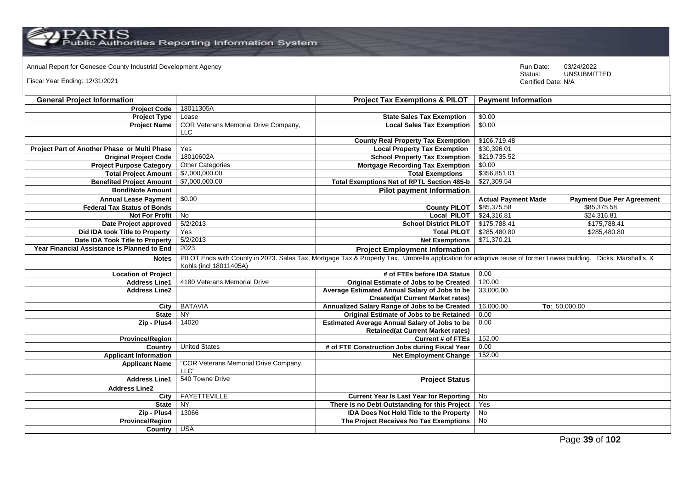$\mathrm{PARS} \ \mathrm{PARS}$ 

# Annual Report for Genesee County Industrial Development Agency **Company of Connect Agency** Run Date: 03/24/2022<br>Status: UNSUBMIT

Fiscal Year Ending: 12/31/2021

| <b>General Project Information</b>           |                                               | <b>Project Tax Exemptions &amp; PILOT</b>            | <b>Payment Information</b>                                                                                                                                     |
|----------------------------------------------|-----------------------------------------------|------------------------------------------------------|----------------------------------------------------------------------------------------------------------------------------------------------------------------|
| <b>Project Code</b>                          | 18011305A                                     |                                                      |                                                                                                                                                                |
| <b>Project Type</b>                          | Lease                                         | <b>State Sales Tax Exemption</b>                     | \$0.00                                                                                                                                                         |
| <b>Project Name</b>                          | COR Veterans Memorial Drive Company,          | <b>Local Sales Tax Exemption</b>                     | \$0.00                                                                                                                                                         |
|                                              | <b>LLC</b>                                    |                                                      |                                                                                                                                                                |
|                                              |                                               | <b>County Real Property Tax Exemption</b>            | \$106,719.48                                                                                                                                                   |
| Project Part of Another Phase or Multi Phase | Yes                                           | <b>Local Property Tax Exemption</b>                  | \$30,396.01                                                                                                                                                    |
| <b>Original Project Code</b>                 | 18010602A                                     | <b>School Property Tax Exemption</b>                 | \$219,735.52                                                                                                                                                   |
| <b>Project Purpose Category</b>              | Other Categories                              | <b>Mortgage Recording Tax Exemption</b>              | \$0.00                                                                                                                                                         |
| <b>Total Project Amount</b>                  | \$7,000,000.00                                | <b>Total Exemptions</b>                              | \$356,851.01                                                                                                                                                   |
| <b>Benefited Project Amount</b>              | \$7,000,000.00                                | <b>Total Exemptions Net of RPTL Section 485-b</b>    | \$27,309.54                                                                                                                                                    |
| <b>Bond/Note Amount</b>                      |                                               | <b>Pilot payment Information</b>                     |                                                                                                                                                                |
| <b>Annual Lease Payment</b>                  | \$0.00                                        |                                                      | <b>Actual Payment Made</b><br><b>Payment Due Per Agreement</b>                                                                                                 |
| <b>Federal Tax Status of Bonds</b>           |                                               | <b>County PILOT</b>                                  | \$85,375.58<br>\$85,375.58                                                                                                                                     |
| <b>Not For Profit</b>                        | $\overline{N}$                                | <b>Local PILOT</b>                                   | \$24,316.81<br>\$24,316.81                                                                                                                                     |
| Date Project approved                        | 5/2/2013                                      | <b>School District PILOT</b>                         | \$175,788.41<br>\$175,788.41                                                                                                                                   |
| Did IDA took Title to Property               | Yes                                           | <b>Total PILOT</b>                                   | \$285,480.80<br>\$285,480.80                                                                                                                                   |
| Date IDA Took Title to Property              | 5/2/2013                                      | <b>Net Exemptions</b>                                | \$71,370.21                                                                                                                                                    |
| Year Financial Assistance is Planned to End  | 2023                                          | <b>Project Employment Information</b>                |                                                                                                                                                                |
| <b>Notes</b>                                 |                                               |                                                      | PILOT Ends with County in 2023. Sales Tax, Mortgage Tax & Property Tax. Umbrella application for adaptive reuse of former Lowes building. Dicks, Marshall's, & |
|                                              | Kohls (incl 18011405A)                        |                                                      |                                                                                                                                                                |
| Location of Project                          |                                               | # of FTEs before IDA Status                          | 0.00                                                                                                                                                           |
| <b>Address Line1</b>                         | 4180 Veterans Memorial Drive                  | Original Estimate of Jobs to be Created              | 120.00                                                                                                                                                         |
| <b>Address Line2</b>                         |                                               | Average Estimated Annual Salary of Jobs to be        | 33,000.00                                                                                                                                                      |
|                                              |                                               | <b>Created(at Current Market rates)</b>              |                                                                                                                                                                |
| City                                         | <b>BATAVIA</b>                                | Annualized Salary Range of Jobs to be Created        | 16,000.00<br>To: 50,000.00                                                                                                                                     |
| <b>State</b>                                 | <b>NY</b>                                     | Original Estimate of Jobs to be Retained             | 0.00                                                                                                                                                           |
| Zip - Plus4                                  | 14020                                         | <b>Estimated Average Annual Salary of Jobs to be</b> | 0.00                                                                                                                                                           |
|                                              |                                               | <b>Retained(at Current Market rates)</b>             |                                                                                                                                                                |
| <b>Province/Region</b>                       |                                               | Current # of FTEs                                    | 152.00                                                                                                                                                         |
| Country                                      | <b>United States</b>                          | # of FTE Construction Jobs during Fiscal Year        | 0.00                                                                                                                                                           |
| <b>Applicant Information</b>                 |                                               | <b>Net Employment Change</b>                         | 152.00                                                                                                                                                         |
| <b>Applicant Name</b>                        | "COR Veterans Memorial Drive Company,<br>LLC" |                                                      |                                                                                                                                                                |
| <b>Address Line1</b>                         | 540 Towne Drive                               | <b>Project Status</b>                                |                                                                                                                                                                |
| <b>Address Line2</b>                         |                                               |                                                      |                                                                                                                                                                |
| City                                         | <b>FAYETTEVILLE</b>                           | <b>Current Year Is Last Year for Reporting</b>       | <b>No</b>                                                                                                                                                      |
| <b>State</b>                                 | <b>NY</b>                                     | There is no Debt Outstanding for this Project        | Yes                                                                                                                                                            |
| Zip - Plus4                                  | 13066                                         | IDA Does Not Hold Title to the Property              | <b>No</b>                                                                                                                                                      |
| <b>Province/Region</b>                       |                                               | The Project Receives No Tax Exemptions               | <b>No</b>                                                                                                                                                      |
| Country                                      | <b>USA</b>                                    |                                                      |                                                                                                                                                                |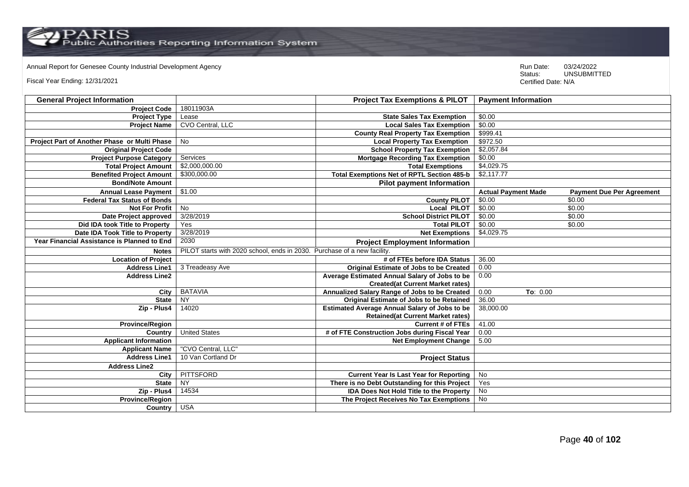$\operatorname{PARIS}_{\text{Public Authorities}\text{ Reporting Information System}}$ 

# Annual Report for Genesee County Industrial Development Agency **Company of Connect Agency** Run Date: 03/24/2022<br>Status: UNSUBMIT

Fiscal Year Ending: 12/31/2021

| <b>General Project Information</b>           |                                                                          | <b>Project Tax Exemptions &amp; PILOT</b>            | <b>Payment Information</b> |                                  |
|----------------------------------------------|--------------------------------------------------------------------------|------------------------------------------------------|----------------------------|----------------------------------|
| <b>Project Code</b>                          | 18011903A                                                                |                                                      |                            |                                  |
| <b>Project Type</b>                          | Lease                                                                    | <b>State Sales Tax Exemption</b>                     | \$0.00                     |                                  |
| <b>Project Name</b>                          | CVO Central, LLC                                                         | <b>Local Sales Tax Exemption</b>                     | \$0.00                     |                                  |
|                                              |                                                                          | <b>County Real Property Tax Exemption</b>            | \$999.41                   |                                  |
| Project Part of Another Phase or Multi Phase | No                                                                       | <b>Local Property Tax Exemption</b>                  | \$972.50                   |                                  |
| <b>Original Project Code</b>                 |                                                                          | <b>School Property Tax Exemption</b>                 | \$2,057.84                 |                                  |
| <b>Project Purpose Category</b>              | Services                                                                 | <b>Mortgage Recording Tax Exemption</b>              | \$0.00                     |                                  |
| <b>Total Project Amount</b>                  | \$2,000,000.00                                                           | <b>Total Exemptions</b>                              | \$4,029.75                 |                                  |
| <b>Benefited Project Amount</b>              | \$300,000.00                                                             | <b>Total Exemptions Net of RPTL Section 485-b</b>    | \$2,117.77                 |                                  |
| <b>Bond/Note Amount</b>                      |                                                                          | <b>Pilot payment Information</b>                     |                            |                                  |
| <b>Annual Lease Payment</b>                  | \$1.00                                                                   |                                                      | <b>Actual Payment Made</b> | <b>Payment Due Per Agreement</b> |
| <b>Federal Tax Status of Bonds</b>           |                                                                          | <b>County PILOT</b>                                  | \$0.00                     | \$0.00                           |
| <b>Not For Profit</b>                        | No                                                                       | <b>Local PILOT</b>                                   | \$0.00                     | \$0.00                           |
| Date Project approved                        | 3/28/2019                                                                | <b>School District PILOT</b>                         | \$0.00                     | \$0.00                           |
| Did IDA took Title to Property               | Yes                                                                      | <b>Total PILOT</b>                                   | \$0.00                     | \$0.00                           |
| Date IDA Took Title to Property              | 3/28/2019                                                                | <b>Net Exemptions</b>                                | \$4,029.75                 |                                  |
| Year Financial Assistance is Planned to End  | 2030                                                                     | <b>Project Employment Information</b>                |                            |                                  |
| <b>Notes</b>                                 | PILOT starts with 2020 school, ends in 2030. Purchase of a new facility. |                                                      |                            |                                  |
| <b>Location of Project</b>                   |                                                                          | # of FTEs before IDA Status                          | 36.00                      |                                  |
| <b>Address Line1</b>                         | 3 Treadeasy Ave                                                          | Original Estimate of Jobs to be Created              | 0.00                       |                                  |
| <b>Address Line2</b>                         |                                                                          | Average Estimated Annual Salary of Jobs to be        | 0.00                       |                                  |
|                                              |                                                                          | <b>Created(at Current Market rates)</b>              |                            |                                  |
| City                                         | <b>BATAVIA</b>                                                           | Annualized Salary Range of Jobs to be Created        | 0.00<br>To: 0.00           |                                  |
| <b>State</b>                                 | <b>NY</b>                                                                | <b>Original Estimate of Jobs to be Retained</b>      | 36.00                      |                                  |
| Zip - Plus4                                  | 14020                                                                    | <b>Estimated Average Annual Salary of Jobs to be</b> | 38,000.00                  |                                  |
|                                              |                                                                          | <b>Retained(at Current Market rates)</b>             |                            |                                  |
| <b>Province/Region</b>                       |                                                                          | <b>Current # of FTEs</b>                             | 41.00                      |                                  |
| Country                                      | <b>United States</b>                                                     | # of FTE Construction Jobs during Fiscal Year        | 0.00                       |                                  |
| <b>Applicant Information</b>                 |                                                                          | <b>Net Employment Change</b>                         | 5.00                       |                                  |
| <b>Applicant Name</b>                        | "CVO Central, LLC"                                                       |                                                      |                            |                                  |
| <b>Address Line1</b>                         | 10 Van Cortland Dr                                                       | <b>Project Status</b>                                |                            |                                  |
| <b>Address Line2</b>                         |                                                                          |                                                      |                            |                                  |
| City                                         | <b>PITTSFORD</b>                                                         | <b>Current Year Is Last Year for Reporting</b>       | No                         |                                  |
| <b>State</b>                                 | NY                                                                       | There is no Debt Outstanding for this Project        | Yes                        |                                  |
| Zip - Plus4                                  | 14534                                                                    | IDA Does Not Hold Title to the Property              | No                         |                                  |
| <b>Province/Region</b>                       |                                                                          | The Project Receives No Tax Exemptions               | <b>No</b>                  |                                  |
| <b>Country</b>                               | <b>USA</b>                                                               |                                                      |                            |                                  |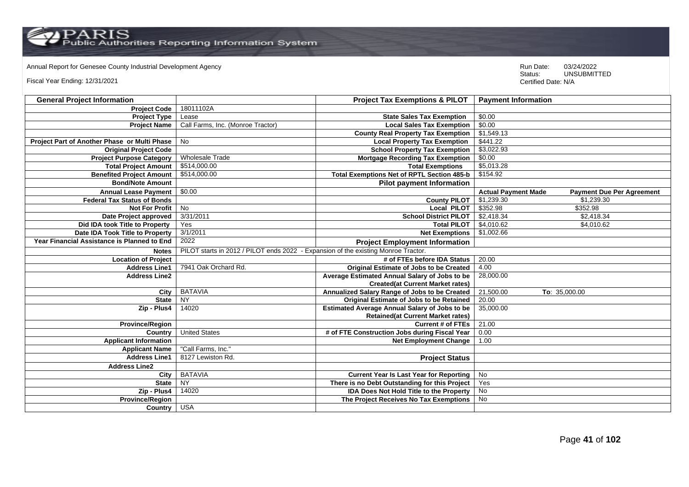# Annual Report for Genesee County Industrial Development Agency **Company of Connect Agency** Run Date: 03/24/2022<br>Status: UNSUBMIT

Fiscal Year Ending: 12/31/2021

| <b>General Project Information</b>           |                                                                                    | <b>Project Tax Exemptions &amp; PILOT</b>            | <b>Payment Information</b>                                     |
|----------------------------------------------|------------------------------------------------------------------------------------|------------------------------------------------------|----------------------------------------------------------------|
| <b>Project Code</b>                          | 18011102A                                                                          |                                                      |                                                                |
| <b>Project Type</b>                          | Lease                                                                              | <b>State Sales Tax Exemption</b>                     | \$0.00                                                         |
| <b>Project Name</b>                          | Call Farms, Inc. (Monroe Tractor)                                                  | <b>Local Sales Tax Exemption</b>                     | \$0.00                                                         |
|                                              |                                                                                    | <b>County Real Property Tax Exemption</b>            | \$1,549.13                                                     |
| Project Part of Another Phase or Multi Phase | No                                                                                 | <b>Local Property Tax Exemption</b>                  | \$441.22                                                       |
| <b>Original Project Code</b>                 |                                                                                    | <b>School Property Tax Exemption</b>                 | \$3,022.93                                                     |
| <b>Project Purpose Category</b>              | <b>Wholesale Trade</b>                                                             | <b>Mortgage Recording Tax Exemption</b>              | \$0.00                                                         |
| <b>Total Project Amount</b>                  | \$514,000.00                                                                       | <b>Total Exemptions</b>                              | \$5,013.28                                                     |
| <b>Benefited Project Amount</b>              | \$514,000.00                                                                       | <b>Total Exemptions Net of RPTL Section 485-b</b>    | \$154.92                                                       |
| <b>Bond/Note Amount</b>                      |                                                                                    | <b>Pilot payment Information</b>                     |                                                                |
| <b>Annual Lease Payment</b>                  | \$0.00                                                                             |                                                      | <b>Actual Payment Made</b><br><b>Payment Due Per Agreement</b> |
| <b>Federal Tax Status of Bonds</b>           |                                                                                    | <b>County PILOT</b>   \$1,239.30                     | \$1,239.30                                                     |
| <b>Not For Profit</b>                        | $\overline{N}$                                                                     | <b>Local PILOT</b>                                   | \$352.98<br>\$352.98                                           |
| Date Project approved                        | 3/31/2011                                                                          | <b>School District PILOT</b>                         | \$2,418.34<br>\$2,418.34                                       |
| Did IDA took Title to Property               | Yes                                                                                | <b>Total PILOT</b>                                   | \$4,010.62<br>\$4,010.62                                       |
| Date IDA Took Title to Property              | 3/1/2011                                                                           | <b>Net Exemptions</b>                                | \$1,002.66                                                     |
| Year Financial Assistance is Planned to End  | 2022                                                                               | <b>Project Employment Information</b>                |                                                                |
| <b>Notes</b>                                 | PILOT starts in 2012 / PILOT ends 2022 - Expansion of the existing Monroe Tractor. |                                                      |                                                                |
| <b>Location of Project</b>                   |                                                                                    | # of FTEs before IDA Status                          | 20.00                                                          |
| <b>Address Line1</b>                         | 7941 Oak Orchard Rd.                                                               | Original Estimate of Jobs to be Created              | 4.00                                                           |
| <b>Address Line2</b>                         |                                                                                    | Average Estimated Annual Salary of Jobs to be        | 28,000.00                                                      |
|                                              |                                                                                    | <b>Created(at Current Market rates)</b>              |                                                                |
| City                                         | <b>BATAVIA</b>                                                                     | Annualized Salary Range of Jobs to be Created        | 21,500.00<br>To: 35,000.00                                     |
| <b>State</b>                                 | <b>NY</b>                                                                          | <b>Original Estimate of Jobs to be Retained</b>      | 20.00                                                          |
| Zip - Plus4                                  | 14020                                                                              | <b>Estimated Average Annual Salary of Jobs to be</b> | 35,000.00                                                      |
|                                              |                                                                                    | <b>Retained(at Current Market rates)</b>             |                                                                |
| <b>Province/Region</b>                       |                                                                                    | <b>Current # of FTEs</b>                             | 21.00                                                          |
| Country                                      | <b>United States</b>                                                               | # of FTE Construction Jobs during Fiscal Year        | 0.00                                                           |
| <b>Applicant Information</b>                 |                                                                                    | <b>Net Employment Change</b>                         | 1.00                                                           |
| <b>Applicant Name</b>                        | "Call Farms, Inc."                                                                 |                                                      |                                                                |
| <b>Address Line1</b>                         | 8127 Lewiston Rd.                                                                  | <b>Project Status</b>                                |                                                                |
| <b>Address Line2</b>                         |                                                                                    |                                                      |                                                                |
| City                                         | <b>BATAVIA</b>                                                                     | Current Year Is Last Year for Reporting              | No                                                             |
| <b>State</b>                                 | NY                                                                                 | There is no Debt Outstanding for this Project        | Yes                                                            |
| Zip - Plus4                                  | 14020                                                                              | IDA Does Not Hold Title to the Property              | No                                                             |
| <b>Province/Region</b>                       |                                                                                    | The Project Receives No Tax Exemptions               | <b>No</b>                                                      |
| Country USA                                  |                                                                                    |                                                      |                                                                |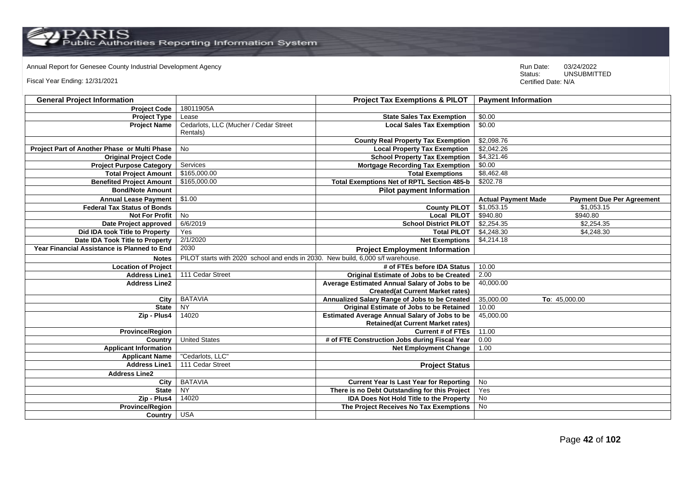# Annual Report for Genesee County Industrial Development Agency **Company of Connect Agency** Run Date: 03/24/2022<br>Status: UNSUBMIT

Fiscal Year Ending: 12/31/2021

| <b>General Project Information</b>           |                                                                                 | <b>Project Tax Exemptions &amp; PILOT</b>            | <b>Payment Information</b>                                     |
|----------------------------------------------|---------------------------------------------------------------------------------|------------------------------------------------------|----------------------------------------------------------------|
| <b>Project Code</b>                          | 18011905A                                                                       |                                                      |                                                                |
| <b>Project Type</b>                          | Lease                                                                           | <b>State Sales Tax Exemption</b>                     | \$0.00                                                         |
| <b>Project Name</b>                          | Cedarlots, LLC (Mucher / Cedar Street<br>Rentals)                               | <b>Local Sales Tax Exemption</b>                     | \$0.00                                                         |
|                                              |                                                                                 | <b>County Real Property Tax Exemption</b>            | \$2,098.76                                                     |
| Project Part of Another Phase or Multi Phase | <b>No</b>                                                                       | <b>Local Property Tax Exemption</b>                  | \$2,042.26                                                     |
| <b>Original Project Code</b>                 |                                                                                 | <b>School Property Tax Exemption</b>                 | \$4,321.46                                                     |
| <b>Project Purpose Category</b>              | Services                                                                        | <b>Mortgage Recording Tax Exemption</b>              | \$0.00                                                         |
| <b>Total Project Amount</b>                  | \$165,000.00                                                                    | <b>Total Exemptions</b>                              | \$8,462.48                                                     |
| <b>Benefited Project Amount</b>              | \$165,000.00                                                                    | <b>Total Exemptions Net of RPTL Section 485-b</b>    | \$202.78                                                       |
| <b>Bond/Note Amount</b>                      |                                                                                 | <b>Pilot payment Information</b>                     |                                                                |
| <b>Annual Lease Payment</b>                  | \$1.00                                                                          |                                                      | <b>Actual Payment Made</b><br><b>Payment Due Per Agreement</b> |
| <b>Federal Tax Status of Bonds</b>           |                                                                                 | <b>County PILOT</b>                                  | \$1,053.15<br>\$1,053.15                                       |
| <b>Not For Profit</b>                        | No                                                                              | Local PILOT                                          | \$940.80<br>\$940.80                                           |
| Date Project approved                        | 6/6/2019                                                                        | <b>School District PILOT</b>                         | \$2,254.35<br>\$2,254.35                                       |
| Did IDA took Title to Property               | Yes                                                                             | <b>Total PILOT</b>                                   | \$4,248.30<br>\$4,248.30                                       |
| Date IDA Took Title to Property              | 2/1/2020                                                                        | <b>Net Exemptions</b>                                | \$4,214.18                                                     |
| Year Financial Assistance is Planned to End  | 2030                                                                            | <b>Project Employment Information</b>                |                                                                |
| <b>Notes</b>                                 | PILOT starts with 2020 school and ends in 2030. New build, 6,000 s/f warehouse. |                                                      |                                                                |
| <b>Location of Project</b>                   |                                                                                 | # of FTEs before IDA Status                          | 10.00                                                          |
| <b>Address Line1</b>                         | 111 Cedar Street                                                                | <b>Original Estimate of Jobs to be Created</b>       | 2.00                                                           |
| <b>Address Line2</b>                         |                                                                                 | Average Estimated Annual Salary of Jobs to be        | 40,000.00                                                      |
|                                              |                                                                                 | <b>Created(at Current Market rates)</b>              |                                                                |
| City                                         | <b>BATAVIA</b>                                                                  | Annualized Salary Range of Jobs to be Created        | 35,000.00<br>To: 45,000.00                                     |
| <b>State</b>                                 | <b>NY</b>                                                                       | <b>Original Estimate of Jobs to be Retained</b>      | 10.00                                                          |
| Zip - Plus4                                  | 14020                                                                           | <b>Estimated Average Annual Salary of Jobs to be</b> | 45,000.00                                                      |
|                                              |                                                                                 | <b>Retained(at Current Market rates)</b>             |                                                                |
| Province/Region                              |                                                                                 | <b>Current # of FTEs</b>                             | 11.00                                                          |
| Country                                      | <b>United States</b>                                                            | # of FTE Construction Jobs during Fiscal Year        | 0.00                                                           |
| <b>Applicant Information</b>                 |                                                                                 | <b>Net Employment Change</b>                         | 1.00                                                           |
| <b>Applicant Name</b>                        | "Cedarlots, LLC"                                                                |                                                      |                                                                |
| <b>Address Line1</b>                         | 111 Cedar Street                                                                | <b>Project Status</b>                                |                                                                |
| <b>Address Line2</b>                         |                                                                                 |                                                      |                                                                |
| City                                         | <b>BATAVIA</b>                                                                  | <b>Current Year Is Last Year for Reporting</b>       | No                                                             |
| <b>State</b>                                 | NY                                                                              | There is no Debt Outstanding for this Project        | Yes                                                            |
| Zip - Plus4                                  | 14020                                                                           | IDA Does Not Hold Title to the Property              | <b>No</b>                                                      |
| <b>Province/Region</b>                       |                                                                                 | The Project Receives No Tax Exemptions               | No                                                             |
| Country USA                                  |                                                                                 |                                                      |                                                                |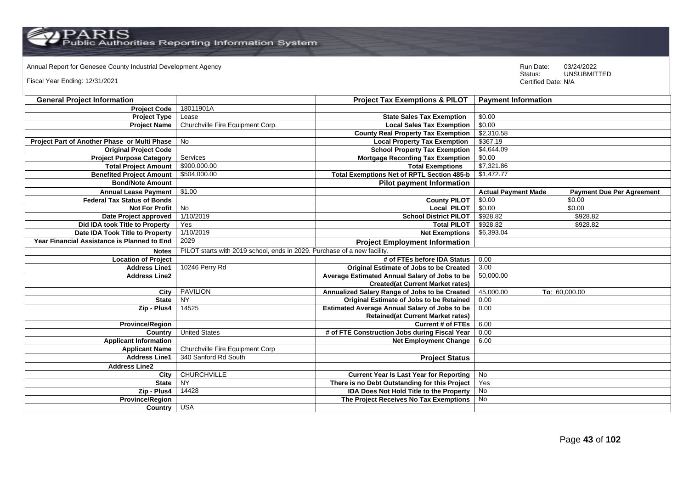$\operatorname{PARIS}_{\text{Public Authorities}\text{ Reporting Information System}}$ 

# Annual Report for Genesee County Industrial Development Agency **Company of Connect Agency** Run Date: 03/24/2022<br>Status: UNSUBMIT

Fiscal Year Ending: 12/31/2021

| <b>General Project Information</b>           |                                                                          | <b>Project Tax Exemptions &amp; PILOT</b>            | <b>Payment Information</b>                                     |
|----------------------------------------------|--------------------------------------------------------------------------|------------------------------------------------------|----------------------------------------------------------------|
| <b>Project Code</b>                          | 18011901A                                                                |                                                      |                                                                |
| <b>Project Type</b>                          | Lease                                                                    | <b>State Sales Tax Exemption</b>                     | \$0.00                                                         |
| <b>Project Name</b>                          | Churchville Fire Equipment Corp.                                         | <b>Local Sales Tax Exemption</b>                     | \$0.00                                                         |
|                                              |                                                                          | <b>County Real Property Tax Exemption</b>            | \$2,310.58                                                     |
| Project Part of Another Phase or Multi Phase | No                                                                       | <b>Local Property Tax Exemption</b>                  | \$367.19                                                       |
| <b>Original Project Code</b>                 |                                                                          | <b>School Property Tax Exemption</b>                 | \$4,644.09                                                     |
| <b>Project Purpose Category</b>              | Services                                                                 | <b>Mortgage Recording Tax Exemption</b>              | \$0.00                                                         |
| <b>Total Project Amount</b>                  | \$900,000.00                                                             | <b>Total Exemptions</b>                              | \$7,321.86                                                     |
| <b>Benefited Project Amount</b>              | \$504,000.00                                                             | <b>Total Exemptions Net of RPTL Section 485-b</b>    | \$1,472.77                                                     |
| <b>Bond/Note Amount</b>                      |                                                                          | <b>Pilot payment Information</b>                     |                                                                |
| <b>Annual Lease Payment</b>                  | \$1.00                                                                   |                                                      | <b>Actual Payment Made</b><br><b>Payment Due Per Agreement</b> |
| <b>Federal Tax Status of Bonds</b>           |                                                                          | <b>County PILOT</b>                                  | \$0.00<br>\$0.00                                               |
| <b>Not For Profit</b>                        | No                                                                       | <b>Local PILOT</b>                                   | \$0.00<br>\$0.00                                               |
| Date Project approved                        | 1/10/2019                                                                | <b>School District PILOT</b>                         | \$928.82<br>\$928.82                                           |
| Did IDA took Title to Property               | Yes                                                                      | <b>Total PILOT</b>                                   | \$928.82<br>\$928.82                                           |
| Date IDA Took Title to Property              | 1/10/2019                                                                | <b>Net Exemptions</b>                                | \$6,393.04                                                     |
| Year Financial Assistance is Planned to End  | 2029                                                                     | <b>Project Employment Information</b>                |                                                                |
| <b>Notes</b>                                 | PILOT starts with 2019 school, ends in 2029. Purchase of a new facility. |                                                      |                                                                |
| <b>Location of Project</b>                   |                                                                          | # of FTEs before IDA Status                          | 0.00                                                           |
| <b>Address Line1</b>                         | 10246 Perry Rd                                                           | Original Estimate of Jobs to be Created              | 3.00                                                           |
| <b>Address Line2</b>                         |                                                                          | Average Estimated Annual Salary of Jobs to be        | 50,000.00                                                      |
|                                              |                                                                          | <b>Created(at Current Market rates)</b>              |                                                                |
| City                                         | <b>PAVILION</b>                                                          | Annualized Salary Range of Jobs to be Created        | 45,000.00<br>To: 60,000.00                                     |
| <b>State</b>                                 | <b>NY</b>                                                                | <b>Original Estimate of Jobs to be Retained</b>      | 0.00                                                           |
| Zip - Plus4                                  | 14525                                                                    | <b>Estimated Average Annual Salary of Jobs to be</b> | 0.00                                                           |
|                                              |                                                                          | <b>Retained(at Current Market rates)</b>             |                                                                |
| <b>Province/Region</b>                       |                                                                          | <b>Current # of FTEs</b>                             | 6.00                                                           |
| Country                                      | <b>United States</b>                                                     | # of FTE Construction Jobs during Fiscal Year        | 0.00                                                           |
| <b>Applicant Information</b>                 |                                                                          | <b>Net Employment Change</b>                         | 6.00                                                           |
| <b>Applicant Name</b>                        | Churchville Fire Equipment Corp                                          |                                                      |                                                                |
| <b>Address Line1</b>                         | 340 Sanford Rd South                                                     | <b>Project Status</b>                                |                                                                |
| <b>Address Line2</b>                         |                                                                          |                                                      |                                                                |
| City                                         | <b>CHURCHVILLE</b>                                                       | <b>Current Year Is Last Year for Reporting</b>       | No                                                             |
| <b>State</b>                                 | NY                                                                       | There is no Debt Outstanding for this Project        | Yes                                                            |
| Zip - Plus4                                  | 14428                                                                    | IDA Does Not Hold Title to the Property              | No                                                             |
| <b>Province/Region</b>                       |                                                                          | The Project Receives No Tax Exemptions               | <b>No</b>                                                      |
| <b>Country</b>                               | <b>USA</b>                                                               |                                                      |                                                                |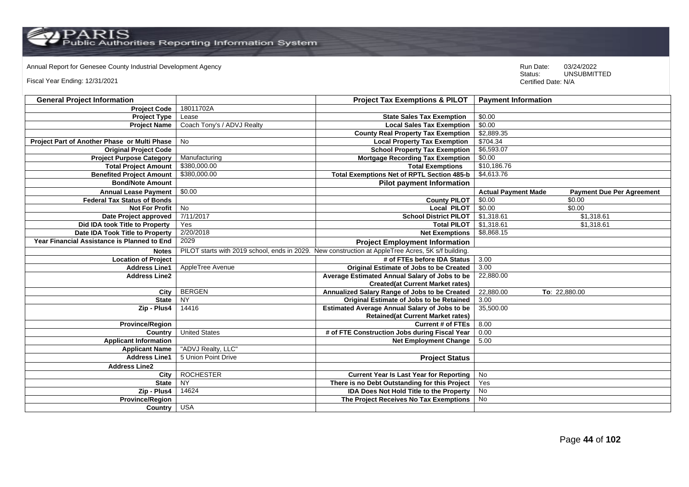# Annual Report for Genesee County Industrial Development Agency **Company of Connect Agency** Run Date: 03/24/2022<br>Status: UNSUBMIT

Fiscal Year Ending: 12/31/2021

| <b>General Project Information</b>           |                            | <b>Project Tax Exemptions &amp; PILOT</b>                                                          | <b>Payment Information</b>                                     |
|----------------------------------------------|----------------------------|----------------------------------------------------------------------------------------------------|----------------------------------------------------------------|
| <b>Project Code</b>                          | 18011702A                  |                                                                                                    |                                                                |
| <b>Project Type</b>                          | Lease                      | <b>State Sales Tax Exemption</b>                                                                   | \$0.00                                                         |
| <b>Project Name</b>                          | Coach Tony's / ADVJ Realty | <b>Local Sales Tax Exemption</b>                                                                   | \$0.00                                                         |
|                                              |                            | <b>County Real Property Tax Exemption</b>                                                          | \$2,889.35                                                     |
| Project Part of Another Phase or Multi Phase | <b>No</b>                  | <b>Local Property Tax Exemption</b>                                                                | \$704.34                                                       |
| <b>Original Project Code</b>                 |                            | <b>School Property Tax Exemption</b>                                                               | \$6,593.07                                                     |
| <b>Project Purpose Category</b>              | Manufacturing              | <b>Mortgage Recording Tax Exemption</b>                                                            | \$0.00                                                         |
| <b>Total Project Amount</b>                  | \$380,000.00               | <b>Total Exemptions</b>                                                                            | \$10,186.76                                                    |
| <b>Benefited Project Amount</b>              | \$380,000.00               | Total Exemptions Net of RPTL Section 485-b                                                         | \$4,613.76                                                     |
| <b>Bond/Note Amount</b>                      |                            | <b>Pilot payment Information</b>                                                                   |                                                                |
| <b>Annual Lease Payment</b>                  | \$0.00                     |                                                                                                    | <b>Actual Payment Made</b><br><b>Payment Due Per Agreement</b> |
| <b>Federal Tax Status of Bonds</b>           |                            | <b>County PILOT</b>                                                                                | \$0.00<br>\$0.00                                               |
| <b>Not For Profit</b>                        | <b>No</b>                  | <b>Local PILOT</b>                                                                                 | \$0.00<br>\$0.00                                               |
| Date Project approved                        | 7/11/2017                  | <b>School District PILOT</b>                                                                       | \$1,318.61<br>\$1,318.61                                       |
| Did IDA took Title to Property               | Yes                        | <b>Total PILOT</b>                                                                                 | \$1,318.61<br>\$1,318.61                                       |
| Date IDA Took Title to Property              | 2/20/2018                  | <b>Net Exemptions</b>                                                                              | \$8,868.15                                                     |
| Year Financial Assistance is Planned to End  | 2029                       | <b>Project Employment Information</b>                                                              |                                                                |
| <b>Notes</b>                                 |                            | PILOT starts with 2019 school, ends in 2029. New construction at AppleTree Acres, 5K s/f building. |                                                                |
| <b>Location of Project</b>                   |                            | # of FTEs before IDA Status                                                                        | 3.00                                                           |
| <b>Address Line1</b>                         | AppleTree Avenue           | Original Estimate of Jobs to be Created                                                            | 3.00                                                           |
| <b>Address Line2</b>                         |                            | Average Estimated Annual Salary of Jobs to be                                                      | 22,880.00                                                      |
|                                              |                            | <b>Created(at Current Market rates)</b>                                                            |                                                                |
| City                                         | <b>BERGEN</b>              | Annualized Salary Range of Jobs to be Created                                                      | 22,880.00<br>To: 22,880.00                                     |
| <b>State</b>                                 | <b>NY</b>                  | <b>Original Estimate of Jobs to be Retained</b>                                                    | 3.00                                                           |
| Zip - Plus4                                  | 14416                      | <b>Estimated Average Annual Salary of Jobs to be</b>                                               | 35,500.00                                                      |
|                                              |                            | <b>Retained(at Current Market rates)</b>                                                           |                                                                |
| <b>Province/Region</b>                       |                            | <b>Current # of FTEs</b>                                                                           | 8.00                                                           |
| Country                                      | <b>United States</b>       | # of FTE Construction Jobs during Fiscal Year                                                      | 0.00                                                           |
| <b>Applicant Information</b>                 |                            | <b>Net Employment Change</b>                                                                       | 5.00                                                           |
| <b>Applicant Name</b>                        | "ADVJ Realty, LLC"         |                                                                                                    |                                                                |
| <b>Address Line1</b>                         | 5 Union Point Drive        | <b>Project Status</b>                                                                              |                                                                |
| <b>Address Line2</b>                         |                            |                                                                                                    |                                                                |
| City                                         | <b>ROCHESTER</b>           | <b>Current Year Is Last Year for Reporting</b>                                                     | No                                                             |
| <b>State</b>                                 | <b>NY</b>                  | There is no Debt Outstanding for this Project                                                      | Yes                                                            |
| Zip - Plus4                                  | 14624                      | IDA Does Not Hold Title to the Property                                                            | No                                                             |
| <b>Province/Region</b>                       |                            | The Project Receives No Tax Exemptions                                                             | No                                                             |
| Country                                      | <b>USA</b>                 |                                                                                                    |                                                                |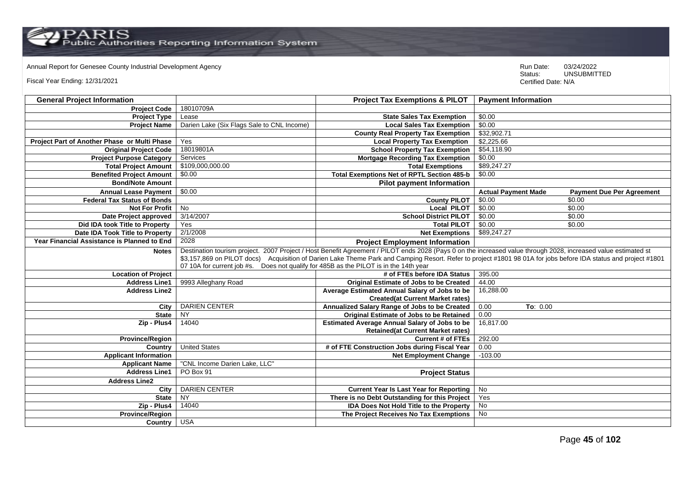# Annual Report for Genesee County Industrial Development Agency **Company of Connect Agency** Run Date: 03/24/2022<br>Status: UNSUBMIT

Fiscal Year Ending: 12/31/2021

| <b>General Project Information</b>           |                                                                                       | <b>Project Tax Exemptions &amp; PILOT</b>            | <b>Payment Information</b>                                                                                                                                      |
|----------------------------------------------|---------------------------------------------------------------------------------------|------------------------------------------------------|-----------------------------------------------------------------------------------------------------------------------------------------------------------------|
| <b>Project Code</b>                          | 18010709A                                                                             |                                                      |                                                                                                                                                                 |
| <b>Project Type</b>                          | Lease                                                                                 | <b>State Sales Tax Exemption</b>                     | \$0.00                                                                                                                                                          |
| <b>Project Name</b>                          | Darien Lake (Six Flags Sale to CNL Income)                                            | <b>Local Sales Tax Exemption</b>                     | \$0.00                                                                                                                                                          |
|                                              |                                                                                       | <b>County Real Property Tax Exemption</b>            | \$32,902.71                                                                                                                                                     |
| Project Part of Another Phase or Multi Phase | Yes                                                                                   | <b>Local Property Tax Exemption</b>                  | \$2,225.66                                                                                                                                                      |
| <b>Original Project Code</b>                 | 18019801A                                                                             | <b>School Property Tax Exemption</b>                 | \$54,118.90                                                                                                                                                     |
| <b>Project Purpose Category</b>              | Services                                                                              | <b>Mortgage Recording Tax Exemption</b>              | \$0.00                                                                                                                                                          |
| <b>Total Project Amount</b>                  | \$109,000,000.00                                                                      | <b>Total Exemptions</b>                              | \$89,247.27                                                                                                                                                     |
| <b>Benefited Project Amount</b>              | \$0.00                                                                                | <b>Total Exemptions Net of RPTL Section 485-b</b>    | \$0.00                                                                                                                                                          |
| <b>Bond/Note Amount</b>                      |                                                                                       | <b>Pilot payment Information</b>                     |                                                                                                                                                                 |
| <b>Annual Lease Payment</b>                  | \$0.00                                                                                |                                                      | <b>Actual Payment Made</b><br><b>Payment Due Per Agreement</b>                                                                                                  |
| <b>Federal Tax Status of Bonds</b>           |                                                                                       | <b>County PILOT</b>                                  | \$0.00<br>\$0.00                                                                                                                                                |
| <b>Not For Profit</b>                        | $\overline{N}$                                                                        | <b>Local PILOT</b>                                   | \$0.00<br>\$0.00                                                                                                                                                |
| Date Project approved                        | 3/14/2007                                                                             | <b>School District PILOT</b>                         | \$0.00<br>\$0.00                                                                                                                                                |
| Did IDA took Title to Property               | Yes                                                                                   | <b>Total PILOT</b>                                   | \$0.00<br>\$0.00                                                                                                                                                |
| Date IDA Took Title to Property              | 2/1/2008                                                                              | <b>Net Exemptions</b>                                | \$89,247.27                                                                                                                                                     |
| Year Financial Assistance is Planned to End  | 2028                                                                                  | <b>Project Employment Information</b>                |                                                                                                                                                                 |
| <b>Notes</b>                                 |                                                                                       |                                                      | Destination tourism project. 2007 Project / Host Benefit Agreement / PILOT ends 2028 (Pays 0 on the increased value through 2028, increased value estimated st  |
|                                              |                                                                                       |                                                      | \$3,157,869 on PILOT docs) Acquisition of Darien Lake Theme Park and Camping Resort. Refer to project #1801 98 01A for jobs before IDA status and project #1801 |
|                                              | 07 10A for current job #s. Does not qualify for 485B as the PILOT is in the 14th year |                                                      |                                                                                                                                                                 |
| <b>Location of Project</b>                   |                                                                                       | # of FTEs before IDA Status                          | 395.00                                                                                                                                                          |
| <b>Address Line1</b>                         | 9993 Alleghany Road                                                                   | <b>Original Estimate of Jobs to be Created</b>       | 44.00                                                                                                                                                           |
| <b>Address Line2</b>                         |                                                                                       | Average Estimated Annual Salary of Jobs to be        | 16,288.00                                                                                                                                                       |
|                                              |                                                                                       | <b>Created(at Current Market rates)</b>              |                                                                                                                                                                 |
| City                                         | <b>DARIEN CENTER</b>                                                                  | Annualized Salary Range of Jobs to be Created        | 0.00<br>To: 0.00                                                                                                                                                |
| <b>State</b>                                 | NY                                                                                    | Original Estimate of Jobs to be Retained             | 0.00                                                                                                                                                            |
| Zip - Plus4                                  | 14040                                                                                 | <b>Estimated Average Annual Salary of Jobs to be</b> | 16,817.00                                                                                                                                                       |
|                                              |                                                                                       | <b>Retained(at Current Market rates)</b>             |                                                                                                                                                                 |
| Province/Region                              |                                                                                       | <b>Current # of FTEs</b>                             | 292.00                                                                                                                                                          |
| Country                                      | <b>United States</b>                                                                  | # of FTE Construction Jobs during Fiscal Year        | 0.00                                                                                                                                                            |
| <b>Applicant Information</b>                 |                                                                                       | <b>Net Employment Change</b>                         | $-103.00$                                                                                                                                                       |
| <b>Applicant Name</b>                        | "CNL Income Darien Lake, LLC"                                                         |                                                      |                                                                                                                                                                 |
| <b>Address Line1</b>                         | PO Box 91                                                                             | <b>Project Status</b>                                |                                                                                                                                                                 |
| <b>Address Line2</b>                         |                                                                                       |                                                      |                                                                                                                                                                 |
| City                                         | <b>DARIEN CENTER</b>                                                                  | <b>Current Year Is Last Year for Reporting</b>       | <b>No</b>                                                                                                                                                       |
| <b>State</b>                                 | $\overline{NY}$                                                                       | There is no Debt Outstanding for this Project        | Yes                                                                                                                                                             |
| Zip - Plus4                                  | 14040                                                                                 | <b>IDA Does Not Hold Title to the Property</b>       | <b>No</b>                                                                                                                                                       |
| <b>Province/Region</b>                       |                                                                                       | The Project Receives No Tax Exemptions               | <b>No</b>                                                                                                                                                       |
| Country                                      | <b>USA</b>                                                                            |                                                      |                                                                                                                                                                 |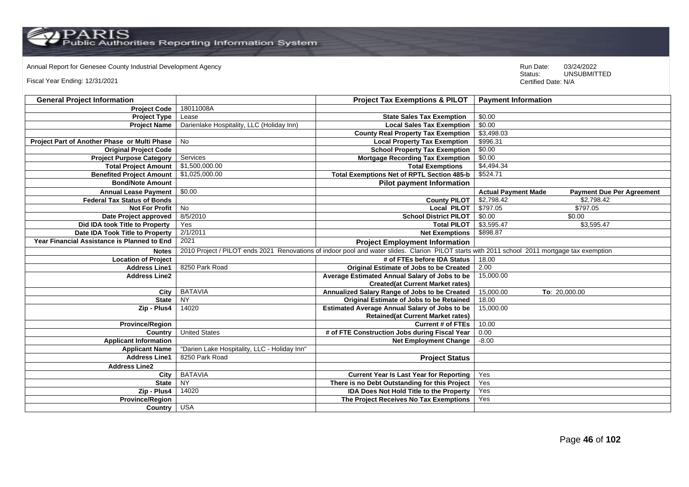# Annual Report for Genesee County Industrial Development Agency **Company of Connect Agency** Run Date: 03/24/2022<br>Status: UNSUBMIT

Fiscal Year Ending: 12/31/2021

| <b>General Project Information</b>           |                                              | <b>Project Tax Exemptions &amp; PILOT</b>                                                                                                     | <b>Payment Information</b>                                     |
|----------------------------------------------|----------------------------------------------|-----------------------------------------------------------------------------------------------------------------------------------------------|----------------------------------------------------------------|
| <b>Project Code</b>                          | 18011008A                                    |                                                                                                                                               |                                                                |
| <b>Project Type</b>                          | Lease                                        | <b>State Sales Tax Exemption</b>                                                                                                              | \$0.00                                                         |
| <b>Project Name</b>                          | Darienlake Hospitality, LLC (Holiday Inn)    | <b>Local Sales Tax Exemption</b>                                                                                                              | \$0.00                                                         |
|                                              |                                              | <b>County Real Property Tax Exemption</b>                                                                                                     | \$3,498.03                                                     |
| Project Part of Another Phase or Multi Phase | No                                           | <b>Local Property Tax Exemption</b>                                                                                                           | \$996.31                                                       |
| <b>Original Project Code</b>                 |                                              | <b>School Property Tax Exemption</b>                                                                                                          | \$0.00                                                         |
| <b>Project Purpose Category</b>              | Services                                     | <b>Mortgage Recording Tax Exemption</b>                                                                                                       | \$0.00                                                         |
| <b>Total Project Amount</b>                  | \$1,500,000.00                               | <b>Total Exemptions</b>                                                                                                                       | \$4,494.34                                                     |
| <b>Benefited Project Amount</b>              | \$1,025,000.00                               | <b>Total Exemptions Net of RPTL Section 485-b</b>                                                                                             | \$524.71                                                       |
| <b>Bond/Note Amount</b>                      |                                              | <b>Pilot payment Information</b>                                                                                                              |                                                                |
| <b>Annual Lease Payment</b>                  | \$0.00                                       |                                                                                                                                               | <b>Actual Payment Made</b><br><b>Payment Due Per Agreement</b> |
| <b>Federal Tax Status of Bonds</b>           |                                              | <b>County PILOT</b>   \$2,798.42                                                                                                              | \$2,798.42                                                     |
| <b>Not For Profit</b>                        | $\overline{N}$                               | Local PILOT                                                                                                                                   | \$797.05<br>\$797.05                                           |
| Date Project approved                        | 8/5/2010                                     | <b>School District PILOT</b>                                                                                                                  | \$0.00<br>\$0.00                                               |
| Did IDA took Title to Property               | Yes                                          | <b>Total PILOT</b>                                                                                                                            | \$3,595.47<br>\$3,595.47                                       |
| Date IDA Took Title to Property              | 2/1/2011                                     | <b>Net Exemptions</b>                                                                                                                         | \$898.87                                                       |
| Year Financial Assistance is Planned to End  | 2021                                         | <b>Project Employment Information</b>                                                                                                         |                                                                |
| <b>Notes</b>                                 |                                              | 2010 Project / PILOT ends 2021 Renovations of indoor pool and water slides. Clarion PILOT starts with 2011 school 2011 mortgage tax exemption |                                                                |
| <b>Location of Project</b>                   |                                              | # of FTEs before IDA Status                                                                                                                   | 18.00                                                          |
| <b>Address Line1</b>                         | 8250 Park Road                               | <b>Original Estimate of Jobs to be Created</b>                                                                                                | 2.00                                                           |
| <b>Address Line2</b>                         |                                              | Average Estimated Annual Salary of Jobs to be                                                                                                 | 15,000.00                                                      |
|                                              |                                              | <b>Created(at Current Market rates)</b>                                                                                                       |                                                                |
| City                                         | <b>BATAVIA</b>                               | Annualized Salary Range of Jobs to be Created                                                                                                 | 15,000.00<br>To: 20,000.00                                     |
| <b>State</b>                                 | <b>NY</b>                                    | <b>Original Estimate of Jobs to be Retained</b>                                                                                               | 18.00                                                          |
| Zip - Plus4                                  | 14020                                        | <b>Estimated Average Annual Salary of Jobs to be</b>                                                                                          | 15,000.00                                                      |
|                                              |                                              | <b>Retained(at Current Market rates)</b>                                                                                                      |                                                                |
| <b>Province/Region</b>                       |                                              | <b>Current # of FTEs</b>                                                                                                                      | 10.00                                                          |
| Country                                      | <b>United States</b>                         | # of FTE Construction Jobs during Fiscal Year                                                                                                 | 0.00                                                           |
| <b>Applicant Information</b>                 |                                              | <b>Net Employment Change</b>                                                                                                                  | $-8.00$                                                        |
| <b>Applicant Name</b>                        | "Darien Lake Hospitality, LLC - Holiday Inn" |                                                                                                                                               |                                                                |
| <b>Address Line1</b>                         | 8250 Park Road                               | <b>Project Status</b>                                                                                                                         |                                                                |
| <b>Address Line2</b>                         |                                              |                                                                                                                                               |                                                                |
| City                                         | <b>BATAVIA</b>                               | <b>Current Year Is Last Year for Reporting</b>                                                                                                | Yes                                                            |
| <b>State</b>                                 | NY                                           | There is no Debt Outstanding for this Project                                                                                                 | Yes                                                            |
| Zip - Plus4                                  | 14020                                        | IDA Does Not Hold Title to the Property                                                                                                       | Yes                                                            |
| <b>Province/Region</b>                       |                                              | The Project Receives No Tax Exemptions                                                                                                        | Yes                                                            |
| Country USA                                  |                                              |                                                                                                                                               |                                                                |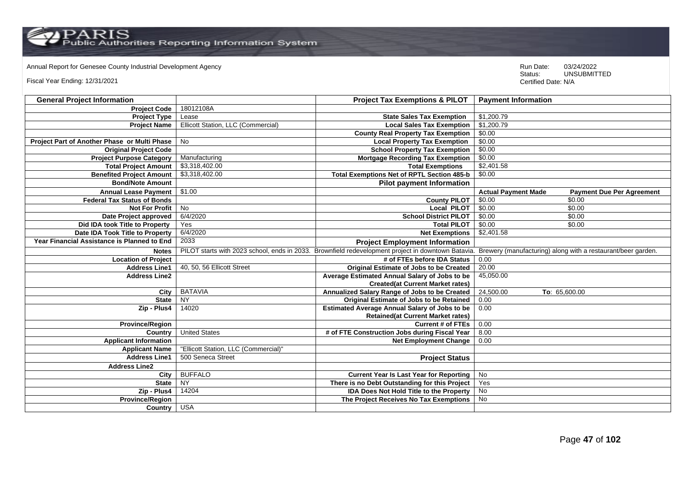$\mathrm{PARS} \ \mathrm{FMS}$ 

# Annual Report for Genesee County Industrial Development Agency **Company of Connect Agency** Run Date: 03/24/2022<br>Status: UNSUBMIT

Fiscal Year Ending: 12/31/2021

| <b>General Project Information</b>           |                                      | <b>Project Tax Exemptions &amp; PILOT</b>            | <b>Payment Information</b>                                                                                                                                      |
|----------------------------------------------|--------------------------------------|------------------------------------------------------|-----------------------------------------------------------------------------------------------------------------------------------------------------------------|
| <b>Project Code</b>                          | 18012108A                            |                                                      |                                                                                                                                                                 |
| <b>Project Type</b>                          | Lease                                | <b>State Sales Tax Exemption</b>                     | \$1,200.79                                                                                                                                                      |
| <b>Project Name</b>                          | Ellicott Station, LLC (Commercial)   | <b>Local Sales Tax Exemption</b>                     | \$1,200.79                                                                                                                                                      |
|                                              |                                      | <b>County Real Property Tax Exemption</b>            | \$0.00                                                                                                                                                          |
| Project Part of Another Phase or Multi Phase | No                                   | <b>Local Property Tax Exemption</b>                  | \$0.00                                                                                                                                                          |
| <b>Original Project Code</b>                 |                                      | <b>School Property Tax Exemption</b>                 | \$0.00                                                                                                                                                          |
| <b>Project Purpose Category</b>              | Manufacturing                        | <b>Mortgage Recording Tax Exemption</b>              | \$0.00                                                                                                                                                          |
| <b>Total Project Amount</b>                  | \$3,318,402.00                       | <b>Total Exemptions</b>                              | \$2,401.58                                                                                                                                                      |
| <b>Benefited Project Amount</b>              | \$3,318,402.00                       | <b>Total Exemptions Net of RPTL Section 485-b</b>    | \$0.00                                                                                                                                                          |
| <b>Bond/Note Amount</b>                      |                                      | <b>Pilot payment Information</b>                     |                                                                                                                                                                 |
| <b>Annual Lease Payment</b>                  | \$1.00                               |                                                      | <b>Actual Payment Made</b><br><b>Payment Due Per Agreement</b>                                                                                                  |
| <b>Federal Tax Status of Bonds</b>           |                                      | <b>County PILOT</b>                                  | \$0.00<br>\$0.00                                                                                                                                                |
| <b>Not For Profit</b>                        | $\overline{N}$                       | <b>Local PILOT</b>                                   | \$0.00<br>\$0.00                                                                                                                                                |
| Date Project approved                        | 6/4/2020                             | <b>School District PILOT</b>                         | \$0.00<br>\$0.00                                                                                                                                                |
| Did IDA took Title to Property               | Yes                                  | <b>Total PILOT</b>                                   | \$0.00<br>\$0.00                                                                                                                                                |
| Date IDA Took Title to Property              | 6/4/2020                             | <b>Net Exemptions</b>                                | \$2,401.58                                                                                                                                                      |
| Year Financial Assistance is Planned to End  | 2033                                 | <b>Project Employment Information</b>                |                                                                                                                                                                 |
| <b>Notes</b>                                 |                                      |                                                      | PILOT starts with 2023 school, ends in 2033. Brownfield redevelopment project in downtown Batavia. Brewery (manufacturing) along with a restaurant/beer garden. |
| <b>Location of Project</b>                   |                                      | # of FTEs before IDA Status                          | 0.00                                                                                                                                                            |
| <b>Address Line1</b>                         | 40, 50, 56 Ellicott Street           | Original Estimate of Jobs to be Created              | 20.00                                                                                                                                                           |
| <b>Address Line2</b>                         |                                      | Average Estimated Annual Salary of Jobs to be        | 45,050.00                                                                                                                                                       |
|                                              |                                      | <b>Created(at Current Market rates)</b>              |                                                                                                                                                                 |
| City                                         | <b>BATAVIA</b>                       | Annualized Salary Range of Jobs to be Created        | 24,500.00<br>To: 65,600.00                                                                                                                                      |
| <b>State</b>                                 | NY                                   | Original Estimate of Jobs to be Retained             | 0.00                                                                                                                                                            |
| Zip - Plus4                                  | 14020                                | <b>Estimated Average Annual Salary of Jobs to be</b> | 0.00                                                                                                                                                            |
|                                              |                                      | <b>Retained(at Current Market rates)</b>             |                                                                                                                                                                 |
| <b>Province/Region</b>                       |                                      | <b>Current # of FTEs</b>                             | 0.00                                                                                                                                                            |
| Country                                      | <b>United States</b>                 | # of FTE Construction Jobs during Fiscal Year        | 8.00                                                                                                                                                            |
| <b>Applicant Information</b>                 |                                      | <b>Net Employment Change</b>                         | 0.00                                                                                                                                                            |
| <b>Applicant Name</b>                        | "Ellicott Station, LLC (Commercial)" |                                                      |                                                                                                                                                                 |
| <b>Address Line1</b>                         | 500 Seneca Street                    | <b>Project Status</b>                                |                                                                                                                                                                 |
| <b>Address Line2</b>                         |                                      |                                                      |                                                                                                                                                                 |
| City                                         | <b>BUFFALO</b>                       | <b>Current Year Is Last Year for Reporting</b>       | No                                                                                                                                                              |
| <b>State</b>                                 | $\overline{NY}$                      | There is no Debt Outstanding for this Project        | Yes                                                                                                                                                             |
| Zip - Plus4                                  | 14204                                | <b>IDA Does Not Hold Title to the Property</b>       | No                                                                                                                                                              |
| <b>Province/Region</b>                       |                                      | The Project Receives No Tax Exemptions               | <b>No</b>                                                                                                                                                       |
| <b>Country</b>                               | <b>USA</b>                           |                                                      |                                                                                                                                                                 |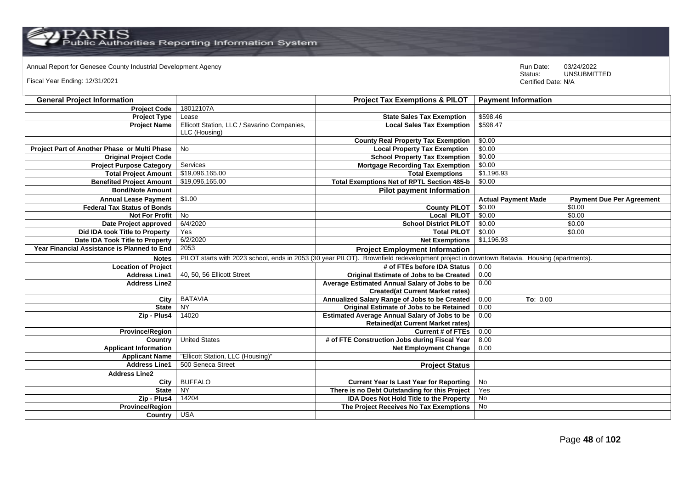# Annual Report for Genesee County Industrial Development Agency **Company of Connect Agency** Run Date: 03/24/2022<br>Status: UNSUBMIT

Fiscal Year Ending: 12/31/2021

| <b>General Project Information</b>           |                                             | <b>Project Tax Exemptions &amp; PILOT</b>                                                                                                | <b>Payment Information</b> |                                  |
|----------------------------------------------|---------------------------------------------|------------------------------------------------------------------------------------------------------------------------------------------|----------------------------|----------------------------------|
| <b>Project Code</b>                          | 18012107A                                   |                                                                                                                                          |                            |                                  |
| <b>Project Type</b>                          | Lease                                       | <b>State Sales Tax Exemption</b>                                                                                                         | \$598.46                   |                                  |
| <b>Project Name</b>                          | Ellicott Station, LLC / Savarino Companies, | <b>Local Sales Tax Exemption</b>                                                                                                         | \$598.47                   |                                  |
|                                              | LLC (Housing)                               |                                                                                                                                          |                            |                                  |
|                                              |                                             | <b>County Real Property Tax Exemption</b>                                                                                                | \$0.00                     |                                  |
| Project Part of Another Phase or Multi Phase | <b>No</b>                                   | <b>Local Property Tax Exemption</b>                                                                                                      | \$0.00                     |                                  |
| <b>Original Project Code</b>                 |                                             | <b>School Property Tax Exemption</b>                                                                                                     | \$0.00                     |                                  |
| <b>Project Purpose Category</b>              | Services                                    | <b>Mortgage Recording Tax Exemption</b>                                                                                                  | \$0.00                     |                                  |
| <b>Total Project Amount</b>                  | \$19,096,165.00                             | <b>Total Exemptions</b>                                                                                                                  | \$1,196.93                 |                                  |
| <b>Benefited Project Amount</b>              | \$19,096,165.00                             | <b>Total Exemptions Net of RPTL Section 485-b</b>                                                                                        | \$0.00                     |                                  |
| <b>Bond/Note Amount</b>                      |                                             | <b>Pilot payment Information</b>                                                                                                         |                            |                                  |
| <b>Annual Lease Payment</b>                  | \$1.00                                      |                                                                                                                                          | <b>Actual Payment Made</b> | <b>Payment Due Per Agreement</b> |
| <b>Federal Tax Status of Bonds</b>           |                                             | <b>County PILOT</b>                                                                                                                      | \$0.00                     | \$0.00                           |
| <b>Not For Profit</b>                        | $\overline{N}$                              | <b>Local PILOT</b>                                                                                                                       | \$0.00                     | \$0.00                           |
| Date Project approved                        | 6/4/2020                                    | <b>School District PILOT</b>                                                                                                             | \$0.00                     | \$0.00                           |
| Did IDA took Title to Property               | Yes                                         | <b>Total PILOT</b>                                                                                                                       | \$0.00                     | \$0.00                           |
| Date IDA Took Title to Property              | 6/2/2020                                    | <b>Net Exemptions</b>                                                                                                                    | \$1,196.93                 |                                  |
| Year Financial Assistance is Planned to End  | 2053                                        | <b>Project Employment Information</b>                                                                                                    |                            |                                  |
| <b>Notes</b>                                 |                                             | PILOT starts with 2023 school, ends in 2053 (30 year PILOT). Brownfield redevelopment project in downtown Batavia. Housing (apartments). |                            |                                  |
| <b>Location of Project</b>                   |                                             | # of FTEs before IDA Status                                                                                                              | 0.00                       |                                  |
| <b>Address Line1</b>                         | 40, 50, 56 Ellicott Street                  | <b>Original Estimate of Jobs to be Created</b>                                                                                           | 0.00                       |                                  |
| <b>Address Line2</b>                         |                                             | Average Estimated Annual Salary of Jobs to be                                                                                            | 0.00                       |                                  |
|                                              |                                             | <b>Created(at Current Market rates)</b>                                                                                                  |                            |                                  |
| City                                         | <b>BATAVIA</b>                              | Annualized Salary Range of Jobs to be Created                                                                                            | 0.00<br>To: 0.00           |                                  |
| <b>State</b>                                 | <b>NY</b>                                   | <b>Original Estimate of Jobs to be Retained</b>                                                                                          | 0.00                       |                                  |
| Zip - Plus4                                  | 14020                                       | <b>Estimated Average Annual Salary of Jobs to be</b>                                                                                     | 0.00                       |                                  |
|                                              |                                             | <b>Retained(at Current Market rates)</b>                                                                                                 |                            |                                  |
| <b>Province/Region</b>                       |                                             | <b>Current # of FTEs</b>                                                                                                                 | 0.00                       |                                  |
| Country                                      | <b>United States</b>                        | # of FTE Construction Jobs during Fiscal Year                                                                                            | 8.00                       |                                  |
| <b>Applicant Information</b>                 |                                             | <b>Net Employment Change</b>                                                                                                             | 0.00                       |                                  |
| <b>Applicant Name</b>                        | "Ellicott Station, LLC (Housing)"           |                                                                                                                                          |                            |                                  |
| <b>Address Line1</b>                         | 500 Seneca Street                           | <b>Project Status</b>                                                                                                                    |                            |                                  |
| <b>Address Line2</b>                         |                                             |                                                                                                                                          |                            |                                  |
| City                                         | <b>BUFFALO</b>                              | <b>Current Year Is Last Year for Reporting</b>                                                                                           | No                         |                                  |
| <b>State</b>                                 | <b>NY</b>                                   | There is no Debt Outstanding for this Project                                                                                            | Yes                        |                                  |
| Zip - Plus4                                  | 14204                                       | <b>IDA Does Not Hold Title to the Property</b>                                                                                           | <b>No</b>                  |                                  |
| <b>Province/Region</b>                       |                                             | The Project Receives No Tax Exemptions                                                                                                   | No                         |                                  |
| Country USA                                  |                                             |                                                                                                                                          |                            |                                  |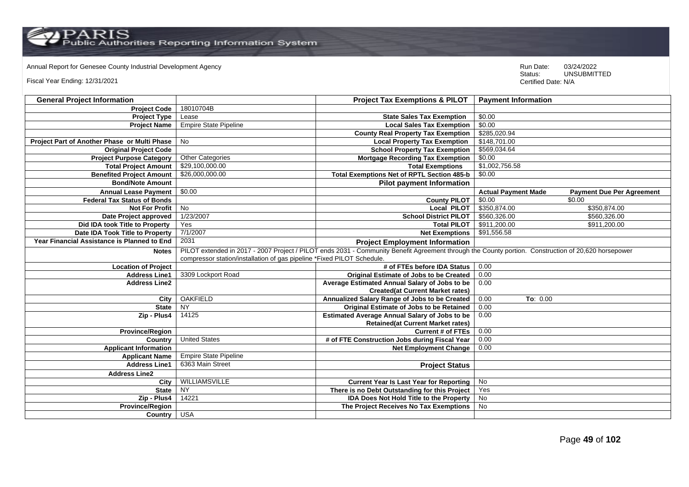Annual Report for Genesee County Industrial Development Agency **Company of Connect Agency** Run Date: 03/24/2022<br>Status: UNSUBMIT

Fiscal Year Ending: 12/31/2021

| <b>General Project Information</b>           |                                                                        | <b>Project Tax Exemptions &amp; PILOT</b>                                                                                                           | <b>Payment Information</b> |                                  |
|----------------------------------------------|------------------------------------------------------------------------|-----------------------------------------------------------------------------------------------------------------------------------------------------|----------------------------|----------------------------------|
| <b>Project Code</b>                          | 18010704B                                                              |                                                                                                                                                     |                            |                                  |
| <b>Project Type</b>                          | Lease                                                                  | <b>State Sales Tax Exemption</b>                                                                                                                    | \$0.00                     |                                  |
| <b>Project Name</b>                          | <b>Empire State Pipeline</b>                                           | <b>Local Sales Tax Exemption</b>                                                                                                                    | \$0.00                     |                                  |
|                                              |                                                                        | <b>County Real Property Tax Exemption</b>                                                                                                           | \$285,020.94               |                                  |
| Project Part of Another Phase or Multi Phase | No                                                                     | <b>Local Property Tax Exemption</b>                                                                                                                 | \$148,701.00               |                                  |
| <b>Original Project Code</b>                 |                                                                        | <b>School Property Tax Exemption</b>                                                                                                                | \$569,034.64               |                                  |
| <b>Project Purpose Category</b>              | <b>Other Categories</b>                                                | <b>Mortgage Recording Tax Exemption</b>                                                                                                             | \$0.00                     |                                  |
| <b>Total Project Amount</b>                  | \$29,100,000.00                                                        | <b>Total Exemptions</b>                                                                                                                             | \$1,002,756.58             |                                  |
| <b>Benefited Project Amount</b>              | \$26,000,000.00                                                        | <b>Total Exemptions Net of RPTL Section 485-b</b>                                                                                                   | \$0.00                     |                                  |
| <b>Bond/Note Amount</b>                      |                                                                        | <b>Pilot payment Information</b>                                                                                                                    |                            |                                  |
| <b>Annual Lease Payment</b>                  | \$0.00                                                                 |                                                                                                                                                     | <b>Actual Payment Made</b> | <b>Payment Due Per Agreement</b> |
| <b>Federal Tax Status of Bonds</b>           |                                                                        | <b>County PILOT</b>                                                                                                                                 | \$0.00                     | \$0.00                           |
| <b>Not For Profit</b>                        | No                                                                     | <b>Local PILOT</b>                                                                                                                                  | \$350,874.00               | \$350,874.00                     |
| Date Project approved                        | 1/23/2007                                                              | <b>School District PILOT</b>                                                                                                                        | \$560,326.00               | \$560,326.00                     |
| Did IDA took Title to Property               | Yes                                                                    | <b>Total PILOT</b>                                                                                                                                  | \$911,200.00               | \$911,200.00                     |
| Date IDA Took Title to Property              | 7/1/2007                                                               | <b>Net Exemptions</b>                                                                                                                               | \$91,556.58                |                                  |
| Year Financial Assistance is Planned to End  | 2031                                                                   | <b>Project Employment Information</b>                                                                                                               |                            |                                  |
| <b>Notes</b>                                 |                                                                        | PILOT extended in 2017 - 2007 Project / PILOT ends 2031 - Community Benefit Agreement through the County portion. Construction of 20,620 horsepower |                            |                                  |
|                                              | compressor station/installation of gas pipeline *Fixed PILOT Schedule. |                                                                                                                                                     |                            |                                  |
| <b>Location of Project</b>                   |                                                                        | # of FTEs before IDA Status                                                                                                                         | 0.00                       |                                  |
| <b>Address Line1</b>                         | 3309 Lockport Road                                                     | Original Estimate of Jobs to be Created                                                                                                             | 0.00                       |                                  |
| <b>Address Line2</b>                         |                                                                        | Average Estimated Annual Salary of Jobs to be                                                                                                       | 0.00                       |                                  |
|                                              |                                                                        | <b>Created(at Current Market rates)</b>                                                                                                             |                            |                                  |
| City                                         | <b>OAKFIELD</b>                                                        | Annualized Salary Range of Jobs to be Created                                                                                                       | 0.00<br>To: 0.00           |                                  |
| <b>State</b>                                 | <b>NY</b>                                                              | <b>Original Estimate of Jobs to be Retained</b>                                                                                                     | 0.00                       |                                  |
| Zip - Plus4                                  | 14125                                                                  | <b>Estimated Average Annual Salary of Jobs to be</b>                                                                                                | 0.00                       |                                  |
|                                              |                                                                        | <b>Retained(at Current Market rates)</b>                                                                                                            |                            |                                  |
| <b>Province/Region</b>                       |                                                                        | <b>Current # of FTEs</b>                                                                                                                            | 0.00                       |                                  |
| Country                                      | <b>United States</b>                                                   | # of FTE Construction Jobs during Fiscal Year                                                                                                       | 0.00                       |                                  |
| <b>Applicant Information</b>                 |                                                                        | <b>Net Employment Change</b>                                                                                                                        | 0.00                       |                                  |
| <b>Applicant Name</b>                        | <b>Empire State Pipeline</b>                                           |                                                                                                                                                     |                            |                                  |
| <b>Address Line1</b>                         | 6363 Main Street                                                       | <b>Project Status</b>                                                                                                                               |                            |                                  |
| <b>Address Line2</b>                         |                                                                        |                                                                                                                                                     |                            |                                  |
| City                                         | WILLIAMSVILLE                                                          | <b>Current Year Is Last Year for Reporting</b>                                                                                                      | <b>No</b>                  |                                  |
| <b>State</b>                                 | <b>NY</b>                                                              | There is no Debt Outstanding for this Project                                                                                                       | Yes                        |                                  |
| Zip - Plus4                                  | 14221                                                                  | <b>IDA Does Not Hold Title to the Property</b>                                                                                                      | <b>No</b>                  |                                  |
| <b>Province/Region</b>                       |                                                                        | The Project Receives No Tax Exemptions                                                                                                              | No                         |                                  |
| Country                                      | <b>USA</b>                                                             |                                                                                                                                                     |                            |                                  |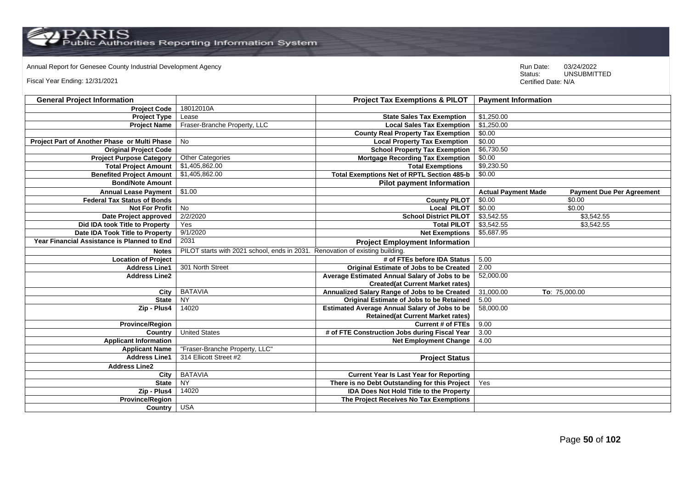$\operatorname{PARIS}_{\text{Public Authorities}\text{ Reporting Information System}}$ 

# Annual Report for Genesee County Industrial Development Agency **Company of Connect Agency** Run Date: 03/24/2022<br>Status: UNSUBMIT

Fiscal Year Ending: 12/31/2021

| <b>General Project Information</b>           |                                                                               | <b>Project Tax Exemptions &amp; PILOT</b>            | <b>Payment Information</b>                                     |
|----------------------------------------------|-------------------------------------------------------------------------------|------------------------------------------------------|----------------------------------------------------------------|
| <b>Project Code</b>                          | 18012010A                                                                     |                                                      |                                                                |
| <b>Project Type</b>                          | Lease                                                                         | <b>State Sales Tax Exemption</b>                     | \$1,250.00                                                     |
| <b>Project Name</b>                          | Fraser-Branche Property, LLC                                                  | <b>Local Sales Tax Exemption</b>                     | \$1,250.00                                                     |
|                                              |                                                                               | <b>County Real Property Tax Exemption</b>            | \$0.00                                                         |
| Project Part of Another Phase or Multi Phase | No                                                                            | <b>Local Property Tax Exemption</b>                  | \$0.00                                                         |
| <b>Original Project Code</b>                 |                                                                               | <b>School Property Tax Exemption</b>                 | \$6,730.50                                                     |
| <b>Project Purpose Category</b>              | <b>Other Categories</b>                                                       | <b>Mortgage Recording Tax Exemption</b>              | \$0.00                                                         |
| <b>Total Project Amount</b>                  | \$1,405,862.00                                                                | <b>Total Exemptions</b>                              | \$9,230.50                                                     |
| <b>Benefited Project Amount</b>              | \$1,405,862.00                                                                | <b>Total Exemptions Net of RPTL Section 485-b</b>    | \$0.00                                                         |
| <b>Bond/Note Amount</b>                      |                                                                               | <b>Pilot payment Information</b>                     |                                                                |
| <b>Annual Lease Payment</b>                  | \$1.00                                                                        |                                                      | <b>Actual Payment Made</b><br><b>Payment Due Per Agreement</b> |
| <b>Federal Tax Status of Bonds</b>           |                                                                               | <b>County PILOT</b>                                  | \$0.00<br>\$0.00                                               |
| <b>Not For Profit</b>                        | No                                                                            | <b>Local PILOT</b>                                   | \$0.00<br>\$0.00                                               |
| Date Project approved                        | 2/2/2020                                                                      | <b>School District PILOT</b>                         | \$3,542.55<br>\$3,542.55                                       |
| Did IDA took Title to Property               | Yes                                                                           | <b>Total PILOT</b>                                   | \$3,542.55<br>\$3,542.55                                       |
| Date IDA Took Title to Property              | 9/1/2020                                                                      | <b>Net Exemptions</b>                                | \$5,687.95                                                     |
| Year Financial Assistance is Planned to End  | 2031                                                                          | <b>Project Employment Information</b>                |                                                                |
| <b>Notes</b>                                 | PILOT starts with 2021 school, ends in 2031. Renovation of existing building. |                                                      |                                                                |
| <b>Location of Project</b>                   |                                                                               | # of FTEs before IDA Status                          | 5.00                                                           |
| <b>Address Line1</b>                         | 301 North Street                                                              | Original Estimate of Jobs to be Created              | 2.00                                                           |
| <b>Address Line2</b>                         |                                                                               | Average Estimated Annual Salary of Jobs to be        | 52,000.00                                                      |
|                                              |                                                                               | <b>Created(at Current Market rates)</b>              |                                                                |
| City                                         | <b>BATAVIA</b>                                                                | Annualized Salary Range of Jobs to be Created        | 31,000.00<br>To: 75,000.00                                     |
| <b>State</b>                                 | <b>NY</b>                                                                     | <b>Original Estimate of Jobs to be Retained</b>      | 5.00                                                           |
| Zip - Plus4                                  | 14020                                                                         | <b>Estimated Average Annual Salary of Jobs to be</b> | 58,000.00                                                      |
|                                              |                                                                               | <b>Retained(at Current Market rates)</b>             |                                                                |
| <b>Province/Region</b>                       |                                                                               | <b>Current # of FTEs</b>                             | 9.00                                                           |
| Country                                      | <b>United States</b>                                                          | # of FTE Construction Jobs during Fiscal Year        | 3.00                                                           |
| <b>Applicant Information</b>                 |                                                                               | <b>Net Employment Change</b>                         | 4.00                                                           |
| <b>Applicant Name</b>                        | "Fraser-Branche Property, LLC"                                                |                                                      |                                                                |
| <b>Address Line1</b>                         | 314 Ellicott Street #2                                                        | <b>Project Status</b>                                |                                                                |
| <b>Address Line2</b>                         |                                                                               |                                                      |                                                                |
| City                                         | <b>BATAVIA</b>                                                                | <b>Current Year Is Last Year for Reporting</b>       |                                                                |
| <b>State</b>                                 | NY                                                                            | There is no Debt Outstanding for this Project        | Yes                                                            |
| Zip - Plus4                                  | 14020                                                                         | IDA Does Not Hold Title to the Property              |                                                                |
| <b>Province/Region</b>                       |                                                                               | The Project Receives No Tax Exemptions               |                                                                |
| <b>Country</b>                               | <b>USA</b>                                                                    |                                                      |                                                                |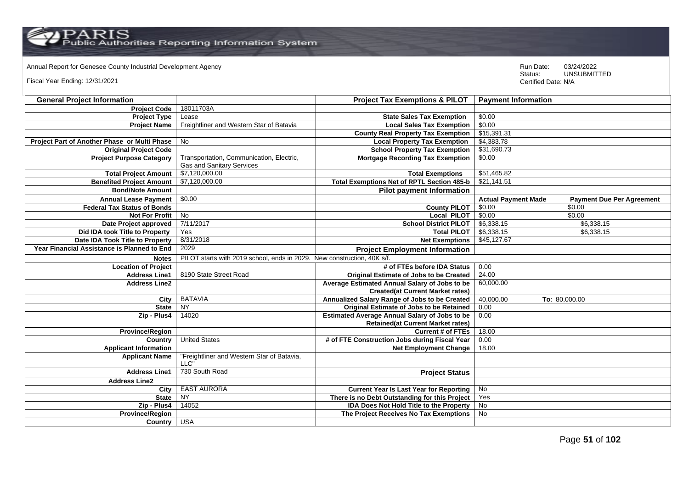$\operatorname{PARIS}_{\text{Public Authorities}\text{ Reporting Information System}}$ 

# Annual Report for Genesee County Industrial Development Agency **Company of Connect Agency** Run Date: 03/24/2022<br>Status: UNSUBMIT

Fiscal Year Ending: 12/31/2021

| <b>General Project Information</b>                 |                                                                              | <b>Project Tax Exemptions &amp; PILOT</b>            | <b>Payment Information</b>                                     |
|----------------------------------------------------|------------------------------------------------------------------------------|------------------------------------------------------|----------------------------------------------------------------|
| <b>Project Code</b>                                | 18011703A                                                                    |                                                      |                                                                |
| <b>Project Type</b>                                | Lease                                                                        | <b>State Sales Tax Exemption</b>                     | \$0.00                                                         |
| <b>Project Name</b>                                | Freightliner and Western Star of Batavia                                     | <b>Local Sales Tax Exemption</b>                     | \$0.00                                                         |
|                                                    |                                                                              | <b>County Real Property Tax Exemption</b>            | \$15,391.31                                                    |
| Project Part of Another Phase or Multi Phase       | No                                                                           | <b>Local Property Tax Exemption</b>                  | \$4,383.78                                                     |
| <b>Original Project Code</b>                       |                                                                              | <b>School Property Tax Exemption</b>                 | \$31,690.73                                                    |
| <b>Project Purpose Category</b>                    | Transportation, Communication, Electric,<br><b>Gas and Sanitary Services</b> | <b>Mortgage Recording Tax Exemption</b>              | \$0.00                                                         |
| <b>Total Project Amount</b>                        | \$7,120,000.00                                                               | <b>Total Exemptions</b>                              | \$51,465.82                                                    |
| <b>Benefited Project Amount</b>                    | \$7,120,000.00                                                               | <b>Total Exemptions Net of RPTL Section 485-b</b>    | \$21,141.51                                                    |
| <b>Bond/Note Amount</b>                            |                                                                              | <b>Pilot payment Information</b>                     |                                                                |
| <b>Annual Lease Payment</b>                        | \$0.00                                                                       |                                                      | <b>Actual Payment Made</b><br><b>Payment Due Per Agreement</b> |
| <b>Federal Tax Status of Bonds</b>                 |                                                                              | <b>County PILOT</b>                                  | \$0.00<br>\$0.00                                               |
| <b>Not For Profit</b>                              | No                                                                           | <b>Local PILOT</b>                                   | \$0.00<br>\$0.00                                               |
| Date Project approved                              | 7/11/2017                                                                    | <b>School District PILOT</b>                         | \$6,338.15<br>\$6,338.15                                       |
| Did IDA took Title to Property                     | Yes                                                                          | <b>Total PILOT</b>                                   | \$6,338.15<br>\$6,338.15                                       |
| Date IDA Took Title to Property                    | 8/31/2018                                                                    | <b>Net Exemptions</b>                                | \$45,127.67                                                    |
| <b>Year Financial Assistance is Planned to End</b> | 2029                                                                         | <b>Project Employment Information</b>                |                                                                |
| <b>Notes</b>                                       | PILOT starts with 2019 school, ends in 2029. New construction, 40K s/f.      |                                                      |                                                                |
| <b>Location of Project</b>                         |                                                                              | # of FTEs before IDA Status                          | 0.00                                                           |
| <b>Address Line1</b>                               | 8190 State Street Road                                                       | Original Estimate of Jobs to be Created              | 24.00                                                          |
| <b>Address Line2</b>                               |                                                                              | Average Estimated Annual Salary of Jobs to be        | 60,000.00                                                      |
|                                                    |                                                                              | <b>Created(at Current Market rates)</b>              |                                                                |
| City                                               | <b>BATAVIA</b>                                                               | Annualized Salary Range of Jobs to be Created        | 40,000.00<br>To: 80,000.00                                     |
| <b>State</b>                                       | <b>NY</b>                                                                    | Original Estimate of Jobs to be Retained             | 0.00                                                           |
| Zip - Plus4                                        | 14020                                                                        | <b>Estimated Average Annual Salary of Jobs to be</b> | 0.00                                                           |
|                                                    |                                                                              | <b>Retained(at Current Market rates)</b>             |                                                                |
| <b>Province/Region</b>                             |                                                                              | <b>Current # of FTEs</b>                             | 18.00                                                          |
| Country                                            | <b>United States</b>                                                         | # of FTE Construction Jobs during Fiscal Year        | 0.00                                                           |
| <b>Applicant Information</b>                       |                                                                              | <b>Net Employment Change</b>                         | 18.00                                                          |
| <b>Applicant Name</b>                              | "Freightliner and Western Star of Batavia,<br>LLC"                           |                                                      |                                                                |
| <b>Address Line1</b>                               | 730 South Road                                                               | <b>Project Status</b>                                |                                                                |
| <b>Address Line2</b>                               |                                                                              |                                                      |                                                                |
| City                                               | <b>EAST AURORA</b>                                                           | <b>Current Year Is Last Year for Reporting</b>       | No                                                             |
| <b>State</b>                                       | <b>NY</b>                                                                    | There is no Debt Outstanding for this Project        | Yes                                                            |
| Zip - Plus4                                        | 14052                                                                        | IDA Does Not Hold Title to the Property              | No                                                             |
| <b>Province/Region</b>                             |                                                                              | The Project Receives No Tax Exemptions               | No                                                             |
| Country                                            | <b>USA</b>                                                                   |                                                      |                                                                |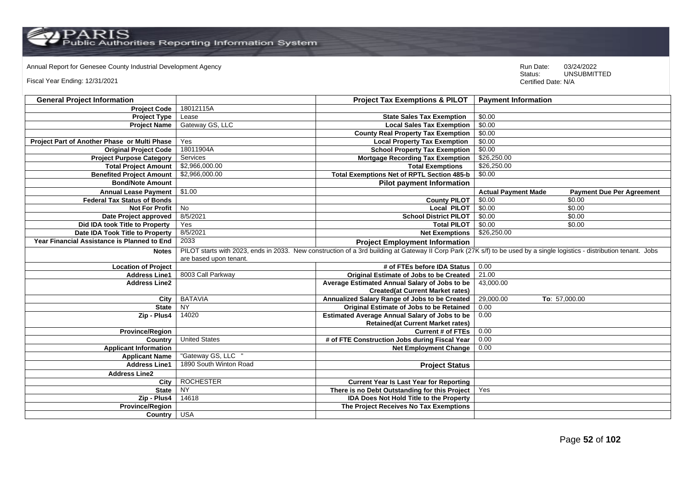# Annual Report for Genesee County Industrial Development Agency **Company of Connect Agency** Run Date: 03/24/2022<br>Status: UNSUBMIT

Fiscal Year Ending: 12/31/2021

| <b>General Project Information</b>                 |                        | <b>Project Tax Exemptions &amp; PILOT</b>                                                                                                                               | <b>Payment Information</b> |                                  |
|----------------------------------------------------|------------------------|-------------------------------------------------------------------------------------------------------------------------------------------------------------------------|----------------------------|----------------------------------|
| <b>Project Code</b>                                | 18012115A              |                                                                                                                                                                         |                            |                                  |
| <b>Project Type</b>                                | Lease                  | <b>State Sales Tax Exemption</b>                                                                                                                                        | \$0.00                     |                                  |
| <b>Project Name</b>                                | Gateway GS, LLC        | <b>Local Sales Tax Exemption</b>                                                                                                                                        | \$0.00                     |                                  |
|                                                    |                        | <b>County Real Property Tax Exemption</b>                                                                                                                               | \$0.00                     |                                  |
| Project Part of Another Phase or Multi Phase       | Yes                    | <b>Local Property Tax Exemption</b>                                                                                                                                     | \$0.00                     |                                  |
| <b>Original Project Code</b>                       | 18011904A              | <b>School Property Tax Exemption</b>                                                                                                                                    | \$0.00                     |                                  |
| <b>Project Purpose Category</b>                    | Services               | <b>Mortgage Recording Tax Exemption</b>                                                                                                                                 | \$26,250.00                |                                  |
| <b>Total Project Amount</b>                        | \$2,966,000.00         | <b>Total Exemptions</b>                                                                                                                                                 | \$26,250.00                |                                  |
| <b>Benefited Project Amount</b>                    | \$2,966,000.00         | <b>Total Exemptions Net of RPTL Section 485-b</b>                                                                                                                       | \$0.00                     |                                  |
| <b>Bond/Note Amount</b>                            |                        | <b>Pilot payment Information</b>                                                                                                                                        |                            |                                  |
| <b>Annual Lease Payment</b>                        | \$1.00                 |                                                                                                                                                                         | <b>Actual Payment Made</b> | <b>Payment Due Per Agreement</b> |
| <b>Federal Tax Status of Bonds</b>                 |                        | <b>County PILOT</b>                                                                                                                                                     | \$0.00                     | \$0.00                           |
| <b>Not For Profit</b>                              | No                     | <b>Local PILOT</b>                                                                                                                                                      | \$0.00                     | \$0.00                           |
| Date Project approved                              | 8/5/2021               | <b>School District PILOT</b>                                                                                                                                            | \$0.00                     | \$0.00                           |
| Did IDA took Title to Property                     | Yes                    | <b>Total PILOT</b>                                                                                                                                                      | \$0.00                     | \$0.00                           |
| Date IDA Took Title to Property                    | 8/5/2021               | <b>Net Exemptions</b>                                                                                                                                                   | \$26,250.00                |                                  |
| Year Financial Assistance is Planned to End        | 2033                   | <b>Project Employment Information</b>                                                                                                                                   |                            |                                  |
| <b>Notes</b>                                       |                        | PILOT starts with 2023, ends in 2033. New construction of a 3rd building at Gateway II Corp Park (27K s/f) to be used by a single logistics - distribution tenant. Jobs |                            |                                  |
|                                                    | are based upon tenant. | # of FTEs before IDA Status                                                                                                                                             | 0.00                       |                                  |
| <b>Location of Project</b><br><b>Address Line1</b> | 8003 Call Parkway      | Original Estimate of Jobs to be Created                                                                                                                                 | 21.00                      |                                  |
|                                                    |                        | Average Estimated Annual Salary of Jobs to be                                                                                                                           | 43,000.00                  |                                  |
| <b>Address Line2</b>                               |                        | <b>Created(at Current Market rates)</b>                                                                                                                                 |                            |                                  |
| City                                               | <b>BATAVIA</b>         | Annualized Salary Range of Jobs to be Created                                                                                                                           | 29,000.00<br>To: 57,000.00 |                                  |
| <b>State</b>                                       | <b>NY</b>              | Original Estimate of Jobs to be Retained                                                                                                                                | 0.00                       |                                  |
| Zip - Plus4                                        | 14020                  | <b>Estimated Average Annual Salary of Jobs to be</b>                                                                                                                    | 0.00                       |                                  |
|                                                    |                        | <b>Retained(at Current Market rates)</b>                                                                                                                                |                            |                                  |
| <b>Province/Region</b>                             |                        | <b>Current # of FTEs</b>                                                                                                                                                | 0.00                       |                                  |
| Country                                            | <b>United States</b>   | # of FTE Construction Jobs during Fiscal Year                                                                                                                           | 0.00                       |                                  |
| <b>Applicant Information</b>                       |                        | <b>Net Employment Change</b>                                                                                                                                            | 0.00                       |                                  |
| <b>Applicant Name</b>                              | "Gateway GS, LLC "     |                                                                                                                                                                         |                            |                                  |
| <b>Address Line1</b>                               | 1890 South Winton Road | <b>Project Status</b>                                                                                                                                                   |                            |                                  |
| <b>Address Line2</b>                               |                        |                                                                                                                                                                         |                            |                                  |
| City                                               | <b>ROCHESTER</b>       | <b>Current Year Is Last Year for Reporting</b>                                                                                                                          |                            |                                  |
| <b>State</b>                                       | <b>NY</b>              | There is no Debt Outstanding for this Project                                                                                                                           | Yes                        |                                  |
| Zip - Plus4                                        | 14618                  | <b>IDA Does Not Hold Title to the Property</b>                                                                                                                          |                            |                                  |
| <b>Province/Region</b>                             |                        | The Project Receives No Tax Exemptions                                                                                                                                  |                            |                                  |
| Country                                            | <b>USA</b>             |                                                                                                                                                                         |                            |                                  |
|                                                    |                        |                                                                                                                                                                         |                            |                                  |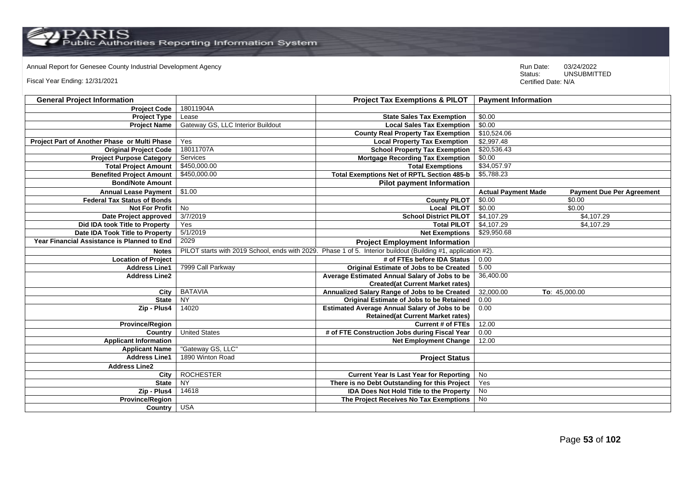$\operatorname{PARIS}_{\text{Public Authorities}\text{ Reporting Information System}}$ 

# Annual Report for Genesee County Industrial Development Agency **Company of Connect Agency** Run Date: 03/24/2022<br>Status: UNSUBMIT

Fiscal Year Ending: 12/31/2021

| <b>General Project Information</b>           |                                   | <b>Project Tax Exemptions &amp; PILOT</b>                                                                     | <b>Payment Information</b>                                     |
|----------------------------------------------|-----------------------------------|---------------------------------------------------------------------------------------------------------------|----------------------------------------------------------------|
| <b>Project Code</b>                          | 18011904A                         |                                                                                                               |                                                                |
| <b>Project Type</b>                          | Lease                             | <b>State Sales Tax Exemption</b>                                                                              | \$0.00                                                         |
| <b>Project Name</b>                          | Gateway GS, LLC Interior Buildout | <b>Local Sales Tax Exemption</b>                                                                              | \$0.00                                                         |
|                                              |                                   | <b>County Real Property Tax Exemption</b>                                                                     | \$10,524.06                                                    |
| Project Part of Another Phase or Multi Phase | Yes                               | <b>Local Property Tax Exemption</b>                                                                           | \$2,997.48                                                     |
| <b>Original Project Code</b>                 | 18011707A                         | <b>School Property Tax Exemption</b>                                                                          | \$20,536.43                                                    |
| <b>Project Purpose Category</b>              | Services                          | <b>Mortgage Recording Tax Exemption</b>                                                                       | \$0.00                                                         |
| <b>Total Project Amount</b>                  | \$450,000.00                      | <b>Total Exemptions</b>                                                                                       | \$34,057.97                                                    |
| <b>Benefited Project Amount</b>              | \$450,000.00                      | <b>Total Exemptions Net of RPTL Section 485-b</b>                                                             | \$5,788.23                                                     |
| <b>Bond/Note Amount</b>                      |                                   | <b>Pilot payment Information</b>                                                                              |                                                                |
| <b>Annual Lease Payment</b>                  | \$1.00                            |                                                                                                               | <b>Actual Payment Made</b><br><b>Payment Due Per Agreement</b> |
| <b>Federal Tax Status of Bonds</b>           |                                   | <b>County PILOT</b>                                                                                           | \$0.00<br>\$0.00                                               |
| <b>Not For Profit</b>                        | $\overline{N}$                    | <b>Local PILOT</b>                                                                                            | \$0.00<br>\$0.00                                               |
| Date Project approved                        | 3/7/2019                          | <b>School District PILOT</b>                                                                                  | \$4,107.29<br>\$4,107.29                                       |
| Did IDA took Title to Property               | Yes                               | <b>Total PILOT</b>                                                                                            | \$4,107.29<br>\$4,107.29                                       |
| Date IDA Took Title to Property              | 5/1/2019                          | <b>Net Exemptions</b>                                                                                         | \$29,950.68                                                    |
| Year Financial Assistance is Planned to End  | 2029                              | <b>Project Employment Information</b>                                                                         |                                                                |
| <b>Notes</b>                                 |                                   | PILOT starts with 2019 School, ends with 2029. Phase 1 of 5. Interior buildout (Building #1, application #2). |                                                                |
| <b>Location of Project</b>                   |                                   | # of FTEs before IDA Status                                                                                   | 0.00                                                           |
| <b>Address Line1</b>                         | 7999 Call Parkway                 | Original Estimate of Jobs to be Created                                                                       | 5.00                                                           |
| <b>Address Line2</b>                         |                                   | Average Estimated Annual Salary of Jobs to be                                                                 | 36,400.00                                                      |
|                                              |                                   | <b>Created(at Current Market rates)</b>                                                                       |                                                                |
| City                                         | <b>BATAVIA</b>                    | Annualized Salary Range of Jobs to be Created                                                                 | 32,000.00<br>To: 45,000.00                                     |
| <b>State</b>                                 | NY                                | <b>Original Estimate of Jobs to be Retained</b>                                                               | 0.00                                                           |
| Zip - Plus4                                  | 14020                             | <b>Estimated Average Annual Salary of Jobs to be</b>                                                          | 0.00                                                           |
|                                              |                                   | <b>Retained(at Current Market rates)</b>                                                                      |                                                                |
| <b>Province/Region</b>                       |                                   | <b>Current # of FTEs</b>                                                                                      | 12.00                                                          |
| Country                                      | <b>United States</b>              | # of FTE Construction Jobs during Fiscal Year                                                                 | 0.00                                                           |
| <b>Applicant Information</b>                 |                                   | <b>Net Employment Change</b>                                                                                  | 12.00                                                          |
| <b>Applicant Name</b>                        | "Gateway GS, LLC"                 |                                                                                                               |                                                                |
| <b>Address Line1</b>                         | 1890 Winton Road                  | <b>Project Status</b>                                                                                         |                                                                |
| <b>Address Line2</b>                         |                                   |                                                                                                               |                                                                |
| City                                         | <b>ROCHESTER</b>                  | <b>Current Year Is Last Year for Reporting</b>                                                                | No                                                             |
| <b>State</b>                                 | NY                                | There is no Debt Outstanding for this Project                                                                 | Yes                                                            |
| Zip - Plus4                                  | 14618                             | IDA Does Not Hold Title to the Property                                                                       | No                                                             |
| <b>Province/Region</b>                       |                                   | The Project Receives No Tax Exemptions                                                                        | No                                                             |
| Country                                      | <b>USA</b>                        |                                                                                                               |                                                                |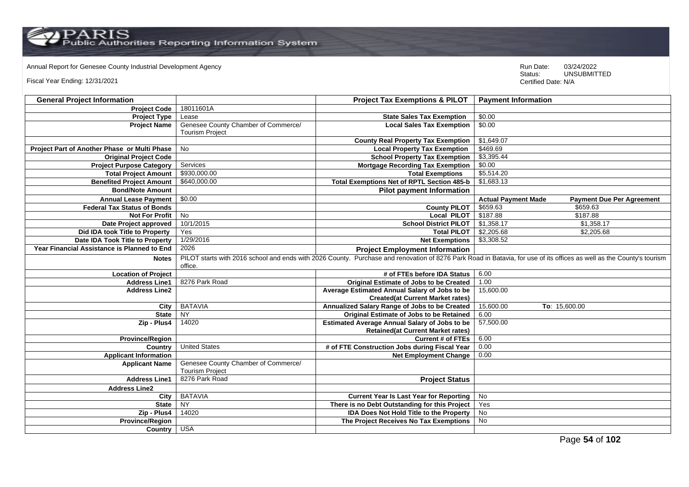$\operatorname{PARIS}_{\text{Public Authorities}\text{ Reporting Information System}}$ 

Annual Report for Genesee County Industrial Development Agency **Company of Connect Agency** Run Date: 03/24/2022<br>Status: UNSUBMIT

Fiscal Year Ending: 12/31/2021

UNSUBMITTED Certified Date: N/A

| <b>General Project Information</b>           |                                     | <b>Project Tax Exemptions &amp; PILOT</b>            | <b>Payment Information</b>                                                                                                                                            |
|----------------------------------------------|-------------------------------------|------------------------------------------------------|-----------------------------------------------------------------------------------------------------------------------------------------------------------------------|
| <b>Project Code</b>                          | 18011601A                           |                                                      |                                                                                                                                                                       |
| <b>Project Type</b>                          | Lease                               | <b>State Sales Tax Exemption</b>                     | \$0.00                                                                                                                                                                |
| <b>Project Name</b>                          | Genesee County Chamber of Commerce/ | <b>Local Sales Tax Exemption</b>                     | \$0.00                                                                                                                                                                |
|                                              | <b>Tourism Project</b>              |                                                      |                                                                                                                                                                       |
|                                              |                                     | <b>County Real Property Tax Exemption</b>            | \$1,649.07                                                                                                                                                            |
| Project Part of Another Phase or Multi Phase | <b>No</b>                           | <b>Local Property Tax Exemption</b>                  | \$469.69                                                                                                                                                              |
| <b>Original Project Code</b>                 |                                     | <b>School Property Tax Exemption</b>                 | \$3,395.44                                                                                                                                                            |
| <b>Project Purpose Category</b>              | Services                            | <b>Mortgage Recording Tax Exemption</b>              | \$0.00                                                                                                                                                                |
| <b>Total Project Amount</b>                  | \$930,000.00                        | <b>Total Exemptions</b>                              | \$5,514.20                                                                                                                                                            |
| <b>Benefited Project Amount</b>              | \$640,000.00                        | <b>Total Exemptions Net of RPTL Section 485-b</b>    | \$1,683.13                                                                                                                                                            |
| <b>Bond/Note Amount</b>                      |                                     | <b>Pilot payment Information</b>                     |                                                                                                                                                                       |
| <b>Annual Lease Payment</b>                  | \$0.00                              |                                                      | <b>Actual Payment Made</b><br><b>Payment Due Per Agreement</b>                                                                                                        |
| <b>Federal Tax Status of Bonds</b>           |                                     | <b>County PILOT</b>                                  | \$659.63<br>\$659.63                                                                                                                                                  |
| <b>Not For Profit</b>                        | $\overline{N}$                      | <b>Local PILOT</b>                                   | \$187.88<br>\$187.88                                                                                                                                                  |
| Date Project approved                        | 10/1/2015                           | <b>School District PILOT</b>                         | \$1,358.17<br>\$1,358.17                                                                                                                                              |
| Did IDA took Title to Property               | Yes                                 | <b>Total PILOT</b>                                   | \$2,205.68<br>\$2,205.68                                                                                                                                              |
| Date IDA Took Title to Property              | 1/29/2016                           | <b>Net Exemptions</b>                                | \$3,308.52                                                                                                                                                            |
| Year Financial Assistance is Planned to End  | 2026                                | <b>Project Employment Information</b>                |                                                                                                                                                                       |
| <b>Notes</b>                                 |                                     |                                                      | PILOT starts with 2016 school and ends with 2026 County. Purchase and renovation of 8276 Park Road in Batavia, for use of its offices as well as the County's tourism |
|                                              | office.                             |                                                      |                                                                                                                                                                       |
| <b>Location of Project</b>                   |                                     | # of FTEs before IDA Status                          | 6.00                                                                                                                                                                  |
| <b>Address Line1</b>                         | 8276 Park Road                      | <b>Original Estimate of Jobs to be Created</b>       | 1.00                                                                                                                                                                  |
| <b>Address Line2</b>                         |                                     | Average Estimated Annual Salary of Jobs to be        | 15,600.00                                                                                                                                                             |
|                                              |                                     | <b>Created(at Current Market rates)</b>              |                                                                                                                                                                       |
| City                                         | <b>BATAVIA</b>                      | Annualized Salary Range of Jobs to be Created        | 15,600.00<br>To: 15,600.00                                                                                                                                            |
| <b>State</b>                                 | <b>NY</b>                           | Original Estimate of Jobs to be Retained             | 6.00                                                                                                                                                                  |
| Zip - Plus4                                  | 14020                               | <b>Estimated Average Annual Salary of Jobs to be</b> | 57,500.00                                                                                                                                                             |
|                                              |                                     | <b>Retained(at Current Market rates)</b>             |                                                                                                                                                                       |
| <b>Province/Region</b>                       |                                     | Current # of FTEs                                    | 6.00                                                                                                                                                                  |
| Country                                      | <b>United States</b>                | # of FTE Construction Jobs during Fiscal Year        | 0.00                                                                                                                                                                  |
| <b>Applicant Information</b>                 |                                     | <b>Net Employment Change</b>                         | 0.00                                                                                                                                                                  |
| <b>Applicant Name</b>                        | Genesee County Chamber of Commerce/ |                                                      |                                                                                                                                                                       |
|                                              | <b>Tourism Project</b>              |                                                      |                                                                                                                                                                       |
| <b>Address Line1</b>                         | 8276 Park Road                      | <b>Project Status</b>                                |                                                                                                                                                                       |
| <b>Address Line2</b>                         |                                     |                                                      |                                                                                                                                                                       |
| City                                         | <b>BATAVIA</b>                      | <b>Current Year Is Last Year for Reporting</b>       | <b>No</b>                                                                                                                                                             |
| <b>State</b>                                 | <b>NY</b>                           | There is no Debt Outstanding for this Project        | Yes                                                                                                                                                                   |
| Zip - Plus4                                  | 14020                               | IDA Does Not Hold Title to the Property              | <b>No</b>                                                                                                                                                             |
| <b>Province/Region</b>                       |                                     | The Project Receives No Tax Exemptions               | <b>No</b>                                                                                                                                                             |
| <b>Country</b>                               | <b>USA</b>                          |                                                      |                                                                                                                                                                       |

Page **54** of **102**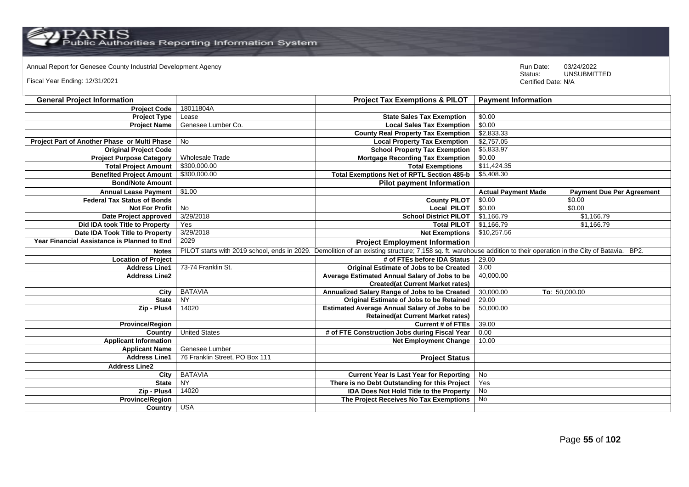Annual Report for Genesee County Industrial Development Agency **Company of Connect Agency** Run Date: 03/24/2022<br>Status: UNSUBMIT

Fiscal Year Ending: 12/31/2021

| <b>General Project Information</b>           |                                | <b>Project Tax Exemptions &amp; PILOT</b>            | <b>Payment Information</b>                                                                                                                                         |
|----------------------------------------------|--------------------------------|------------------------------------------------------|--------------------------------------------------------------------------------------------------------------------------------------------------------------------|
| <b>Project Code</b>                          | 18011804A                      |                                                      |                                                                                                                                                                    |
| <b>Project Type</b>                          | Lease                          | <b>State Sales Tax Exemption</b>                     | \$0.00                                                                                                                                                             |
| <b>Project Name</b>                          | Genesee Lumber Co.             | <b>Local Sales Tax Exemption</b>                     | \$0.00                                                                                                                                                             |
|                                              |                                | <b>County Real Property Tax Exemption</b>            | \$2,833.33                                                                                                                                                         |
| Project Part of Another Phase or Multi Phase | <b>No</b>                      | <b>Local Property Tax Exemption</b>                  | \$2,757.05                                                                                                                                                         |
| <b>Original Project Code</b>                 |                                | <b>School Property Tax Exemption</b>                 | \$5,833.97                                                                                                                                                         |
| <b>Project Purpose Category</b>              | <b>Wholesale Trade</b>         | <b>Mortgage Recording Tax Exemption</b>              | \$0.00                                                                                                                                                             |
| <b>Total Project Amount</b>                  | \$300,000.00                   | <b>Total Exemptions</b>                              | \$11,424.35                                                                                                                                                        |
| <b>Benefited Project Amount</b>              | \$300,000.00                   | <b>Total Exemptions Net of RPTL Section 485-b</b>    | \$5,408.30                                                                                                                                                         |
| <b>Bond/Note Amount</b>                      |                                | <b>Pilot payment Information</b>                     |                                                                                                                                                                    |
| <b>Annual Lease Payment</b>                  | \$1.00                         |                                                      | <b>Actual Payment Made</b><br><b>Payment Due Per Agreement</b>                                                                                                     |
| <b>Federal Tax Status of Bonds</b>           |                                | <b>County PILOT</b>                                  | \$0.00<br>\$0.00                                                                                                                                                   |
| <b>Not For Profit</b>                        | No                             | <b>Local PILOT</b>                                   | \$0.00<br>\$0.00                                                                                                                                                   |
| Date Project approved                        | 3/29/2018                      | <b>School District PILOT</b>                         | \$1,166.79<br>\$1,166.79                                                                                                                                           |
| Did IDA took Title to Property               | Yes                            | <b>Total PILOT</b>                                   | \$1,166.79<br>\$1,166.79                                                                                                                                           |
| Date IDA Took Title to Property              | 3/29/2018                      | <b>Net Exemptions</b>                                | \$10,257.56                                                                                                                                                        |
| Year Financial Assistance is Planned to End  | 2029                           | <b>Project Employment Information</b>                |                                                                                                                                                                    |
| <b>Notes</b>                                 |                                |                                                      | PILOT starts with 2019 school, ends in 2029. Demolition of an existing structure; 7,158 sq. ft. warehouse addition to their operation in the City of Batavia. BP2. |
| <b>Location of Project</b>                   |                                | # of FTEs before IDA Status                          | 29.00                                                                                                                                                              |
| <b>Address Line1</b>                         | 73-74 Franklin St.             | <b>Original Estimate of Jobs to be Created</b>       | 3.00                                                                                                                                                               |
| <b>Address Line2</b>                         |                                | Average Estimated Annual Salary of Jobs to be        | 40,000.00                                                                                                                                                          |
|                                              |                                | <b>Created(at Current Market rates)</b>              |                                                                                                                                                                    |
| City                                         | <b>BATAVIA</b>                 | Annualized Salary Range of Jobs to be Created        | 30,000.00<br>To: 50,000.00                                                                                                                                         |
| <b>State</b>                                 | NY                             | Original Estimate of Jobs to be Retained             | 29.00                                                                                                                                                              |
| Zip - Plus4                                  | 14020                          | <b>Estimated Average Annual Salary of Jobs to be</b> | 50,000.00                                                                                                                                                          |
|                                              |                                | <b>Retained(at Current Market rates)</b>             |                                                                                                                                                                    |
| <b>Province/Region</b>                       |                                | <b>Current # of FTEs</b>                             | 39.00                                                                                                                                                              |
| Country                                      | <b>United States</b>           | # of FTE Construction Jobs during Fiscal Year        | 0.00                                                                                                                                                               |
| <b>Applicant Information</b>                 |                                | <b>Net Employment Change</b>                         | 10.00                                                                                                                                                              |
| <b>Applicant Name</b>                        | Genesee Lumber                 |                                                      |                                                                                                                                                                    |
| <b>Address Line1</b>                         | 76 Franklin Street, PO Box 111 | <b>Project Status</b>                                |                                                                                                                                                                    |
| <b>Address Line2</b>                         |                                |                                                      |                                                                                                                                                                    |
| City                                         | <b>BATAVIA</b>                 | Current Year Is Last Year for Reporting              | No                                                                                                                                                                 |
| <b>State</b>                                 | <b>NY</b>                      | There is no Debt Outstanding for this Project        | Yes                                                                                                                                                                |
| Zip - Plus4                                  | 14020                          | IDA Does Not Hold Title to the Property              | <b>No</b>                                                                                                                                                          |
| <b>Province/Region</b>                       |                                | The Project Receives No Tax Exemptions               | <b>No</b>                                                                                                                                                          |
| Country USA                                  |                                |                                                      |                                                                                                                                                                    |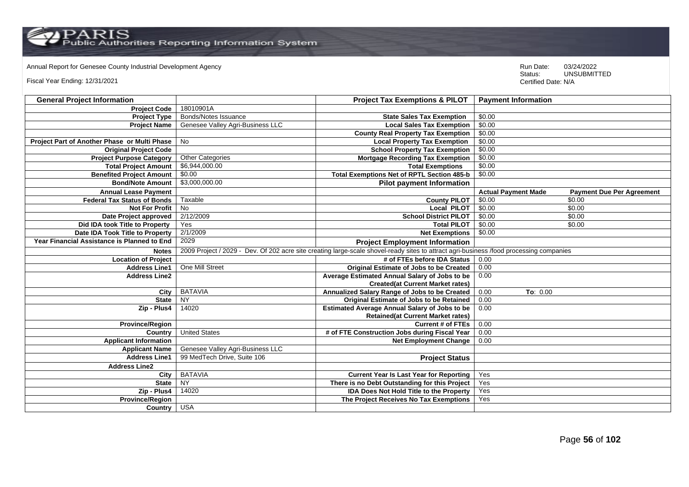$\mathrm{PARS} \ \mathrm{PARS}$ 

# Annual Report for Genesee County Industrial Development Agency **Company of Connect Agency** Run Date: 03/24/2022<br>Status: UNSUBMIT

Fiscal Year Ending: 12/31/2021

| <b>General Project Information</b>           |                                  | <b>Project Tax Exemptions &amp; PILOT</b>                                                                                               | <b>Payment Information</b>                                     |
|----------------------------------------------|----------------------------------|-----------------------------------------------------------------------------------------------------------------------------------------|----------------------------------------------------------------|
| <b>Project Code</b>                          | 18010901A                        |                                                                                                                                         |                                                                |
| <b>Project Type</b>                          | <b>Bonds/Notes Issuance</b>      | <b>State Sales Tax Exemption</b>                                                                                                        | \$0.00                                                         |
| <b>Project Name</b>                          | Genesee Valley Agri-Business LLC | <b>Local Sales Tax Exemption</b>                                                                                                        | \$0.00                                                         |
|                                              |                                  | <b>County Real Property Tax Exemption</b>                                                                                               | \$0.00                                                         |
| Project Part of Another Phase or Multi Phase | <b>No</b>                        | <b>Local Property Tax Exemption</b>                                                                                                     | \$0.00                                                         |
| <b>Original Project Code</b>                 |                                  | <b>School Property Tax Exemption</b>                                                                                                    | \$0.00                                                         |
| <b>Project Purpose Category</b>              | <b>Other Categories</b>          | <b>Mortgage Recording Tax Exemption</b>                                                                                                 | \$0.00                                                         |
| <b>Total Project Amount</b>                  | \$6,944,000.00                   | <b>Total Exemptions</b>                                                                                                                 | \$0.00                                                         |
| <b>Benefited Project Amount</b>              | \$0.00                           | <b>Total Exemptions Net of RPTL Section 485-b</b>                                                                                       | \$0.00                                                         |
| <b>Bond/Note Amount</b>                      | \$3,000,000.00                   | <b>Pilot payment Information</b>                                                                                                        |                                                                |
| <b>Annual Lease Payment</b>                  |                                  |                                                                                                                                         | <b>Actual Payment Made</b><br><b>Payment Due Per Agreement</b> |
| <b>Federal Tax Status of Bonds</b>           | Taxable                          | <b>County PILOT</b>                                                                                                                     | \$0.00<br>\$0.00                                               |
| <b>Not For Profit</b>                        | <b>No</b>                        | <b>Local PILOT</b>                                                                                                                      | \$0.00<br>\$0.00                                               |
| Date Project approved                        | 2/12/2009                        | <b>School District PILOT</b>                                                                                                            | \$0.00<br>\$0.00                                               |
| Did IDA took Title to Property               | Yes                              | <b>Total PILOT</b>                                                                                                                      | \$0.00<br>\$0.00                                               |
| Date IDA Took Title to Property              | 2/1/2009                         | <b>Net Exemptions</b>                                                                                                                   | \$0.00                                                         |
| Year Financial Assistance is Planned to End  | 2029                             | <b>Project Employment Information</b>                                                                                                   |                                                                |
| <b>Notes</b>                                 |                                  | 2009 Project / 2029 - Dev. Of 202 acre site creating large-scale shovel-ready sites to attract agri-business /food processing companies |                                                                |
| <b>Location of Project</b>                   |                                  | # of FTEs before IDA Status                                                                                                             | 0.00                                                           |
| <b>Address Line1</b>                         | One Mill Street                  | Original Estimate of Jobs to be Created                                                                                                 | 0.00                                                           |
| <b>Address Line2</b>                         |                                  | Average Estimated Annual Salary of Jobs to be                                                                                           | 0.00                                                           |
|                                              |                                  | <b>Created(at Current Market rates)</b>                                                                                                 |                                                                |
| City                                         | <b>BATAVIA</b>                   | Annualized Salary Range of Jobs to be Created                                                                                           | 0.00<br>To: 0.00                                               |
| <b>State</b>                                 | <b>NY</b>                        | Original Estimate of Jobs to be Retained                                                                                                | 0.00                                                           |
| Zip - Plus4                                  | 14020                            | <b>Estimated Average Annual Salary of Jobs to be</b>                                                                                    | 0.00                                                           |
|                                              |                                  | <b>Retained(at Current Market rates)</b>                                                                                                |                                                                |
| <b>Province/Region</b>                       |                                  | <b>Current # of FTEs</b>                                                                                                                | 0.00                                                           |
| Country                                      | <b>United States</b>             | # of FTE Construction Jobs during Fiscal Year                                                                                           | 0.00                                                           |
| <b>Applicant Information</b>                 |                                  | <b>Net Employment Change</b>                                                                                                            | 0.00                                                           |
| <b>Applicant Name</b>                        | Genesee Valley Agri-Business LLC |                                                                                                                                         |                                                                |
| <b>Address Line1</b>                         | 99 MedTech Drive, Suite 106      | <b>Project Status</b>                                                                                                                   |                                                                |
| <b>Address Line2</b>                         |                                  |                                                                                                                                         |                                                                |
| City                                         | <b>BATAVIA</b>                   | <b>Current Year Is Last Year for Reporting</b>                                                                                          | Yes                                                            |
| <b>State</b>                                 | $\overline{NY}$                  | There is no Debt Outstanding for this Project                                                                                           | Yes                                                            |
| Zip - Plus4                                  | 14020                            | <b>IDA Does Not Hold Title to the Property</b>                                                                                          | Yes                                                            |
| <b>Province/Region</b>                       |                                  | The Project Receives No Tax Exemptions                                                                                                  | Yes                                                            |
| Country                                      | <b>USA</b>                       |                                                                                                                                         |                                                                |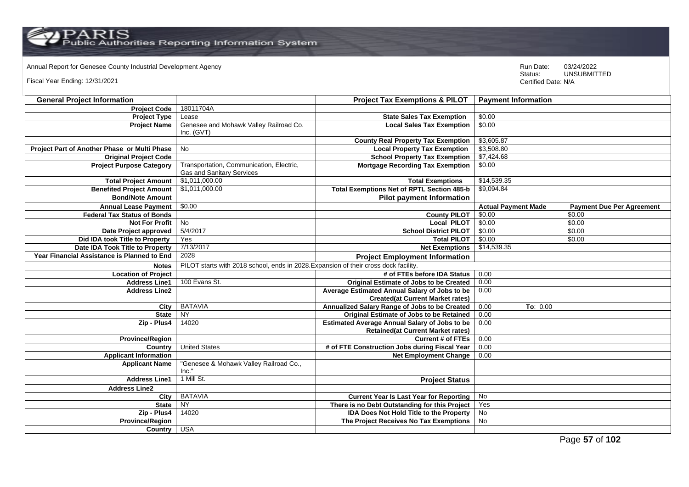# Annual Report for Genesee County Industrial Development Agency **Company of Connect Agency** Run Date: 03/24/2022<br>Status: UNSUBMIT

Fiscal Year Ending: 12/31/2021

| <b>General Project Information</b>           |                                                                                      | <b>Project Tax Exemptions &amp; PILOT</b>                                   | <b>Payment Information</b> |                                  |
|----------------------------------------------|--------------------------------------------------------------------------------------|-----------------------------------------------------------------------------|----------------------------|----------------------------------|
| <b>Project Code</b>                          | 18011704A                                                                            |                                                                             |                            |                                  |
| <b>Project Type</b>                          | Lease                                                                                | <b>State Sales Tax Exemption</b>                                            | \$0.00                     |                                  |
| <b>Project Name</b>                          | Genesee and Mohawk Valley Railroad Co.                                               | <b>Local Sales Tax Exemption</b>                                            | \$0.00                     |                                  |
|                                              | Inc. (GVT)                                                                           |                                                                             |                            |                                  |
| Project Part of Another Phase or Multi Phase | No                                                                                   | <b>County Real Property Tax Exemption</b>                                   | \$3,605.87<br>\$3,508.80   |                                  |
| <b>Original Project Code</b>                 |                                                                                      | <b>Local Property Tax Exemption</b><br><b>School Property Tax Exemption</b> | \$7,424.68                 |                                  |
|                                              | Transportation, Communication, Electric,                                             |                                                                             | \$0.00                     |                                  |
| <b>Project Purpose Category</b>              | <b>Gas and Sanitary Services</b>                                                     | <b>Mortgage Recording Tax Exemption</b>                                     |                            |                                  |
| <b>Total Project Amount</b>                  | \$1,011,000.00                                                                       | <b>Total Exemptions</b>                                                     | \$14,539.35                |                                  |
| <b>Benefited Project Amount</b>              | \$1,011,000.00                                                                       | Total Exemptions Net of RPTL Section 485-b                                  | \$9,094.84                 |                                  |
| <b>Bond/Note Amount</b>                      |                                                                                      | <b>Pilot payment Information</b>                                            |                            |                                  |
| <b>Annual Lease Payment</b>                  | \$0.00                                                                               |                                                                             | <b>Actual Payment Made</b> | <b>Payment Due Per Agreement</b> |
| <b>Federal Tax Status of Bonds</b>           |                                                                                      | <b>County PILOT</b>                                                         | \$0.00                     | \$0.00                           |
| <b>Not For Profit</b>                        | No                                                                                   | <b>Local PILOT</b>                                                          | \$0.00                     | \$0.00                           |
| Date Project approved                        | 5/4/2017                                                                             | <b>School District PILOT</b>                                                | \$0.00                     | \$0.00                           |
| Did IDA took Title to Property               | Yes                                                                                  | <b>Total PILOT</b>                                                          | \$0.00                     | \$0.00                           |
| Date IDA Took Title to Property              | 7/13/2017                                                                            | <b>Net Exemptions</b>                                                       | \$14,539.35                |                                  |
| Year Financial Assistance is Planned to End  | 2028                                                                                 | <b>Project Employment Information</b>                                       |                            |                                  |
| <b>Notes</b>                                 | PILOT starts with 2018 school, ends in 2028. Expansion of their cross dock facility. |                                                                             |                            |                                  |
| <b>Location of Project</b>                   |                                                                                      | # of FTEs before IDA Status                                                 | 0.00                       |                                  |
| <b>Address Line1</b>                         | 100 Evans St.                                                                        | <b>Original Estimate of Jobs to be Created</b>                              | 0.00                       |                                  |
| <b>Address Line2</b>                         |                                                                                      | Average Estimated Annual Salary of Jobs to be                               | 0.00                       |                                  |
|                                              |                                                                                      | <b>Created(at Current Market rates)</b>                                     |                            |                                  |
| City                                         | <b>BATAVIA</b>                                                                       | Annualized Salary Range of Jobs to be Created                               | 0.00<br>To: 0.00           |                                  |
| <b>State</b>                                 | <b>NY</b>                                                                            | Original Estimate of Jobs to be Retained                                    | 0.00                       |                                  |
| Zip - Plus4                                  | 14020                                                                                | Estimated Average Annual Salary of Jobs to be                               | 0.00                       |                                  |
|                                              |                                                                                      | <b>Retained(at Current Market rates)</b>                                    |                            |                                  |
| <b>Province/Region</b>                       |                                                                                      | Current # of FTEs                                                           | 0.00                       |                                  |
| Country                                      | <b>United States</b>                                                                 | # of FTE Construction Jobs during Fiscal Year                               | 0.00                       |                                  |
| <b>Applicant Information</b>                 |                                                                                      | <b>Net Employment Change</b>                                                | 0.00                       |                                  |
| <b>Applicant Name</b>                        | "Genesee & Mohawk Valley Railroad Co.,<br>Inc."                                      |                                                                             |                            |                                  |
| <b>Address Line1</b>                         | 1 Mill St.                                                                           | <b>Project Status</b>                                                       |                            |                                  |
| <b>Address Line2</b>                         |                                                                                      |                                                                             |                            |                                  |
| City                                         | <b>BATAVIA</b>                                                                       | <b>Current Year Is Last Year for Reporting</b>                              | <b>No</b>                  |                                  |
| <b>State</b>                                 | NY                                                                                   | There is no Debt Outstanding for this Project                               | Yes                        |                                  |
| Zip - Plus4                                  | 14020                                                                                | <b>IDA Does Not Hold Title to the Property</b>                              | <b>No</b>                  |                                  |
| <b>Province/Region</b>                       |                                                                                      | The Project Receives No Tax Exemptions                                      | <b>No</b>                  |                                  |
| Country                                      | <b>USA</b>                                                                           |                                                                             |                            |                                  |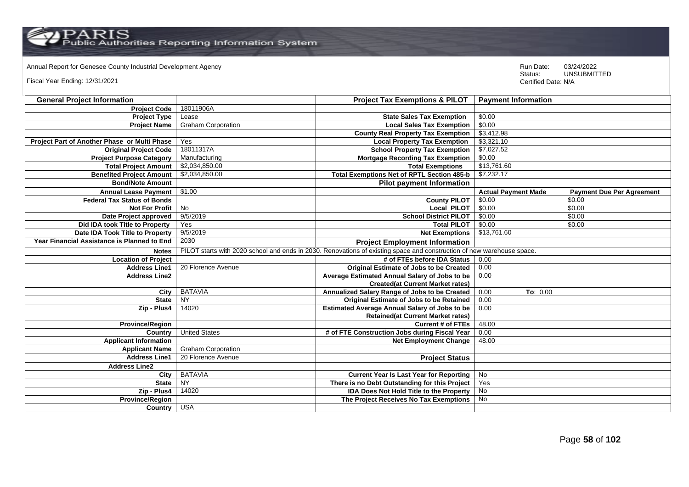$\operatorname{PARIS}_{\text{Public Authorities}\text{ Reporting Information System}}$ 

Annual Report for Genesee County Industrial Development Agency **Company of Connect Agency** Run Date: 03/24/2022<br>Status: UNSUBMIT

Fiscal Year Ending: 12/31/2021

| <b>General Project Information</b>           |                           | <b>Project Tax Exemptions &amp; PILOT</b>                                                                              | <b>Payment Information</b> |                                  |
|----------------------------------------------|---------------------------|------------------------------------------------------------------------------------------------------------------------|----------------------------|----------------------------------|
| <b>Project Code</b>                          | 18011906A                 |                                                                                                                        |                            |                                  |
| <b>Project Type</b>                          | Lease                     | <b>State Sales Tax Exemption</b>                                                                                       | \$0.00                     |                                  |
| <b>Project Name</b>                          | <b>Graham Corporation</b> | <b>Local Sales Tax Exemption</b>                                                                                       | \$0.00                     |                                  |
|                                              |                           | <b>County Real Property Tax Exemption</b>                                                                              | \$3,412.98                 |                                  |
| Project Part of Another Phase or Multi Phase | Yes                       | <b>Local Property Tax Exemption</b>                                                                                    | \$3,321.10                 |                                  |
| <b>Original Project Code</b>                 | 18011317A                 | <b>School Property Tax Exemption</b>                                                                                   | \$7,027.52                 |                                  |
| <b>Project Purpose Category</b>              | Manufacturing             | <b>Mortgage Recording Tax Exemption</b>                                                                                | \$0.00                     |                                  |
| <b>Total Project Amount</b>                  | \$2,034,850.00            | <b>Total Exemptions</b>                                                                                                | \$13,761.60                |                                  |
| <b>Benefited Project Amount</b>              | \$2,034,850.00            | <b>Total Exemptions Net of RPTL Section 485-b</b>                                                                      | \$7,232.17                 |                                  |
| <b>Bond/Note Amount</b>                      |                           | <b>Pilot payment Information</b>                                                                                       |                            |                                  |
| <b>Annual Lease Payment</b>                  | \$1.00                    |                                                                                                                        | <b>Actual Payment Made</b> | <b>Payment Due Per Agreement</b> |
| <b>Federal Tax Status of Bonds</b>           |                           | <b>County PILOT</b>                                                                                                    | \$0.00                     | \$0.00                           |
| <b>Not For Profit</b>                        | No                        | <b>Local PILOT</b>                                                                                                     | \$0.00                     | \$0.00                           |
| Date Project approved                        | 9/5/2019                  | <b>School District PILOT</b>                                                                                           | \$0.00                     | \$0.00                           |
| Did IDA took Title to Property               | Yes                       | <b>Total PILOT</b>                                                                                                     | \$0.00                     | \$0.00                           |
| Date IDA Took Title to Property              | 9/5/2019                  | <b>Net Exemptions</b>                                                                                                  | \$13,761.60                |                                  |
| Year Financial Assistance is Planned to End  | 2030                      | <b>Project Employment Information</b>                                                                                  |                            |                                  |
| <b>Notes</b>                                 |                           | PILOT starts with 2020 school and ends in 2030. Renovations of existing space and construction of new warehouse space. |                            |                                  |
| <b>Location of Project</b>                   |                           | # of FTEs before IDA Status                                                                                            | 0.00                       |                                  |
| <b>Address Line1</b>                         | 20 Florence Avenue        | <b>Original Estimate of Jobs to be Created</b>                                                                         | 0.00                       |                                  |
| <b>Address Line2</b>                         |                           | Average Estimated Annual Salary of Jobs to be                                                                          | 0.00                       |                                  |
|                                              |                           | <b>Created(at Current Market rates)</b>                                                                                |                            |                                  |
| City                                         | <b>BATAVIA</b>            | Annualized Salary Range of Jobs to be Created                                                                          | 0.00<br>To: 0.00           |                                  |
| <b>State</b>                                 | NY                        | Original Estimate of Jobs to be Retained                                                                               | 0.00                       |                                  |
| Zip - Plus4                                  | 14020                     | <b>Estimated Average Annual Salary of Jobs to be</b>                                                                   | 0.00                       |                                  |
|                                              |                           | <b>Retained(at Current Market rates)</b>                                                                               |                            |                                  |
| <b>Province/Region</b>                       |                           | <b>Current # of FTEs</b>                                                                                               | 48.00                      |                                  |
| Country                                      | <b>United States</b>      | # of FTE Construction Jobs during Fiscal Year                                                                          | 0.00                       |                                  |
| <b>Applicant Information</b>                 |                           | <b>Net Employment Change</b>                                                                                           | 48.00                      |                                  |
| <b>Applicant Name</b>                        | <b>Graham Corporation</b> |                                                                                                                        |                            |                                  |
| <b>Address Line1</b>                         | 20 Florence Avenue        | <b>Project Status</b>                                                                                                  |                            |                                  |
| <b>Address Line2</b>                         |                           |                                                                                                                        |                            |                                  |
| City                                         | <b>BATAVIA</b>            | <b>Current Year Is Last Year for Reporting</b>                                                                         | No                         |                                  |
| <b>State</b>                                 | <b>NY</b>                 | There is no Debt Outstanding for this Project                                                                          | Yes                        |                                  |
| Zip - Plus4                                  | 14020                     | <b>IDA Does Not Hold Title to the Property</b>                                                                         | <b>No</b>                  |                                  |
| <b>Province/Region</b>                       |                           | The Project Receives No Tax Exemptions                                                                                 | <b>No</b>                  |                                  |
| Country                                      | <b>USA</b>                |                                                                                                                        |                            |                                  |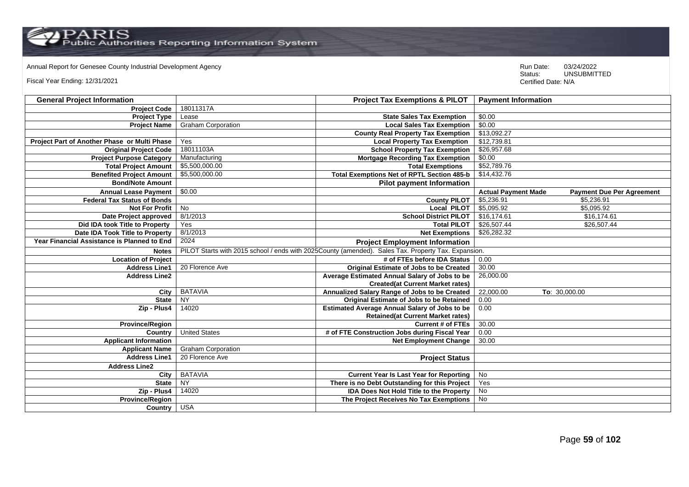Annual Report for Genesee County Industrial Development Agency **Company of Connect Agency** Run Date: 03/24/2022<br>Status: UNSUBMIT

Fiscal Year Ending: 12/31/2021

| <b>General Project Information</b>           |                           | <b>Project Tax Exemptions &amp; PILOT</b>                                                           | <b>Payment Information</b>                                     |
|----------------------------------------------|---------------------------|-----------------------------------------------------------------------------------------------------|----------------------------------------------------------------|
| <b>Project Code</b>                          | 18011317A                 |                                                                                                     |                                                                |
| <b>Project Type</b>                          | Lease                     | <b>State Sales Tax Exemption</b>                                                                    | \$0.00                                                         |
| <b>Project Name</b>                          | <b>Graham Corporation</b> | <b>Local Sales Tax Exemption</b>                                                                    | \$0.00                                                         |
|                                              |                           | <b>County Real Property Tax Exemption</b>                                                           | \$13,092.27                                                    |
| Project Part of Another Phase or Multi Phase | Yes                       | <b>Local Property Tax Exemption</b>                                                                 | \$12,739.81                                                    |
| <b>Original Project Code</b>                 | 18011103A                 | <b>School Property Tax Exemption</b>                                                                | \$26,957.68                                                    |
| <b>Project Purpose Category</b>              | Manufacturing             | <b>Mortgage Recording Tax Exemption</b>                                                             | \$0.00                                                         |
| <b>Total Project Amount</b>                  | \$5,500,000.00            | <b>Total Exemptions</b>                                                                             | \$52,789.76                                                    |
| <b>Benefited Project Amount</b>              | \$5,500,000.00            | <b>Total Exemptions Net of RPTL Section 485-b</b>                                                   | \$14,432.76                                                    |
| <b>Bond/Note Amount</b>                      |                           | <b>Pilot payment Information</b>                                                                    |                                                                |
| <b>Annual Lease Payment</b>                  | \$0.00                    |                                                                                                     | <b>Actual Payment Made</b><br><b>Payment Due Per Agreement</b> |
| <b>Federal Tax Status of Bonds</b>           |                           | County PILOT                                                                                        | \$5,236.91<br>\$5,236.91                                       |
| <b>Not For Profit</b>                        | No                        | <b>Local PILOT</b>                                                                                  | \$5,095.92<br>\$5,095.92                                       |
| Date Project approved                        | 8/1/2013                  | <b>School District PILOT</b>                                                                        | \$16,174.61<br>\$16,174.61                                     |
| Did IDA took Title to Property               | Yes                       | <b>Total PILOT</b>                                                                                  | \$26,507.44<br>\$26,507.44                                     |
| Date IDA Took Title to Property              | 8/1/2013                  | <b>Net Exemptions</b>                                                                               | \$26,282.32                                                    |
| Year Financial Assistance is Planned to End  | 2024                      | <b>Project Employment Information</b>                                                               |                                                                |
| <b>Notes</b>                                 |                           | PILOT Starts with 2015 school / ends with 2025County (amended). Sales Tax. Property Tax. Expansion. |                                                                |
| <b>Location of Project</b>                   |                           | # of FTEs before IDA Status                                                                         | 0.00                                                           |
| <b>Address Line1</b>                         | 20 Florence Ave           | <b>Original Estimate of Jobs to be Created</b>                                                      | 30.00                                                          |
| <b>Address Line2</b>                         |                           | Average Estimated Annual Salary of Jobs to be                                                       | 26,000.00                                                      |
|                                              |                           | <b>Created(at Current Market rates)</b>                                                             |                                                                |
| City                                         | <b>BATAVIA</b>            | Annualized Salary Range of Jobs to be Created                                                       | 22,000.00<br>To: 30,000.00                                     |
| <b>State</b>                                 | NY                        | Original Estimate of Jobs to be Retained                                                            | 0.00                                                           |
| Zip - Plus4                                  | 14020                     | <b>Estimated Average Annual Salary of Jobs to be</b>                                                | 0.00                                                           |
|                                              |                           | <b>Retained(at Current Market rates)</b>                                                            |                                                                |
| <b>Province/Region</b>                       |                           | <b>Current # of FTEs</b>                                                                            | 30.00                                                          |
| Country                                      | <b>United States</b>      | # of FTE Construction Jobs during Fiscal Year                                                       | 0.00                                                           |
| <b>Applicant Information</b>                 |                           | <b>Net Employment Change</b>                                                                        | 30.00                                                          |
| <b>Applicant Name</b>                        | <b>Graham Corporation</b> |                                                                                                     |                                                                |
| <b>Address Line1</b>                         | 20 Florence Ave           | <b>Project Status</b>                                                                               |                                                                |
| <b>Address Line2</b>                         |                           |                                                                                                     |                                                                |
| City                                         | <b>BATAVIA</b>            | Current Year Is Last Year for Reporting                                                             | No                                                             |
| <b>State</b>                                 | <b>NY</b>                 | There is no Debt Outstanding for this Project                                                       | Yes                                                            |
| Zip - Plus4                                  | 14020                     | IDA Does Not Hold Title to the Property                                                             | <b>No</b>                                                      |
| <b>Province/Region</b>                       |                           | The Project Receives No Tax Exemptions                                                              | <b>No</b>                                                      |
| Country USA                                  |                           |                                                                                                     |                                                                |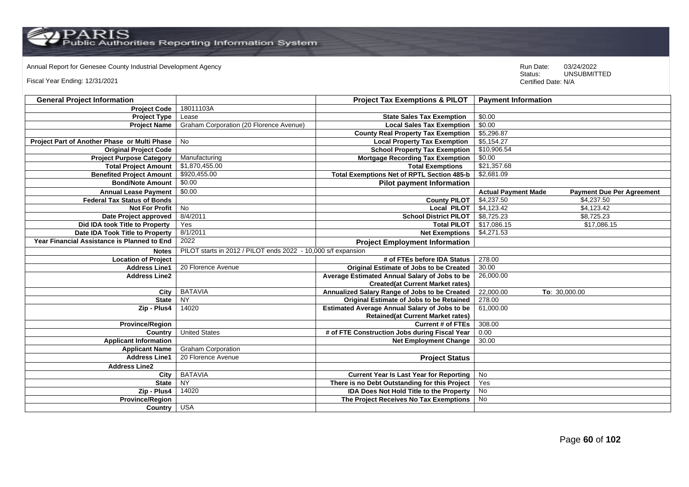# Annual Report for Genesee County Industrial Development Agency **Company of Connect Agency** Run Date: 03/24/2022<br>Status: UNSUBMIT

Fiscal Year Ending: 12/31/2021

| <b>General Project Information</b>           |                                                               | <b>Project Tax Exemptions &amp; PILOT</b>            | <b>Payment Information</b>                                     |
|----------------------------------------------|---------------------------------------------------------------|------------------------------------------------------|----------------------------------------------------------------|
| <b>Project Code</b>                          | 18011103A                                                     |                                                      |                                                                |
| <b>Project Type</b>                          | Lease                                                         | <b>State Sales Tax Exemption</b>                     | \$0.00                                                         |
| <b>Project Name</b>                          | Graham Corporation (20 Florence Avenue)                       | <b>Local Sales Tax Exemption</b>                     | \$0.00                                                         |
|                                              |                                                               | <b>County Real Property Tax Exemption</b>            | \$5,296.87                                                     |
| Project Part of Another Phase or Multi Phase | No                                                            | <b>Local Property Tax Exemption</b>                  | \$5,154.27                                                     |
| <b>Original Project Code</b>                 |                                                               | <b>School Property Tax Exemption</b>                 | \$10,906.54                                                    |
| <b>Project Purpose Category</b>              | Manufacturing                                                 | <b>Mortgage Recording Tax Exemption</b>              | \$0.00                                                         |
| <b>Total Project Amount</b>                  | \$1,870,455.00                                                | <b>Total Exemptions</b>                              | \$21,357.68                                                    |
| <b>Benefited Project Amount</b>              | \$920,455.00                                                  | <b>Total Exemptions Net of RPTL Section 485-b</b>    | \$2,681.09                                                     |
| <b>Bond/Note Amount</b>                      | \$0.00                                                        | <b>Pilot payment Information</b>                     |                                                                |
| <b>Annual Lease Payment</b>                  | \$0.00                                                        |                                                      | <b>Actual Payment Made</b><br><b>Payment Due Per Agreement</b> |
| <b>Federal Tax Status of Bonds</b>           |                                                               | <b>County PILOT</b>   \$4,237.50                     | \$4,237.50                                                     |
| <b>Not For Profit</b>                        | No                                                            | <b>Local PILOT</b>                                   | \$4,123.42<br>\$4,123.42                                       |
| Date Project approved                        | 8/4/2011                                                      | <b>School District PILOT</b>                         | \$8,725.23<br>\$8,725.23                                       |
| Did IDA took Title to Property               | Yes                                                           | <b>Total PILOT</b>                                   | \$17,086.15<br>\$17,086.15                                     |
| Date IDA Took Title to Property              | 8/1/2011                                                      | <b>Net Exemptions</b>                                | \$4,271.53                                                     |
| Year Financial Assistance is Planned to End  | 2022                                                          | <b>Project Employment Information</b>                |                                                                |
| <b>Notes</b>                                 | PILOT starts in 2012 / PILOT ends 2022 - 10,000 s/f expansion |                                                      |                                                                |
| <b>Location of Project</b>                   |                                                               | # of FTEs before IDA Status                          | 278.00                                                         |
| <b>Address Line1</b>                         | 20 Florence Avenue                                            | Original Estimate of Jobs to be Created              | 30.00                                                          |
| <b>Address Line2</b>                         |                                                               | Average Estimated Annual Salary of Jobs to be        | 26,000.00                                                      |
|                                              |                                                               | <b>Created(at Current Market rates)</b>              |                                                                |
| City                                         | <b>BATAVIA</b>                                                | Annualized Salary Range of Jobs to be Created        | 22,000.00<br>To: 30,000.00                                     |
| <b>State</b>                                 | <b>NY</b>                                                     | <b>Original Estimate of Jobs to be Retained</b>      | 278.00                                                         |
| Zip - Plus4                                  | 14020                                                         | <b>Estimated Average Annual Salary of Jobs to be</b> | 61,000.00                                                      |
|                                              |                                                               | <b>Retained(at Current Market rates)</b>             |                                                                |
| <b>Province/Region</b>                       |                                                               | <b>Current # of FTEs</b>                             | 308.00                                                         |
| Country                                      | <b>United States</b>                                          | # of FTE Construction Jobs during Fiscal Year        | 0.00                                                           |
| <b>Applicant Information</b>                 |                                                               | <b>Net Employment Change</b>                         | 30.00                                                          |
| <b>Applicant Name</b>                        | <b>Graham Corporation</b>                                     |                                                      |                                                                |
| <b>Address Line1</b>                         | 20 Florence Avenue                                            | <b>Project Status</b>                                |                                                                |
| <b>Address Line2</b>                         |                                                               |                                                      |                                                                |
| City                                         | <b>BATAVIA</b>                                                | Current Year Is Last Year for Reporting              | No                                                             |
| <b>State</b>                                 | NY                                                            | There is no Debt Outstanding for this Project        | Yes                                                            |
| Zip - Plus4                                  | 14020                                                         | IDA Does Not Hold Title to the Property              | No                                                             |
| <b>Province/Region</b>                       |                                                               | The Project Receives No Tax Exemptions               | <b>No</b>                                                      |
| Country USA                                  |                                                               |                                                      |                                                                |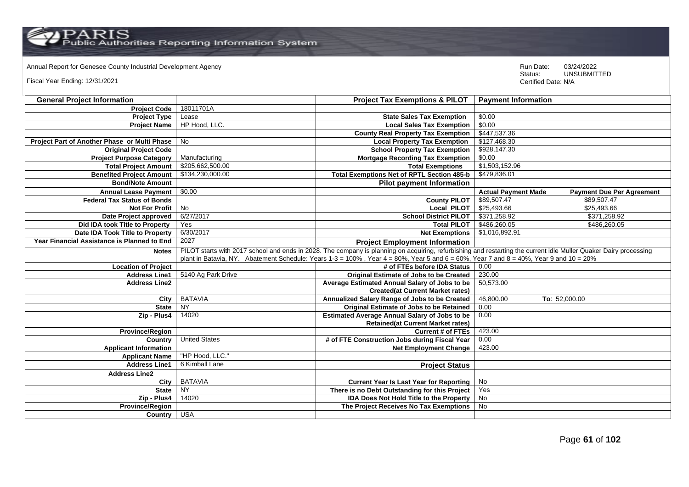# Annual Report for Genesee County Industrial Development Agency **Company of Connect Agency** Run Date: 03/24/2022<br>Status: UNSUBMIT

Fiscal Year Ending: 12/31/2021

| <b>General Project Information</b>                    |                      | <b>Project Tax Exemptions &amp; PILOT</b>                                                                                             | <b>Payment Information</b>                                                                                                                                        |  |
|-------------------------------------------------------|----------------------|---------------------------------------------------------------------------------------------------------------------------------------|-------------------------------------------------------------------------------------------------------------------------------------------------------------------|--|
| <b>Project Code</b>                                   | 18011701A            |                                                                                                                                       |                                                                                                                                                                   |  |
| <b>Project Type</b>                                   | Lease                | <b>State Sales Tax Exemption</b>                                                                                                      | \$0.00                                                                                                                                                            |  |
| <b>Project Name</b>                                   | HP Hood, LLC.        | <b>Local Sales Tax Exemption</b>                                                                                                      | \$0.00                                                                                                                                                            |  |
|                                                       |                      | <b>County Real Property Tax Exemption</b>                                                                                             | \$447,537.36                                                                                                                                                      |  |
| Project Part of Another Phase or Multi Phase          | No                   | <b>Local Property Tax Exemption</b>                                                                                                   | \$127,468.30                                                                                                                                                      |  |
| <b>Original Project Code</b>                          |                      | <b>School Property Tax Exemption</b>                                                                                                  | \$928,147.30                                                                                                                                                      |  |
| <b>Project Purpose Category</b>                       | Manufacturing        | <b>Mortgage Recording Tax Exemption</b>                                                                                               | \$0.00                                                                                                                                                            |  |
| <b>Total Project Amount</b>                           | \$205,662,500.00     | <b>Total Exemptions</b>                                                                                                               | \$1.503.152.96                                                                                                                                                    |  |
| <b>Benefited Project Amount</b>                       | \$134,230,000.00     | Total Exemptions Net of RPTL Section 485-b                                                                                            | \$479,836.01                                                                                                                                                      |  |
| <b>Bond/Note Amount</b>                               |                      | <b>Pilot payment Information</b>                                                                                                      |                                                                                                                                                                   |  |
| <b>Annual Lease Payment</b>                           | \$0.00               |                                                                                                                                       | <b>Actual Payment Made</b><br><b>Payment Due Per Agreement</b>                                                                                                    |  |
| <b>Federal Tax Status of Bonds</b>                    |                      | <b>County PILOT</b>                                                                                                                   | \$89,507.47<br>\$89,507.47                                                                                                                                        |  |
| <b>Not For Profit</b>                                 | <b>No</b>            | <b>Local PILOT</b>                                                                                                                    | \$25,493.66<br>\$25,493.66                                                                                                                                        |  |
| Date Project approved                                 | 6/27/2017            | <b>School District PILOT</b>                                                                                                          | \$371,258.92<br>\$371,258.92                                                                                                                                      |  |
| Did IDA took Title to Property                        | Yes                  | <b>Total PILOT</b>                                                                                                                    | \$486,260.05<br>\$486,260.05                                                                                                                                      |  |
| Date IDA Took Title to Property                       | 6/30/2017            | <b>Net Exemptions</b>                                                                                                                 | \$1,016,892.91                                                                                                                                                    |  |
| Year Financial Assistance is Planned to End           | 2027                 | <b>Project Employment Information</b>                                                                                                 |                                                                                                                                                                   |  |
| <b>Notes</b>                                          |                      |                                                                                                                                       | PILOT starts with 2017 school and ends in 2028. The company is planning on acquiring, refurbishing and restarting the current idle Muller Quaker Dairy processing |  |
|                                                       |                      | plant in Batavia, NY. Abatement Schedule: Years 1-3 = 100%, Year 4 = 80%, Year 5 and 6 = 60%, Year 7 and 8 = 40%, Year 9 and 10 = 20% |                                                                                                                                                                   |  |
| <b>Location of Project</b>                            |                      | # of FTEs before IDA Status                                                                                                           | 0.00                                                                                                                                                              |  |
| <b>Address Line1</b>                                  | 5140 Ag Park Drive   | <b>Original Estimate of Jobs to be Created</b>                                                                                        | 230.00                                                                                                                                                            |  |
| <b>Address Line2</b>                                  |                      | Average Estimated Annual Salary of Jobs to be                                                                                         | 50,573.00                                                                                                                                                         |  |
|                                                       |                      | <b>Created(at Current Market rates)</b>                                                                                               |                                                                                                                                                                   |  |
| City                                                  | <b>BATAVIA</b>       | Annualized Salary Range of Jobs to be Created                                                                                         | 46,800.00<br>To: 52,000.00                                                                                                                                        |  |
| <b>State</b>                                          | <b>NY</b>            | <b>Original Estimate of Jobs to be Retained</b>                                                                                       | 0.00                                                                                                                                                              |  |
| Zip - Plus4                                           | 14020                | <b>Estimated Average Annual Salary of Jobs to be</b>                                                                                  | 0.00                                                                                                                                                              |  |
|                                                       |                      | <b>Retained(at Current Market rates)</b>                                                                                              |                                                                                                                                                                   |  |
| <b>Province/Region</b>                                |                      | <b>Current # of FTEs</b>                                                                                                              | 423.00                                                                                                                                                            |  |
| Country                                               | <b>United States</b> | # of FTE Construction Jobs during Fiscal Year                                                                                         | 0.00<br>423.00                                                                                                                                                    |  |
| <b>Applicant Information</b><br><b>Applicant Name</b> | "HP Hood, LLC."      | <b>Net Employment Change</b>                                                                                                          |                                                                                                                                                                   |  |
| <b>Address Line1</b>                                  | 6 Kimball Lane       |                                                                                                                                       |                                                                                                                                                                   |  |
|                                                       |                      | <b>Project Status</b>                                                                                                                 |                                                                                                                                                                   |  |
| <b>Address Line2</b>                                  | <b>BATAVIA</b>       |                                                                                                                                       |                                                                                                                                                                   |  |
| City<br><b>State</b>                                  | <b>NY</b>            | <b>Current Year Is Last Year for Reporting</b>                                                                                        | <b>No</b><br>Yes                                                                                                                                                  |  |
| Zip - Plus4                                           | 14020                | There is no Debt Outstanding for this Project<br><b>IDA Does Not Hold Title to the Property</b>                                       | <b>No</b>                                                                                                                                                         |  |
|                                                       |                      | The Project Receives No Tax Exemptions                                                                                                | No                                                                                                                                                                |  |
| <b>Province/Region</b><br>Country USA                 |                      |                                                                                                                                       |                                                                                                                                                                   |  |
|                                                       |                      |                                                                                                                                       |                                                                                                                                                                   |  |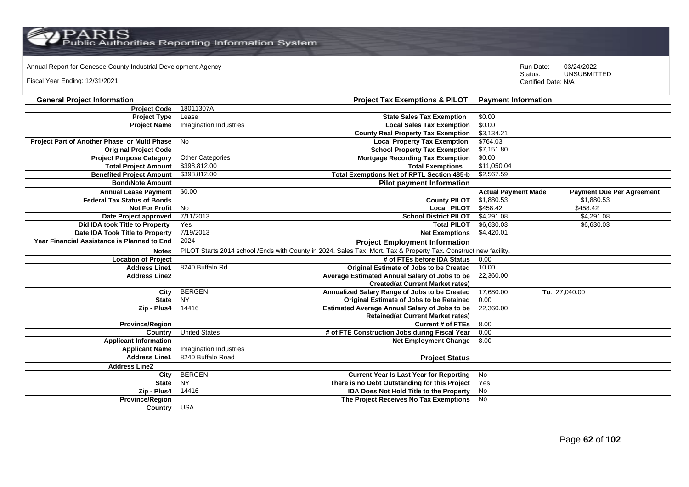Annual Report for Genesee County Industrial Development Agency **Company of Connect Agency** Run Date: 03/24/2022<br>Status: UNSUBMIT

Fiscal Year Ending: 12/31/2021

| <b>General Project Information</b>           |                        | <b>Project Tax Exemptions &amp; PILOT</b>                                                                        | <b>Payment Information</b>                                     |
|----------------------------------------------|------------------------|------------------------------------------------------------------------------------------------------------------|----------------------------------------------------------------|
| <b>Project Code</b>                          | 18011307A              |                                                                                                                  |                                                                |
| <b>Project Type</b>                          | Lease                  | <b>State Sales Tax Exemption</b>                                                                                 | \$0.00                                                         |
| <b>Project Name</b>                          | Imagination Industries | <b>Local Sales Tax Exemption</b>                                                                                 | \$0.00                                                         |
|                                              |                        | <b>County Real Property Tax Exemption</b>                                                                        | \$3,134.21                                                     |
| Project Part of Another Phase or Multi Phase | No                     | <b>Local Property Tax Exemption</b>                                                                              | \$764.03                                                       |
| <b>Original Project Code</b>                 |                        | <b>School Property Tax Exemption</b>                                                                             | \$7,151.80                                                     |
| <b>Project Purpose Category</b>              | Other Categories       | <b>Mortgage Recording Tax Exemption</b>                                                                          | \$0.00                                                         |
| <b>Total Project Amount</b>                  | \$398,812.00           | <b>Total Exemptions</b>                                                                                          | \$11,050.04                                                    |
| <b>Benefited Project Amount</b>              | \$398,812.00           | <b>Total Exemptions Net of RPTL Section 485-b</b>                                                                | \$2,567.59                                                     |
| <b>Bond/Note Amount</b>                      |                        | <b>Pilot payment Information</b>                                                                                 |                                                                |
| <b>Annual Lease Payment</b>                  | \$0.00                 |                                                                                                                  | <b>Actual Payment Made</b><br><b>Payment Due Per Agreement</b> |
| <b>Federal Tax Status of Bonds</b>           |                        | <b>County PILOT</b>                                                                                              | \$1,880.53<br>\$1,880.53                                       |
| <b>Not For Profit</b>                        | $\overline{N}$         | <b>Local PILOT</b>                                                                                               | \$458.42<br>\$458.42                                           |
| Date Project approved                        | 7/11/2013              | <b>School District PILOT</b>                                                                                     | \$4,291.08<br>\$4,291.08                                       |
| Did IDA took Title to Property               | Yes                    | <b>Total PILOT</b>                                                                                               | \$6,630.03<br>\$6,630.03                                       |
| Date IDA Took Title to Property              | 7/19/2013              | <b>Net Exemptions</b>                                                                                            | \$4,420.01                                                     |
| Year Financial Assistance is Planned to End  | 2024                   | <b>Project Employment Information</b>                                                                            |                                                                |
| <b>Notes</b>                                 |                        | PILOT Starts 2014 school /Ends with County in 2024. Sales Tax, Mort. Tax & Property Tax. Construct new facility. |                                                                |
| <b>Location of Project</b>                   |                        | # of FTEs before IDA Status                                                                                      | 0.00                                                           |
| <b>Address Line1</b>                         | 8240 Buffalo Rd.       | <b>Original Estimate of Jobs to be Created</b>                                                                   | 10.00                                                          |
| <b>Address Line2</b>                         |                        | Average Estimated Annual Salary of Jobs to be                                                                    | 22,360.00                                                      |
|                                              |                        | <b>Created(at Current Market rates)</b>                                                                          |                                                                |
| City                                         | <b>BERGEN</b>          | Annualized Salary Range of Jobs to be Created                                                                    | 17,680.00<br>To: 27,040.00                                     |
| <b>State</b>                                 | NY                     | Original Estimate of Jobs to be Retained                                                                         | 0.00                                                           |
| Zip - Plus4                                  | 14416                  | <b>Estimated Average Annual Salary of Jobs to be</b>                                                             | 22,360.00                                                      |
|                                              |                        | <b>Retained(at Current Market rates)</b>                                                                         |                                                                |
| <b>Province/Region</b>                       |                        | <b>Current # of FTEs</b>                                                                                         | 8.00                                                           |
| Country                                      | <b>United States</b>   | # of FTE Construction Jobs during Fiscal Year                                                                    | 0.00                                                           |
| <b>Applicant Information</b>                 |                        | <b>Net Employment Change</b>                                                                                     | 8.00                                                           |
| <b>Applicant Name</b>                        | Imagination Industries |                                                                                                                  |                                                                |
| <b>Address Line1</b>                         | 8240 Buffalo Road      | <b>Project Status</b>                                                                                            |                                                                |
| <b>Address Line2</b>                         |                        |                                                                                                                  |                                                                |
| City                                         | <b>BERGEN</b>          | <b>Current Year Is Last Year for Reporting</b>                                                                   | No                                                             |
| <b>State</b>                                 | $\overline{NY}$        | There is no Debt Outstanding for this Project                                                                    | Yes                                                            |
| Zip - Plus4                                  | 14416                  | <b>IDA Does Not Hold Title to the Property</b>                                                                   | <b>No</b>                                                      |
| Province/Region                              |                        | The Project Receives No Tax Exemptions                                                                           | No                                                             |
| <b>Country</b>                               | <b>USA</b>             |                                                                                                                  |                                                                |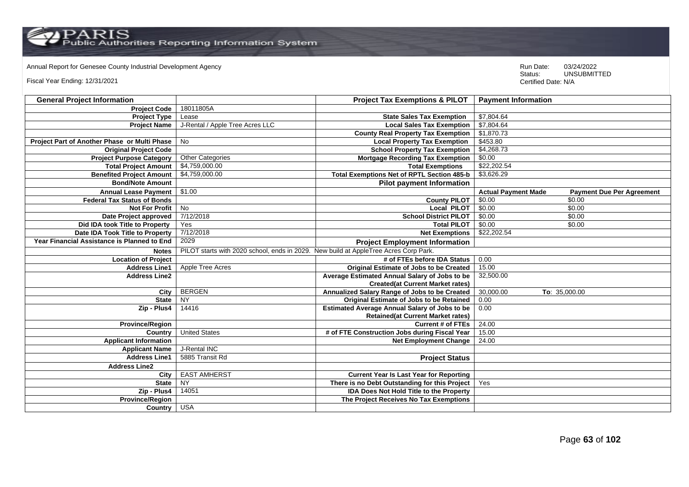# Annual Report for Genesee County Industrial Development Agency **Company of Connect Agency** Run Date: 03/24/2022<br>Status: UNSUBMIT

Fiscal Year Ending: 12/31/2021

| <b>General Project Information</b>           |                                                                                      | <b>Project Tax Exemptions &amp; PILOT</b>            | <b>Payment Information</b>                                     |
|----------------------------------------------|--------------------------------------------------------------------------------------|------------------------------------------------------|----------------------------------------------------------------|
| <b>Project Code</b>                          | 18011805A                                                                            |                                                      |                                                                |
| <b>Project Type</b>                          | Lease                                                                                | <b>State Sales Tax Exemption</b>                     | \$7,804.64                                                     |
| <b>Project Name</b>                          | J-Rental / Apple Tree Acres LLC                                                      | <b>Local Sales Tax Exemption</b>                     | \$7,804.64                                                     |
|                                              |                                                                                      | <b>County Real Property Tax Exemption</b>            | \$1,870.73                                                     |
| Project Part of Another Phase or Multi Phase | No                                                                                   | <b>Local Property Tax Exemption</b>                  | \$453.80                                                       |
| <b>Original Project Code</b>                 |                                                                                      | <b>School Property Tax Exemption</b>                 | \$4,268.73                                                     |
| <b>Project Purpose Category</b>              | <b>Other Categories</b>                                                              | <b>Mortgage Recording Tax Exemption</b>              | \$0.00                                                         |
| <b>Total Project Amount</b>                  | \$4,759,000.00                                                                       | <b>Total Exemptions</b>                              | \$22,202.54                                                    |
| <b>Benefited Project Amount</b>              | \$4,759,000.00                                                                       | <b>Total Exemptions Net of RPTL Section 485-b</b>    | \$3,626.29                                                     |
| <b>Bond/Note Amount</b>                      |                                                                                      | <b>Pilot payment Information</b>                     |                                                                |
| <b>Annual Lease Payment</b>                  | \$1.00                                                                               |                                                      | <b>Actual Payment Made</b><br><b>Payment Due Per Agreement</b> |
| <b>Federal Tax Status of Bonds</b>           |                                                                                      | <b>County PILOT</b>                                  | \$0.00<br>\$0.00                                               |
| <b>Not For Profit</b>                        | No                                                                                   | <b>Local PILOT</b>                                   | \$0.00<br>\$0.00                                               |
| Date Project approved                        | 7/12/2018                                                                            | <b>School District PILOT</b>                         | \$0.00<br>\$0.00                                               |
| Did IDA took Title to Property               | Yes                                                                                  | <b>Total PILOT</b>                                   | \$0.00<br>\$0.00                                               |
| Date IDA Took Title to Property              | 7/12/2018                                                                            | <b>Net Exemptions</b>                                | \$22,202.54                                                    |
| Year Financial Assistance is Planned to End  | 2029                                                                                 | <b>Project Employment Information</b>                |                                                                |
| <b>Notes</b>                                 | PILOT starts with 2020 school, ends in 2029. New build at AppleTree Acres Corp Park. |                                                      |                                                                |
| <b>Location of Project</b>                   |                                                                                      | # of FTEs before IDA Status                          | 0.00                                                           |
| <b>Address Line1</b>                         | Apple Tree Acres                                                                     | Original Estimate of Jobs to be Created              | 15.00                                                          |
| <b>Address Line2</b>                         |                                                                                      | Average Estimated Annual Salary of Jobs to be        | 32,500.00                                                      |
|                                              |                                                                                      | <b>Created(at Current Market rates)</b>              |                                                                |
| City                                         | <b>BERGEN</b>                                                                        | Annualized Salary Range of Jobs to be Created        | 30,000.00<br>To: 35,000.00                                     |
| <b>State</b>                                 | <b>NY</b>                                                                            | <b>Original Estimate of Jobs to be Retained</b>      | 0.00                                                           |
| Zip - Plus4                                  | 14416                                                                                | <b>Estimated Average Annual Salary of Jobs to be</b> | 0.00                                                           |
|                                              |                                                                                      | <b>Retained(at Current Market rates)</b>             |                                                                |
| <b>Province/Region</b>                       |                                                                                      | <b>Current # of FTEs</b>                             | 24.00                                                          |
| Country                                      | <b>United States</b>                                                                 | # of FTE Construction Jobs during Fiscal Year        | 15.00                                                          |
| <b>Applicant Information</b>                 |                                                                                      | <b>Net Employment Change</b>                         | 24.00                                                          |
| <b>Applicant Name</b>                        | J-Rental INC                                                                         |                                                      |                                                                |
| <b>Address Line1</b>                         | 5885 Transit Rd                                                                      | <b>Project Status</b>                                |                                                                |
| <b>Address Line2</b>                         |                                                                                      |                                                      |                                                                |
| City                                         | <b>EAST AMHERST</b>                                                                  | <b>Current Year Is Last Year for Reporting</b>       |                                                                |
| <b>State</b>                                 | <b>NY</b>                                                                            | There is no Debt Outstanding for this Project        | Yes                                                            |
| Zip - Plus4                                  | 14051                                                                                | IDA Does Not Hold Title to the Property              |                                                                |
| <b>Province/Region</b>                       |                                                                                      | The Project Receives No Tax Exemptions               |                                                                |
| <b>Country</b>                               | <b>USA</b>                                                                           |                                                      |                                                                |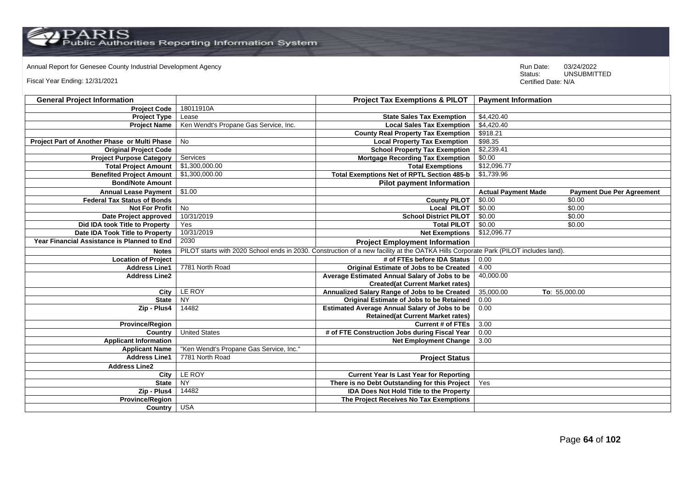# Annual Report for Genesee County Industrial Development Agency **Company of Connect Agency** Run Date: 03/24/2022<br>Status: UNSUBMIT

Fiscal Year Ending: 12/31/2021

| <b>General Project Information</b>           |                                         | <b>Project Tax Exemptions &amp; PILOT</b>                                                                                           | <b>Payment Information</b>                                     |
|----------------------------------------------|-----------------------------------------|-------------------------------------------------------------------------------------------------------------------------------------|----------------------------------------------------------------|
| <b>Project Code</b>                          | 18011910A                               |                                                                                                                                     |                                                                |
| <b>Project Type</b>                          | Lease                                   | <b>State Sales Tax Exemption</b>                                                                                                    | \$4,420.40                                                     |
| <b>Project Name</b>                          | Ken Wendt's Propane Gas Service, Inc.   | <b>Local Sales Tax Exemption</b>                                                                                                    | \$4,420.40                                                     |
|                                              |                                         | <b>County Real Property Tax Exemption</b>                                                                                           | \$918.21                                                       |
| Project Part of Another Phase or Multi Phase | No                                      | <b>Local Property Tax Exemption</b>                                                                                                 | \$98.35                                                        |
| <b>Original Project Code</b>                 |                                         | <b>School Property Tax Exemption</b>                                                                                                | \$2,239.41                                                     |
| <b>Project Purpose Category</b>              | Services                                | <b>Mortgage Recording Tax Exemption</b>                                                                                             | \$0.00                                                         |
| <b>Total Project Amount</b>                  | \$1,300,000.00                          | <b>Total Exemptions</b>                                                                                                             | \$12,096.77                                                    |
| <b>Benefited Project Amount</b>              | \$1,300,000.00                          | <b>Total Exemptions Net of RPTL Section 485-b</b>                                                                                   | \$1,739.96                                                     |
| <b>Bond/Note Amount</b>                      |                                         | <b>Pilot payment Information</b>                                                                                                    |                                                                |
| <b>Annual Lease Payment</b>                  | \$1.00                                  |                                                                                                                                     | <b>Actual Payment Made</b><br><b>Payment Due Per Agreement</b> |
| <b>Federal Tax Status of Bonds</b>           |                                         | <b>County PILOT</b>                                                                                                                 | \$0.00<br>\$0.00                                               |
| <b>Not For Profit</b>                        | No                                      | <b>Local PILOT</b>                                                                                                                  | \$0.00<br>\$0.00                                               |
| Date Project approved                        | 10/31/2019                              | <b>School District PILOT</b>                                                                                                        | \$0.00<br>\$0.00                                               |
| Did IDA took Title to Property               | Yes                                     | <b>Total PILOT</b>                                                                                                                  | \$0.00<br>\$0.00                                               |
| Date IDA Took Title to Property              | 10/31/2019                              | <b>Net Exemptions</b>                                                                                                               | \$12,096.77                                                    |
| Year Financial Assistance is Planned to End  | 2030                                    | <b>Project Employment Information</b>                                                                                               |                                                                |
| <b>Notes</b>                                 |                                         | PILOT starts with 2020 School ends in 2030. Construction of a new facility at the OATKA Hills Corporate Park (PILOT includes land). |                                                                |
| <b>Location of Project</b>                   |                                         | # of FTEs before IDA Status                                                                                                         | 0.00                                                           |
| <b>Address Line1</b>                         | 7781 North Road                         | Original Estimate of Jobs to be Created                                                                                             | 4.00                                                           |
| <b>Address Line2</b>                         |                                         | Average Estimated Annual Salary of Jobs to be                                                                                       | 40,000.00                                                      |
|                                              |                                         | <b>Created(at Current Market rates)</b>                                                                                             |                                                                |
| City                                         | LE ROY                                  | Annualized Salary Range of Jobs to be Created                                                                                       | 35,000.00<br>To: 55,000.00                                     |
| <b>State</b>                                 | <b>NY</b>                               | <b>Original Estimate of Jobs to be Retained</b>                                                                                     | 0.00                                                           |
| Zip - Plus4                                  | 14482                                   | <b>Estimated Average Annual Salary of Jobs to be</b>                                                                                | 0.00                                                           |
|                                              |                                         | <b>Retained(at Current Market rates)</b>                                                                                            |                                                                |
| <b>Province/Region</b>                       |                                         | <b>Current # of FTEs</b>                                                                                                            | 3.00                                                           |
| Country                                      | <b>United States</b>                    | # of FTE Construction Jobs during Fiscal Year                                                                                       | 0.00                                                           |
| <b>Applicant Information</b>                 |                                         | <b>Net Employment Change</b>                                                                                                        | 3.00                                                           |
| <b>Applicant Name</b>                        | "Ken Wendt's Propane Gas Service, Inc." |                                                                                                                                     |                                                                |
| <b>Address Line1</b>                         | 7781 North Road                         | <b>Project Status</b>                                                                                                               |                                                                |
| <b>Address Line2</b>                         |                                         |                                                                                                                                     |                                                                |
| City                                         | LE ROY                                  | <b>Current Year Is Last Year for Reporting</b>                                                                                      |                                                                |
| <b>State</b>                                 | NY                                      | There is no Debt Outstanding for this Project                                                                                       | Yes                                                            |
| Zip - Plus4                                  | 14482                                   | IDA Does Not Hold Title to the Property                                                                                             |                                                                |
| <b>Province/Region</b>                       |                                         | The Project Receives No Tax Exemptions                                                                                              |                                                                |
| Country                                      | <b>USA</b>                              |                                                                                                                                     |                                                                |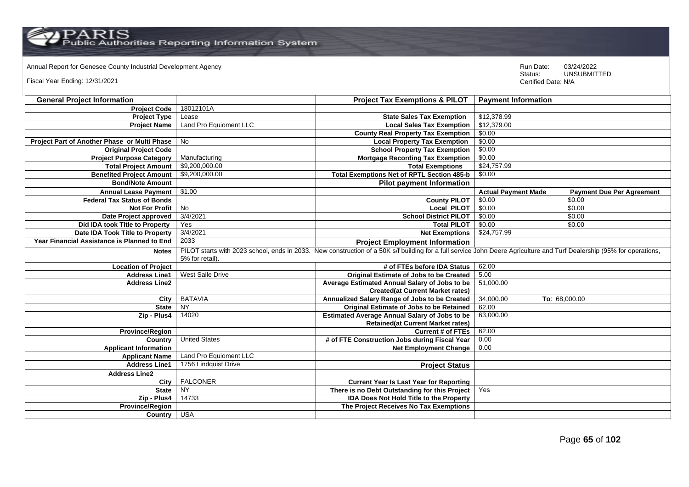# Annual Report for Genesee County Industrial Development Agency **Company of Connect Agency** Run Date: 03/24/2022<br>Status: UNSUBMIT

Fiscal Year Ending: 12/31/2021

| <b>General Project Information</b>           |                         | <b>Project Tax Exemptions &amp; PILOT</b>                                                                                                                              | <b>Payment Information</b> |                                  |
|----------------------------------------------|-------------------------|------------------------------------------------------------------------------------------------------------------------------------------------------------------------|----------------------------|----------------------------------|
| <b>Project Code</b>                          | 18012101A               |                                                                                                                                                                        |                            |                                  |
| <b>Project Type</b>                          | Lease                   | <b>State Sales Tax Exemption</b>                                                                                                                                       | \$12,378.99                |                                  |
| <b>Project Name</b>                          | Land Pro Equioment LLC  | <b>Local Sales Tax Exemption</b>                                                                                                                                       | \$12,379.00                |                                  |
|                                              |                         | <b>County Real Property Tax Exemption</b>                                                                                                                              | \$0.00                     |                                  |
| Project Part of Another Phase or Multi Phase | No                      | <b>Local Property Tax Exemption</b>                                                                                                                                    | \$0.00                     |                                  |
| <b>Original Project Code</b>                 |                         | <b>School Property Tax Exemption</b>                                                                                                                                   | \$0.00                     |                                  |
| <b>Project Purpose Category</b>              | Manufacturing           | <b>Mortgage Recording Tax Exemption</b>                                                                                                                                | \$0.00                     |                                  |
| <b>Total Project Amount</b>                  | \$9,200,000.00          | <b>Total Exemptions</b>                                                                                                                                                | \$24,757.99                |                                  |
| <b>Benefited Project Amount</b>              | \$9,200,000.00          | <b>Total Exemptions Net of RPTL Section 485-b</b>                                                                                                                      | \$0.00                     |                                  |
| <b>Bond/Note Amount</b>                      |                         | <b>Pilot payment Information</b>                                                                                                                                       |                            |                                  |
| <b>Annual Lease Payment</b>                  | \$1.00                  |                                                                                                                                                                        | <b>Actual Payment Made</b> | <b>Payment Due Per Agreement</b> |
| <b>Federal Tax Status of Bonds</b>           |                         | <b>County PILOT</b>                                                                                                                                                    | \$0.00                     | \$0.00                           |
| <b>Not For Profit</b>                        | No                      | <b>Local PILOT</b>                                                                                                                                                     | \$0.00                     | \$0.00                           |
| Date Project approved                        | 3/4/2021                | <b>School District PILOT</b>                                                                                                                                           | \$0.00                     | \$0.00                           |
| Did IDA took Title to Property               | Yes                     | <b>Total PILOT</b>                                                                                                                                                     | \$0.00                     | \$0.00                           |
| Date IDA Took Title to Property              | 3/4/2021                | <b>Net Exemptions</b>                                                                                                                                                  | \$24,757.99                |                                  |
| Year Financial Assistance is Planned to End  | 2033                    | <b>Project Employment Information</b>                                                                                                                                  |                            |                                  |
| <b>Notes</b>                                 |                         | PILOT starts with 2023 school, ends in 2033. New construction of a 50K s/f building for a full service John Deere Agriculture and Turf Dealership (95% for operations, |                            |                                  |
|                                              | 5% for retail).         |                                                                                                                                                                        |                            |                                  |
| <b>Location of Project</b>                   |                         | # of FTEs before IDA Status                                                                                                                                            | 62.00                      |                                  |
| <b>Address Line1</b>                         | <b>West Saile Drive</b> | <b>Original Estimate of Jobs to be Created</b>                                                                                                                         | 5.00                       |                                  |
| <b>Address Line2</b>                         |                         | Average Estimated Annual Salary of Jobs to be                                                                                                                          | 51,000.00                  |                                  |
|                                              |                         | <b>Created(at Current Market rates)</b>                                                                                                                                |                            |                                  |
| City                                         | <b>BATAVIA</b>          | Annualized Salary Range of Jobs to be Created                                                                                                                          | 34,000.00                  | To: 68,000.00                    |
| <b>State</b>                                 | NY                      | <b>Original Estimate of Jobs to be Retained</b>                                                                                                                        | 62.00                      |                                  |
| Zip - Plus4                                  | 14020                   | <b>Estimated Average Annual Salary of Jobs to be</b>                                                                                                                   | 63,000.00                  |                                  |
|                                              |                         | <b>Retained(at Current Market rates)</b>                                                                                                                               |                            |                                  |
| <b>Province/Region</b>                       |                         | <b>Current # of FTEs</b>                                                                                                                                               | 62.00                      |                                  |
| Country                                      | <b>United States</b>    | # of FTE Construction Jobs during Fiscal Year                                                                                                                          | 0.00                       |                                  |
| <b>Applicant Information</b>                 |                         | <b>Net Employment Change</b>                                                                                                                                           | 0.00                       |                                  |
| <b>Applicant Name</b>                        | Land Pro Equioment LLC  |                                                                                                                                                                        |                            |                                  |
| <b>Address Line1</b>                         | 1756 Lindquist Drive    | <b>Project Status</b>                                                                                                                                                  |                            |                                  |
| <b>Address Line2</b>                         |                         |                                                                                                                                                                        |                            |                                  |
| City                                         | <b>FALCONER</b>         | <b>Current Year Is Last Year for Reporting</b>                                                                                                                         |                            |                                  |
| <b>State</b>                                 | NY                      | There is no Debt Outstanding for this Project                                                                                                                          | Yes                        |                                  |
| Zip - Plus4                                  | 14733                   | <b>IDA Does Not Hold Title to the Property</b>                                                                                                                         |                            |                                  |
| <b>Province/Region</b>                       |                         | The Project Receives No Tax Exemptions                                                                                                                                 |                            |                                  |
| Country                                      | <b>USA</b>              |                                                                                                                                                                        |                            |                                  |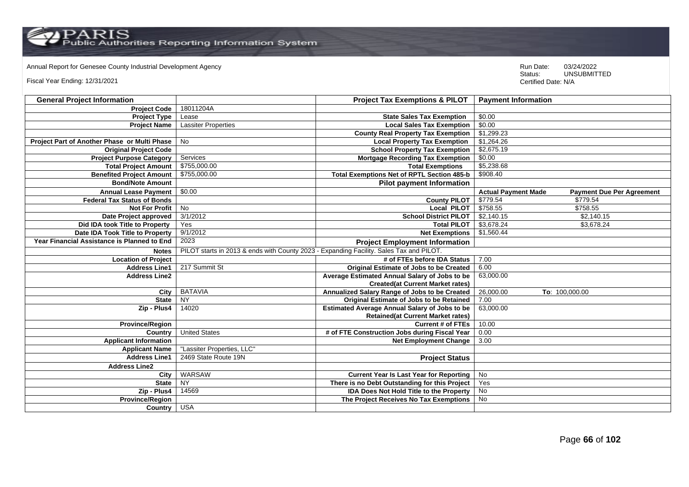Annual Report for Genesee County Industrial Development Agency **Company of Connect Agency** Run Date: 03/24/2022<br>Status: UNSUBMIT

Fiscal Year Ending: 12/31/2021

| <b>General Project Information</b>           |                                                                                         | <b>Project Tax Exemptions &amp; PILOT</b>            | <b>Payment Information</b>                                     |
|----------------------------------------------|-----------------------------------------------------------------------------------------|------------------------------------------------------|----------------------------------------------------------------|
| <b>Project Code</b>                          | 18011204A                                                                               |                                                      |                                                                |
| <b>Project Type</b>                          | Lease                                                                                   | <b>State Sales Tax Exemption</b>                     | \$0.00                                                         |
| <b>Project Name</b>                          | <b>Lassiter Properties</b>                                                              | <b>Local Sales Tax Exemption</b>                     | \$0.00                                                         |
|                                              |                                                                                         | <b>County Real Property Tax Exemption</b>            | \$1,299.23                                                     |
| Project Part of Another Phase or Multi Phase | <b>No</b>                                                                               | <b>Local Property Tax Exemption</b>                  | \$1,264.26                                                     |
| <b>Original Project Code</b>                 |                                                                                         | <b>School Property Tax Exemption</b>                 | \$2,675.19                                                     |
| <b>Project Purpose Category</b>              | Services                                                                                | <b>Mortgage Recording Tax Exemption</b>              | \$0.00                                                         |
| <b>Total Project Amount</b>                  | \$755,000.00                                                                            | <b>Total Exemptions</b>                              | \$5,238.68                                                     |
| <b>Benefited Project Amount</b>              | \$755,000.00                                                                            | Total Exemptions Net of RPTL Section 485-b           | \$908.40                                                       |
| <b>Bond/Note Amount</b>                      |                                                                                         | <b>Pilot payment Information</b>                     |                                                                |
| <b>Annual Lease Payment</b>                  | \$0.00                                                                                  |                                                      | <b>Actual Payment Made</b><br><b>Payment Due Per Agreement</b> |
| <b>Federal Tax Status of Bonds</b>           |                                                                                         | <b>County PILOT</b>                                  | \$779.54<br>\$779.54                                           |
| <b>Not For Profit</b>                        | No                                                                                      | <b>Local PILOT</b>                                   | \$758.55<br>\$758.55                                           |
| Date Project approved                        | 3/1/2012                                                                                | <b>School District PILOT</b>                         | \$2,140.15<br>\$2,140.15                                       |
| Did IDA took Title to Property               | Yes                                                                                     | <b>Total PILOT</b>                                   | \$3,678.24<br>\$3,678.24                                       |
| Date IDA Took Title to Property              | 9/1/2012                                                                                | <b>Net Exemptions</b>                                | \$1,560.44                                                     |
| Year Financial Assistance is Planned to End  | 2023                                                                                    | <b>Project Employment Information</b>                |                                                                |
| <b>Notes</b>                                 | PILOT starts in 2013 & ends with County 2023 - Expanding Facility. Sales Tax and PILOT. |                                                      |                                                                |
| <b>Location of Project</b>                   |                                                                                         | # of FTEs before IDA Status                          | 7.00                                                           |
| <b>Address Line1</b>                         | 217 Summit St                                                                           | <b>Original Estimate of Jobs to be Created</b>       | 6.00                                                           |
| <b>Address Line2</b>                         |                                                                                         | Average Estimated Annual Salary of Jobs to be        | 63,000.00                                                      |
|                                              |                                                                                         | <b>Created(at Current Market rates)</b>              |                                                                |
| City                                         | <b>BATAVIA</b>                                                                          | Annualized Salary Range of Jobs to be Created        | 26,000.00<br>To: 100,000.00                                    |
| <b>State</b>                                 | <b>NY</b>                                                                               | <b>Original Estimate of Jobs to be Retained</b>      | 7.00                                                           |
| Zip - Plus4                                  | 14020                                                                                   | <b>Estimated Average Annual Salary of Jobs to be</b> | 63,000.00                                                      |
|                                              |                                                                                         | <b>Retained(at Current Market rates)</b>             |                                                                |
| <b>Province/Region</b>                       |                                                                                         | <b>Current # of FTEs</b>                             | 10.00                                                          |
| Country                                      | <b>United States</b>                                                                    | # of FTE Construction Jobs during Fiscal Year        | 0.00                                                           |
| <b>Applicant Information</b>                 |                                                                                         | <b>Net Employment Change</b>                         | 3.00                                                           |
| <b>Applicant Name</b>                        | "Lassiter Properties, LLC"                                                              |                                                      |                                                                |
| <b>Address Line1</b>                         | 2469 State Route 19N                                                                    | <b>Project Status</b>                                |                                                                |
| <b>Address Line2</b>                         |                                                                                         |                                                      |                                                                |
| City                                         | <b>WARSAW</b>                                                                           | <b>Current Year Is Last Year for Reporting</b>       | No                                                             |
| <b>State</b>                                 | $\overline{NY}$                                                                         | There is no Debt Outstanding for this Project        | Yes                                                            |
| Zip - Plus4                                  | 14569                                                                                   | IDA Does Not Hold Title to the Property              | No                                                             |
| Province/Region                              |                                                                                         | The Project Receives No Tax Exemptions               | No                                                             |
| <b>Country</b>                               | <b>USA</b>                                                                              |                                                      |                                                                |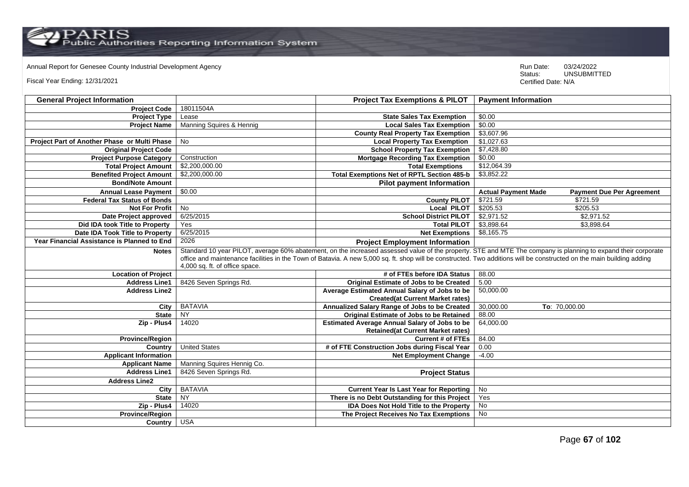# Annual Report for Genesee County Industrial Development Agency **Company of Connect Agency** Run Date: 03/24/2022<br>Status: UNSUBMIT

Fiscal Year Ending: 12/31/2021

| <b>General Project Information</b>           |                                | <b>Project Tax Exemptions &amp; PILOT</b>            | <b>Payment Information</b>                                                                                                                                            |
|----------------------------------------------|--------------------------------|------------------------------------------------------|-----------------------------------------------------------------------------------------------------------------------------------------------------------------------|
| <b>Project Code</b>                          | 18011504A                      |                                                      |                                                                                                                                                                       |
| <b>Project Type</b>                          | Lease                          | <b>State Sales Tax Exemption</b>                     | \$0.00                                                                                                                                                                |
| <b>Project Name</b>                          | Manning Squires & Hennig       | <b>Local Sales Tax Exemption</b>                     | \$0.00                                                                                                                                                                |
|                                              |                                | <b>County Real Property Tax Exemption</b>            | \$3,607.96                                                                                                                                                            |
| Project Part of Another Phase or Multi Phase | <b>No</b>                      | <b>Local Property Tax Exemption</b>                  | \$1,027.63                                                                                                                                                            |
| <b>Original Project Code</b>                 |                                | <b>School Property Tax Exemption</b>                 | \$7,428.80                                                                                                                                                            |
| <b>Project Purpose Category</b>              | Construction                   | <b>Mortgage Recording Tax Exemption</b>              | \$0.00                                                                                                                                                                |
| <b>Total Project Amount</b>                  | \$2,200,000.00                 | <b>Total Exemptions</b>                              | \$12,064.39                                                                                                                                                           |
| <b>Benefited Project Amount</b>              | \$2,200,000.00                 | <b>Total Exemptions Net of RPTL Section 485-b</b>    | \$3,852.22                                                                                                                                                            |
| <b>Bond/Note Amount</b>                      |                                | <b>Pilot payment Information</b>                     |                                                                                                                                                                       |
| <b>Annual Lease Payment</b>                  | \$0.00                         |                                                      | <b>Actual Payment Made</b><br><b>Payment Due Per Agreement</b>                                                                                                        |
| <b>Federal Tax Status of Bonds</b>           |                                | <b>County PILOT</b>                                  | \$721.59<br>\$721.59                                                                                                                                                  |
| <b>Not For Profit</b>                        | $\overline{N}$                 | <b>Local PILOT</b>                                   | \$205.53<br>\$205.53                                                                                                                                                  |
| Date Project approved                        | 6/25/2015                      | <b>School District PILOT</b>                         | \$2,971.52<br>\$2.971.52                                                                                                                                              |
| Did IDA took Title to Property               | Yes                            | <b>Total PILOT</b>                                   | \$3,898.64<br>\$3,898.64                                                                                                                                              |
| Date IDA Took Title to Property              | 6/25/2015                      | <b>Net Exemptions</b>                                | \$8,165.75                                                                                                                                                            |
| Year Financial Assistance is Planned to End  | 2026                           | <b>Project Employment Information</b>                |                                                                                                                                                                       |
| <b>Notes</b>                                 |                                |                                                      | Standard 10 year PILOT, average 60% abatement, on the increased assessed value of the property. STE and MTE The company is planning to expand their corporate         |
|                                              |                                |                                                      | office and maintenance facilities in the Town of Batavia. A new 5,000 sq. ft. shop will be constructed. Two additions will be constructed on the main building adding |
|                                              | 4,000 sq. ft. of office space. |                                                      |                                                                                                                                                                       |
| <b>Location of Project</b>                   |                                | # of FTEs before IDA Status                          | 88.00                                                                                                                                                                 |
| <b>Address Line1</b>                         | 8426 Seven Springs Rd.         | <b>Original Estimate of Jobs to be Created</b>       | 5.00                                                                                                                                                                  |
| <b>Address Line2</b>                         |                                | Average Estimated Annual Salary of Jobs to be        | 50,000.00                                                                                                                                                             |
|                                              |                                | <b>Created(at Current Market rates)</b>              |                                                                                                                                                                       |
| City                                         | <b>BATAVIA</b>                 | Annualized Salary Range of Jobs to be Created        | 30,000.00<br>To: 70,000.00                                                                                                                                            |
| <b>State</b>                                 | NY                             | <b>Original Estimate of Jobs to be Retained</b>      | 88.00                                                                                                                                                                 |
| Zip - Plus4                                  | 14020                          | <b>Estimated Average Annual Salary of Jobs to be</b> | 64,000.00                                                                                                                                                             |
|                                              |                                | <b>Retained(at Current Market rates)</b>             |                                                                                                                                                                       |
| <b>Province/Region</b>                       |                                | <b>Current # of FTEs</b>                             | 84.00                                                                                                                                                                 |
| Country                                      | <b>United States</b>           | # of FTE Construction Jobs during Fiscal Year        | 0.00                                                                                                                                                                  |
| <b>Applicant Information</b>                 |                                | <b>Net Employment Change</b>                         | $-4.00$                                                                                                                                                               |
| <b>Applicant Name</b>                        | Manning Squires Hennig Co.     |                                                      |                                                                                                                                                                       |
| <b>Address Line1</b>                         | 8426 Seven Springs Rd.         | <b>Project Status</b>                                |                                                                                                                                                                       |
| <b>Address Line2</b>                         |                                |                                                      |                                                                                                                                                                       |
| City                                         | <b>BATAVIA</b>                 | <b>Current Year Is Last Year for Reporting</b>       | <b>No</b>                                                                                                                                                             |
| <b>State</b>                                 | NY                             | There is no Debt Outstanding for this Project        | Yes                                                                                                                                                                   |
| Zip - Plus4                                  | 14020                          | <b>IDA Does Not Hold Title to the Property</b>       | No                                                                                                                                                                    |
| <b>Province/Region</b>                       |                                | The Project Receives No Tax Exemptions               | No                                                                                                                                                                    |
| Country                                      | <b>USA</b>                     |                                                      |                                                                                                                                                                       |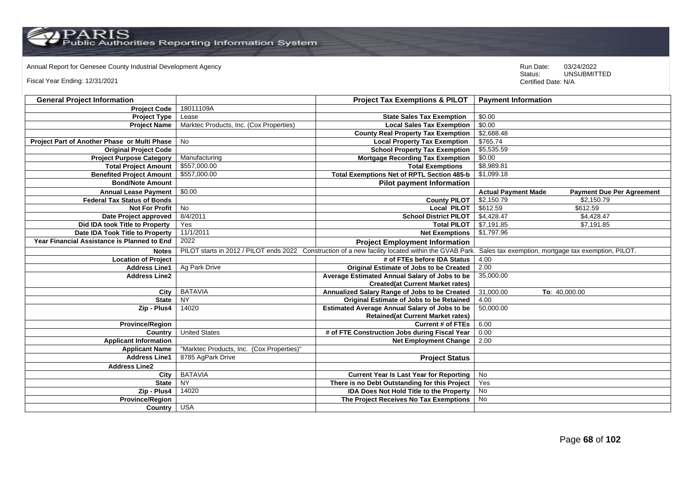# Annual Report for Genesee County Industrial Development Agency **Company of Connect Agency** Run Date: 03/24/2022<br>Status: UNSUBMIT

Fiscal Year Ending: 12/31/2021

| <b>General Project Information</b>           |                                           | <b>Project Tax Exemptions &amp; PILOT</b>            | <b>Payment Information</b>                                                                                                                              |
|----------------------------------------------|-------------------------------------------|------------------------------------------------------|---------------------------------------------------------------------------------------------------------------------------------------------------------|
| <b>Project Code</b>                          | 18011109A                                 |                                                      |                                                                                                                                                         |
| <b>Project Type</b>                          | Lease                                     | <b>State Sales Tax Exemption</b>                     | \$0.00                                                                                                                                                  |
| <b>Project Name</b>                          | Marktec Products, Inc. (Cox Properties)   | <b>Local Sales Tax Exemption</b>                     | \$0.00                                                                                                                                                  |
|                                              |                                           | <b>County Real Property Tax Exemption</b>            | \$2,688.48                                                                                                                                              |
| Project Part of Another Phase or Multi Phase | <b>No</b>                                 | <b>Local Property Tax Exemption</b>                  | \$765.74                                                                                                                                                |
| <b>Original Project Code</b>                 |                                           | <b>School Property Tax Exemption</b>                 | \$5,535.59                                                                                                                                              |
| <b>Project Purpose Category</b>              | Manufacturing                             | <b>Mortgage Recording Tax Exemption</b>              | \$0.00                                                                                                                                                  |
| <b>Total Project Amount</b>                  | \$557,000.00                              | <b>Total Exemptions</b>                              | \$8,989.81                                                                                                                                              |
| <b>Benefited Project Amount</b>              | \$557,000.00                              | <b>Total Exemptions Net of RPTL Section 485-b</b>    | \$1,099.18                                                                                                                                              |
| <b>Bond/Note Amount</b>                      |                                           | <b>Pilot payment Information</b>                     |                                                                                                                                                         |
| <b>Annual Lease Payment</b>                  | \$0.00                                    |                                                      | <b>Actual Payment Made</b><br><b>Payment Due Per Agreement</b>                                                                                          |
| <b>Federal Tax Status of Bonds</b>           |                                           | <b>County PILOT</b>                                  | \$2,150.79<br>\$2,150.79                                                                                                                                |
| <b>Not For Profit</b>                        | <b>No</b>                                 | Local PILOT                                          | \$612.59<br>\$612.59                                                                                                                                    |
| Date Project approved                        | 8/4/2011                                  | <b>School District PILOT</b>                         | \$4,428.47<br>\$4,428.47                                                                                                                                |
| Did IDA took Title to Property               | Yes                                       | <b>Total PILOT</b>                                   | \$7,191.85<br>\$7,191.85                                                                                                                                |
| <b>Date IDA Took Title to Property</b>       | 11/1/2011                                 | <b>Net Exemptions</b>                                | \$1,797.96                                                                                                                                              |
| Year Financial Assistance is Planned to End  | 2022                                      | <b>Project Employment Information</b>                |                                                                                                                                                         |
| <b>Notes</b>                                 |                                           |                                                      | PILOT starts in 2012 / PILOT ends 2022 Construction of a new facility located within the GVAB Park. Sales tax exemption, mortgage tax exemption, PILOT. |
| <b>Location of Project</b>                   |                                           | # of FTEs before IDA Status                          | 4.00                                                                                                                                                    |
| <b>Address Line1</b>                         | Ag Park Drive                             | Original Estimate of Jobs to be Created              | 2.00                                                                                                                                                    |
| <b>Address Line2</b>                         |                                           | Average Estimated Annual Salary of Jobs to be        | 35,000.00                                                                                                                                               |
|                                              |                                           | <b>Created(at Current Market rates)</b>              |                                                                                                                                                         |
| City                                         | <b>BATAVIA</b>                            | Annualized Salary Range of Jobs to be Created        | 31,000.00<br>To: 40,000.00                                                                                                                              |
| <b>State</b>                                 | <b>NY</b>                                 | <b>Original Estimate of Jobs to be Retained</b>      | 4.00                                                                                                                                                    |
| Zip - Plus4                                  | 14020                                     | <b>Estimated Average Annual Salary of Jobs to be</b> | 50,000.00                                                                                                                                               |
|                                              |                                           | <b>Retained(at Current Market rates)</b>             |                                                                                                                                                         |
| <b>Province/Region</b>                       |                                           | <b>Current # of FTEs</b>                             | 6.00                                                                                                                                                    |
| Country                                      | <b>United States</b>                      | # of FTE Construction Jobs during Fiscal Year        | 0.00                                                                                                                                                    |
| <b>Applicant Information</b>                 |                                           | <b>Net Employment Change</b>                         | 2.00                                                                                                                                                    |
| <b>Applicant Name</b>                        | "Marktec Products, Inc. (Cox Properties)" |                                                      |                                                                                                                                                         |
| <b>Address Line1</b>                         | 8785 AgPark Drive                         | <b>Project Status</b>                                |                                                                                                                                                         |
| <b>Address Line2</b>                         |                                           |                                                      |                                                                                                                                                         |
| City                                         | <b>BATAVIA</b>                            | <b>Current Year Is Last Year for Reporting</b>       | No                                                                                                                                                      |
| <b>State</b>                                 | NY                                        | There is no Debt Outstanding for this Project        | Yes                                                                                                                                                     |
| Zip - Plus4                                  | 14020                                     | <b>IDA Does Not Hold Title to the Property</b>       | No                                                                                                                                                      |
| Province/Region                              |                                           | The Project Receives No Tax Exemptions               | No                                                                                                                                                      |
| Country                                      | <b>USA</b>                                |                                                      |                                                                                                                                                         |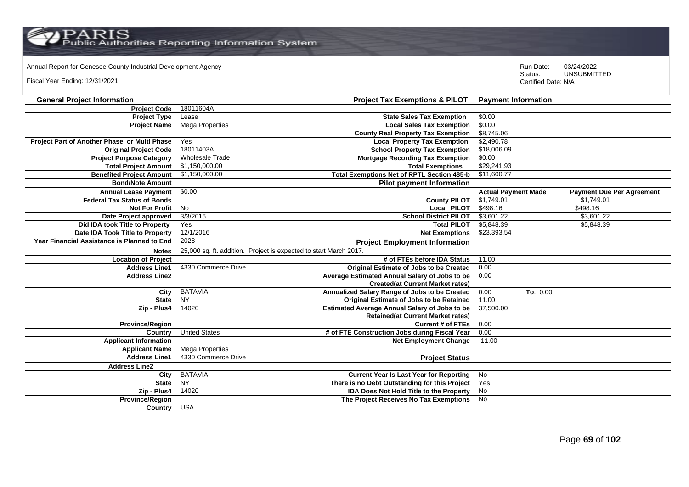$\mathrm{PARS} \ \mathrm{PARS}$ 

# Annual Report for Genesee County Industrial Development Agency **Company of Connect Agency** Run Date: 03/24/2022<br>Status: UNSUBMIT

Fiscal Year Ending: 12/31/2021

| <b>General Project Information</b>           |                                                                   | <b>Project Tax Exemptions &amp; PILOT</b>            | <b>Payment Information</b> |                                  |
|----------------------------------------------|-------------------------------------------------------------------|------------------------------------------------------|----------------------------|----------------------------------|
| <b>Project Code</b>                          | 18011604A                                                         |                                                      |                            |                                  |
| <b>Project Type</b>                          | Lease                                                             | <b>State Sales Tax Exemption</b>                     | \$0.00                     |                                  |
| <b>Project Name</b>                          | <b>Mega Properties</b>                                            | <b>Local Sales Tax Exemption</b>                     | \$0.00                     |                                  |
|                                              |                                                                   | <b>County Real Property Tax Exemption</b>            | \$8,745.06                 |                                  |
| Project Part of Another Phase or Multi Phase | Yes                                                               | <b>Local Property Tax Exemption</b>                  | \$2,490.78                 |                                  |
| <b>Original Project Code</b>                 | 18011403A                                                         | <b>School Property Tax Exemption</b>                 | \$18,006.09                |                                  |
| <b>Project Purpose Category</b>              | <b>Wholesale Trade</b>                                            | <b>Mortgage Recording Tax Exemption</b>              | \$0.00                     |                                  |
| <b>Total Project Amount</b>                  | \$1,150,000.00                                                    | <b>Total Exemptions</b>                              | \$29,241.93                |                                  |
| <b>Benefited Project Amount</b>              | \$1,150,000.00                                                    | <b>Total Exemptions Net of RPTL Section 485-b</b>    | \$11,600.77                |                                  |
| <b>Bond/Note Amount</b>                      |                                                                   | <b>Pilot payment Information</b>                     |                            |                                  |
| <b>Annual Lease Payment</b>                  | \$0.00                                                            |                                                      | <b>Actual Payment Made</b> | <b>Payment Due Per Agreement</b> |
| <b>Federal Tax Status of Bonds</b>           |                                                                   | <b>County PILOT</b>                                  | \$1,749.01                 | \$1,749.01                       |
| <b>Not For Profit</b>                        | No                                                                | <b>Local PILOT</b>                                   | \$498.16                   | \$498.16                         |
| Date Project approved                        | 3/3/2016                                                          | <b>School District PILOT</b>                         | \$3,601.22                 | \$3,601.22                       |
| Did IDA took Title to Property               | Yes                                                               | <b>Total PILOT</b>                                   | \$5,848.39                 | \$5,848.39                       |
| Date IDA Took Title to Property              | 12/1/2016                                                         | <b>Net Exemptions</b>                                | \$23,393.54                |                                  |
| Year Financial Assistance is Planned to End  | 2028                                                              | <b>Project Employment Information</b>                |                            |                                  |
| <b>Notes</b>                                 | 25,000 sq. ft. addition. Project is expected to start March 2017. |                                                      |                            |                                  |
| <b>Location of Project</b>                   |                                                                   | # of FTEs before IDA Status                          | 11.00                      |                                  |
| <b>Address Line1</b>                         | 4330 Commerce Drive                                               | Original Estimate of Jobs to be Created              | 0.00                       |                                  |
| <b>Address Line2</b>                         |                                                                   | Average Estimated Annual Salary of Jobs to be        | 0.00                       |                                  |
|                                              |                                                                   | <b>Created(at Current Market rates)</b>              |                            |                                  |
| City                                         | <b>BATAVIA</b>                                                    | Annualized Salary Range of Jobs to be Created        | 0.00<br>To: 0.00           |                                  |
| <b>State</b>                                 | <b>NY</b>                                                         | <b>Original Estimate of Jobs to be Retained</b>      | 11.00                      |                                  |
| Zip - Plus4                                  | 14020                                                             | <b>Estimated Average Annual Salary of Jobs to be</b> | 37,500.00                  |                                  |
|                                              |                                                                   | <b>Retained(at Current Market rates)</b>             |                            |                                  |
| <b>Province/Region</b>                       |                                                                   | <b>Current # of FTEs</b>                             | 0.00                       |                                  |
| Country                                      | <b>United States</b>                                              | # of FTE Construction Jobs during Fiscal Year        | 0.00                       |                                  |
| <b>Applicant Information</b>                 |                                                                   | <b>Net Employment Change</b>                         | $-11.00$                   |                                  |
| <b>Applicant Name</b>                        | <b>Mega Properties</b>                                            |                                                      |                            |                                  |
| <b>Address Line1</b>                         | 4330 Commerce Drive                                               | <b>Project Status</b>                                |                            |                                  |
| <b>Address Line2</b>                         |                                                                   |                                                      |                            |                                  |
| City                                         | <b>BATAVIA</b>                                                    | <b>Current Year Is Last Year for Reporting</b>       | No                         |                                  |
| <b>State</b>                                 | NY                                                                | There is no Debt Outstanding for this Project        | Yes                        |                                  |
| Zip - Plus4                                  | 14020                                                             | IDA Does Not Hold Title to the Property              | No                         |                                  |
| <b>Province/Region</b>                       |                                                                   | The Project Receives No Tax Exemptions               | <b>No</b>                  |                                  |
| <b>Country</b>                               | <b>USA</b>                                                        |                                                      |                            |                                  |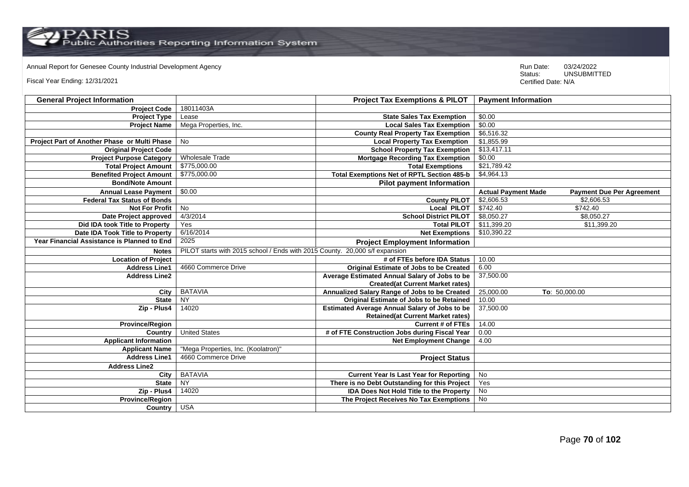Annual Report for Genesee County Industrial Development Agency **Company of Connect Agency** Run Date: 03/24/2022<br>Status: UNSUBMIT

Fiscal Year Ending: 12/31/2021

| <b>General Project Information</b>           |                                                                             | <b>Project Tax Exemptions &amp; PILOT</b>            | <b>Payment Information</b>                                     |
|----------------------------------------------|-----------------------------------------------------------------------------|------------------------------------------------------|----------------------------------------------------------------|
| <b>Project Code</b>                          | 18011403A                                                                   |                                                      |                                                                |
| <b>Project Type</b>                          | Lease                                                                       | <b>State Sales Tax Exemption</b>                     | \$0.00                                                         |
| <b>Project Name</b>                          | Mega Properties, Inc.                                                       | <b>Local Sales Tax Exemption</b>                     | \$0.00                                                         |
|                                              |                                                                             | <b>County Real Property Tax Exemption</b>            | \$6,516.32                                                     |
| Project Part of Another Phase or Multi Phase | No                                                                          | <b>Local Property Tax Exemption</b>                  | \$1,855.99                                                     |
| <b>Original Project Code</b>                 |                                                                             | <b>School Property Tax Exemption</b>                 | \$13,417.11                                                    |
| <b>Project Purpose Category</b>              | <b>Wholesale Trade</b>                                                      | <b>Mortgage Recording Tax Exemption</b>              | \$0.00                                                         |
| <b>Total Project Amount</b>                  | \$775,000.00                                                                | <b>Total Exemptions</b>                              | \$21,789.42                                                    |
| <b>Benefited Project Amount</b>              | \$775,000.00                                                                | <b>Total Exemptions Net of RPTL Section 485-b</b>    | \$4,964.13                                                     |
| <b>Bond/Note Amount</b>                      |                                                                             | <b>Pilot payment Information</b>                     |                                                                |
| <b>Annual Lease Payment</b>                  | \$0.00                                                                      |                                                      | <b>Actual Payment Made</b><br><b>Payment Due Per Agreement</b> |
| <b>Federal Tax Status of Bonds</b>           |                                                                             | <b>County PILOT</b>                                  | \$2,606.53<br>\$2,606.53                                       |
| <b>Not For Profit</b>                        | $\overline{N}$                                                              | <b>Local PILOT</b>                                   | \$742.40<br>\$742.40                                           |
| Date Project approved                        | 4/3/2014                                                                    | <b>School District PILOT</b>                         | \$8,050.27<br>\$8,050.27                                       |
| Did IDA took Title to Property               | Yes                                                                         | <b>Total PILOT</b>                                   | \$11,399.20<br>\$11,399.20                                     |
| Date IDA Took Title to Property              | 6/16/2014                                                                   | <b>Net Exemptions</b>                                | \$10,390.22                                                    |
| Year Financial Assistance is Planned to End  | 2025                                                                        | <b>Project Employment Information</b>                |                                                                |
| <b>Notes</b>                                 | PILOT starts with 2015 school / Ends with 2015 County. 20,000 s/f expansion |                                                      |                                                                |
| <b>Location of Project</b>                   |                                                                             | # of FTEs before IDA Status                          | 10.00                                                          |
| <b>Address Line1</b>                         | 4660 Commerce Drive                                                         | <b>Original Estimate of Jobs to be Created</b>       | 6.00                                                           |
| <b>Address Line2</b>                         |                                                                             | Average Estimated Annual Salary of Jobs to be        | 37,500.00                                                      |
|                                              |                                                                             | <b>Created(at Current Market rates)</b>              |                                                                |
| City                                         | <b>BATAVIA</b>                                                              | Annualized Salary Range of Jobs to be Created        | 25,000.00<br>To: 50,000.00                                     |
| <b>State</b>                                 | NY                                                                          | Original Estimate of Jobs to be Retained             | 10.00                                                          |
| Zip - Plus4                                  | 14020                                                                       | <b>Estimated Average Annual Salary of Jobs to be</b> | 37,500.00                                                      |
|                                              |                                                                             | <b>Retained(at Current Market rates)</b>             |                                                                |
| <b>Province/Region</b>                       |                                                                             | <b>Current # of FTEs</b>                             | 14.00                                                          |
| Country                                      | <b>United States</b>                                                        | # of FTE Construction Jobs during Fiscal Year        | 0.00                                                           |
| <b>Applicant Information</b>                 |                                                                             | <b>Net Employment Change</b>                         | 4.00                                                           |
| <b>Applicant Name</b>                        | "Mega Properties, Inc. (Koolatron)"                                         |                                                      |                                                                |
| <b>Address Line1</b>                         | 4660 Commerce Drive                                                         | <b>Project Status</b>                                |                                                                |
| <b>Address Line2</b>                         |                                                                             |                                                      |                                                                |
| City                                         | <b>BATAVIA</b>                                                              | <b>Current Year Is Last Year for Reporting</b>       | No                                                             |
| <b>State</b>                                 | $\overline{NY}$                                                             | There is no Debt Outstanding for this Project        | Yes                                                            |
| Zip - Plus4                                  | 14020                                                                       | IDA Does Not Hold Title to the Property              | <b>No</b>                                                      |
| Province/Region                              |                                                                             | The Project Receives No Tax Exemptions               | No                                                             |
| Country                                      | <b>USA</b>                                                                  |                                                      |                                                                |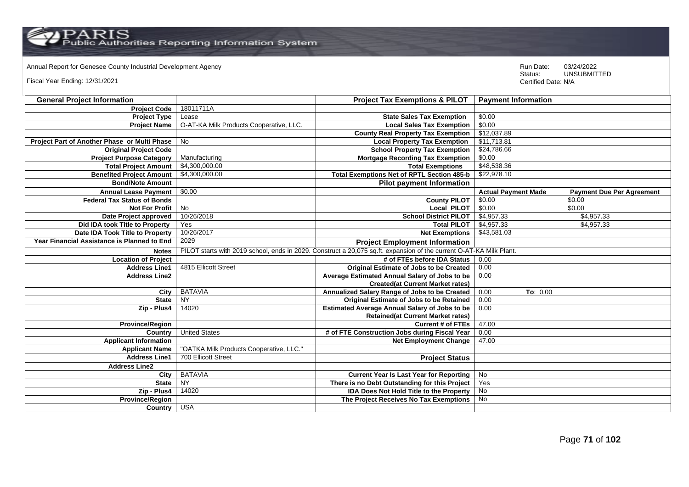# Annual Report for Genesee County Industrial Development Agency **Company of Connect Agency** Run Date: 03/24/2022<br>Status: UNSUBMIT

Fiscal Year Ending: 12/31/2021

| <b>General Project Information</b>           |                                         | <b>Project Tax Exemptions &amp; PILOT</b>                                                                           | <b>Payment Information</b> |                                  |
|----------------------------------------------|-----------------------------------------|---------------------------------------------------------------------------------------------------------------------|----------------------------|----------------------------------|
| <b>Project Code</b>                          | 18011711A                               |                                                                                                                     |                            |                                  |
| <b>Project Type</b>                          | Lease                                   | <b>State Sales Tax Exemption</b>                                                                                    | \$0.00                     |                                  |
| <b>Project Name</b>                          | O-AT-KA Milk Products Cooperative, LLC. | <b>Local Sales Tax Exemption</b>                                                                                    | \$0.00                     |                                  |
|                                              |                                         | <b>County Real Property Tax Exemption</b>                                                                           | \$12,037.89                |                                  |
| Project Part of Another Phase or Multi Phase | <b>No</b>                               | <b>Local Property Tax Exemption</b>                                                                                 | \$11,713.81                |                                  |
| <b>Original Project Code</b>                 |                                         | <b>School Property Tax Exemption</b>                                                                                | \$24,786.66                |                                  |
| <b>Project Purpose Category</b>              | Manufacturing                           | <b>Mortgage Recording Tax Exemption</b>                                                                             | \$0.00                     |                                  |
| <b>Total Project Amount</b>                  | \$4,300,000.00                          | <b>Total Exemptions</b>                                                                                             | \$48,538.36                |                                  |
| <b>Benefited Project Amount</b>              | \$4,300,000.00                          | <b>Total Exemptions Net of RPTL Section 485-b</b>                                                                   | \$22,978.10                |                                  |
| <b>Bond/Note Amount</b>                      |                                         | <b>Pilot payment Information</b>                                                                                    |                            |                                  |
| <b>Annual Lease Payment</b>                  | \$0.00                                  |                                                                                                                     | <b>Actual Payment Made</b> | <b>Payment Due Per Agreement</b> |
| <b>Federal Tax Status of Bonds</b>           |                                         | <b>County PILOT</b>                                                                                                 | \$0.00                     | \$0.00                           |
| <b>Not For Profit</b>                        | <b>No</b>                               | <b>Local PILOT</b>                                                                                                  | \$0.00                     | \$0.00                           |
| Date Project approved                        | 10/26/2018                              | <b>School District PILOT</b>                                                                                        | \$4,957.33                 | \$4,957.33                       |
| Did IDA took Title to Property               | Yes                                     | <b>Total PILOT</b>                                                                                                  | \$4,957.33                 | \$4,957.33                       |
| Date IDA Took Title to Property              | 10/26/2017                              | <b>Net Exemptions</b>                                                                                               | \$43,581.03                |                                  |
| Year Financial Assistance is Planned to End  | 2029                                    | <b>Project Employment Information</b>                                                                               |                            |                                  |
| <b>Notes</b>                                 |                                         | PILOT starts with 2019 school, ends in 2029. Construct a 20,075 sq.ft. expansion of the current O-AT-KA Milk Plant. |                            |                                  |
| <b>Location of Project</b>                   |                                         | # of FTEs before IDA Status                                                                                         | 0.00                       |                                  |
| <b>Address Line1</b>                         | 4815 Ellicott Street                    | <b>Original Estimate of Jobs to be Created</b>                                                                      | 0.00                       |                                  |
| <b>Address Line2</b>                         |                                         | Average Estimated Annual Salary of Jobs to be                                                                       | 0.00                       |                                  |
|                                              |                                         | <b>Created(at Current Market rates)</b>                                                                             |                            |                                  |
| City                                         | <b>BATAVIA</b>                          | Annualized Salary Range of Jobs to be Created                                                                       | 0.00<br>To: 0.00           |                                  |
| <b>State</b>                                 | <b>NY</b>                               | Original Estimate of Jobs to be Retained                                                                            | 0.00                       |                                  |
| Zip - Plus4                                  | 14020                                   | <b>Estimated Average Annual Salary of Jobs to be</b>                                                                | 0.00                       |                                  |
|                                              |                                         | <b>Retained(at Current Market rates)</b>                                                                            |                            |                                  |
| <b>Province/Region</b>                       |                                         | <b>Current # of FTEs</b>                                                                                            | 47.00                      |                                  |
| Country                                      | <b>United States</b>                    | # of FTE Construction Jobs during Fiscal Year                                                                       | 0.00                       |                                  |
| <b>Applicant Information</b>                 |                                         | <b>Net Employment Change</b>                                                                                        | 47.00                      |                                  |
| <b>Applicant Name</b>                        | "OATKA Milk Products Cooperative, LLC." |                                                                                                                     |                            |                                  |
| <b>Address Line1</b>                         | 700 Ellicott Street                     | <b>Project Status</b>                                                                                               |                            |                                  |
| <b>Address Line2</b>                         |                                         |                                                                                                                     |                            |                                  |
| City                                         | <b>BATAVIA</b>                          | <b>Current Year Is Last Year for Reporting</b>                                                                      | No                         |                                  |
| <b>State</b>                                 | <b>NY</b>                               | There is no Debt Outstanding for this Project                                                                       | Yes                        |                                  |
| Zip - Plus4                                  | 14020                                   | <b>IDA Does Not Hold Title to the Property</b>                                                                      | No                         |                                  |
| <b>Province/Region</b>                       |                                         | The Project Receives No Tax Exemptions                                                                              | <b>No</b>                  |                                  |
| <b>Country</b>                               | <b>USA</b>                              |                                                                                                                     |                            |                                  |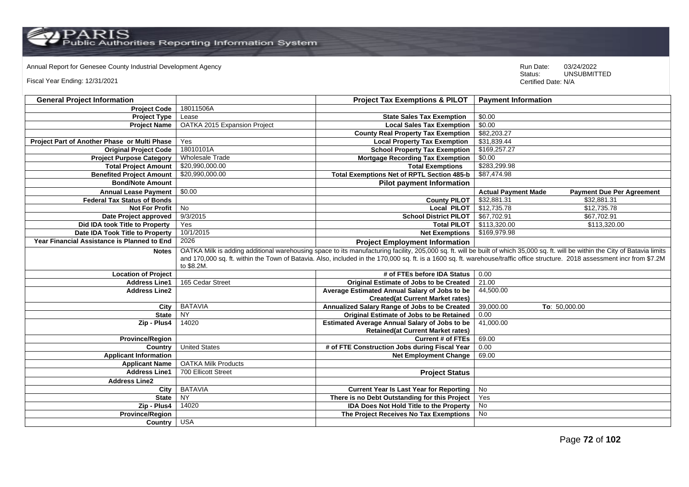# Annual Report for Genesee County Industrial Development Agency **Company of Connect Agency** Run Date: 03/24/2022<br>Status: UNSUBMIT

Fiscal Year Ending: 12/31/2021

| <b>General Project Information</b>           |                              | <b>Project Tax Exemptions &amp; PILOT</b>            | <b>Payment Information</b>                                                                                                                                                       |
|----------------------------------------------|------------------------------|------------------------------------------------------|----------------------------------------------------------------------------------------------------------------------------------------------------------------------------------|
| <b>Project Code</b>                          | 18011506A                    |                                                      |                                                                                                                                                                                  |
| <b>Project Type</b>                          | Lease                        | <b>State Sales Tax Exemption</b>                     | \$0.00                                                                                                                                                                           |
| <b>Project Name</b>                          | OATKA 2015 Expansion Project | <b>Local Sales Tax Exemption</b>                     | \$0.00                                                                                                                                                                           |
|                                              |                              | <b>County Real Property Tax Exemption</b>            | \$82,203.27                                                                                                                                                                      |
| Project Part of Another Phase or Multi Phase | Yes                          | <b>Local Property Tax Exemption</b>                  | \$31,839.44                                                                                                                                                                      |
| <b>Original Project Code</b>                 | 18010101A                    | <b>School Property Tax Exemption</b>                 | \$169,257.27                                                                                                                                                                     |
| <b>Project Purpose Category</b>              | <b>Wholesale Trade</b>       | <b>Mortgage Recording Tax Exemption</b>              | \$0.00                                                                                                                                                                           |
| <b>Total Project Amount</b>                  | \$20,990,000.00              | <b>Total Exemptions</b>                              | \$283,299.98                                                                                                                                                                     |
| <b>Benefited Project Amount</b>              | \$20,990,000.00              | <b>Total Exemptions Net of RPTL Section 485-b</b>    | \$87,474.98                                                                                                                                                                      |
| <b>Bond/Note Amount</b>                      |                              | <b>Pilot payment Information</b>                     |                                                                                                                                                                                  |
| <b>Annual Lease Payment</b>                  | \$0.00                       |                                                      | <b>Actual Payment Made</b><br><b>Payment Due Per Agreement</b>                                                                                                                   |
| <b>Federal Tax Status of Bonds</b>           |                              | <b>County PILOT</b>                                  | \$32,881.31<br>\$32,881.31                                                                                                                                                       |
| <b>Not For Profit</b>                        | $\overline{N}$               | <b>Local PILOT</b>                                   | \$12,735.78<br>\$12,735.78                                                                                                                                                       |
| Date Project approved                        | 9/3/2015                     | <b>School District PILOT</b>                         | \$67,702.91<br>\$67,702.91                                                                                                                                                       |
| Did IDA took Title to Property               | Yes                          | <b>Total PILOT</b>                                   | \$113,320.00<br>\$113,320.00                                                                                                                                                     |
| Date IDA Took Title to Property              | 10/1/2015                    | <b>Net Exemptions</b>                                | \$169,979.98                                                                                                                                                                     |
| Year Financial Assistance is Planned to End  | 2026                         | <b>Project Employment Information</b>                |                                                                                                                                                                                  |
| <b>Notes</b>                                 |                              |                                                      | OATKA Milk is adding additional warehousing space to its manufacturing facility, 205,000 sq. ft. will be built of which 35,000 sq. ft. will be within the City of Batavia limits |
|                                              |                              |                                                      | and 170,000 sq. ft. within the Town of Batavia. Also, included in the 170,000 sq. ft. is a 1600 sq. ft. warehouse/traffic office structure. 2018 assessment incr from \$7.2M     |
|                                              | to \$8.2M.                   |                                                      |                                                                                                                                                                                  |
| <b>Location of Project</b>                   |                              | # of FTEs before IDA Status                          | 0.00                                                                                                                                                                             |
| <b>Address Line1</b>                         | 165 Cedar Street             | <b>Original Estimate of Jobs to be Created</b>       | 21.00                                                                                                                                                                            |
| <b>Address Line2</b>                         |                              | Average Estimated Annual Salary of Jobs to be        | 44,500.00                                                                                                                                                                        |
|                                              |                              | <b>Created(at Current Market rates)</b>              |                                                                                                                                                                                  |
| City                                         | <b>BATAVIA</b>               | Annualized Salary Range of Jobs to be Created        | 39,000.00<br>To: 50,000.00                                                                                                                                                       |
| <b>State</b>                                 | NY                           | Original Estimate of Jobs to be Retained             | 0.00                                                                                                                                                                             |
| Zip - Plus4                                  | 14020                        | <b>Estimated Average Annual Salary of Jobs to be</b> | 41,000.00                                                                                                                                                                        |
|                                              |                              | <b>Retained(at Current Market rates)</b>             |                                                                                                                                                                                  |
| <b>Province/Region</b>                       |                              | <b>Current # of FTEs</b>                             | 69.00                                                                                                                                                                            |
| Country                                      | <b>United States</b>         | # of FTE Construction Jobs during Fiscal Year        | 0.00                                                                                                                                                                             |
| <b>Applicant Information</b>                 |                              | <b>Net Employment Change</b>                         | 69.00                                                                                                                                                                            |
| <b>Applicant Name</b>                        | <b>OATKA Milk Products</b>   |                                                      |                                                                                                                                                                                  |
| <b>Address Line1</b>                         | 700 Ellicott Street          | <b>Project Status</b>                                |                                                                                                                                                                                  |
| <b>Address Line2</b>                         |                              |                                                      |                                                                                                                                                                                  |
| City                                         | <b>BATAVIA</b>               | <b>Current Year Is Last Year for Reporting</b>       | <b>No</b>                                                                                                                                                                        |
| <b>State</b>                                 | NY                           | There is no Debt Outstanding for this Project        | Yes                                                                                                                                                                              |
| Zip - Plus4                                  | 14020                        | <b>IDA Does Not Hold Title to the Property</b>       | No                                                                                                                                                                               |
| <b>Province/Region</b>                       |                              | The Project Receives No Tax Exemptions               | No                                                                                                                                                                               |
| Country                                      | <b>USA</b>                   |                                                      |                                                                                                                                                                                  |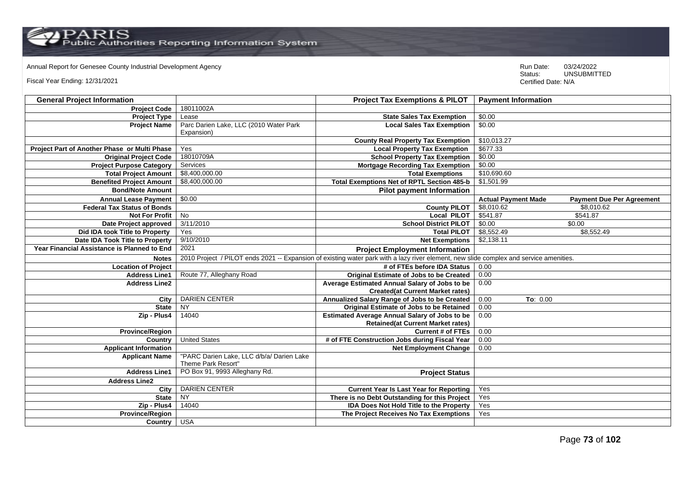$\mathrm{PARS} \ \mathrm{FMS}$ 

# Annual Report for Genesee County Industrial Development Agency **Company of Connect Agency** Run Date: 03/24/2022<br>Status: UNSUBMIT

Fiscal Year Ending: 12/31/2021

| <b>General Project Information</b>           |                                           | <b>Project Tax Exemptions &amp; PILOT</b>                                                                                              | <b>Payment Information</b>                                     |
|----------------------------------------------|-------------------------------------------|----------------------------------------------------------------------------------------------------------------------------------------|----------------------------------------------------------------|
| <b>Project Code</b>                          | 18011002A                                 |                                                                                                                                        |                                                                |
| <b>Project Type</b>                          | Lease                                     | <b>State Sales Tax Exemption</b>                                                                                                       | \$0.00                                                         |
| <b>Project Name</b>                          | Parc Darien Lake, LLC (2010 Water Park    | <b>Local Sales Tax Exemption</b>                                                                                                       | \$0.00                                                         |
|                                              | Expansion)                                |                                                                                                                                        |                                                                |
|                                              |                                           | <b>County Real Property Tax Exemption</b>                                                                                              | \$10,013.27                                                    |
| Project Part of Another Phase or Multi Phase | Yes                                       | <b>Local Property Tax Exemption</b>                                                                                                    | \$677.33                                                       |
| <b>Original Project Code</b>                 | 18010709A                                 | <b>School Property Tax Exemption</b>                                                                                                   | \$0.00                                                         |
| <b>Project Purpose Category</b>              | Services                                  | <b>Mortgage Recording Tax Exemption</b>                                                                                                | \$0.00                                                         |
| <b>Total Project Amount</b>                  | \$8,400,000.00                            | <b>Total Exemptions</b>                                                                                                                | \$10,690.60                                                    |
| <b>Benefited Project Amount</b>              | \$8,400,000.00                            | Total Exemptions Net of RPTL Section 485-b                                                                                             | \$1,501.99                                                     |
| <b>Bond/Note Amount</b>                      |                                           | <b>Pilot payment Information</b>                                                                                                       |                                                                |
| <b>Annual Lease Payment</b>                  | \$0.00                                    |                                                                                                                                        | <b>Actual Payment Made</b><br><b>Payment Due Per Agreement</b> |
| <b>Federal Tax Status of Bonds</b>           |                                           | <b>County PILOT</b>                                                                                                                    | \$8,010.62<br>\$8,010.62                                       |
| <b>Not For Profit</b>                        | No                                        | <b>Local PILOT</b>                                                                                                                     | \$541.87<br>\$541.87                                           |
| Date Project approved                        | 3/11/2010                                 | <b>School District PILOT</b>                                                                                                           | \$0.00<br>\$0.00                                               |
| Did IDA took Title to Property               | Yes                                       | <b>Total PILOT</b>                                                                                                                     | \$8,552.49<br>\$8,552.49                                       |
| Date IDA Took Title to Property              | 9/10/2010                                 | <b>Net Exemptions</b>                                                                                                                  | \$2,138.11                                                     |
| Year Financial Assistance is Planned to End  | 2021                                      | <b>Project Employment Information</b>                                                                                                  |                                                                |
| <b>Notes</b>                                 |                                           | 2010 Project / PILOT ends 2021 -- Expansion of existing water park with a lazy river element, new slide complex and service amenities. |                                                                |
| <b>Location of Project</b>                   |                                           | # of FTEs before IDA Status                                                                                                            | 0.00                                                           |
| <b>Address Line1</b>                         | Route 77, Alleghany Road                  | Original Estimate of Jobs to be Created                                                                                                | 0.00                                                           |
| <b>Address Line2</b>                         |                                           | Average Estimated Annual Salary of Jobs to be                                                                                          | 0.00                                                           |
|                                              |                                           | <b>Created(at Current Market rates)</b>                                                                                                |                                                                |
| City                                         | <b>DARIEN CENTER</b>                      | Annualized Salary Range of Jobs to be Created                                                                                          | 0.00<br>To: 0.00                                               |
| <b>State</b>                                 | <b>NY</b>                                 | <b>Original Estimate of Jobs to be Retained</b>                                                                                        | 0.00                                                           |
| Zip - Plus4                                  | 14040                                     | <b>Estimated Average Annual Salary of Jobs to be</b>                                                                                   | 0.00                                                           |
|                                              |                                           | <b>Retained(at Current Market rates)</b>                                                                                               |                                                                |
| <b>Province/Region</b>                       |                                           | <b>Current # of FTEs</b>                                                                                                               | 0.00                                                           |
| Country                                      | <b>United States</b>                      | # of FTE Construction Jobs during Fiscal Year                                                                                          | 0.00                                                           |
| <b>Applicant Information</b>                 |                                           | <b>Net Employment Change</b>                                                                                                           | 0.00                                                           |
| <b>Applicant Name</b>                        | "PARC Darien Lake, LLC d/b/a/ Darien Lake |                                                                                                                                        |                                                                |
|                                              | Theme Park Resort"                        |                                                                                                                                        |                                                                |
| <b>Address Line1</b>                         | PO Box 91, 9993 Alleghany Rd.             | <b>Project Status</b>                                                                                                                  |                                                                |
| <b>Address Line2</b>                         |                                           |                                                                                                                                        |                                                                |
| City                                         | <b>DARIEN CENTER</b>                      | <b>Current Year Is Last Year for Reporting</b>                                                                                         | Yes                                                            |
| <b>State</b>                                 | <b>NY</b>                                 | There is no Debt Outstanding for this Project                                                                                          | Yes                                                            |
| Zip - Plus4                                  | 14040                                     | IDA Does Not Hold Title to the Property                                                                                                | Yes                                                            |
| <b>Province/Region</b>                       |                                           | The Project Receives No Tax Exemptions                                                                                                 | Yes                                                            |
| Country USA                                  |                                           |                                                                                                                                        |                                                                |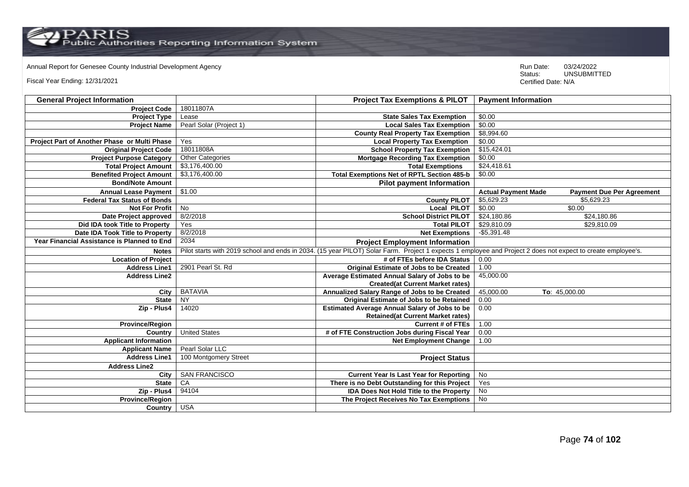$\mathrm{PARS} \ \mathrm{FMS}$ 

Annual Report for Genesee County Industrial Development Agency **Company of Connect Agency** Run Date: 03/24/2022<br>Status: UNSUBMIT

Fiscal Year Ending: 12/31/2021

| <b>General Project Information</b>           |                         | <b>Project Tax Exemptions &amp; PILOT</b>            | <b>Payment Information</b>                                                                                                                                   |
|----------------------------------------------|-------------------------|------------------------------------------------------|--------------------------------------------------------------------------------------------------------------------------------------------------------------|
| <b>Project Code</b>                          | 18011807A               |                                                      |                                                                                                                                                              |
| <b>Project Type</b>                          | Lease                   | <b>State Sales Tax Exemption</b>                     | \$0.00                                                                                                                                                       |
| <b>Project Name</b>                          | Pearl Solar (Project 1) | <b>Local Sales Tax Exemption</b>                     | \$0.00                                                                                                                                                       |
|                                              |                         | <b>County Real Property Tax Exemption</b>            | \$8,994.60                                                                                                                                                   |
| Project Part of Another Phase or Multi Phase | Yes                     | <b>Local Property Tax Exemption</b>                  | \$0.00                                                                                                                                                       |
| <b>Original Project Code</b>                 | 18011808A               | <b>School Property Tax Exemption</b>                 | \$15,424.01                                                                                                                                                  |
| <b>Project Purpose Category</b>              | <b>Other Categories</b> | <b>Mortgage Recording Tax Exemption</b>              | \$0.00                                                                                                                                                       |
| <b>Total Project Amount</b>                  | \$3,176,400.00          | <b>Total Exemptions</b>                              | \$24,418.61                                                                                                                                                  |
| <b>Benefited Project Amount</b>              | \$3,176,400.00          | Total Exemptions Net of RPTL Section 485-b           | \$0.00                                                                                                                                                       |
| <b>Bond/Note Amount</b>                      |                         | <b>Pilot payment Information</b>                     |                                                                                                                                                              |
| <b>Annual Lease Payment</b>                  | \$1.00                  |                                                      | <b>Actual Payment Made</b><br><b>Payment Due Per Agreement</b>                                                                                               |
| <b>Federal Tax Status of Bonds</b>           |                         | County PILOT                                         | \$5,629.23<br>\$5,629.23                                                                                                                                     |
| <b>Not For Profit</b>                        | No                      | <b>Local PILOT</b>                                   | \$0.00<br>\$0.00                                                                                                                                             |
| Date Project approved                        | 8/2/2018                | <b>School District PILOT</b>                         | \$24,180.86<br>\$24,180.86                                                                                                                                   |
| Did IDA took Title to Property               | Yes                     | <b>Total PILOT</b>                                   | \$29,810.09<br>\$29,810.09                                                                                                                                   |
| Date IDA Took Title to Property              | 8/2/2018                | <b>Net Exemptions</b>                                | $-$5,391.48$                                                                                                                                                 |
| Year Financial Assistance is Planned to End  | 2034                    | <b>Project Employment Information</b>                |                                                                                                                                                              |
| <b>Notes</b>                                 |                         |                                                      | Pilot starts with 2019 school and ends in 2034. (15 year PILOT) Solar Farm. Project 1 expects 1 employee and Project 2 does not expect to create employee's. |
| <b>Location of Project</b>                   |                         | # of FTEs before IDA Status                          | 0.00                                                                                                                                                         |
| <b>Address Line1</b>                         | 2901 Pearl St. Rd       | <b>Original Estimate of Jobs to be Created</b>       | 1.00                                                                                                                                                         |
| <b>Address Line2</b>                         |                         | Average Estimated Annual Salary of Jobs to be        | 45,000.00                                                                                                                                                    |
|                                              |                         | <b>Created(at Current Market rates)</b>              |                                                                                                                                                              |
| City                                         | <b>BATAVIA</b>          | Annualized Salary Range of Jobs to be Created        | 45,000.00<br>To: 45,000.00                                                                                                                                   |
| <b>State</b>                                 | NY                      | Original Estimate of Jobs to be Retained             | 0.00                                                                                                                                                         |
| Zip - Plus4                                  | 14020                   | <b>Estimated Average Annual Salary of Jobs to be</b> | 0.00                                                                                                                                                         |
|                                              |                         | <b>Retained(at Current Market rates)</b>             |                                                                                                                                                              |
| <b>Province/Region</b>                       |                         | <b>Current # of FTEs</b>                             | 1.00                                                                                                                                                         |
| Country                                      | <b>United States</b>    | # of FTE Construction Jobs during Fiscal Year        | 0.00                                                                                                                                                         |
| <b>Applicant Information</b>                 |                         | <b>Net Employment Change</b>                         | 1.00                                                                                                                                                         |
| <b>Applicant Name</b>                        | Pearl Solar LLC         |                                                      |                                                                                                                                                              |
| <b>Address Line1</b>                         | 100 Montgomery Street   | <b>Project Status</b>                                |                                                                                                                                                              |
| <b>Address Line2</b>                         |                         |                                                      |                                                                                                                                                              |
| City                                         | SAN FRANCISCO           | Current Year Is Last Year for Reporting              | No                                                                                                                                                           |
| <b>State</b>                                 | CA                      | There is no Debt Outstanding for this Project        | Yes                                                                                                                                                          |
| Zip - Plus4                                  | 94104                   | IDA Does Not Hold Title to the Property              | <b>No</b>                                                                                                                                                    |
| <b>Province/Region</b>                       |                         | The Project Receives No Tax Exemptions               | <b>No</b>                                                                                                                                                    |
| Country USA                                  |                         |                                                      |                                                                                                                                                              |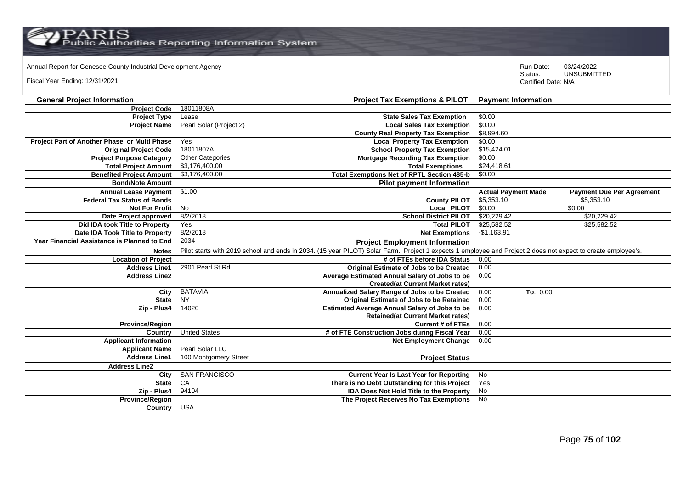Annual Report for Genesee County Industrial Development Agency **Company of Connect Agency** Run Date: 03/24/2022<br>Status: UNSUBMIT

Fiscal Year Ending: 12/31/2021

| <b>General Project Information</b>           |                         | <b>Project Tax Exemptions &amp; PILOT</b>            | <b>Payment Information</b>                                                                                                                                   |
|----------------------------------------------|-------------------------|------------------------------------------------------|--------------------------------------------------------------------------------------------------------------------------------------------------------------|
| <b>Project Code</b>                          | 18011808A               |                                                      |                                                                                                                                                              |
| <b>Project Type</b>                          | Lease                   | <b>State Sales Tax Exemption</b>                     | \$0.00                                                                                                                                                       |
| <b>Project Name</b>                          | Pearl Solar (Project 2) | <b>Local Sales Tax Exemption</b>                     | \$0.00                                                                                                                                                       |
|                                              |                         | <b>County Real Property Tax Exemption</b>            | \$8,994.60                                                                                                                                                   |
| Project Part of Another Phase or Multi Phase | Yes                     | <b>Local Property Tax Exemption</b>                  | \$0.00                                                                                                                                                       |
| <b>Original Project Code</b>                 | 18011807A               | <b>School Property Tax Exemption</b>                 | \$15,424.01                                                                                                                                                  |
| <b>Project Purpose Category</b>              | <b>Other Categories</b> | <b>Mortgage Recording Tax Exemption</b>              | \$0.00                                                                                                                                                       |
| <b>Total Project Amount</b>                  | \$3,176,400.00          | <b>Total Exemptions</b>                              | \$24,418.61                                                                                                                                                  |
| <b>Benefited Project Amount</b>              | \$3,176,400.00          | Total Exemptions Net of RPTL Section 485-b           | \$0.00                                                                                                                                                       |
| <b>Bond/Note Amount</b>                      |                         | <b>Pilot payment Information</b>                     |                                                                                                                                                              |
| <b>Annual Lease Payment</b>                  | \$1.00                  |                                                      | <b>Actual Payment Made</b><br><b>Payment Due Per Agreement</b>                                                                                               |
| <b>Federal Tax Status of Bonds</b>           |                         | County PILOT                                         | \$5,353.10<br>\$5,353.10                                                                                                                                     |
| <b>Not For Profit</b>                        | No                      | <b>Local PILOT</b>                                   | \$0.00<br>\$0.00                                                                                                                                             |
| Date Project approved                        | 8/2/2018                | <b>School District PILOT</b>                         | \$20,229.42<br>\$20,229.42                                                                                                                                   |
| Did IDA took Title to Property               | Yes                     | <b>Total PILOT</b>                                   | \$25,582.52<br>\$25,582.52                                                                                                                                   |
| Date IDA Took Title to Property              | 8/2/2018                | <b>Net Exemptions</b>                                | $-$1,163.91$                                                                                                                                                 |
| Year Financial Assistance is Planned to End  | 2034                    | <b>Project Employment Information</b>                |                                                                                                                                                              |
| <b>Notes</b>                                 |                         |                                                      | Pilot starts with 2019 school and ends in 2034. (15 year PILOT) Solar Farm. Project 1 expects 1 employee and Project 2 does not expect to create employee's. |
| <b>Location of Project</b>                   |                         | # of FTEs before IDA Status                          | 0.00                                                                                                                                                         |
| <b>Address Line1</b>                         | 2901 Pearl St Rd        | <b>Original Estimate of Jobs to be Created</b>       | 0.00                                                                                                                                                         |
| <b>Address Line2</b>                         |                         | Average Estimated Annual Salary of Jobs to be        | 0.00                                                                                                                                                         |
|                                              |                         | <b>Created(at Current Market rates)</b>              |                                                                                                                                                              |
| City                                         | <b>BATAVIA</b>          | Annualized Salary Range of Jobs to be Created        | 0.00<br>To: 0.00                                                                                                                                             |
| <b>State</b>                                 | NY                      | Original Estimate of Jobs to be Retained             | 0.00                                                                                                                                                         |
| Zip - Plus4                                  | 14020                   | <b>Estimated Average Annual Salary of Jobs to be</b> | 0.00                                                                                                                                                         |
|                                              |                         | <b>Retained(at Current Market rates)</b>             |                                                                                                                                                              |
| <b>Province/Region</b>                       |                         | <b>Current # of FTEs</b>                             | 0.00                                                                                                                                                         |
| Country                                      | <b>United States</b>    | # of FTE Construction Jobs during Fiscal Year        | 0.00                                                                                                                                                         |
| <b>Applicant Information</b>                 |                         | <b>Net Employment Change</b>                         | 0.00                                                                                                                                                         |
| <b>Applicant Name</b>                        | Pearl Solar LLC         |                                                      |                                                                                                                                                              |
| <b>Address Line1</b>                         | 100 Montgomery Street   | <b>Project Status</b>                                |                                                                                                                                                              |
| <b>Address Line2</b>                         |                         |                                                      |                                                                                                                                                              |
| City                                         | SAN FRANCISCO           | Current Year Is Last Year for Reporting              | No                                                                                                                                                           |
| <b>State</b>                                 | CA                      | There is no Debt Outstanding for this Project        | Yes                                                                                                                                                          |
| Zip - Plus4                                  | 94104                   | IDA Does Not Hold Title to the Property              | <b>No</b>                                                                                                                                                    |
| <b>Province/Region</b>                       |                         | The Project Receives No Tax Exemptions               | <b>No</b>                                                                                                                                                    |
| Country USA                                  |                         |                                                      |                                                                                                                                                              |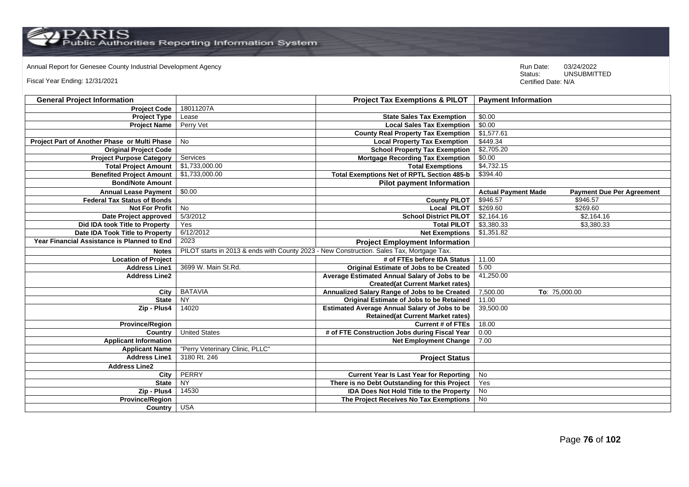Annual Report for Genesee County Industrial Development Agency **Company of Connect Agency** Run Date: 03/24/2022<br>Status: UNSUBMIT

Fiscal Year Ending: 12/31/2021

| <b>General Project Information</b>           |                                                                                           | <b>Project Tax Exemptions &amp; PILOT</b>            | <b>Payment Information</b>                                     |
|----------------------------------------------|-------------------------------------------------------------------------------------------|------------------------------------------------------|----------------------------------------------------------------|
| <b>Project Code</b>                          | 18011207A                                                                                 |                                                      |                                                                |
| <b>Project Type</b>                          | Lease                                                                                     | <b>State Sales Tax Exemption</b>                     | \$0.00                                                         |
| <b>Project Name</b>                          | Perry Vet                                                                                 | <b>Local Sales Tax Exemption</b>                     | \$0.00                                                         |
|                                              |                                                                                           | <b>County Real Property Tax Exemption</b>            | \$1,577.61                                                     |
| Project Part of Another Phase or Multi Phase | <b>No</b>                                                                                 | <b>Local Property Tax Exemption</b>                  | \$449.34                                                       |
| <b>Original Project Code</b>                 |                                                                                           | <b>School Property Tax Exemption</b>                 | \$2,705.20                                                     |
| <b>Project Purpose Category</b>              | Services                                                                                  | <b>Mortgage Recording Tax Exemption</b>              | \$0.00                                                         |
| <b>Total Project Amount</b>                  | \$1,733,000.00                                                                            | <b>Total Exemptions</b>                              | \$4,732.15                                                     |
| <b>Benefited Project Amount</b>              | \$1,733,000.00                                                                            | <b>Total Exemptions Net of RPTL Section 485-b</b>    | \$394.40                                                       |
| <b>Bond/Note Amount</b>                      |                                                                                           | <b>Pilot payment Information</b>                     |                                                                |
| <b>Annual Lease Payment</b>                  | \$0.00                                                                                    |                                                      | <b>Actual Payment Made</b><br><b>Payment Due Per Agreement</b> |
| <b>Federal Tax Status of Bonds</b>           |                                                                                           | <b>County PILOT</b>                                  | \$946.57<br>\$946.57                                           |
| <b>Not For Profit</b>                        | $\overline{N}$                                                                            | <b>Local PILOT</b>                                   | \$269.60<br>\$269.60                                           |
| Date Project approved                        | 5/3/2012                                                                                  | <b>School District PILOT</b>                         | \$2,164.16<br>\$2,164.16                                       |
| Did IDA took Title to Property               | Yes                                                                                       | <b>Total PILOT</b>                                   | \$3,380.33<br>\$3,380.33                                       |
| Date IDA Took Title to Property              | 6/12/2012                                                                                 | <b>Net Exemptions</b>                                | \$1,351.82                                                     |
| Year Financial Assistance is Planned to End  | 2023                                                                                      | <b>Project Employment Information</b>                |                                                                |
| <b>Notes</b>                                 | PILOT starts in 2013 & ends with County 2023 - New Construction. Sales Tax, Mortgage Tax. |                                                      |                                                                |
| <b>Location of Project</b>                   |                                                                                           | # of FTEs before IDA Status                          | 11.00                                                          |
| <b>Address Line1</b>                         | 3699 W. Main St.Rd.                                                                       | Original Estimate of Jobs to be Created              | 5.00                                                           |
| <b>Address Line2</b>                         |                                                                                           | Average Estimated Annual Salary of Jobs to be        | 41,250.00                                                      |
|                                              |                                                                                           | <b>Created(at Current Market rates)</b>              |                                                                |
| City                                         | <b>BATAVIA</b>                                                                            | Annualized Salary Range of Jobs to be Created        | 7,500.00<br>To: 75,000.00                                      |
| <b>State</b>                                 | NY                                                                                        | Original Estimate of Jobs to be Retained             | 11.00                                                          |
| Zip - Plus4                                  | 14020                                                                                     | <b>Estimated Average Annual Salary of Jobs to be</b> | 39,500.00                                                      |
|                                              |                                                                                           | <b>Retained(at Current Market rates)</b>             |                                                                |
| <b>Province/Region</b>                       |                                                                                           | <b>Current # of FTEs</b>                             | 18.00                                                          |
| Country                                      | <b>United States</b>                                                                      | # of FTE Construction Jobs during Fiscal Year        | 0.00                                                           |
| <b>Applicant Information</b>                 |                                                                                           | <b>Net Employment Change</b>                         | 7.00                                                           |
| <b>Applicant Name</b>                        | "Perry Veterinary Clinic, PLLC"                                                           |                                                      |                                                                |
| <b>Address Line1</b>                         | 3180 Rt. 246                                                                              | <b>Project Status</b>                                |                                                                |
| <b>Address Line2</b>                         |                                                                                           |                                                      |                                                                |
| City                                         | <b>PERRY</b>                                                                              | <b>Current Year Is Last Year for Reporting</b>       | No                                                             |
| <b>State</b>                                 | $\overline{NY}$                                                                           | There is no Debt Outstanding for this Project        | Yes                                                            |
| Zip - Plus4                                  | 14530                                                                                     | <b>IDA Does Not Hold Title to the Property</b>       | No                                                             |
| <b>Province/Region</b>                       |                                                                                           | The Project Receives No Tax Exemptions               | <b>No</b>                                                      |
| <b>Country</b>                               | <b>USA</b>                                                                                |                                                      |                                                                |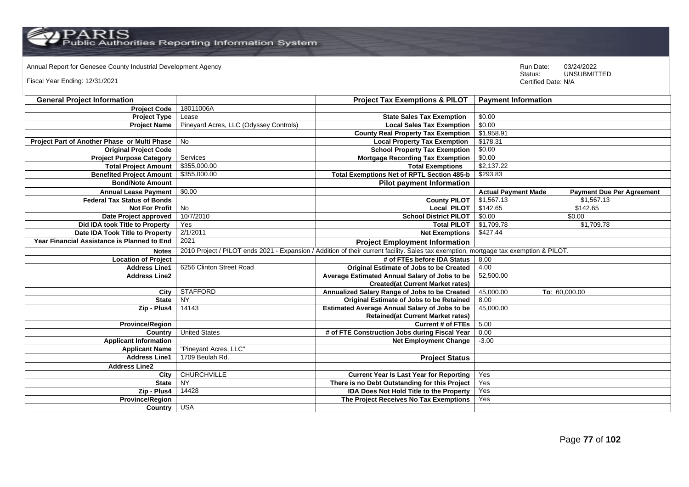# Annual Report for Genesee County Industrial Development Agency **Company of Connect Agency** Run Date: 03/24/2022<br>Status: UNSUBMIT

Fiscal Year Ending: 12/31/2021

| <b>General Project Information</b>                 |                                        | <b>Project Tax Exemptions &amp; PILOT</b>                                                                                             | <b>Payment Information</b>                                     |
|----------------------------------------------------|----------------------------------------|---------------------------------------------------------------------------------------------------------------------------------------|----------------------------------------------------------------|
| <b>Project Code</b>                                | 18011006A                              |                                                                                                                                       |                                                                |
| <b>Project Type</b>                                | Lease                                  | <b>State Sales Tax Exemption</b>                                                                                                      | \$0.00                                                         |
| <b>Project Name</b>                                | Pineyard Acres, LLC (Odyssey Controls) | <b>Local Sales Tax Exemption</b>                                                                                                      | \$0.00                                                         |
|                                                    |                                        | <b>County Real Property Tax Exemption</b>                                                                                             | \$1,958.91                                                     |
| Project Part of Another Phase or Multi Phase       | <b>No</b>                              | <b>Local Property Tax Exemption</b>                                                                                                   | \$178.31                                                       |
| <b>Original Project Code</b>                       |                                        | <b>School Property Tax Exemption</b>                                                                                                  | \$0.00                                                         |
| <b>Project Purpose Category</b>                    | Services                               | <b>Mortgage Recording Tax Exemption</b>                                                                                               | \$0.00                                                         |
| <b>Total Project Amount</b>                        | \$355,000.00                           | <b>Total Exemptions</b>                                                                                                               | \$2,137.22                                                     |
| <b>Benefited Project Amount</b>                    | \$355,000.00                           | <b>Total Exemptions Net of RPTL Section 485-b</b>                                                                                     | \$293.83                                                       |
| <b>Bond/Note Amount</b>                            |                                        | <b>Pilot payment Information</b>                                                                                                      |                                                                |
| <b>Annual Lease Payment</b>                        | \$0.00                                 |                                                                                                                                       | <b>Actual Payment Made</b><br><b>Payment Due Per Agreement</b> |
| <b>Federal Tax Status of Bonds</b>                 |                                        | <b>County PILOT</b>                                                                                                                   | \$1,567.13<br>\$1,567.13                                       |
| <b>Not For Profit</b>                              | $\overline{N}$                         | <b>Local PILOT</b>                                                                                                                    | \$142.65<br>\$142.65                                           |
| Date Project approved                              | 10/7/2010                              | <b>School District PILOT</b>                                                                                                          | \$0.00<br>\$0.00                                               |
| Did IDA took Title to Property                     | Yes                                    | <b>Total PILOT</b>                                                                                                                    | \$1,709.78<br>\$1,709.78                                       |
| Date IDA Took Title to Property                    | 2/1/2011                               | <b>Net Exemptions</b>                                                                                                                 | \$427.44                                                       |
| <b>Year Financial Assistance is Planned to End</b> | 2021                                   | <b>Project Employment Information</b>                                                                                                 |                                                                |
| <b>Notes</b>                                       |                                        | 2010 Project / PILOT ends 2021 - Expansion / Addition of their current facility. Sales tax exemption, mortgage tax exemption & PILOT. |                                                                |
| <b>Location of Project</b>                         |                                        | # of FTEs before IDA Status                                                                                                           | 8.00                                                           |
| <b>Address Line1</b>                               | 6256 Clinton Street Road               | <b>Original Estimate of Jobs to be Created</b>                                                                                        | 4.00                                                           |
| <b>Address Line2</b>                               |                                        | Average Estimated Annual Salary of Jobs to be                                                                                         | 52,500.00                                                      |
|                                                    |                                        | <b>Created(at Current Market rates)</b>                                                                                               |                                                                |
| City                                               | <b>STAFFORD</b>                        | Annualized Salary Range of Jobs to be Created                                                                                         | 45,000.00<br>To: 60,000.00                                     |
| <b>State</b>                                       | <b>NY</b>                              | Original Estimate of Jobs to be Retained                                                                                              | 8.00                                                           |
| Zip - Plus4                                        | 14143                                  | <b>Estimated Average Annual Salary of Jobs to be</b>                                                                                  | 45,000.00                                                      |
|                                                    |                                        | <b>Retained(at Current Market rates)</b>                                                                                              |                                                                |
| <b>Province/Region</b>                             |                                        | <b>Current # of FTEs</b>                                                                                                              | 5.00                                                           |
| Country                                            | <b>United States</b>                   | # of FTE Construction Jobs during Fiscal Year                                                                                         | 0.00                                                           |
| <b>Applicant Information</b>                       |                                        | <b>Net Employment Change</b>                                                                                                          | $-3.00$                                                        |
| <b>Applicant Name</b>                              | "Pineyard Acres, LLC"                  |                                                                                                                                       |                                                                |
| <b>Address Line1</b>                               | 1709 Beulah Rd.                        | <b>Project Status</b>                                                                                                                 |                                                                |
| <b>Address Line2</b>                               |                                        |                                                                                                                                       |                                                                |
| City                                               | <b>CHURCHVILLE</b>                     | <b>Current Year Is Last Year for Reporting</b>                                                                                        | Yes                                                            |
| <b>State</b>                                       | NY                                     | There is no Debt Outstanding for this Project                                                                                         | Yes                                                            |
| Zip - Plus4                                        | 14428                                  | <b>IDA Does Not Hold Title to the Property</b>                                                                                        | Yes                                                            |
| <b>Province/Region</b>                             |                                        | The Project Receives No Tax Exemptions                                                                                                | Yes                                                            |
| <b>Country</b>                                     | <b>USA</b>                             |                                                                                                                                       |                                                                |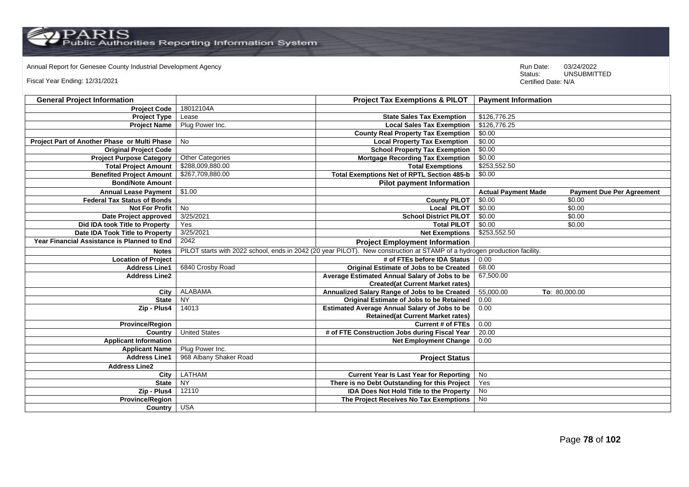# Annual Report for Genesee County Industrial Development Agency **Company of Connect Agency** Run Date: 03/24/2022<br>Status: UNSUBMIT

Fiscal Year Ending: 12/31/2021

| <b>General Project Information</b>           |                         | <b>Project Tax Exemptions &amp; PILOT</b>                                                                                 | <b>Payment Information</b>                                     |
|----------------------------------------------|-------------------------|---------------------------------------------------------------------------------------------------------------------------|----------------------------------------------------------------|
| <b>Project Code</b>                          | 18012104A               |                                                                                                                           |                                                                |
| <b>Project Type</b>                          | Lease                   | <b>State Sales Tax Exemption</b>                                                                                          | \$126,776.25                                                   |
| <b>Project Name</b>                          | Plug Power Inc.         | <b>Local Sales Tax Exemption</b>                                                                                          | \$126,776.25                                                   |
|                                              |                         | <b>County Real Property Tax Exemption</b>                                                                                 | \$0.00                                                         |
| Project Part of Another Phase or Multi Phase | <b>No</b>               | <b>Local Property Tax Exemption</b>                                                                                       | \$0.00                                                         |
| <b>Original Project Code</b>                 |                         | <b>School Property Tax Exemption</b>                                                                                      | \$0.00                                                         |
| <b>Project Purpose Category</b>              | <b>Other Categories</b> | <b>Mortgage Recording Tax Exemption</b>                                                                                   | \$0.00                                                         |
| <b>Total Project Amount</b>                  | \$288,009,880.00        | <b>Total Exemptions</b>                                                                                                   | \$253,552.50                                                   |
| <b>Benefited Project Amount</b>              | \$267,709,880.00        | <b>Total Exemptions Net of RPTL Section 485-b</b>                                                                         | \$0.00                                                         |
| <b>Bond/Note Amount</b>                      |                         | <b>Pilot payment Information</b>                                                                                          |                                                                |
| <b>Annual Lease Payment</b>                  | \$1.00                  |                                                                                                                           | <b>Actual Payment Made</b><br><b>Payment Due Per Agreement</b> |
| <b>Federal Tax Status of Bonds</b>           |                         | <b>County PILOT</b>                                                                                                       | \$0.00<br>\$0.00                                               |
| <b>Not For Profit</b>                        | No                      | <b>Local PILOT</b>                                                                                                        | \$0.00<br>\$0.00                                               |
| Date Project approved                        | 3/25/2021               | <b>School District PILOT</b>                                                                                              | \$0.00<br>\$0.00                                               |
| Did IDA took Title to Property               | Yes                     | <b>Total PILOT</b>                                                                                                        | \$0.00<br>\$0.00                                               |
| Date IDA Took Title to Property              | 3/25/2021               | <b>Net Exemptions</b>                                                                                                     | \$253,552.50                                                   |
| Year Financial Assistance is Planned to End  | 2042                    | <b>Project Employment Information</b>                                                                                     |                                                                |
| <b>Notes</b>                                 |                         | PILOT starts with 2022 school, ends in 2042 (20 year PILOT). New construction at STAMP of a hydrogen production facility. |                                                                |
| <b>Location of Project</b>                   |                         | # of FTEs before IDA Status                                                                                               | 0.00                                                           |
| <b>Address Line1</b>                         | 6840 Crosby Road        | Original Estimate of Jobs to be Created                                                                                   | 68.00                                                          |
| <b>Address Line2</b>                         |                         | Average Estimated Annual Salary of Jobs to be                                                                             | 67,500.00                                                      |
|                                              |                         | <b>Created(at Current Market rates)</b>                                                                                   |                                                                |
| City                                         | <b>ALABAMA</b>          | Annualized Salary Range of Jobs to be Created                                                                             | 55,000.00<br>To: 80,000.00                                     |
| <b>State</b>                                 | <b>NY</b>               | <b>Original Estimate of Jobs to be Retained</b>                                                                           | 0.00                                                           |
| Zip - Plus4                                  | 14013                   | <b>Estimated Average Annual Salary of Jobs to be</b>                                                                      | 0.00                                                           |
|                                              |                         | <b>Retained(at Current Market rates)</b>                                                                                  |                                                                |
| <b>Province/Region</b>                       |                         | <b>Current # of FTEs</b>                                                                                                  | 0.00                                                           |
| Country                                      | <b>United States</b>    | # of FTE Construction Jobs during Fiscal Year                                                                             | 20.00                                                          |
| <b>Applicant Information</b>                 |                         | <b>Net Employment Change</b>                                                                                              | 0.00                                                           |
| <b>Applicant Name</b>                        | Plug Power Inc.         |                                                                                                                           |                                                                |
| <b>Address Line1</b>                         | 968 Albany Shaker Road  | <b>Project Status</b>                                                                                                     |                                                                |
| <b>Address Line2</b>                         |                         |                                                                                                                           |                                                                |
| City                                         | <b>LATHAM</b>           | <b>Current Year Is Last Year for Reporting</b>                                                                            | No                                                             |
| <b>State</b>                                 | NY                      | There is no Debt Outstanding for this Project                                                                             | Yes                                                            |
| Zip - Plus4                                  | 12110                   | <b>IDA Does Not Hold Title to the Property</b>                                                                            | No                                                             |
| <b>Province/Region</b>                       |                         | The Project Receives No Tax Exemptions                                                                                    | No                                                             |
| <b>Country</b>                               | <b>USA</b>              |                                                                                                                           |                                                                |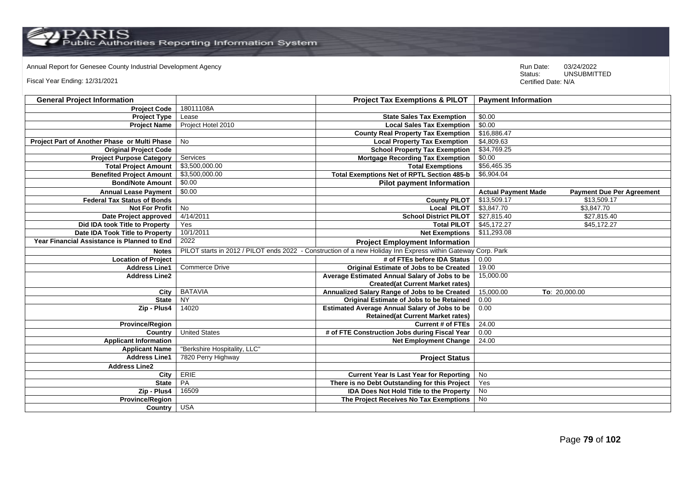Annual Report for Genesee County Industrial Development Agency **Company of Connect Agency** Run Date: 03/24/2022<br>Status: UNSUBMIT

Fiscal Year Ending: 12/31/2021

| <b>General Project Information</b>           |                              | <b>Project Tax Exemptions &amp; PILOT</b>                                                                    | <b>Payment Information</b>                                     |
|----------------------------------------------|------------------------------|--------------------------------------------------------------------------------------------------------------|----------------------------------------------------------------|
| <b>Project Code</b>                          | 18011108A                    |                                                                                                              |                                                                |
| <b>Project Type</b>                          | Lease                        | <b>State Sales Tax Exemption</b>                                                                             | \$0.00                                                         |
| <b>Project Name</b>                          | Project Hotel 2010           | <b>Local Sales Tax Exemption</b>                                                                             | \$0.00                                                         |
|                                              |                              | <b>County Real Property Tax Exemption</b>                                                                    | \$16,886.47                                                    |
| Project Part of Another Phase or Multi Phase | No                           | <b>Local Property Tax Exemption</b>                                                                          | \$4,809.63                                                     |
| <b>Original Project Code</b>                 |                              | <b>School Property Tax Exemption</b>                                                                         | \$34,769.25                                                    |
| <b>Project Purpose Category</b>              | Services                     | <b>Mortgage Recording Tax Exemption</b>                                                                      | \$0.00                                                         |
| <b>Total Project Amount</b>                  | \$3,500,000.00               | <b>Total Exemptions</b>                                                                                      | \$56,465.35                                                    |
| <b>Benefited Project Amount</b>              | \$3,500,000.00               | <b>Total Exemptions Net of RPTL Section 485-b</b>                                                            | \$6,904.04                                                     |
| <b>Bond/Note Amount</b>                      | \$0.00                       | <b>Pilot payment Information</b>                                                                             |                                                                |
| <b>Annual Lease Payment</b>                  | \$0.00                       |                                                                                                              | <b>Actual Payment Made</b><br><b>Payment Due Per Agreement</b> |
| <b>Federal Tax Status of Bonds</b>           |                              | <b>County PILOT</b>                                                                                          | \$13,509.17<br>\$13,509.17                                     |
| <b>Not For Profit</b>                        | $\overline{N}$               | <b>Local PILOT</b>                                                                                           | \$3,847.70<br>\$3,847.70                                       |
| Date Project approved                        | 4/14/2011                    | <b>School District PILOT</b>                                                                                 | \$27,815.40<br>\$27,815.40                                     |
| Did IDA took Title to Property               | Yes                          | <b>Total PILOT</b>                                                                                           | \$45,172.27<br>\$45,172.27                                     |
| Date IDA Took Title to Property              | 10/1/2011                    | <b>Net Exemptions</b>                                                                                        | \$11,293.08                                                    |
| Year Financial Assistance is Planned to End  | 2022                         | <b>Project Employment Information</b>                                                                        |                                                                |
| <b>Notes</b>                                 |                              | PILOT starts in 2012 / PILOT ends 2022 - Construction of a new Holiday Inn Express within Gateway Corp. Park |                                                                |
| <b>Location of Project</b>                   |                              | # of FTEs before IDA Status                                                                                  | 0.00                                                           |
| <b>Address Line1</b>                         | <b>Commerce Drive</b>        | <b>Original Estimate of Jobs to be Created</b>                                                               | 19.00                                                          |
| <b>Address Line2</b>                         |                              | Average Estimated Annual Salary of Jobs to be                                                                | 15,000.00                                                      |
|                                              |                              | <b>Created(at Current Market rates)</b>                                                                      |                                                                |
| City                                         | <b>BATAVIA</b>               | Annualized Salary Range of Jobs to be Created                                                                | 15,000.00<br>To: 20,000.00                                     |
| <b>State</b>                                 | NY                           | Original Estimate of Jobs to be Retained                                                                     | 0.00                                                           |
| Zip - Plus4                                  | 14020                        | <b>Estimated Average Annual Salary of Jobs to be</b>                                                         | 0.00                                                           |
|                                              |                              | <b>Retained(at Current Market rates)</b>                                                                     |                                                                |
| <b>Province/Region</b>                       |                              | <b>Current # of FTEs</b>                                                                                     | 24.00                                                          |
| Country                                      | <b>United States</b>         | # of FTE Construction Jobs during Fiscal Year                                                                | 0.00                                                           |
| <b>Applicant Information</b>                 |                              | <b>Net Employment Change</b>                                                                                 | 24.00                                                          |
| <b>Applicant Name</b>                        | "Berkshire Hospitality, LLC" |                                                                                                              |                                                                |
| <b>Address Line1</b>                         | 7820 Perry Highway           | <b>Project Status</b>                                                                                        |                                                                |
| <b>Address Line2</b>                         |                              |                                                                                                              |                                                                |
| City                                         | ERIE                         | <b>Current Year Is Last Year for Reporting</b>                                                               | No                                                             |
| <b>State</b>                                 | PA                           | There is no Debt Outstanding for this Project                                                                | Yes                                                            |
| Zip - Plus4                                  | 16509                        | <b>IDA Does Not Hold Title to the Property</b>                                                               | <b>No</b>                                                      |
| Province/Region                              |                              | The Project Receives No Tax Exemptions                                                                       | <b>No</b>                                                      |
| Country                                      | <b>USA</b>                   |                                                                                                              |                                                                |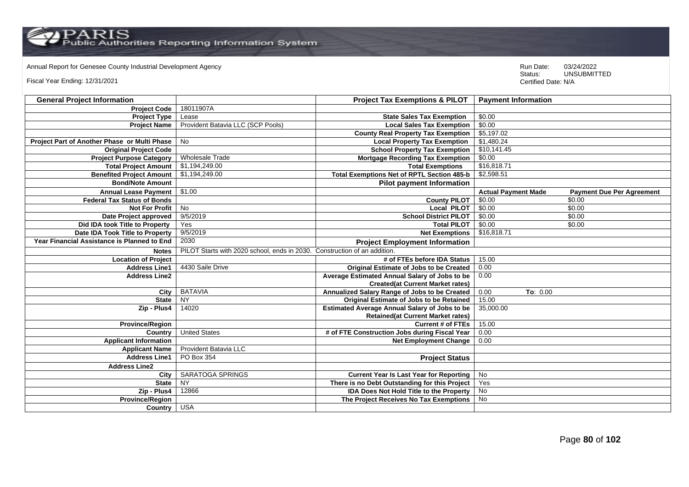# Annual Report for Genesee County Industrial Development Agency **Company of Connect Agency** Run Date: 03/24/2022<br>Status: UNSUBMIT

Fiscal Year Ending: 12/31/2021

| <b>General Project Information</b>           |                                                                           | <b>Project Tax Exemptions &amp; PILOT</b>            | <b>Payment Information</b> |                                  |
|----------------------------------------------|---------------------------------------------------------------------------|------------------------------------------------------|----------------------------|----------------------------------|
| <b>Project Code</b>                          | 18011907A                                                                 |                                                      |                            |                                  |
| <b>Project Type</b>                          | Lease                                                                     | <b>State Sales Tax Exemption</b>                     | \$0.00                     |                                  |
| <b>Project Name</b>                          | Provident Batavia LLC (SCP Pools)                                         | <b>Local Sales Tax Exemption</b>                     | \$0.00                     |                                  |
|                                              |                                                                           | <b>County Real Property Tax Exemption</b>            | \$5,197.02                 |                                  |
| Project Part of Another Phase or Multi Phase | No                                                                        | <b>Local Property Tax Exemption</b>                  | \$1,480.24                 |                                  |
| <b>Original Project Code</b>                 |                                                                           | <b>School Property Tax Exemption</b>                 | \$10,141.45                |                                  |
| <b>Project Purpose Category</b>              | <b>Wholesale Trade</b>                                                    | <b>Mortgage Recording Tax Exemption</b>              | \$0.00                     |                                  |
| <b>Total Project Amount</b>                  | \$1,194,249.00                                                            | <b>Total Exemptions</b>                              | \$16,818.71                |                                  |
| <b>Benefited Project Amount</b>              | \$1,194,249.00                                                            | <b>Total Exemptions Net of RPTL Section 485-b</b>    | \$2,598.51                 |                                  |
| <b>Bond/Note Amount</b>                      |                                                                           | <b>Pilot payment Information</b>                     |                            |                                  |
| <b>Annual Lease Payment</b>                  | \$1.00                                                                    |                                                      | <b>Actual Payment Made</b> | <b>Payment Due Per Agreement</b> |
| <b>Federal Tax Status of Bonds</b>           |                                                                           | <b>County PILOT</b>                                  | \$0.00                     | \$0.00                           |
| <b>Not For Profit</b>                        | No                                                                        | Local PILOT                                          | \$0.00                     | \$0.00                           |
| Date Project approved                        | 9/5/2019                                                                  | <b>School District PILOT</b>                         | \$0.00                     | \$0.00                           |
| Did IDA took Title to Property               | Yes                                                                       | <b>Total PILOT</b>                                   | \$0.00                     | \$0.00                           |
| Date IDA Took Title to Property              | 9/5/2019                                                                  | <b>Net Exemptions</b>                                | \$16,818.71                |                                  |
| Year Financial Assistance is Planned to End  | 2030                                                                      | <b>Project Employment Information</b>                |                            |                                  |
| <b>Notes</b>                                 | PILOT Starts with 2020 school, ends in 2030. Construction of an addition. |                                                      |                            |                                  |
| <b>Location of Project</b>                   |                                                                           | # of FTEs before IDA Status                          | 15.00                      |                                  |
| <b>Address Line1</b>                         | 4430 Saile Drive                                                          | Original Estimate of Jobs to be Created              | 0.00                       |                                  |
| <b>Address Line2</b>                         |                                                                           | Average Estimated Annual Salary of Jobs to be        | 0.00                       |                                  |
|                                              |                                                                           | <b>Created(at Current Market rates)</b>              |                            |                                  |
| City                                         | <b>BATAVIA</b>                                                            | Annualized Salary Range of Jobs to be Created        | 0.00<br>To: 0.00           |                                  |
| <b>State</b>                                 | <b>NY</b>                                                                 | <b>Original Estimate of Jobs to be Retained</b>      | 15.00                      |                                  |
| Zip - Plus4                                  | 14020                                                                     | <b>Estimated Average Annual Salary of Jobs to be</b> | 35,000.00                  |                                  |
|                                              |                                                                           | <b>Retained(at Current Market rates)</b>             |                            |                                  |
| <b>Province/Region</b>                       |                                                                           | <b>Current # of FTEs</b>                             | 15.00                      |                                  |
| Country                                      | <b>United States</b>                                                      | # of FTE Construction Jobs during Fiscal Year        | 0.00                       |                                  |
| <b>Applicant Information</b>                 |                                                                           | <b>Net Employment Change</b>                         | 0.00                       |                                  |
| <b>Applicant Name</b>                        | Provident Batavia LLC                                                     |                                                      |                            |                                  |
| <b>Address Line1</b>                         | PO Box 354                                                                | <b>Project Status</b>                                |                            |                                  |
| <b>Address Line2</b>                         |                                                                           |                                                      |                            |                                  |
| City                                         | <b>SARATOGA SPRINGS</b>                                                   | Current Year Is Last Year for Reporting              | No                         |                                  |
| <b>State</b>                                 | <b>NY</b>                                                                 | There is no Debt Outstanding for this Project        | Yes                        |                                  |
| Zip - Plus4                                  | 12866                                                                     | IDA Does Not Hold Title to the Property              | No                         |                                  |
| <b>Province/Region</b>                       |                                                                           | The Project Receives No Tax Exemptions               | <b>No</b>                  |                                  |
| Country USA                                  |                                                                           |                                                      |                            |                                  |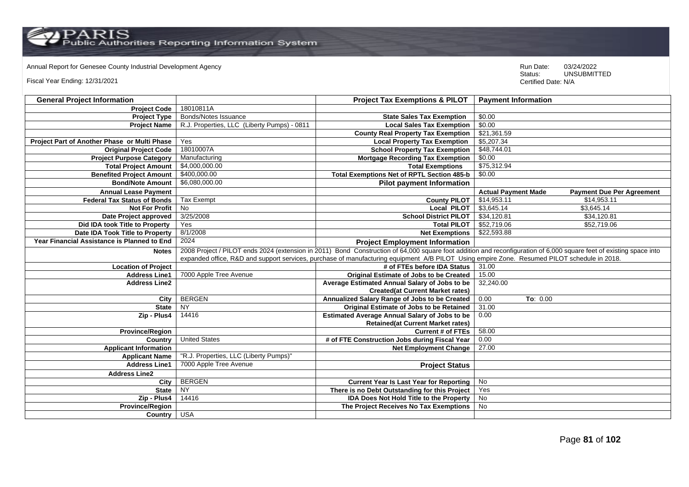# Annual Report for Genesee County Industrial Development Agency **Company of Connect Agency** Run Date: 03/24/2022<br>Status: UNSUBMIT

Fiscal Year Ending: 12/31/2021

| <b>General Project Information</b>           |                                             | <b>Project Tax Exemptions &amp; PILOT</b>                                                                                                                           | <b>Payment Information</b> |                                  |
|----------------------------------------------|---------------------------------------------|---------------------------------------------------------------------------------------------------------------------------------------------------------------------|----------------------------|----------------------------------|
| <b>Project Code</b>                          | 18010811A                                   |                                                                                                                                                                     |                            |                                  |
| <b>Project Type</b>                          | Bonds/Notes Issuance                        | <b>State Sales Tax Exemption</b>                                                                                                                                    | \$0.00                     |                                  |
| <b>Project Name</b>                          | R.J. Properties, LLC (Liberty Pumps) - 0811 | <b>Local Sales Tax Exemption</b>                                                                                                                                    | \$0.00                     |                                  |
|                                              |                                             | <b>County Real Property Tax Exemption</b>                                                                                                                           | \$21,361.59                |                                  |
| Project Part of Another Phase or Multi Phase | Yes                                         | <b>Local Property Tax Exemption</b>                                                                                                                                 | \$5,207.34                 |                                  |
| <b>Original Project Code</b>                 | 18010007A                                   | <b>School Property Tax Exemption</b>                                                                                                                                | \$48,744.01                |                                  |
| <b>Project Purpose Category</b>              | Manufacturing                               | <b>Mortgage Recording Tax Exemption</b>                                                                                                                             | \$0.00                     |                                  |
| <b>Total Project Amount</b>                  | \$4,000,000.00                              | <b>Total Exemptions</b>                                                                                                                                             | \$75,312.94                |                                  |
| <b>Benefited Project Amount</b>              | \$400,000.00                                | Total Exemptions Net of RPTL Section 485-b                                                                                                                          | \$0.00                     |                                  |
| <b>Bond/Note Amount</b>                      | \$6,080,000.00                              | <b>Pilot payment Information</b>                                                                                                                                    |                            |                                  |
| <b>Annual Lease Payment</b>                  |                                             |                                                                                                                                                                     | <b>Actual Payment Made</b> | <b>Payment Due Per Agreement</b> |
| <b>Federal Tax Status of Bonds</b>           | <b>Tax Exempt</b>                           | <b>County PILOT</b>                                                                                                                                                 | \$14,953.11                | \$14,953.11                      |
| <b>Not For Profit</b>                        | <b>No</b>                                   | <b>Local PILOT</b>                                                                                                                                                  | \$3,645.14                 | \$3,645.14                       |
| Date Project approved                        | 3/25/2008                                   | <b>School District PILOT</b>                                                                                                                                        | \$34,120.81                | \$34,120.81                      |
| Did IDA took Title to Property               | Yes                                         | <b>Total PILOT</b>                                                                                                                                                  | \$52,719.06                | \$52,719.06                      |
| Date IDA Took Title to Property              | 8/1/2008                                    | <b>Net Exemptions</b>                                                                                                                                               | \$22,593.88                |                                  |
| Year Financial Assistance is Planned to End  | 2024                                        | <b>Project Employment Information</b>                                                                                                                               |                            |                                  |
| <b>Notes</b>                                 |                                             | 2008 Project / PILOT ends 2024 (extension in 2011) Bond Construction of 64,000 square foot addition and reconfiguration of 6,000 square feet of existing space into |                            |                                  |
|                                              |                                             | expanded office, R&D and support services, purchase of manufacturing equipment A/B PILOT Using empire Zone. Resumed PILOT schedule in 2018.                         |                            |                                  |
| <b>Location of Project</b>                   |                                             | # of FTEs before IDA Status                                                                                                                                         | 31.00                      |                                  |
| <b>Address Line1</b>                         | 7000 Apple Tree Avenue                      | <b>Original Estimate of Jobs to be Created</b>                                                                                                                      | 15.00                      |                                  |
| <b>Address Line2</b>                         |                                             | Average Estimated Annual Salary of Jobs to be                                                                                                                       | 32,240.00                  |                                  |
|                                              |                                             | <b>Created(at Current Market rates)</b>                                                                                                                             |                            |                                  |
| City                                         | <b>BERGEN</b>                               | Annualized Salary Range of Jobs to be Created                                                                                                                       | 0.00<br>To: 0.00           |                                  |
| <b>State</b>                                 | $\overline{NY}$                             | <b>Original Estimate of Jobs to be Retained</b>                                                                                                                     | 31.00                      |                                  |
| Zip - Plus4                                  | 14416                                       | <b>Estimated Average Annual Salary of Jobs to be</b>                                                                                                                | 0.00                       |                                  |
|                                              |                                             | <b>Retained(at Current Market rates)</b>                                                                                                                            |                            |                                  |
| <b>Province/Region</b>                       |                                             | <b>Current # of FTEs</b>                                                                                                                                            | 58.00                      |                                  |
| Country                                      | <b>United States</b>                        | # of FTE Construction Jobs during Fiscal Year                                                                                                                       | 0.00                       |                                  |
| <b>Applicant Information</b>                 |                                             | <b>Net Employment Change</b>                                                                                                                                        | 27.00                      |                                  |
| <b>Applicant Name</b>                        | "R.J. Properties, LLC (Liberty Pumps)"      |                                                                                                                                                                     |                            |                                  |
| <b>Address Line1</b>                         | 7000 Apple Tree Avenue                      | <b>Project Status</b>                                                                                                                                               |                            |                                  |
| <b>Address Line2</b>                         |                                             |                                                                                                                                                                     |                            |                                  |
| City                                         | <b>BERGEN</b>                               | <b>Current Year Is Last Year for Reporting</b>                                                                                                                      | No                         |                                  |
| <b>State</b>                                 | <b>NY</b>                                   | There is no Debt Outstanding for this Project                                                                                                                       | Yes                        |                                  |
| Zip - Plus4                                  | 14416                                       | <b>IDA Does Not Hold Title to the Property</b>                                                                                                                      | <b>No</b>                  |                                  |
| <b>Province/Region</b>                       |                                             | The Project Receives No Tax Exemptions                                                                                                                              | No                         |                                  |
| Country   USA                                |                                             |                                                                                                                                                                     |                            |                                  |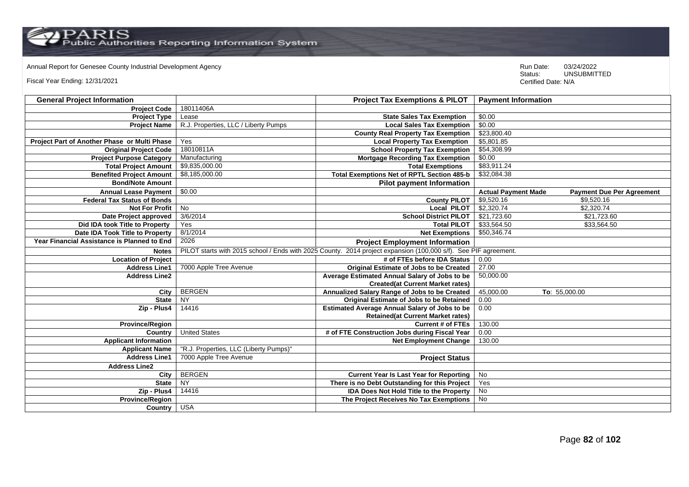# Annual Report for Genesee County Industrial Development Agency **Company of Connect Agency** Run Date: 03/24/2022<br>Status: UNSUBMIT

Fiscal Year Ending: 12/31/2021

| <b>General Project Information</b>           |                                        | <b>Project Tax Exemptions &amp; PILOT</b>                                                                       | <b>Payment Information</b>                                     |
|----------------------------------------------|----------------------------------------|-----------------------------------------------------------------------------------------------------------------|----------------------------------------------------------------|
| <b>Project Code</b>                          | 18011406A                              |                                                                                                                 |                                                                |
| <b>Project Type</b>                          | Lease                                  | <b>State Sales Tax Exemption</b>                                                                                | \$0.00                                                         |
| <b>Project Name</b>                          | R.J. Properties, LLC / Liberty Pumps   | <b>Local Sales Tax Exemption</b>                                                                                | \$0.00                                                         |
|                                              |                                        | <b>County Real Property Tax Exemption</b>                                                                       | \$23,800.40                                                    |
| Project Part of Another Phase or Multi Phase | Yes                                    | <b>Local Property Tax Exemption</b>                                                                             | \$5,801.85                                                     |
| <b>Original Project Code</b>                 | 18010811A                              | <b>School Property Tax Exemption</b>                                                                            | \$54,308.99                                                    |
| <b>Project Purpose Category</b>              | Manufacturing                          | <b>Mortgage Recording Tax Exemption</b>                                                                         | \$0.00                                                         |
| <b>Total Project Amount</b>                  | \$9,835,000.00                         | <b>Total Exemptions</b>                                                                                         | \$83,911.24                                                    |
| <b>Benefited Project Amount</b>              | \$8,185,000.00                         | <b>Total Exemptions Net of RPTL Section 485-b</b>                                                               | \$32,084.38                                                    |
| <b>Bond/Note Amount</b>                      |                                        | <b>Pilot payment Information</b>                                                                                |                                                                |
| <b>Annual Lease Payment</b>                  | \$0.00                                 |                                                                                                                 | <b>Actual Payment Made</b><br><b>Payment Due Per Agreement</b> |
| <b>Federal Tax Status of Bonds</b>           |                                        | <b>County PILOT</b>                                                                                             | \$9,520.16<br>\$9,520.16                                       |
| <b>Not For Profit</b>                        | <b>No</b>                              | <b>Local PILOT</b>                                                                                              | \$2,320.74<br>\$2,320.74                                       |
| Date Project approved                        | 3/6/2014                               | <b>School District PILOT</b>                                                                                    | \$21,723.60<br>\$21,723.60                                     |
| Did IDA took Title to Property               | Yes                                    | <b>Total PILOT</b>                                                                                              | \$33,564.50<br>\$33,564.50                                     |
| Date IDA Took Title to Property              | 8/1/2014                               | <b>Net Exemptions</b>                                                                                           | \$50,346.74                                                    |
| Year Financial Assistance is Planned to End  | 2026                                   | <b>Project Employment Information</b>                                                                           |                                                                |
| <b>Notes</b>                                 |                                        | PILOT starts with 2015 school / Ends with 2025 County. 2014 project expansion (100,000 s/f). See PIF agreement. |                                                                |
| <b>Location of Project</b>                   |                                        | # of FTEs before IDA Status                                                                                     | 0.00                                                           |
| <b>Address Line1</b>                         | 7000 Apple Tree Avenue                 | <b>Original Estimate of Jobs to be Created</b>                                                                  | 27.00                                                          |
| <b>Address Line2</b>                         |                                        | Average Estimated Annual Salary of Jobs to be                                                                   | 50,000.00                                                      |
|                                              |                                        | <b>Created(at Current Market rates)</b>                                                                         |                                                                |
| City                                         | <b>BERGEN</b>                          | Annualized Salary Range of Jobs to be Created                                                                   | 45,000.00<br>To: 55,000.00                                     |
| <b>State</b>                                 | <b>NY</b>                              | Original Estimate of Jobs to be Retained                                                                        | 0.00                                                           |
| Zip - Plus4                                  | 14416                                  | <b>Estimated Average Annual Salary of Jobs to be</b>                                                            | 0.00                                                           |
|                                              |                                        | <b>Retained(at Current Market rates)</b>                                                                        |                                                                |
| <b>Province/Region</b>                       |                                        | <b>Current # of FTEs</b>                                                                                        | 130.00                                                         |
| Country                                      | <b>United States</b>                   | # of FTE Construction Jobs during Fiscal Year                                                                   | 0.00                                                           |
| <b>Applicant Information</b>                 |                                        | <b>Net Employment Change</b>                                                                                    | 130.00                                                         |
| <b>Applicant Name</b>                        | "R.J. Properties, LLC (Liberty Pumps)" |                                                                                                                 |                                                                |
| <b>Address Line1</b>                         | 7000 Apple Tree Avenue                 | <b>Project Status</b>                                                                                           |                                                                |
| <b>Address Line2</b>                         |                                        |                                                                                                                 |                                                                |
| City                                         | <b>BERGEN</b>                          | <b>Current Year Is Last Year for Reporting</b>                                                                  | No                                                             |
| <b>State</b>                                 | $\overline{NY}$                        | There is no Debt Outstanding for this Project                                                                   | Yes                                                            |
| Zip - Plus4                                  | 14416                                  | <b>IDA Does Not Hold Title to the Property</b>                                                                  | No                                                             |
| <b>Province/Region</b>                       |                                        | The Project Receives No Tax Exemptions                                                                          | <b>No</b>                                                      |
| <b>Country</b>                               | <b>USA</b>                             |                                                                                                                 |                                                                |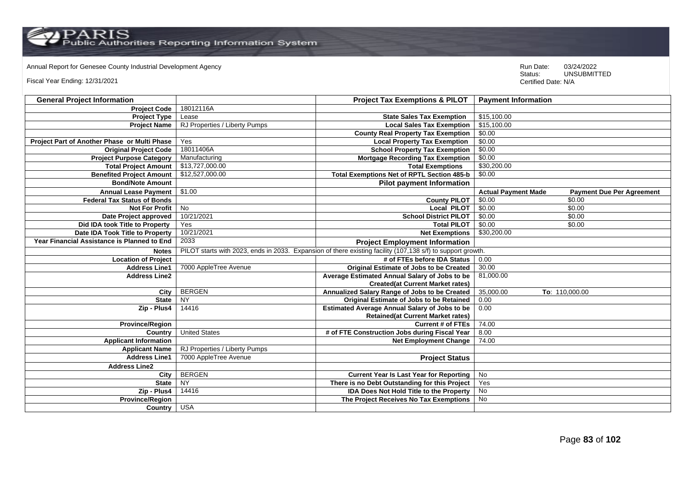# Annual Report for Genesee County Industrial Development Agency **Company of Connect Agency** Run Date: 03/24/2022<br>Status: UNSUBMIT

Fiscal Year Ending: 12/31/2021

| <b>General Project Information</b>           |                               | <b>Project Tax Exemptions &amp; PILOT</b>                                                                   | <b>Payment Information</b>                                     |
|----------------------------------------------|-------------------------------|-------------------------------------------------------------------------------------------------------------|----------------------------------------------------------------|
| <b>Project Code</b>                          | 18012116A                     |                                                                                                             |                                                                |
| <b>Project Type</b>                          | Lease                         | <b>State Sales Tax Exemption</b>                                                                            | \$15,100.00                                                    |
| <b>Project Name</b>                          | RJ Properties / Liberty Pumps | <b>Local Sales Tax Exemption</b>                                                                            | \$15,100.00                                                    |
|                                              |                               | <b>County Real Property Tax Exemption</b>                                                                   | \$0.00                                                         |
| Project Part of Another Phase or Multi Phase | Yes                           | <b>Local Property Tax Exemption</b>                                                                         | \$0.00                                                         |
| <b>Original Project Code</b>                 | 18011406A                     | <b>School Property Tax Exemption</b>                                                                        | \$0.00                                                         |
| <b>Project Purpose Category</b>              | Manufacturing                 | <b>Mortgage Recording Tax Exemption</b>                                                                     | \$0.00                                                         |
| <b>Total Project Amount</b>                  | \$13,727,000.00               | <b>Total Exemptions</b>                                                                                     | \$30,200.00                                                    |
| <b>Benefited Project Amount</b>              | \$12,527,000.00               | <b>Total Exemptions Net of RPTL Section 485-b</b>                                                           | \$0.00                                                         |
| <b>Bond/Note Amount</b>                      |                               | <b>Pilot payment Information</b>                                                                            |                                                                |
| <b>Annual Lease Payment</b>                  | \$1.00                        |                                                                                                             | <b>Actual Payment Made</b><br><b>Payment Due Per Agreement</b> |
| <b>Federal Tax Status of Bonds</b>           |                               | <b>County PILOT</b>                                                                                         | \$0.00<br>\$0.00                                               |
| <b>Not For Profit</b>                        | No                            | <b>Local PILOT</b>                                                                                          | \$0.00<br>\$0.00                                               |
| Date Project approved                        | 10/21/2021                    | <b>School District PILOT</b>                                                                                | \$0.00<br>\$0.00                                               |
| Did IDA took Title to Property               | Yes                           | <b>Total PILOT</b>                                                                                          | \$0.00<br>\$0.00                                               |
| Date IDA Took Title to Property              | 10/21/2021                    | <b>Net Exemptions</b>                                                                                       | \$30,200.00                                                    |
| Year Financial Assistance is Planned to End  | 2033                          | <b>Project Employment Information</b>                                                                       |                                                                |
| <b>Notes</b>                                 |                               | PILOT starts with 2023, ends in 2033. Expansion of there existing facility (107,138 s/f) to support growth. |                                                                |
| <b>Location of Project</b>                   |                               | # of FTEs before IDA Status                                                                                 | 0.00                                                           |
| <b>Address Line1</b>                         | 7000 AppleTree Avenue         | <b>Original Estimate of Jobs to be Created</b>                                                              | 30.00                                                          |
| <b>Address Line2</b>                         |                               | Average Estimated Annual Salary of Jobs to be                                                               | 81,000.00                                                      |
|                                              |                               | <b>Created(at Current Market rates)</b>                                                                     |                                                                |
| City                                         | <b>BERGEN</b>                 | Annualized Salary Range of Jobs to be Created                                                               | 35,000.00<br>To: 110,000.00                                    |
| <b>State</b>                                 | <b>NY</b>                     | <b>Original Estimate of Jobs to be Retained</b>                                                             | 0.00                                                           |
| Zip - Plus4                                  | 14416                         | <b>Estimated Average Annual Salary of Jobs to be</b>                                                        | 0.00                                                           |
|                                              |                               | <b>Retained(at Current Market rates)</b>                                                                    |                                                                |
| <b>Province/Region</b>                       |                               | Current # of FTEs                                                                                           | 74.00                                                          |
| Country                                      | <b>United States</b>          | # of FTE Construction Jobs during Fiscal Year                                                               | 8.00                                                           |
| <b>Applicant Information</b>                 |                               | <b>Net Employment Change</b>                                                                                | 74.00                                                          |
| <b>Applicant Name</b>                        | RJ Properties / Liberty Pumps |                                                                                                             |                                                                |
| <b>Address Line1</b>                         | 7000 AppleTree Avenue         | <b>Project Status</b>                                                                                       |                                                                |
| <b>Address Line2</b>                         |                               |                                                                                                             |                                                                |
| City                                         | <b>BERGEN</b>                 | <b>Current Year Is Last Year for Reporting</b>                                                              | No                                                             |
| <b>State</b>                                 | <b>NY</b>                     | There is no Debt Outstanding for this Project                                                               | Yes                                                            |
| Zip - Plus4                                  | 14416                         | IDA Does Not Hold Title to the Property                                                                     | No                                                             |
| <b>Province/Region</b>                       |                               | The Project Receives No Tax Exemptions                                                                      | <b>No</b>                                                      |
| Country                                      | <b>USA</b>                    |                                                                                                             |                                                                |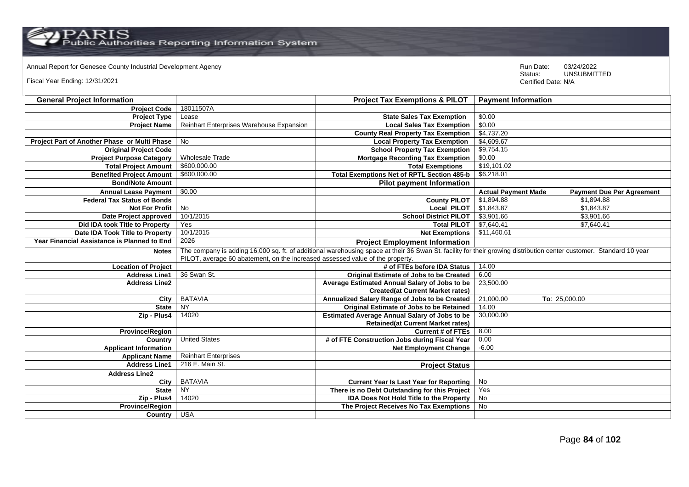# Annual Report for Genesee County Industrial Development Agency **Company of Connect Agency** Run Date: 03/24/2022<br>Status: UNSUBMIT

Fiscal Year Ending: 12/31/2021

| <b>General Project Information</b>           |                                                                               | <b>Project Tax Exemptions &amp; PILOT</b>            | <b>Payment Information</b>                                                                                                                                          |
|----------------------------------------------|-------------------------------------------------------------------------------|------------------------------------------------------|---------------------------------------------------------------------------------------------------------------------------------------------------------------------|
| <b>Project Code</b>                          | 18011507A                                                                     |                                                      |                                                                                                                                                                     |
| <b>Project Type</b>                          | Lease                                                                         | <b>State Sales Tax Exemption</b>                     | \$0.00                                                                                                                                                              |
| <b>Project Name</b>                          | Reinhart Enterprises Warehouse Expansion                                      | <b>Local Sales Tax Exemption</b>                     | \$0.00                                                                                                                                                              |
|                                              |                                                                               | <b>County Real Property Tax Exemption</b>            | \$4,737.20                                                                                                                                                          |
| Project Part of Another Phase or Multi Phase | No                                                                            | <b>Local Property Tax Exemption</b>                  | \$4,609.67                                                                                                                                                          |
| <b>Original Project Code</b>                 |                                                                               | <b>School Property Tax Exemption</b>                 | \$9,754.15                                                                                                                                                          |
| <b>Project Purpose Category</b>              | <b>Wholesale Trade</b>                                                        | <b>Mortgage Recording Tax Exemption</b>              | \$0.00                                                                                                                                                              |
| <b>Total Project Amount</b>                  | \$600,000.00                                                                  | <b>Total Exemptions</b>                              | \$19,101.02                                                                                                                                                         |
| <b>Benefited Project Amount</b>              | \$600,000.00                                                                  | <b>Total Exemptions Net of RPTL Section 485-b</b>    | \$6,218.01                                                                                                                                                          |
| <b>Bond/Note Amount</b>                      |                                                                               | <b>Pilot payment Information</b>                     |                                                                                                                                                                     |
| <b>Annual Lease Payment</b>                  | \$0.00                                                                        |                                                      | <b>Actual Payment Made</b><br><b>Payment Due Per Agreement</b>                                                                                                      |
| <b>Federal Tax Status of Bonds</b>           |                                                                               | <b>County PILOT</b>                                  | \$1,894.88<br>\$1,894.88                                                                                                                                            |
| <b>Not For Profit</b>                        | <b>No</b>                                                                     | <b>Local PILOT</b>                                   | \$1,843.87<br>\$1,843.87                                                                                                                                            |
| Date Project approved                        | 10/1/2015                                                                     | <b>School District PILOT</b>                         | \$3,901.66<br>\$3,901.66                                                                                                                                            |
| Did IDA took Title to Property               | Yes                                                                           | <b>Total PILOT</b>                                   | \$7,640.41<br>\$7,640.41                                                                                                                                            |
| Date IDA Took Title to Property              | 10/1/2015                                                                     | <b>Net Exemptions</b>                                | \$11,460.61                                                                                                                                                         |
| Year Financial Assistance is Planned to End  | 2026                                                                          | <b>Project Employment Information</b>                |                                                                                                                                                                     |
| <b>Notes</b>                                 |                                                                               |                                                      | The company is adding 16,000 sq. ft. of additional warehousing space at their 36 Swan St. facility for their growing distribution center customer. Standard 10 year |
|                                              | PILOT, average 60 abatement, on the increased assessed value of the property. |                                                      |                                                                                                                                                                     |
| <b>Location of Project</b>                   |                                                                               | # of FTEs before IDA Status                          | 14.00                                                                                                                                                               |
| <b>Address Line1</b>                         | 36 Swan St.                                                                   | <b>Original Estimate of Jobs to be Created</b>       | 6.00                                                                                                                                                                |
| <b>Address Line2</b>                         |                                                                               | Average Estimated Annual Salary of Jobs to be        | 23,500.00                                                                                                                                                           |
|                                              |                                                                               | <b>Created(at Current Market rates)</b>              |                                                                                                                                                                     |
| City                                         | <b>BATAVIA</b>                                                                | Annualized Salary Range of Jobs to be Created        | 21,000.00<br>To: 25,000.00                                                                                                                                          |
| <b>State</b>                                 | <b>NY</b>                                                                     | <b>Original Estimate of Jobs to be Retained</b>      | 14.00                                                                                                                                                               |
| Zip - Plus4                                  | 14020                                                                         | <b>Estimated Average Annual Salary of Jobs to be</b> | 30,000.00                                                                                                                                                           |
|                                              |                                                                               | <b>Retained(at Current Market rates)</b>             |                                                                                                                                                                     |
| <b>Province/Region</b>                       |                                                                               | <b>Current # of FTEs</b>                             | 8.00                                                                                                                                                                |
| Country                                      | <b>United States</b>                                                          | # of FTE Construction Jobs during Fiscal Year        | 0.00                                                                                                                                                                |
| <b>Applicant Information</b>                 |                                                                               | <b>Net Employment Change</b>                         | $-6.00$                                                                                                                                                             |
| <b>Applicant Name</b>                        | <b>Reinhart Enterprises</b>                                                   |                                                      |                                                                                                                                                                     |
| <b>Address Line1</b>                         | 216 E. Main St.                                                               | <b>Project Status</b>                                |                                                                                                                                                                     |
| <b>Address Line2</b>                         |                                                                               |                                                      |                                                                                                                                                                     |
| City                                         | <b>BATAVIA</b>                                                                | <b>Current Year Is Last Year for Reporting</b>       | <b>No</b>                                                                                                                                                           |
| <b>State</b>                                 | NY                                                                            | There is no Debt Outstanding for this Project        | Yes                                                                                                                                                                 |
| Zip - Plus4                                  | 14020                                                                         | <b>IDA Does Not Hold Title to the Property</b>       | <b>No</b>                                                                                                                                                           |
| <b>Province/Region</b>                       |                                                                               | The Project Receives No Tax Exemptions               | No                                                                                                                                                                  |
| Country                                      | <b>USA</b>                                                                    |                                                      |                                                                                                                                                                     |
|                                              |                                                                               |                                                      |                                                                                                                                                                     |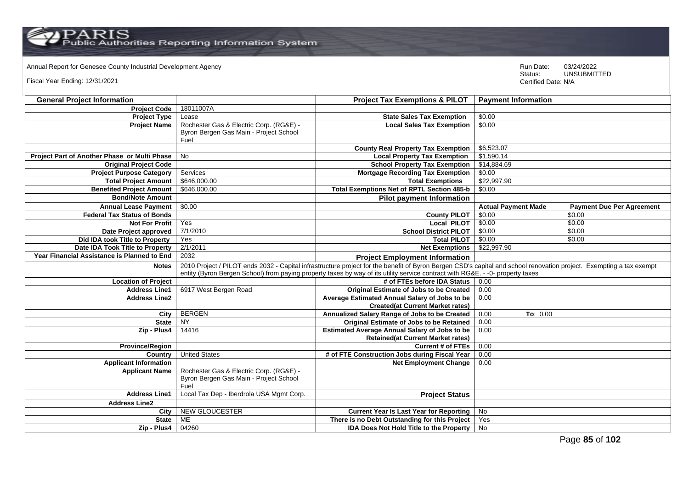Annual Report for Genesee County Industrial Development Agency **Company of Connect Agency** Run Date: 03/24/2022<br>Status: UNSUBMIT

Fiscal Year Ending: 12/31/2021

| <b>General Project Information</b>           |                                          | <b>Project Tax Exemptions &amp; PILOT</b>                                                                                                                           | <b>Payment Information</b> |                                  |
|----------------------------------------------|------------------------------------------|---------------------------------------------------------------------------------------------------------------------------------------------------------------------|----------------------------|----------------------------------|
| <b>Project Code</b>                          | 18011007A                                |                                                                                                                                                                     |                            |                                  |
| <b>Project Type</b>                          | Lease                                    | <b>State Sales Tax Exemption</b>                                                                                                                                    | \$0.00                     |                                  |
| <b>Project Name</b>                          | Rochester Gas & Electric Corp. (RG&E) -  | <b>Local Sales Tax Exemption</b>                                                                                                                                    | \$0.00                     |                                  |
|                                              | Byron Bergen Gas Main - Project School   |                                                                                                                                                                     |                            |                                  |
|                                              | Fuel                                     |                                                                                                                                                                     |                            |                                  |
|                                              |                                          | <b>County Real Property Tax Exemption</b>                                                                                                                           | \$6,523.07                 |                                  |
| Project Part of Another Phase or Multi Phase | <b>No</b>                                | <b>Local Property Tax Exemption</b>                                                                                                                                 | \$1,590.14                 |                                  |
| <b>Original Project Code</b>                 |                                          | <b>School Property Tax Exemption</b>                                                                                                                                | \$14,884.69                |                                  |
| <b>Project Purpose Category</b>              | Services                                 | <b>Mortgage Recording Tax Exemption</b>                                                                                                                             | \$0.00                     |                                  |
| <b>Total Project Amount</b>                  | \$646,000.00                             | <b>Total Exemptions</b>                                                                                                                                             | \$22,997.90                |                                  |
| <b>Benefited Project Amount</b>              | \$646,000.00                             | <b>Total Exemptions Net of RPTL Section 485-b</b>                                                                                                                   | \$0.00                     |                                  |
| <b>Bond/Note Amount</b>                      |                                          | <b>Pilot payment Information</b>                                                                                                                                    |                            |                                  |
| <b>Annual Lease Payment</b>                  | \$0.00                                   |                                                                                                                                                                     | <b>Actual Payment Made</b> | <b>Payment Due Per Agreement</b> |
| <b>Federal Tax Status of Bonds</b>           |                                          | <b>County PILOT</b>                                                                                                                                                 | \$0.00                     | \$0.00                           |
| <b>Not For Profit</b>                        | Yes                                      | <b>Local PILOT</b>                                                                                                                                                  | \$0.00                     | \$0.00                           |
| Date Project approved                        | 7/1/2010                                 | <b>School District PILOT</b>                                                                                                                                        | \$0.00                     | \$0.00                           |
| Did IDA took Title to Property               | Yes                                      | <b>Total PILOT</b>                                                                                                                                                  | \$0.00                     | \$0.00                           |
| Date IDA Took Title to Property              | 2/1/2011                                 | <b>Net Exemptions</b>                                                                                                                                               | \$22,997.90                |                                  |
| Year Financial Assistance is Planned to End  | 2032                                     | <b>Project Employment Information</b>                                                                                                                               |                            |                                  |
| <b>Notes</b>                                 |                                          | 2010 Project / PILOT ends 2032 - Capital infrastructure project for the benefit of Byron Bergen CSD's capital and school renovation project. Exempting a tax exempt |                            |                                  |
|                                              |                                          | entity (Byron Bergen School) from paying property taxes by way of its utility service contract with RG&E. - -0- property taxes                                      |                            |                                  |
| <b>Location of Project</b>                   |                                          | # of FTEs before IDA Status                                                                                                                                         | 0.00                       |                                  |
| <b>Address Line1</b>                         | 6917 West Bergen Road                    | <b>Original Estimate of Jobs to be Created</b>                                                                                                                      | 0.00                       |                                  |
| <b>Address Line2</b>                         |                                          | Average Estimated Annual Salary of Jobs to be                                                                                                                       | 0.00                       |                                  |
|                                              |                                          | <b>Created(at Current Market rates)</b>                                                                                                                             |                            |                                  |
| City                                         | <b>BERGEN</b>                            | Annualized Salary Range of Jobs to be Created                                                                                                                       | 0.00<br>To: 0.00           |                                  |
| <b>State</b>                                 | <b>NY</b>                                | Original Estimate of Jobs to be Retained                                                                                                                            | 0.00                       |                                  |
| Zip - Plus4                                  | 14416                                    | <b>Estimated Average Annual Salary of Jobs to be</b>                                                                                                                | 0.00                       |                                  |
|                                              |                                          | <b>Retained(at Current Market rates)</b>                                                                                                                            |                            |                                  |
| <b>Province/Region</b>                       |                                          | <b>Current # of FTEs</b>                                                                                                                                            | 0.00                       |                                  |
| Country                                      | <b>United States</b>                     | # of FTE Construction Jobs during Fiscal Year                                                                                                                       | 0.00                       |                                  |
| <b>Applicant Information</b>                 |                                          | <b>Net Employment Change</b>                                                                                                                                        | 0.00                       |                                  |
| <b>Applicant Name</b>                        | Rochester Gas & Electric Corp. (RG&E) -  |                                                                                                                                                                     |                            |                                  |
|                                              | Byron Bergen Gas Main - Project School   |                                                                                                                                                                     |                            |                                  |
|                                              | Fuel                                     |                                                                                                                                                                     |                            |                                  |
| <b>Address Line1</b>                         | Local Tax Dep - Iberdrola USA Mgmt Corp. | <b>Project Status</b>                                                                                                                                               |                            |                                  |
| <b>Address Line2</b>                         |                                          |                                                                                                                                                                     |                            |                                  |
| City                                         | NEW GLOUCESTER                           | <b>Current Year Is Last Year for Reporting</b>                                                                                                                      | No                         |                                  |
| <b>State</b>                                 | ME                                       | There is no Debt Outstanding for this Project                                                                                                                       | Yes                        |                                  |
| Zip - Plus4                                  | 04260                                    | <b>IDA Does Not Hold Title to the Property</b>                                                                                                                      | No                         |                                  |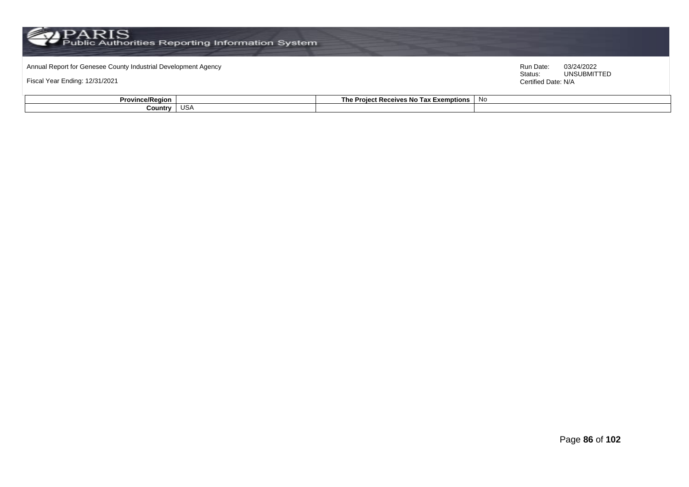Annual Report for Genesee County Industrial Development Agency **Company of Connect Agency** Run Date: 03/24/2022<br>Status: UNSUBMIT

Fiscal Year Ending: 12/31/2021

| <b>Province/Region</b> |            | ाax<br>Exemptions<br>The Project Receives No | . |
|------------------------|------------|----------------------------------------------|---|
| Country                | <b>USA</b> |                                              |   |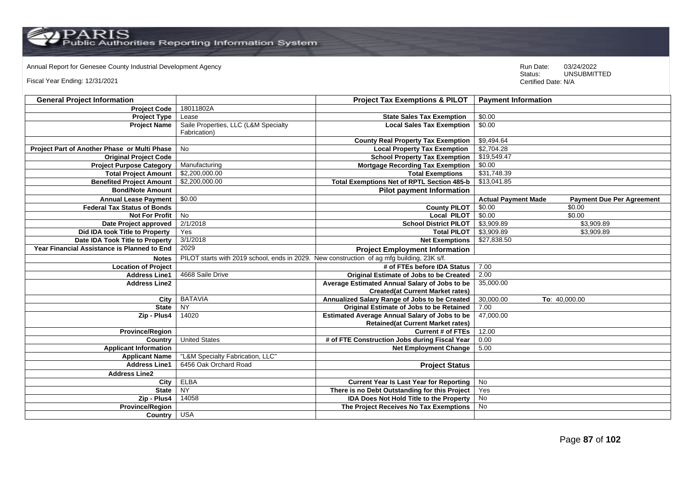# Annual Report for Genesee County Industrial Development Agency **Company of Connect Agency** Run Date: 03/24/2022<br>Status: UNSUBMIT

Fiscal Year Ending: 12/31/2021

| <b>General Project Information</b>           |                                                                                            | <b>Project Tax Exemptions &amp; PILOT</b>            | <b>Payment Information</b>                                     |
|----------------------------------------------|--------------------------------------------------------------------------------------------|------------------------------------------------------|----------------------------------------------------------------|
| <b>Project Code</b>                          | 18011802A                                                                                  |                                                      |                                                                |
| <b>Project Type</b>                          | Lease                                                                                      | <b>State Sales Tax Exemption</b>                     | \$0.00                                                         |
| <b>Project Name</b>                          | Saile Properties, LLC (L&M Specialty                                                       | <b>Local Sales Tax Exemption</b>                     | \$0.00                                                         |
|                                              | Fabrication)                                                                               |                                                      |                                                                |
|                                              |                                                                                            | <b>County Real Property Tax Exemption</b>            | \$9,494.64                                                     |
| Project Part of Another Phase or Multi Phase | No                                                                                         | <b>Local Property Tax Exemption</b>                  | \$2,704.28                                                     |
| <b>Original Project Code</b>                 |                                                                                            | <b>School Property Tax Exemption</b>                 | \$19,549.47                                                    |
| <b>Project Purpose Category</b>              | Manufacturing                                                                              | <b>Mortgage Recording Tax Exemption</b>              | \$0.00                                                         |
| <b>Total Project Amount</b>                  | \$2,200,000.00                                                                             | <b>Total Exemptions</b>                              | \$31,748.39                                                    |
| <b>Benefited Project Amount</b>              | \$2,200,000.00                                                                             | <b>Total Exemptions Net of RPTL Section 485-b</b>    | \$13,041.85                                                    |
| <b>Bond/Note Amount</b>                      |                                                                                            | <b>Pilot payment Information</b>                     |                                                                |
| <b>Annual Lease Payment</b>                  | \$0.00                                                                                     |                                                      | <b>Actual Payment Made</b><br><b>Payment Due Per Agreement</b> |
| <b>Federal Tax Status of Bonds</b>           |                                                                                            | <b>County PILOT</b>                                  | \$0.00<br>\$0.00                                               |
| <b>Not For Profit</b>                        | <b>No</b>                                                                                  | <b>Local PILOT</b>                                   | \$0.00<br>\$0.00                                               |
| Date Project approved                        | 2/1/2018                                                                                   | <b>School District PILOT</b>                         | \$3,909.89<br>\$3,909.89                                       |
| Did IDA took Title to Property               | Yes                                                                                        | <b>Total PILOT</b>                                   | \$3,909.89<br>\$3,909.89                                       |
| Date IDA Took Title to Property              | 3/1/2018                                                                                   | <b>Net Exemptions</b>                                | \$27,838.50                                                    |
| Year Financial Assistance is Planned to End  | 2029                                                                                       | <b>Project Employment Information</b>                |                                                                |
| <b>Notes</b>                                 | PILOT starts with 2019 school, ends in 2029. New construction of ag mfg building, 23K s/f. |                                                      |                                                                |
| <b>Location of Project</b>                   |                                                                                            | # of FTEs before IDA Status                          | 7.00                                                           |
| <b>Address Line1</b>                         | 4668 Saile Drive                                                                           | <b>Original Estimate of Jobs to be Created</b>       | 2.00                                                           |
| <b>Address Line2</b>                         |                                                                                            | Average Estimated Annual Salary of Jobs to be        | 35,000.00                                                      |
|                                              |                                                                                            | <b>Created(at Current Market rates)</b>              |                                                                |
| City                                         | <b>BATAVIA</b>                                                                             | Annualized Salary Range of Jobs to be Created        | 30,000.00<br>To: 40,000.00                                     |
| <b>State</b>                                 | <b>NY</b>                                                                                  | Original Estimate of Jobs to be Retained             | 7.00                                                           |
| Zip - Plus4                                  | 14020                                                                                      | <b>Estimated Average Annual Salary of Jobs to be</b> | 47,000.00                                                      |
|                                              |                                                                                            | <b>Retained(at Current Market rates)</b>             |                                                                |
| <b>Province/Region</b>                       |                                                                                            | <b>Current # of FTEs</b>                             | 12.00                                                          |
| Country                                      | <b>United States</b>                                                                       | # of FTE Construction Jobs during Fiscal Year        | 0.00                                                           |
| <b>Applicant Information</b>                 |                                                                                            | <b>Net Employment Change</b>                         | 5.00                                                           |
| <b>Applicant Name</b>                        | "L&M Specialty Fabrication, LLC"                                                           |                                                      |                                                                |
| <b>Address Line1</b>                         | 6456 Oak Orchard Road                                                                      | <b>Project Status</b>                                |                                                                |
| <b>Address Line2</b>                         |                                                                                            |                                                      |                                                                |
| City                                         | <b>ELBA</b>                                                                                | <b>Current Year Is Last Year for Reporting</b>       | <b>No</b>                                                      |
| <b>State</b>                                 | $\overline{NY}$                                                                            | There is no Debt Outstanding for this Project        | Yes                                                            |
| Zip - Plus4                                  | 14058                                                                                      | IDA Does Not Hold Title to the Property              | No                                                             |
| Province/Region                              |                                                                                            | The Project Receives No Tax Exemptions               | <b>No</b>                                                      |
| Country                                      | <b>USA</b>                                                                                 |                                                      |                                                                |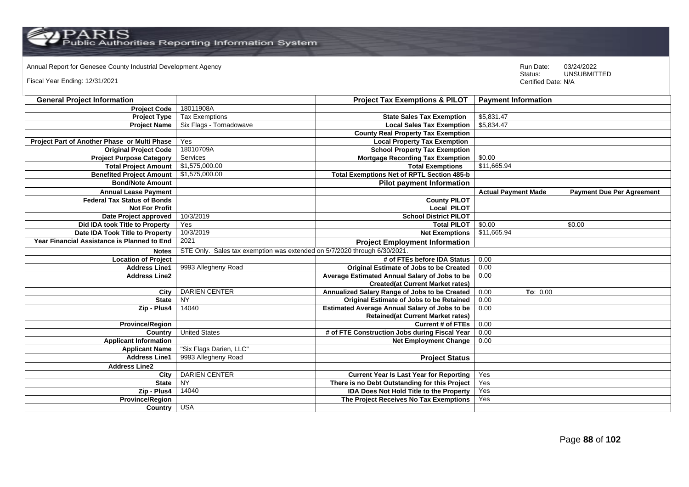$\operatorname{PARIS}_{\text{Public Authorities}\text{ Reporting Information System}}$ 

# Annual Report for Genesee County Industrial Development Agency **Company of Connect Agency** Run Date: 03/24/2022<br>Status: UNSUBMIT

Fiscal Year Ending: 12/31/2021

| <b>General Project Information</b>           |                                                                           | <b>Project Tax Exemptions &amp; PILOT</b>            | <b>Payment Information</b>                                     |
|----------------------------------------------|---------------------------------------------------------------------------|------------------------------------------------------|----------------------------------------------------------------|
| <b>Project Code</b>                          | 18011908A                                                                 |                                                      |                                                                |
| <b>Project Type</b>                          | <b>Tax Exemptions</b>                                                     | <b>State Sales Tax Exemption</b>                     | \$5,831.47                                                     |
| <b>Project Name</b>                          | Six Flags - Tornadowave                                                   | <b>Local Sales Tax Exemption</b>                     | \$5,834.47                                                     |
|                                              |                                                                           | <b>County Real Property Tax Exemption</b>            |                                                                |
| Project Part of Another Phase or Multi Phase | Yes                                                                       | <b>Local Property Tax Exemption</b>                  |                                                                |
| <b>Original Project Code</b>                 | 18010709A                                                                 | <b>School Property Tax Exemption</b>                 |                                                                |
| <b>Project Purpose Category</b>              | Services                                                                  | <b>Mortgage Recording Tax Exemption</b>              | \$0.00                                                         |
| <b>Total Project Amount</b>                  | \$1,575,000.00                                                            | <b>Total Exemptions</b>                              | \$11,665.94                                                    |
| <b>Benefited Project Amount</b>              | \$1,575,000.00                                                            | <b>Total Exemptions Net of RPTL Section 485-b</b>    |                                                                |
| <b>Bond/Note Amount</b>                      |                                                                           | <b>Pilot payment Information</b>                     |                                                                |
| <b>Annual Lease Payment</b>                  |                                                                           |                                                      | <b>Actual Payment Made</b><br><b>Payment Due Per Agreement</b> |
| <b>Federal Tax Status of Bonds</b>           |                                                                           | <b>County PILOT</b>                                  |                                                                |
| <b>Not For Profit</b>                        |                                                                           | <b>Local PILOT</b>                                   |                                                                |
| Date Project approved                        | 10/3/2019                                                                 | <b>School District PILOT</b>                         |                                                                |
| Did IDA took Title to Property               | Yes                                                                       | <b>Total PILOT</b>                                   | \$0.00<br>\$0.00                                               |
| Date IDA Took Title to Property              | 10/3/2019                                                                 | <b>Net Exemptions</b>                                | \$11,665.94                                                    |
| Year Financial Assistance is Planned to End  | 2021                                                                      | <b>Project Employment Information</b>                |                                                                |
| <b>Notes</b>                                 | STE Only. Sales tax exemption was extended on 5/7/2020 through 6/30/2021. |                                                      |                                                                |
| <b>Location of Project</b>                   |                                                                           | # of FTEs before IDA Status                          | 0.00                                                           |
| <b>Address Line1</b>                         | 9993 Allegheny Road                                                       | <b>Original Estimate of Jobs to be Created</b>       | 0.00                                                           |
| <b>Address Line2</b>                         |                                                                           | Average Estimated Annual Salary of Jobs to be        | 0.00                                                           |
|                                              |                                                                           | <b>Created(at Current Market rates)</b>              |                                                                |
| City                                         | <b>DARIEN CENTER</b>                                                      | Annualized Salary Range of Jobs to be Created        | 0.00<br>To: 0.00                                               |
| <b>State</b>                                 | <b>NY</b>                                                                 | Original Estimate of Jobs to be Retained             | 0.00                                                           |
| Zip - Plus4                                  | 14040                                                                     | <b>Estimated Average Annual Salary of Jobs to be</b> | 0.00                                                           |
|                                              |                                                                           | <b>Retained(at Current Market rates)</b>             |                                                                |
| <b>Province/Region</b>                       |                                                                           | <b>Current # of FTEs</b>                             | 0.00                                                           |
| Country                                      | <b>United States</b>                                                      | # of FTE Construction Jobs during Fiscal Year        | 0.00                                                           |
| <b>Applicant Information</b>                 |                                                                           | <b>Net Employment Change</b>                         | 0.00                                                           |
| <b>Applicant Name</b>                        | "Six Flags Darien, LLC"                                                   |                                                      |                                                                |
| <b>Address Line1</b>                         | 9993 Allegheny Road                                                       | <b>Project Status</b>                                |                                                                |
| <b>Address Line2</b>                         |                                                                           |                                                      |                                                                |
| City                                         | <b>DARIEN CENTER</b>                                                      | <b>Current Year Is Last Year for Reporting</b>       | Yes                                                            |
| <b>State</b>                                 | <b>NY</b>                                                                 | There is no Debt Outstanding for this Project        | Yes                                                            |
| Zip - Plus4                                  | 14040                                                                     | IDA Does Not Hold Title to the Property              | Yes                                                            |
| <b>Province/Region</b>                       |                                                                           | The Project Receives No Tax Exemptions               | Yes                                                            |
| Country USA                                  |                                                                           |                                                      |                                                                |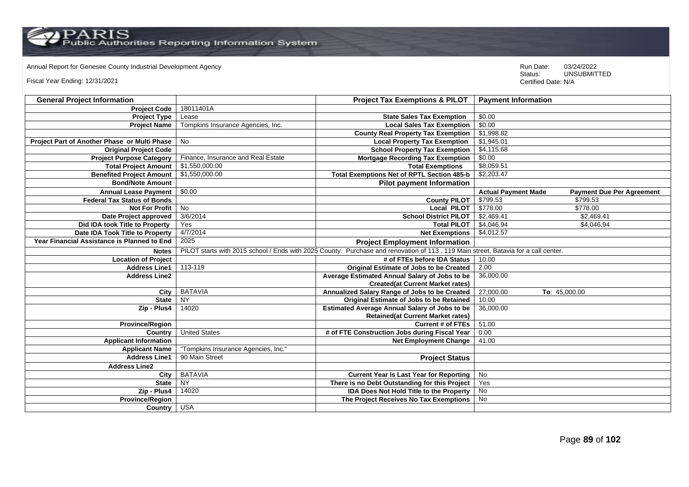Annual Report for Genesee County Industrial Development Agency **Company of Connect Agency** Run Date: 03/24/2022<br>Status: UNSUBMIT

Fiscal Year Ending: 12/31/2021

| <b>General Project Information</b>           |                                     | <b>Project Tax Exemptions &amp; PILOT</b>                                                                                           | <b>Payment Information</b>                                     |
|----------------------------------------------|-------------------------------------|-------------------------------------------------------------------------------------------------------------------------------------|----------------------------------------------------------------|
| <b>Project Code</b>                          | 18011401A                           |                                                                                                                                     |                                                                |
| <b>Project Type</b>                          | Lease                               | <b>State Sales Tax Exemption</b>                                                                                                    | \$0.00                                                         |
| <b>Project Name</b>                          | Tompkins Insurance Agencies, Inc.   | <b>Local Sales Tax Exemption</b>                                                                                                    | \$0.00                                                         |
|                                              |                                     | <b>County Real Property Tax Exemption</b>                                                                                           | \$1,998.82                                                     |
| Project Part of Another Phase or Multi Phase | <b>No</b>                           | <b>Local Property Tax Exemption</b>                                                                                                 | \$1,945.01                                                     |
| <b>Original Project Code</b>                 |                                     | <b>School Property Tax Exemption</b>                                                                                                | \$4,115.68                                                     |
| <b>Project Purpose Category</b>              | Finance, Insurance and Real Estate  | <b>Mortgage Recording Tax Exemption</b>                                                                                             | \$0.00                                                         |
| <b>Total Project Amount</b>                  | \$1,550,000.00                      | <b>Total Exemptions</b>                                                                                                             | \$8,059.51                                                     |
| <b>Benefited Project Amount</b>              | \$1,550,000.00                      | <b>Total Exemptions Net of RPTL Section 485-b</b>                                                                                   | \$2,203.47                                                     |
| <b>Bond/Note Amount</b>                      |                                     | <b>Pilot payment Information</b>                                                                                                    |                                                                |
| <b>Annual Lease Payment</b>                  | \$0.00                              |                                                                                                                                     | <b>Actual Payment Made</b><br><b>Payment Due Per Agreement</b> |
| <b>Federal Tax Status of Bonds</b>           |                                     | <b>County PILOT</b>                                                                                                                 | \$799.53<br>\$799.53                                           |
| <b>Not For Profit</b>                        | No                                  | <b>Local PILOT</b>                                                                                                                  | \$778.00<br>\$778.00                                           |
| Date Project approved                        | 3/6/2014                            | <b>School District PILOT</b>                                                                                                        | \$2,469.41<br>\$2,469.41                                       |
| Did IDA took Title to Property               | Yes                                 | <b>Total PILOT</b>                                                                                                                  | \$4,046.94<br>\$4,046.94                                       |
| Date IDA Took Title to Property              | 4/7/2014                            | <b>Net Exemptions</b>                                                                                                               | \$4,012.57                                                     |
| Year Financial Assistance is Planned to End  | 2025                                | <b>Project Employment Information</b>                                                                                               |                                                                |
| <b>Notes</b>                                 |                                     | PILOT starts with 2015 school / Ends with 2025 County. Purchase and renovation of 113 . 119 Main street, Batavia for a call center. |                                                                |
| <b>Location of Project</b>                   |                                     | # of FTEs before IDA Status                                                                                                         | 10.00                                                          |
| <b>Address Line1</b>                         | 113-119                             | Original Estimate of Jobs to be Created                                                                                             | 2.00                                                           |
| <b>Address Line2</b>                         |                                     | Average Estimated Annual Salary of Jobs to be                                                                                       | 36,000.00                                                      |
|                                              |                                     | <b>Created(at Current Market rates)</b>                                                                                             |                                                                |
| City                                         | <b>BATAVIA</b>                      | Annualized Salary Range of Jobs to be Created                                                                                       | 27,000.00<br>To: 45,000.00                                     |
| <b>State</b>                                 | <b>NY</b>                           | <b>Original Estimate of Jobs to be Retained</b>                                                                                     | 10.00                                                          |
| Zip - Plus4                                  | 14020                               | <b>Estimated Average Annual Salary of Jobs to be</b>                                                                                | 36,000.00                                                      |
|                                              |                                     | <b>Retained(at Current Market rates)</b>                                                                                            |                                                                |
| <b>Province/Region</b>                       |                                     | <b>Current # of FTEs</b>                                                                                                            | 51.00                                                          |
| Country                                      | <b>United States</b>                | # of FTE Construction Jobs during Fiscal Year                                                                                       | 0.00                                                           |
| <b>Applicant Information</b>                 |                                     | <b>Net Employment Change</b>                                                                                                        | 41.00                                                          |
| <b>Applicant Name</b>                        | "Tompkins Insurance Agencies, Inc." |                                                                                                                                     |                                                                |
| <b>Address Line1</b>                         | 90 Main Street                      | <b>Project Status</b>                                                                                                               |                                                                |
| <b>Address Line2</b>                         |                                     |                                                                                                                                     |                                                                |
| City                                         | <b>BATAVIA</b>                      | <b>Current Year Is Last Year for Reporting</b>                                                                                      | No                                                             |
| <b>State</b>                                 | $\overline{NY}$                     | There is no Debt Outstanding for this Project                                                                                       | Yes                                                            |
| Zip - Plus4                                  | 14020                               | IDA Does Not Hold Title to the Property                                                                                             | No                                                             |
| Province/Region                              |                                     | The Project Receives No Tax Exemptions                                                                                              | <b>No</b>                                                      |
| Country                                      | <b>USA</b>                          |                                                                                                                                     |                                                                |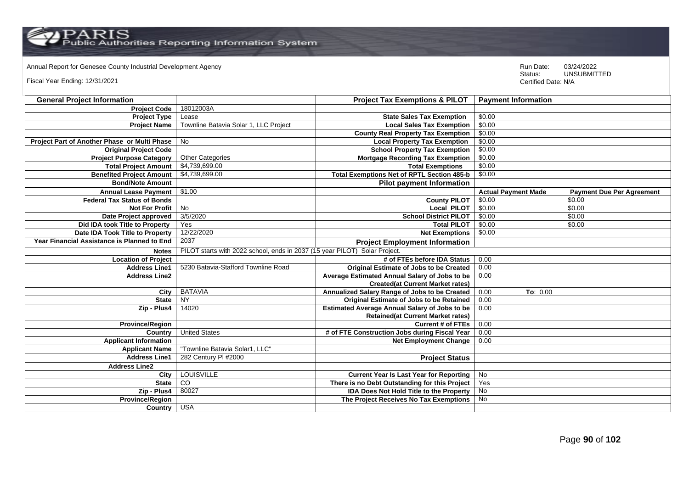# Annual Report for Genesee County Industrial Development Agency **Company of Connect Agency** Run Date: 03/24/2022<br>Status: UNSUBMIT

Fiscal Year Ending: 12/31/2021

| <b>General Project Information</b>           |                                                                            | <b>Project Tax Exemptions &amp; PILOT</b>            | <b>Payment Information</b> |                                  |
|----------------------------------------------|----------------------------------------------------------------------------|------------------------------------------------------|----------------------------|----------------------------------|
| <b>Project Code</b>                          | 18012003A                                                                  |                                                      |                            |                                  |
| <b>Project Type</b>                          | Lease                                                                      | <b>State Sales Tax Exemption</b>                     | \$0.00                     |                                  |
| <b>Project Name</b>                          | Townline Batavia Solar 1, LLC Project                                      | <b>Local Sales Tax Exemption</b>                     | \$0.00                     |                                  |
|                                              |                                                                            | <b>County Real Property Tax Exemption</b>            | \$0.00                     |                                  |
| Project Part of Another Phase or Multi Phase | <b>No</b>                                                                  | <b>Local Property Tax Exemption</b>                  | \$0.00                     |                                  |
| <b>Original Project Code</b>                 |                                                                            | <b>School Property Tax Exemption</b>                 | \$0.00                     |                                  |
| <b>Project Purpose Category</b>              | Other Categories                                                           | <b>Mortgage Recording Tax Exemption</b>              | \$0.00                     |                                  |
| <b>Total Project Amount</b>                  | \$4,739,699.00                                                             | <b>Total Exemptions</b>                              | \$0.00                     |                                  |
| <b>Benefited Project Amount</b>              | \$4,739,699.00                                                             | <b>Total Exemptions Net of RPTL Section 485-b</b>    | \$0.00                     |                                  |
| <b>Bond/Note Amount</b>                      |                                                                            | <b>Pilot payment Information</b>                     |                            |                                  |
| <b>Annual Lease Payment</b>                  | \$1.00                                                                     |                                                      | <b>Actual Payment Made</b> | <b>Payment Due Per Agreement</b> |
| <b>Federal Tax Status of Bonds</b>           |                                                                            | <b>County PILOT</b>                                  | \$0.00                     | \$0.00                           |
| <b>Not For Profit</b>                        | <b>No</b>                                                                  | <b>Local PILOT</b>                                   | \$0.00                     | \$0.00                           |
| Date Project approved                        | 3/5/2020                                                                   | <b>School District PILOT</b>                         | \$0.00                     | \$0.00                           |
| Did IDA took Title to Property               | Yes                                                                        | <b>Total PILOT</b>                                   | \$0.00                     | \$0.00                           |
| Date IDA Took Title to Property              | 12/22/2020                                                                 | <b>Net Exemptions</b>                                | \$0.00                     |                                  |
| Year Financial Assistance is Planned to End  | 2037                                                                       | <b>Project Employment Information</b>                |                            |                                  |
| <b>Notes</b>                                 | PILOT starts with 2022 school, ends in 2037 (15 year PILOT) Solar Project. |                                                      |                            |                                  |
| <b>Location of Project</b>                   |                                                                            | # of FTEs before IDA Status                          | 0.00                       |                                  |
| <b>Address Line1</b>                         | 5230 Batavia-Stafford Townline Road                                        | <b>Original Estimate of Jobs to be Created</b>       | 0.00                       |                                  |
| <b>Address Line2</b>                         |                                                                            | Average Estimated Annual Salary of Jobs to be        | 0.00                       |                                  |
|                                              |                                                                            | <b>Created(at Current Market rates)</b>              |                            |                                  |
| City                                         | <b>BATAVIA</b>                                                             | Annualized Salary Range of Jobs to be Created        | 0.00<br>To: 0.00           |                                  |
| <b>State</b>                                 | <b>NY</b>                                                                  | Original Estimate of Jobs to be Retained             | 0.00                       |                                  |
| Zip - Plus4                                  | 14020                                                                      | <b>Estimated Average Annual Salary of Jobs to be</b> | 0.00                       |                                  |
|                                              |                                                                            | <b>Retained(at Current Market rates)</b>             |                            |                                  |
| <b>Province/Region</b>                       |                                                                            | <b>Current # of FTEs</b>                             | 0.00                       |                                  |
| Country                                      | <b>United States</b>                                                       | # of FTE Construction Jobs during Fiscal Year        | 0.00                       |                                  |
| <b>Applicant Information</b>                 |                                                                            | <b>Net Employment Change</b>                         | 0.00                       |                                  |
| <b>Applicant Name</b>                        | "Townline Batavia Solar1, LLC"                                             |                                                      |                            |                                  |
| <b>Address Line1</b>                         | 282 Century PI #2000                                                       | <b>Project Status</b>                                |                            |                                  |
| <b>Address Line2</b>                         |                                                                            |                                                      |                            |                                  |
| City                                         | <b>LOUISVILLE</b>                                                          | <b>Current Year Is Last Year for Reporting</b>       | No                         |                                  |
| <b>State</b>                                 | $\overline{c}$                                                             | There is no Debt Outstanding for this Project        | Yes                        |                                  |
| Zip - Plus4                                  | 80027                                                                      | <b>IDA Does Not Hold Title to the Property</b>       | No                         |                                  |
| <b>Province/Region</b>                       |                                                                            | The Project Receives No Tax Exemptions               | <b>No</b>                  |                                  |
| <b>Country</b>                               | <b>USA</b>                                                                 |                                                      |                            |                                  |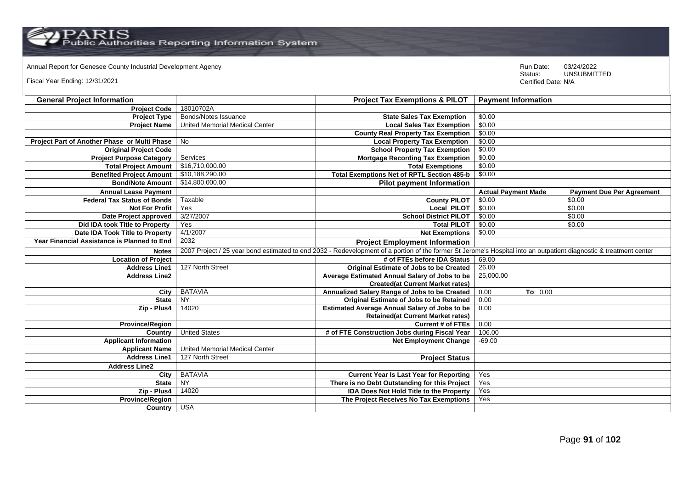$\operatorname{PARIS}_{\text{Public Authorities}\text{ Reporting Information System}}$ 

# Annual Report for Genesee County Industrial Development Agency **Company of Connect Agency** Run Date: 03/24/2022<br>Status: UNSUBMIT

Fiscal Year Ending: 12/31/2021

| <b>General Project Information</b>           |                                       | <b>Project Tax Exemptions &amp; PILOT</b>            | <b>Payment Information</b>                                                                                                                                         |
|----------------------------------------------|---------------------------------------|------------------------------------------------------|--------------------------------------------------------------------------------------------------------------------------------------------------------------------|
| <b>Project Code</b>                          | 18010702A                             |                                                      |                                                                                                                                                                    |
| <b>Project Type</b>                          | <b>Bonds/Notes Issuance</b>           | <b>State Sales Tax Exemption</b>                     | \$0.00                                                                                                                                                             |
| <b>Project Name</b>                          | <b>United Memorial Medical Center</b> | <b>Local Sales Tax Exemption</b>                     | \$0.00                                                                                                                                                             |
|                                              |                                       | <b>County Real Property Tax Exemption</b>            | \$0.00                                                                                                                                                             |
| Project Part of Another Phase or Multi Phase | <b>No</b>                             | <b>Local Property Tax Exemption</b>                  | \$0.00                                                                                                                                                             |
| <b>Original Project Code</b>                 |                                       | <b>School Property Tax Exemption</b>                 | \$0.00                                                                                                                                                             |
| <b>Project Purpose Category</b>              | Services                              | <b>Mortgage Recording Tax Exemption</b>              | \$0.00                                                                                                                                                             |
| <b>Total Project Amount</b>                  | \$16,710,000.00                       | <b>Total Exemptions</b>                              | \$0.00                                                                                                                                                             |
| <b>Benefited Project Amount</b>              | \$10,188,290.00                       | <b>Total Exemptions Net of RPTL Section 485-b</b>    | \$0.00                                                                                                                                                             |
| <b>Bond/Note Amount</b>                      | \$14,800,000.00                       | <b>Pilot payment Information</b>                     |                                                                                                                                                                    |
| <b>Annual Lease Payment</b>                  |                                       |                                                      | <b>Actual Payment Made</b><br><b>Payment Due Per Agreement</b>                                                                                                     |
| <b>Federal Tax Status of Bonds</b>           | Taxable                               | <b>County PILOT</b>                                  | \$0.00<br>\$0.00                                                                                                                                                   |
| <b>Not For Profit</b>                        | Yes                                   | <b>Local PILOT</b>                                   | \$0.00<br>\$0.00                                                                                                                                                   |
| Date Project approved                        | 3/27/2007                             | <b>School District PILOT</b>                         | \$0.00<br>\$0.00                                                                                                                                                   |
| Did IDA took Title to Property               | Yes                                   | <b>Total PILOT</b>                                   | \$0.00<br>\$0.00                                                                                                                                                   |
| Date IDA Took Title to Property              | 4/1/2007                              | <b>Net Exemptions</b>                                | \$0.00                                                                                                                                                             |
| Year Financial Assistance is Planned to End  | 2032                                  | <b>Project Employment Information</b>                |                                                                                                                                                                    |
| <b>Notes</b>                                 |                                       |                                                      | 2007 Project / 25 year bond estimated to end 2032 - Redevelopment of a portion of the former St Jerome's Hospital into an outpatient diagnostic & treatment center |
| <b>Location of Project</b>                   |                                       | # of FTEs before IDA Status                          | 69.00                                                                                                                                                              |
| <b>Address Line1</b>                         | 127 North Street                      | Original Estimate of Jobs to be Created              | 26.00                                                                                                                                                              |
| <b>Address Line2</b>                         |                                       | Average Estimated Annual Salary of Jobs to be        | 25,000.00                                                                                                                                                          |
|                                              |                                       | <b>Created(at Current Market rates)</b>              |                                                                                                                                                                    |
| City                                         | <b>BATAVIA</b>                        | Annualized Salary Range of Jobs to be Created        | 0.00<br>To: 0.00                                                                                                                                                   |
| <b>State</b>                                 | <b>NY</b>                             | <b>Original Estimate of Jobs to be Retained</b>      | 0.00                                                                                                                                                               |
| Zip - Plus4                                  | 14020                                 | <b>Estimated Average Annual Salary of Jobs to be</b> | 0.00                                                                                                                                                               |
|                                              |                                       | <b>Retained(at Current Market rates)</b>             |                                                                                                                                                                    |
| <b>Province/Region</b>                       |                                       | Current # of FTEs                                    | 0.00                                                                                                                                                               |
| Country                                      | <b>United States</b>                  | # of FTE Construction Jobs during Fiscal Year        | 106.00                                                                                                                                                             |
| <b>Applicant Information</b>                 |                                       | <b>Net Employment Change</b>                         | $-69.00$                                                                                                                                                           |
| <b>Applicant Name</b>                        | <b>United Memorial Medical Center</b> |                                                      |                                                                                                                                                                    |
| <b>Address Line1</b>                         | 127 North Street                      | <b>Project Status</b>                                |                                                                                                                                                                    |
| <b>Address Line2</b>                         |                                       |                                                      |                                                                                                                                                                    |
| City                                         | <b>BATAVIA</b>                        | <b>Current Year Is Last Year for Reporting</b>       | Yes                                                                                                                                                                |
| <b>State</b>                                 | $\overline{NY}$                       | There is no Debt Outstanding for this Project        | Yes                                                                                                                                                                |
| Zip - Plus4                                  | 14020                                 | IDA Does Not Hold Title to the Property              | Yes                                                                                                                                                                |
| <b>Province/Region</b>                       |                                       | The Project Receives No Tax Exemptions               | Yes                                                                                                                                                                |
| Country                                      | <b>USA</b>                            |                                                      |                                                                                                                                                                    |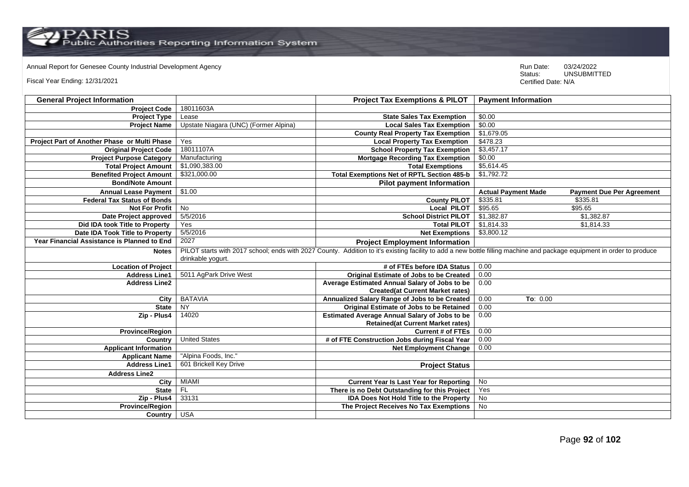# Annual Report for Genesee County Industrial Development Agency **Company of Connect Agency** Run Date: 03/24/2022<br>Status: UNSUBMIT

Fiscal Year Ending: 12/31/2021

| <b>General Project Information</b>                 |                                       | <b>Project Tax Exemptions &amp; PILOT</b>                                                                                                                              | <b>Payment Information</b> |                                  |
|----------------------------------------------------|---------------------------------------|------------------------------------------------------------------------------------------------------------------------------------------------------------------------|----------------------------|----------------------------------|
| <b>Project Code</b>                                | 18011603A                             |                                                                                                                                                                        |                            |                                  |
| <b>Project Type</b>                                | Lease                                 | <b>State Sales Tax Exemption</b>                                                                                                                                       | \$0.00                     |                                  |
| <b>Project Name</b>                                | Upstate Niagara (UNC) (Former Alpina) | <b>Local Sales Tax Exemption</b>                                                                                                                                       | \$0.00                     |                                  |
|                                                    |                                       | <b>County Real Property Tax Exemption</b>                                                                                                                              | \$1,679.05                 |                                  |
| Project Part of Another Phase or Multi Phase       | Yes                                   | <b>Local Property Tax Exemption</b>                                                                                                                                    | \$478.23                   |                                  |
| <b>Original Project Code</b>                       | 18011107A                             | <b>School Property Tax Exemption</b>                                                                                                                                   | \$3,457.17                 |                                  |
| <b>Project Purpose Category</b>                    | Manufacturing                         | <b>Mortgage Recording Tax Exemption</b>                                                                                                                                | \$0.00                     |                                  |
| <b>Total Project Amount</b>                        | \$1,090,383.00                        | <b>Total Exemptions</b>                                                                                                                                                | \$5,614.45                 |                                  |
| <b>Benefited Project Amount</b>                    | \$321,000.00                          | Total Exemptions Net of RPTL Section 485-b                                                                                                                             | \$1,792.72                 |                                  |
| <b>Bond/Note Amount</b>                            |                                       | <b>Pilot payment Information</b>                                                                                                                                       |                            |                                  |
| <b>Annual Lease Payment</b>                        | \$1.00                                |                                                                                                                                                                        | <b>Actual Payment Made</b> | <b>Payment Due Per Agreement</b> |
| <b>Federal Tax Status of Bonds</b>                 |                                       | <b>County PILOT</b>                                                                                                                                                    | \$335.81                   | \$335.81                         |
| <b>Not For Profit</b>                              | No                                    | <b>Local PILOT</b>                                                                                                                                                     | \$95.65                    | \$95.65                          |
| Date Project approved                              | 5/5/2016                              | <b>School District PILOT</b>                                                                                                                                           | \$1,382.87                 | \$1,382.87                       |
| Did IDA took Title to Property                     | Yes                                   | <b>Total PILOT</b>                                                                                                                                                     | \$1,814.33                 | \$1,814.33                       |
| Date IDA Took Title to Property                    | 5/5/2016                              | <b>Net Exemptions</b>                                                                                                                                                  | \$3,800.12                 |                                  |
| <b>Year Financial Assistance is Planned to End</b> | 2027                                  | <b>Project Employment Information</b>                                                                                                                                  |                            |                                  |
| <b>Notes</b>                                       |                                       | PILOT starts with 2017 school; ends with 2027 County. Addition to it's existing facility to add a new bottle filling machine and package equipment in order to produce |                            |                                  |
|                                                    | drinkable yogurt.                     |                                                                                                                                                                        |                            |                                  |
| <b>Location of Project</b>                         |                                       | # of FTEs before IDA Status                                                                                                                                            | 0.00                       |                                  |
| <b>Address Line1</b>                               | 5011 AgPark Drive West                | <b>Original Estimate of Jobs to be Created</b>                                                                                                                         | 0.00                       |                                  |
| <b>Address Line2</b>                               |                                       | Average Estimated Annual Salary of Jobs to be                                                                                                                          | 0.00                       |                                  |
|                                                    |                                       | <b>Created(at Current Market rates)</b>                                                                                                                                |                            |                                  |
| City                                               | <b>BATAVIA</b>                        | Annualized Salary Range of Jobs to be Created                                                                                                                          | 0.00<br>To: 0.00           |                                  |
| <b>State</b>                                       | <b>NY</b>                             | <b>Original Estimate of Jobs to be Retained</b>                                                                                                                        | 0.00                       |                                  |
| Zip - Plus4                                        | 14020                                 | <b>Estimated Average Annual Salary of Jobs to be</b>                                                                                                                   | 0.00                       |                                  |
|                                                    |                                       | <b>Retained(at Current Market rates)</b>                                                                                                                               |                            |                                  |
| <b>Province/Region</b>                             |                                       | <b>Current # of FTEs</b>                                                                                                                                               | 0.00                       |                                  |
| Country                                            | <b>United States</b>                  | # of FTE Construction Jobs during Fiscal Year                                                                                                                          | 0.00                       |                                  |
| <b>Applicant Information</b>                       |                                       | <b>Net Employment Change</b>                                                                                                                                           | 0.00                       |                                  |
| <b>Applicant Name</b>                              | "Alpina Foods, Inc."                  |                                                                                                                                                                        |                            |                                  |
| <b>Address Line1</b>                               | 601 Brickell Key Drive                | <b>Project Status</b>                                                                                                                                                  |                            |                                  |
| <b>Address Line2</b>                               |                                       |                                                                                                                                                                        |                            |                                  |
| City                                               | <b>MIAMI</b>                          | <b>Current Year Is Last Year for Reporting</b>                                                                                                                         | <b>No</b>                  |                                  |
| <b>State</b>                                       | <b>FL</b>                             | There is no Debt Outstanding for this Project                                                                                                                          | Yes                        |                                  |
| Zip - Plus4                                        | 33131                                 | <b>IDA Does Not Hold Title to the Property</b>                                                                                                                         | <b>No</b>                  |                                  |
| <b>Province/Region</b>                             |                                       | The Project Receives No Tax Exemptions                                                                                                                                 | No                         |                                  |
| Country                                            | <b>USA</b>                            |                                                                                                                                                                        |                            |                                  |
|                                                    |                                       |                                                                                                                                                                        |                            |                                  |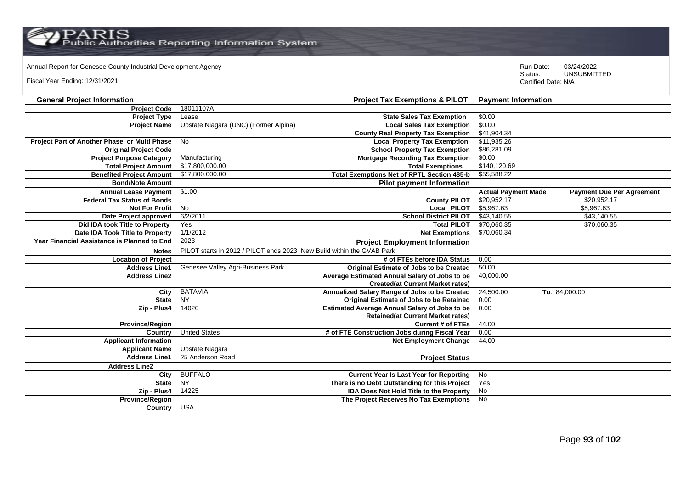# Annual Report for Genesee County Industrial Development Agency **Company of Connect Agency** Run Date: 03/24/2022<br>Status: UNSUBMIT

Fiscal Year Ending: 12/31/2021

| <b>General Project Information</b>           |                                                                       | <b>Project Tax Exemptions &amp; PILOT</b>            | <b>Payment Information</b>                                     |
|----------------------------------------------|-----------------------------------------------------------------------|------------------------------------------------------|----------------------------------------------------------------|
| <b>Project Code</b>                          | 18011107A                                                             |                                                      |                                                                |
| <b>Project Type</b>                          | Lease                                                                 | <b>State Sales Tax Exemption</b>                     | \$0.00                                                         |
| <b>Project Name</b>                          | Upstate Niagara (UNC) (Former Alpina)                                 | <b>Local Sales Tax Exemption</b>                     | \$0.00                                                         |
|                                              |                                                                       | <b>County Real Property Tax Exemption</b>            | \$41,904.34                                                    |
| Project Part of Another Phase or Multi Phase | No                                                                    | <b>Local Property Tax Exemption</b>                  | \$11,935.26                                                    |
| <b>Original Project Code</b>                 |                                                                       | <b>School Property Tax Exemption</b>                 | \$86,281.09                                                    |
| <b>Project Purpose Category</b>              | Manufacturing                                                         | <b>Mortgage Recording Tax Exemption</b>              | \$0.00                                                         |
| <b>Total Project Amount</b>                  | \$17,800,000.00                                                       | <b>Total Exemptions</b>                              | \$140,120.69                                                   |
| <b>Benefited Project Amount</b>              | \$17,800,000.00                                                       | <b>Total Exemptions Net of RPTL Section 485-b</b>    | \$55,588.22                                                    |
| <b>Bond/Note Amount</b>                      |                                                                       | <b>Pilot payment Information</b>                     |                                                                |
| <b>Annual Lease Payment</b>                  | \$1.00                                                                |                                                      | <b>Actual Payment Made</b><br><b>Payment Due Per Agreement</b> |
| <b>Federal Tax Status of Bonds</b>           |                                                                       | County PILOT                                         | \$20,952.17<br>\$20,952.17                                     |
| <b>Not For Profit</b>                        | $\overline{N}$                                                        | <b>Local PILOT</b>                                   | \$5,967.63<br>\$5,967.63                                       |
| Date Project approved                        | 6/2/2011                                                              | <b>School District PILOT</b>                         | \$43,140.55<br>\$43,140.55                                     |
| Did IDA took Title to Property               | Yes                                                                   | <b>Total PILOT</b>                                   | \$70,060.35<br>\$70,060.35                                     |
| Date IDA Took Title to Property              | 1/1/2012                                                              | <b>Net Exemptions</b>                                | \$70,060.34                                                    |
| Year Financial Assistance is Planned to End  | 2023                                                                  | <b>Project Employment Information</b>                |                                                                |
| <b>Notes</b>                                 | PILOT starts in 2012 / PILOT ends 2023 New Build within the GVAB Park |                                                      |                                                                |
| <b>Location of Project</b>                   |                                                                       | # of FTEs before IDA Status                          | 0.00                                                           |
| <b>Address Line1</b>                         | Genesee Valley Agri-Business Park                                     | <b>Original Estimate of Jobs to be Created</b>       | 50.00                                                          |
| <b>Address Line2</b>                         |                                                                       | Average Estimated Annual Salary of Jobs to be        | 40,000.00                                                      |
|                                              |                                                                       | <b>Created(at Current Market rates)</b>              |                                                                |
| City                                         | <b>BATAVIA</b>                                                        | Annualized Salary Range of Jobs to be Created        | 24,500.00<br>To: 84,000.00                                     |
| <b>State</b>                                 | <b>NY</b>                                                             | Original Estimate of Jobs to be Retained             | 0.00                                                           |
| Zip - Plus4                                  | 14020                                                                 | <b>Estimated Average Annual Salary of Jobs to be</b> | 0.00                                                           |
|                                              |                                                                       | <b>Retained(at Current Market rates)</b>             |                                                                |
| <b>Province/Region</b>                       |                                                                       | <b>Current # of FTEs</b>                             | 44.00                                                          |
| Country                                      | <b>United States</b>                                                  | # of FTE Construction Jobs during Fiscal Year        | 0.00                                                           |
| <b>Applicant Information</b>                 |                                                                       | <b>Net Employment Change</b>                         | 44.00                                                          |
| <b>Applicant Name</b>                        | Upstate Niagara                                                       |                                                      |                                                                |
| <b>Address Line1</b>                         | 25 Anderson Road                                                      | <b>Project Status</b>                                |                                                                |
| <b>Address Line2</b>                         |                                                                       |                                                      |                                                                |
| City                                         | <b>BUFFALO</b>                                                        | Current Year Is Last Year for Reporting              | No                                                             |
| <b>State</b>                                 | NY                                                                    | There is no Debt Outstanding for this Project        | Yes                                                            |
| Zip - Plus4                                  | 14225                                                                 | IDA Does Not Hold Title to the Property              | No                                                             |
| <b>Province/Region</b>                       |                                                                       | The Project Receives No Tax Exemptions               | <b>No</b>                                                      |
| Country USA                                  |                                                                       |                                                      |                                                                |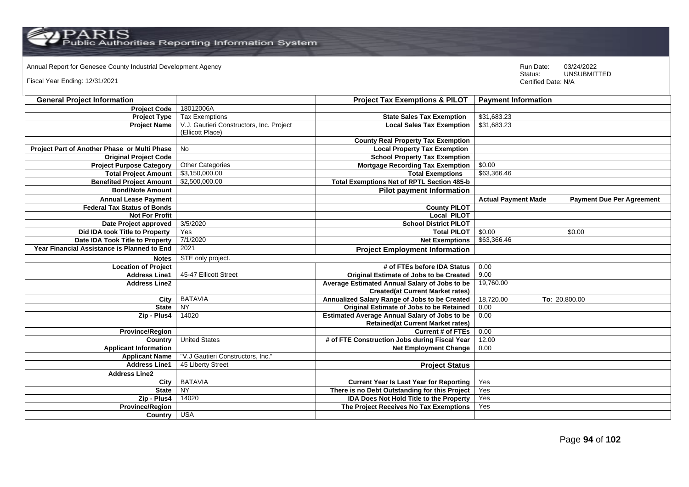# Annual Report for Genesee County Industrial Development Agency **Company of Connect Agency** Run Date: 03/24/2022<br>Status: UNSUBMIT

Fiscal Year Ending: 12/31/2021

| <b>General Project Information</b>           |                                          | <b>Project Tax Exemptions &amp; PILOT</b>            | <b>Payment Information</b>                                     |
|----------------------------------------------|------------------------------------------|------------------------------------------------------|----------------------------------------------------------------|
| <b>Project Code</b>                          | 18012006A                                |                                                      |                                                                |
| <b>Project Type</b>                          | <b>Tax Exemptions</b>                    | <b>State Sales Tax Exemption</b>                     | \$31,683.23                                                    |
| <b>Project Name</b>                          | V.J. Gautieri Constructors, Inc. Project | <b>Local Sales Tax Exemption</b>                     | \$31,683.23                                                    |
|                                              | (Ellicott Place)                         |                                                      |                                                                |
|                                              |                                          | <b>County Real Property Tax Exemption</b>            |                                                                |
| Project Part of Another Phase or Multi Phase | <b>No</b>                                | <b>Local Property Tax Exemption</b>                  |                                                                |
| <b>Original Project Code</b>                 |                                          | <b>School Property Tax Exemption</b>                 |                                                                |
| <b>Project Purpose Category</b>              | Other Categories                         | <b>Mortgage Recording Tax Exemption</b>              | \$0.00                                                         |
| <b>Total Project Amount</b>                  | \$3,150,000.00                           | <b>Total Exemptions</b>                              | \$63,366.46                                                    |
| <b>Benefited Project Amount</b>              | $\overline{$2,500,000.00}$               | <b>Total Exemptions Net of RPTL Section 485-b</b>    |                                                                |
| <b>Bond/Note Amount</b>                      |                                          | <b>Pilot payment Information</b>                     |                                                                |
| <b>Annual Lease Payment</b>                  |                                          |                                                      | <b>Actual Payment Made</b><br><b>Payment Due Per Agreement</b> |
| <b>Federal Tax Status of Bonds</b>           |                                          | <b>County PILOT</b>                                  |                                                                |
| <b>Not For Profit</b>                        |                                          | <b>Local PILOT</b>                                   |                                                                |
| Date Project approved                        | 3/5/2020                                 | <b>School District PILOT</b>                         |                                                                |
| Did IDA took Title to Property               | Yes                                      | <b>Total PILOT</b>                                   | \$0.00<br>\$0.00                                               |
| Date IDA Took Title to Property              | 7/1/2020                                 | <b>Net Exemptions</b>                                | \$63,366.46                                                    |
| Year Financial Assistance is Planned to End  | 2021                                     | <b>Project Employment Information</b>                |                                                                |
| <b>Notes</b>                                 | STE only project.                        |                                                      |                                                                |
| <b>Location of Project</b>                   |                                          | # of FTEs before IDA Status                          | 0.00                                                           |
| <b>Address Line1</b>                         | 45-47 Ellicott Street                    | <b>Original Estimate of Jobs to be Created</b>       | 9.00                                                           |
| <b>Address Line2</b>                         |                                          | Average Estimated Annual Salary of Jobs to be        | 19,760.00                                                      |
|                                              |                                          | <b>Created(at Current Market rates)</b>              |                                                                |
| City                                         | <b>BATAVIA</b>                           | Annualized Salary Range of Jobs to be Created        | 18,720.00<br>To: 20,800.00                                     |
| <b>State</b>                                 | <b>NY</b>                                | <b>Original Estimate of Jobs to be Retained</b>      | 0.00                                                           |
| Zip - Plus4                                  | 14020                                    | <b>Estimated Average Annual Salary of Jobs to be</b> | 0.00                                                           |
|                                              |                                          | <b>Retained(at Current Market rates)</b>             |                                                                |
| <b>Province/Region</b>                       |                                          | <b>Current # of FTEs</b>                             | 0.00                                                           |
| Country                                      | <b>United States</b>                     | # of FTE Construction Jobs during Fiscal Year        | 12.00                                                          |
| <b>Applicant Information</b>                 |                                          | <b>Net Employment Change</b>                         | 0.00                                                           |
| <b>Applicant Name</b>                        | "V.J Gautieri Constructors, Inc."        |                                                      |                                                                |
| <b>Address Line1</b>                         | 45 Liberty Street                        | <b>Project Status</b>                                |                                                                |
| <b>Address Line2</b>                         |                                          |                                                      |                                                                |
| City                                         | <b>BATAVIA</b>                           | <b>Current Year Is Last Year for Reporting</b>       | Yes                                                            |
| <b>State</b>                                 | $\overline{NY}$                          | There is no Debt Outstanding for this Project        | Yes                                                            |
| Zip - Plus4                                  | 14020                                    | IDA Does Not Hold Title to the Property              | Yes                                                            |
| <b>Province/Region</b>                       |                                          | The Project Receives No Tax Exemptions               | Yes                                                            |
| <b>Country</b>                               | <b>USA</b>                               |                                                      |                                                                |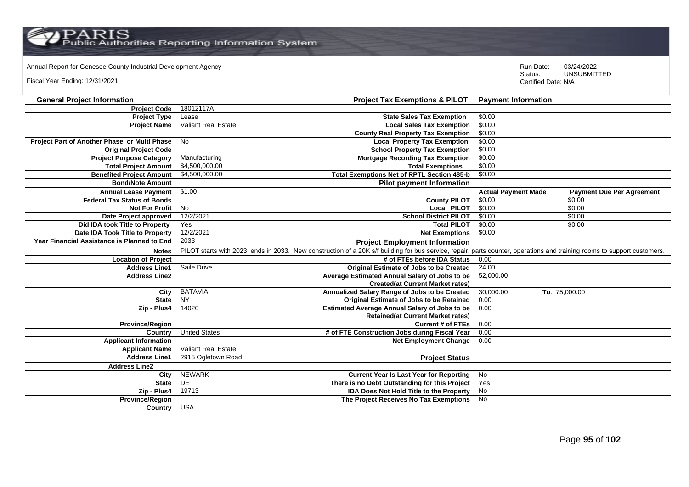$\operatorname{PARIS}_{\text{Public Authorities}\text{ Reporting Information System}}$ 

Annual Report for Genesee County Industrial Development Agency **Company of Connect Agency** Run Date: 03/24/2022<br>Status: UNSUBMIT

Fiscal Year Ending: 12/31/2021

| <b>General Project Information</b>           |                            | <b>Project Tax Exemptions &amp; PILOT</b>            | <b>Payment Information</b>                                                                                                                                               |
|----------------------------------------------|----------------------------|------------------------------------------------------|--------------------------------------------------------------------------------------------------------------------------------------------------------------------------|
| <b>Project Code</b>                          | 18012117A                  |                                                      |                                                                                                                                                                          |
| <b>Project Type</b>                          | Lease                      | <b>State Sales Tax Exemption</b>                     | \$0.00                                                                                                                                                                   |
| <b>Project Name</b>                          | Valiant Real Estate        | <b>Local Sales Tax Exemption</b>                     | \$0.00                                                                                                                                                                   |
|                                              |                            | <b>County Real Property Tax Exemption</b>            | \$0.00                                                                                                                                                                   |
| Project Part of Another Phase or Multi Phase | No                         | <b>Local Property Tax Exemption</b>                  | \$0.00                                                                                                                                                                   |
| <b>Original Project Code</b>                 |                            | <b>School Property Tax Exemption</b>                 | \$0.00                                                                                                                                                                   |
| <b>Project Purpose Category</b>              | Manufacturing              | <b>Mortgage Recording Tax Exemption</b>              | \$0.00                                                                                                                                                                   |
| <b>Total Project Amount</b>                  | \$4,500,000.00             | <b>Total Exemptions</b>                              | \$0.00                                                                                                                                                                   |
| <b>Benefited Project Amount</b>              | \$4,500,000.00             | <b>Total Exemptions Net of RPTL Section 485-b</b>    | \$0.00                                                                                                                                                                   |
| <b>Bond/Note Amount</b>                      |                            | <b>Pilot payment Information</b>                     |                                                                                                                                                                          |
| <b>Annual Lease Payment</b>                  | \$1.00                     |                                                      | <b>Actual Payment Made</b><br><b>Payment Due Per Agreement</b>                                                                                                           |
| <b>Federal Tax Status of Bonds</b>           |                            | <b>County PILOT</b>                                  | \$0.00<br>\$0.00                                                                                                                                                         |
| <b>Not For Profit</b>                        | $\overline{N}$             | <b>Local PILOT</b>                                   | \$0.00<br>\$0.00                                                                                                                                                         |
| Date Project approved                        | 12/2/2021                  | <b>School District PILOT</b>                         | \$0.00<br>\$0.00                                                                                                                                                         |
| Did IDA took Title to Property               | Yes                        | <b>Total PILOT</b>                                   | \$0.00<br>\$0.00                                                                                                                                                         |
| Date IDA Took Title to Property              | 12/2/2021                  | <b>Net Exemptions</b>                                | \$0.00                                                                                                                                                                   |
| Year Financial Assistance is Planned to End  | 2033                       | <b>Project Employment Information</b>                |                                                                                                                                                                          |
| <b>Notes</b>                                 |                            |                                                      | PILOT starts with 2023, ends in 2033. New construction of a 20K s/f building for bus service, repair, parts counter, operations and training rooms to support customers. |
| <b>Location of Project</b>                   |                            | # of FTEs before IDA Status                          | 0.00                                                                                                                                                                     |
| <b>Address Line1</b>                         | Saile Drive                | <b>Original Estimate of Jobs to be Created</b>       | 24.00                                                                                                                                                                    |
| <b>Address Line2</b>                         |                            | Average Estimated Annual Salary of Jobs to be        | 52,000.00                                                                                                                                                                |
|                                              |                            | <b>Created(at Current Market rates)</b>              |                                                                                                                                                                          |
| City                                         | <b>BATAVIA</b>             | Annualized Salary Range of Jobs to be Created        | 30,000.00<br>To: 75,000.00                                                                                                                                               |
| <b>State</b>                                 | NY                         | Original Estimate of Jobs to be Retained             | 0.00                                                                                                                                                                     |
| Zip - Plus4                                  | 14020                      | <b>Estimated Average Annual Salary of Jobs to be</b> | 0.00                                                                                                                                                                     |
|                                              |                            | <b>Retained(at Current Market rates)</b>             |                                                                                                                                                                          |
| <b>Province/Region</b>                       |                            | <b>Current # of FTEs</b>                             | 0.00                                                                                                                                                                     |
| Country                                      | <b>United States</b>       | # of FTE Construction Jobs during Fiscal Year        | 0.00                                                                                                                                                                     |
| <b>Applicant Information</b>                 |                            | <b>Net Employment Change</b>                         | 0.00                                                                                                                                                                     |
| <b>Applicant Name</b>                        | <b>Valiant Real Estate</b> |                                                      |                                                                                                                                                                          |
| <b>Address Line1</b>                         | 2915 Ogletown Road         | <b>Project Status</b>                                |                                                                                                                                                                          |
| <b>Address Line2</b>                         |                            |                                                      |                                                                                                                                                                          |
| City                                         | <b>NEWARK</b>              | <b>Current Year Is Last Year for Reporting</b>       | No                                                                                                                                                                       |
| <b>State</b>                                 | DE                         | There is no Debt Outstanding for this Project        | Yes                                                                                                                                                                      |
| Zip - Plus4                                  | 19713                      | <b>IDA Does Not Hold Title to the Property</b>       | <b>No</b>                                                                                                                                                                |
| Province/Region                              |                            | The Project Receives No Tax Exemptions               | <b>No</b>                                                                                                                                                                |
| Country                                      | <b>USA</b>                 |                                                      |                                                                                                                                                                          |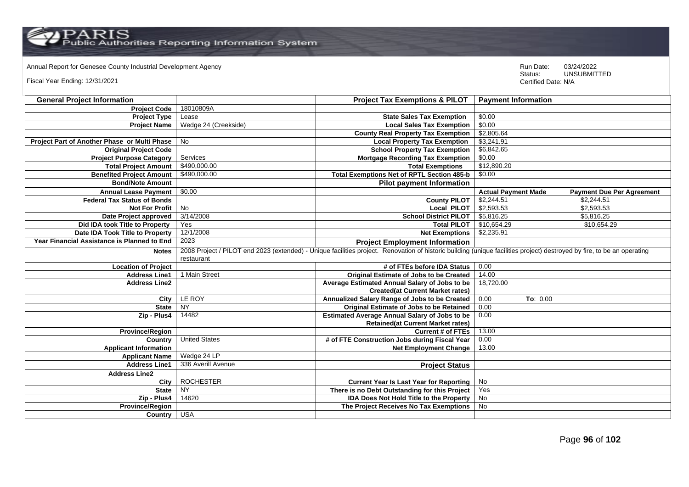Annual Report for Genesee County Industrial Development Agency **Company of Connect Agency** Run Date: 03/24/2022<br>Status: UNSUBMIT

Fiscal Year Ending: 12/31/2021

| <b>General Project Information</b>           |                      | <b>Project Tax Exemptions &amp; PILOT</b>            | <b>Payment Information</b>                                                                                                                                              |
|----------------------------------------------|----------------------|------------------------------------------------------|-------------------------------------------------------------------------------------------------------------------------------------------------------------------------|
| <b>Project Code</b>                          | 18010809A            |                                                      |                                                                                                                                                                         |
| <b>Project Type</b>                          | Lease                | <b>State Sales Tax Exemption</b>                     | \$0.00                                                                                                                                                                  |
| <b>Project Name</b>                          | Wedge 24 (Creekside) | <b>Local Sales Tax Exemption</b>                     | \$0.00                                                                                                                                                                  |
|                                              |                      | <b>County Real Property Tax Exemption</b>            | \$2,805.64                                                                                                                                                              |
| Project Part of Another Phase or Multi Phase | <b>No</b>            | <b>Local Property Tax Exemption</b>                  | \$3,241.91                                                                                                                                                              |
| <b>Original Project Code</b>                 |                      | <b>School Property Tax Exemption</b>                 | \$6,842.65                                                                                                                                                              |
| <b>Project Purpose Category</b>              | Services             | <b>Mortgage Recording Tax Exemption</b>              | \$0.00                                                                                                                                                                  |
| <b>Total Project Amount</b>                  | \$490,000.00         | <b>Total Exemptions</b>                              | \$12,890.20                                                                                                                                                             |
| <b>Benefited Project Amount</b>              | \$490,000.00         | <b>Total Exemptions Net of RPTL Section 485-b</b>    | \$0.00                                                                                                                                                                  |
| <b>Bond/Note Amount</b>                      |                      | <b>Pilot payment Information</b>                     |                                                                                                                                                                         |
| <b>Annual Lease Payment</b>                  | \$0.00               |                                                      | <b>Actual Payment Made</b><br><b>Payment Due Per Agreement</b>                                                                                                          |
| <b>Federal Tax Status of Bonds</b>           |                      | <b>County PILOT</b>                                  | \$2,244.51<br>\$2,244.51                                                                                                                                                |
| <b>Not For Profit</b>                        | <b>No</b>            | <b>Local PILOT</b>                                   | \$2,593.53<br>\$2,593.53                                                                                                                                                |
| Date Project approved                        | 3/14/2008            | <b>School District PILOT</b>                         | \$5,816.25<br>\$5.816.25                                                                                                                                                |
| Did IDA took Title to Property               | Yes                  | <b>Total PILOT</b>                                   | \$10,654.29<br>\$10,654.29                                                                                                                                              |
| Date IDA Took Title to Property              | 12/1/2008            | <b>Net Exemptions</b>                                | \$2,235.91                                                                                                                                                              |
| Year Financial Assistance is Planned to End  | 2023                 | <b>Project Employment Information</b>                |                                                                                                                                                                         |
| <b>Notes</b>                                 | restaurant           |                                                      | 2008 Project / PILOT end 2023 (extended) - Unique facilities project. Renovation of historic building (unique facilities project) destroyed by fire, to be an operating |
| <b>Location of Project</b>                   |                      | # of FTEs before IDA Status                          | 0.00                                                                                                                                                                    |
| <b>Address Line1</b>                         | 1 Main Street        | Original Estimate of Jobs to be Created              | 14.00                                                                                                                                                                   |
| <b>Address Line2</b>                         |                      | Average Estimated Annual Salary of Jobs to be        | 18,720.00                                                                                                                                                               |
|                                              |                      | <b>Created(at Current Market rates)</b>              |                                                                                                                                                                         |
| City                                         | LE ROY               | Annualized Salary Range of Jobs to be Created        | 0.00<br>To: 0.00                                                                                                                                                        |
| <b>State</b>                                 | <b>NY</b>            | <b>Original Estimate of Jobs to be Retained</b>      | 0.00                                                                                                                                                                    |
| Zip - Plus4                                  | 14482                | <b>Estimated Average Annual Salary of Jobs to be</b> | 0.00                                                                                                                                                                    |
|                                              |                      | <b>Retained(at Current Market rates)</b>             |                                                                                                                                                                         |
| <b>Province/Region</b>                       |                      | <b>Current # of FTEs</b>                             | 13.00                                                                                                                                                                   |
| Country                                      | <b>United States</b> | # of FTE Construction Jobs during Fiscal Year        | 0.00                                                                                                                                                                    |
| <b>Applicant Information</b>                 |                      | <b>Net Employment Change</b>                         | 13.00                                                                                                                                                                   |
| <b>Applicant Name</b>                        | Wedge 24 LP          |                                                      |                                                                                                                                                                         |
| <b>Address Line1</b>                         | 336 Averill Avenue   | <b>Project Status</b>                                |                                                                                                                                                                         |
| <b>Address Line2</b>                         |                      |                                                      |                                                                                                                                                                         |
| City                                         | <b>ROCHESTER</b>     | <b>Current Year Is Last Year for Reporting</b>       | <b>No</b>                                                                                                                                                               |
| <b>State</b>                                 | NY                   | There is no Debt Outstanding for this Project        | Yes                                                                                                                                                                     |
| Zip - Plus4                                  | 14620                | <b>IDA Does Not Hold Title to the Property</b>       | No                                                                                                                                                                      |
| <b>Province/Region</b>                       |                      | The Project Receives No Tax Exemptions               | No                                                                                                                                                                      |
| Country                                      | <b>USA</b>           |                                                      |                                                                                                                                                                         |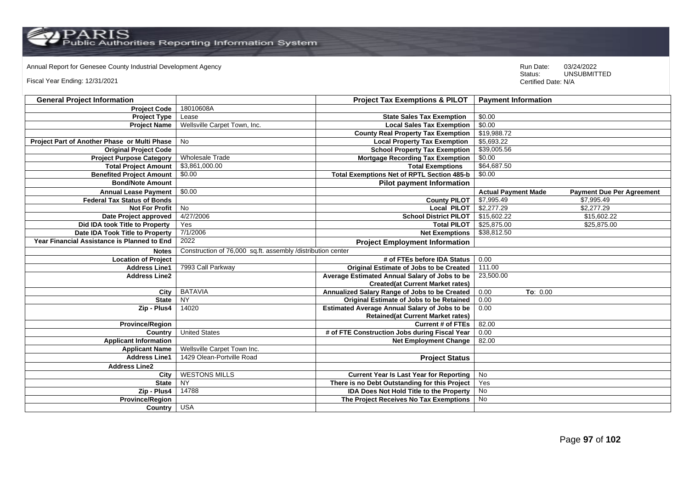$\operatorname{PARIS}_{\text{Public Authorities}\text{ Reporting Information System}}$ 

Annual Report for Genesee County Industrial Development Agency **Company of Connect Agency** Run Date: 03/24/2022<br>Status: UNSUBMIT

Fiscal Year Ending: 12/31/2021

| <b>General Project Information</b>           |                                                             | <b>Project Tax Exemptions &amp; PILOT</b>            | <b>Payment Information</b> |                                  |
|----------------------------------------------|-------------------------------------------------------------|------------------------------------------------------|----------------------------|----------------------------------|
| <b>Project Code</b>                          | 18010608A                                                   |                                                      |                            |                                  |
| <b>Project Type</b>                          | Lease                                                       | <b>State Sales Tax Exemption</b>                     | \$0.00                     |                                  |
| <b>Project Name</b>                          | Wellsville Carpet Town, Inc.                                | <b>Local Sales Tax Exemption</b>                     | \$0.00                     |                                  |
|                                              |                                                             | <b>County Real Property Tax Exemption</b>            | \$19,988.72                |                                  |
| Project Part of Another Phase or Multi Phase | No                                                          | <b>Local Property Tax Exemption</b>                  | \$5,693.22                 |                                  |
| <b>Original Project Code</b>                 |                                                             | <b>School Property Tax Exemption</b>                 | \$39,005.56                |                                  |
| <b>Project Purpose Category</b>              | <b>Wholesale Trade</b>                                      | <b>Mortgage Recording Tax Exemption</b>              | \$0.00                     |                                  |
| <b>Total Project Amount</b>                  | \$3,861,000.00                                              | <b>Total Exemptions</b>                              | \$64,687.50                |                                  |
| <b>Benefited Project Amount</b>              | \$0.00                                                      | Total Exemptions Net of RPTL Section 485-b           | \$0.00                     |                                  |
| <b>Bond/Note Amount</b>                      |                                                             | <b>Pilot payment Information</b>                     |                            |                                  |
| <b>Annual Lease Payment</b>                  | \$0.00                                                      |                                                      | <b>Actual Payment Made</b> | <b>Payment Due Per Agreement</b> |
| <b>Federal Tax Status of Bonds</b>           |                                                             | <b>County PILOT</b>                                  | \$7,995.49                 | \$7,995.49                       |
| <b>Not For Profit</b>                        | $\overline{N}$                                              | <b>Local PILOT</b>                                   | \$2,277.29                 | \$2,277.29                       |
| Date Project approved                        | 4/27/2006                                                   | <b>School District PILOT</b>                         | \$15,602.22                | \$15,602.22                      |
| Did IDA took Title to Property               | Yes                                                         | <b>Total PILOT</b>                                   | \$25,875.00                | \$25,875.00                      |
| Date IDA Took Title to Property              | 7/1/2006                                                    | <b>Net Exemptions</b>                                | \$38,812.50                |                                  |
| Year Financial Assistance is Planned to End  | 2022                                                        | <b>Project Employment Information</b>                |                            |                                  |
| <b>Notes</b>                                 | Construction of 76,000 sq.ft. assembly /distribution center |                                                      |                            |                                  |
| <b>Location of Project</b>                   |                                                             | # of FTEs before IDA Status                          | 0.00                       |                                  |
| <b>Address Line1</b>                         | 7993 Call Parkway                                           | <b>Original Estimate of Jobs to be Created</b>       | 111.00                     |                                  |
| <b>Address Line2</b>                         |                                                             | Average Estimated Annual Salary of Jobs to be        | 23,500.00                  |                                  |
|                                              |                                                             | <b>Created(at Current Market rates)</b>              |                            |                                  |
| City                                         | <b>BATAVIA</b>                                              | Annualized Salary Range of Jobs to be Created        | 0.00<br>To: 0.00           |                                  |
| <b>State</b>                                 | NY                                                          | Original Estimate of Jobs to be Retained             | 0.00                       |                                  |
| Zip - Plus4                                  | 14020                                                       | <b>Estimated Average Annual Salary of Jobs to be</b> | 0.00                       |                                  |
|                                              |                                                             | <b>Retained(at Current Market rates)</b>             |                            |                                  |
| <b>Province/Region</b>                       |                                                             | <b>Current # of FTEs</b>                             | 82.00                      |                                  |
| Country                                      | <b>United States</b>                                        | # of FTE Construction Jobs during Fiscal Year        | 0.00                       |                                  |
| <b>Applicant Information</b>                 |                                                             | <b>Net Employment Change</b>                         | 82.00                      |                                  |
| <b>Applicant Name</b>                        | Wellsville Carpet Town Inc.                                 |                                                      |                            |                                  |
| <b>Address Line1</b>                         | 1429 Olean-Portville Road                                   | <b>Project Status</b>                                |                            |                                  |
| <b>Address Line2</b>                         |                                                             |                                                      |                            |                                  |
| City                                         | <b>WESTONS MILLS</b>                                        | <b>Current Year Is Last Year for Reporting</b>       | No                         |                                  |
| <b>State</b>                                 | <b>NY</b>                                                   | There is no Debt Outstanding for this Project        | Yes                        |                                  |
| Zip - Plus4                                  | 14788                                                       | <b>IDA Does Not Hold Title to the Property</b>       | <b>No</b>                  |                                  |
| Province/Region                              |                                                             | The Project Receives No Tax Exemptions               | <b>No</b>                  |                                  |
| Country                                      | <b>USA</b>                                                  |                                                      |                            |                                  |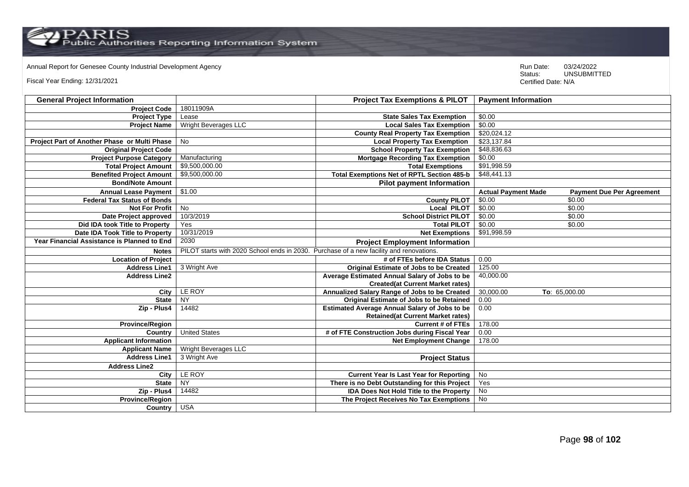# Annual Report for Genesee County Industrial Development Agency **Company of Connect Agency** Run Date: 03/24/2022<br>Status: UNSUBMIT

Fiscal Year Ending: 12/31/2021

| <b>General Project Information</b>           |                                                                                         | <b>Project Tax Exemptions &amp; PILOT</b>            | <b>Payment Information</b>                                     |
|----------------------------------------------|-----------------------------------------------------------------------------------------|------------------------------------------------------|----------------------------------------------------------------|
| <b>Project Code</b>                          | 18011909A                                                                               |                                                      |                                                                |
| <b>Project Type</b>                          | Lease                                                                                   | <b>State Sales Tax Exemption</b>                     | \$0.00                                                         |
| <b>Project Name</b>                          | Wright Beverages LLC                                                                    | <b>Local Sales Tax Exemption</b>                     | \$0.00                                                         |
|                                              |                                                                                         | <b>County Real Property Tax Exemption</b>            | \$20,024.12                                                    |
| Project Part of Another Phase or Multi Phase | No                                                                                      | <b>Local Property Tax Exemption</b>                  | \$23,137.84                                                    |
| <b>Original Project Code</b>                 |                                                                                         | <b>School Property Tax Exemption</b>                 | \$48,836.63                                                    |
| <b>Project Purpose Category</b>              | Manufacturing                                                                           | <b>Mortgage Recording Tax Exemption</b>              | \$0.00                                                         |
| <b>Total Project Amount</b>                  | \$9,500,000.00                                                                          | <b>Total Exemptions</b>                              | \$91,998.59                                                    |
| <b>Benefited Project Amount</b>              | \$9,500,000.00                                                                          | <b>Total Exemptions Net of RPTL Section 485-b</b>    | \$48,441.13                                                    |
| <b>Bond/Note Amount</b>                      |                                                                                         | <b>Pilot payment Information</b>                     |                                                                |
| <b>Annual Lease Payment</b>                  | \$1.00                                                                                  |                                                      | <b>Actual Payment Made</b><br><b>Payment Due Per Agreement</b> |
| <b>Federal Tax Status of Bonds</b>           |                                                                                         | <b>County PILOT</b>                                  | \$0.00<br>\$0.00                                               |
| <b>Not For Profit</b>                        | No                                                                                      | <b>Local PILOT</b>                                   | \$0.00<br>\$0.00                                               |
| Date Project approved                        | 10/3/2019                                                                               | <b>School District PILOT</b>                         | \$0.00<br>\$0.00                                               |
| Did IDA took Title to Property               | Yes                                                                                     | <b>Total PILOT</b>                                   | \$0.00<br>\$0.00                                               |
| Date IDA Took Title to Property              | 10/31/2019                                                                              | <b>Net Exemptions</b>                                | \$91,998.59                                                    |
| Year Financial Assistance is Planned to End  | 2030                                                                                    | <b>Project Employment Information</b>                |                                                                |
| <b>Notes</b>                                 | PILOT starts with 2020 School ends in 2030. Purchase of a new facility and renovations. |                                                      |                                                                |
| <b>Location of Project</b>                   |                                                                                         | # of FTEs before IDA Status                          | 0.00                                                           |
| <b>Address Line1</b>                         | 3 Wright Ave                                                                            | <b>Original Estimate of Jobs to be Created</b>       | 125.00                                                         |
| <b>Address Line2</b>                         |                                                                                         | Average Estimated Annual Salary of Jobs to be        | 40,000.00                                                      |
|                                              |                                                                                         | <b>Created(at Current Market rates)</b>              |                                                                |
| City                                         | LE ROY                                                                                  | Annualized Salary Range of Jobs to be Created        | 30,000.00<br>To: 65,000.00                                     |
| <b>State</b>                                 | NY                                                                                      | Original Estimate of Jobs to be Retained             | 0.00                                                           |
| Zip - Plus4                                  | 14482                                                                                   | <b>Estimated Average Annual Salary of Jobs to be</b> | 0.00                                                           |
|                                              |                                                                                         | <b>Retained(at Current Market rates)</b>             |                                                                |
| <b>Province/Region</b>                       |                                                                                         | <b>Current # of FTEs</b>                             | 178.00                                                         |
| Country                                      | <b>United States</b>                                                                    | # of FTE Construction Jobs during Fiscal Year        | 0.00                                                           |
| <b>Applicant Information</b>                 |                                                                                         | <b>Net Employment Change</b>                         | 178.00                                                         |
| <b>Applicant Name</b>                        | Wright Beverages LLC                                                                    |                                                      |                                                                |
| <b>Address Line1</b>                         | 3 Wright Ave                                                                            | <b>Project Status</b>                                |                                                                |
| <b>Address Line2</b>                         |                                                                                         |                                                      |                                                                |
| City                                         | LE ROY                                                                                  | <b>Current Year Is Last Year for Reporting</b>       | No                                                             |
| <b>State</b>                                 | <b>NY</b>                                                                               | There is no Debt Outstanding for this Project        | Yes                                                            |
| Zip - Plus4                                  | 14482                                                                                   | IDA Does Not Hold Title to the Property              | <b>No</b>                                                      |
| <b>Province/Region</b>                       |                                                                                         | The Project Receives No Tax Exemptions               | <b>No</b>                                                      |
| Country                                      | <b>USA</b>                                                                              |                                                      |                                                                |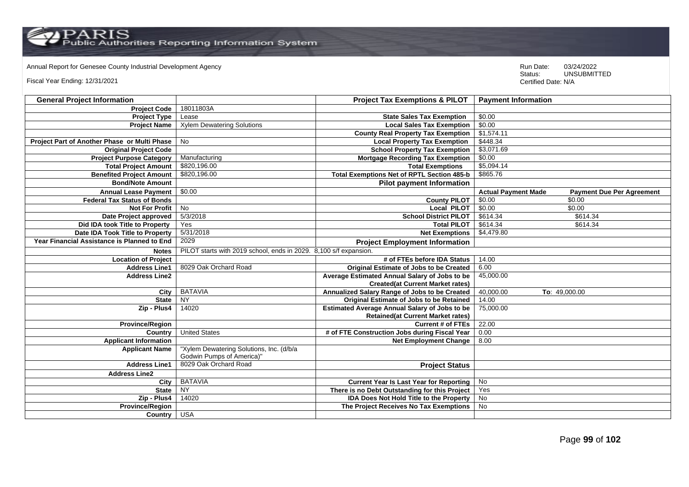Annual Report for Genesee County Industrial Development Agency **Company of Connect Agency** Run Date: 03/24/2022<br>Status: UNSUBMIT

Fiscal Year Ending: 12/31/2021

| <b>General Project Information</b>           |                                                                   | <b>Project Tax Exemptions &amp; PILOT</b>            | <b>Payment Information</b> |                                  |
|----------------------------------------------|-------------------------------------------------------------------|------------------------------------------------------|----------------------------|----------------------------------|
| <b>Project Code</b>                          | 18011803A                                                         |                                                      |                            |                                  |
| <b>Project Type</b>                          | Lease                                                             | <b>State Sales Tax Exemption</b>                     | \$0.00                     |                                  |
| <b>Project Name</b>                          | <b>Xylem Dewatering Solutions</b>                                 | <b>Local Sales Tax Exemption</b>                     | \$0.00                     |                                  |
|                                              |                                                                   | <b>County Real Property Tax Exemption</b>            | \$1,574.11                 |                                  |
| Project Part of Another Phase or Multi Phase | <b>No</b>                                                         | <b>Local Property Tax Exemption</b>                  | \$448.34                   |                                  |
| <b>Original Project Code</b>                 |                                                                   | <b>School Property Tax Exemption</b>                 | \$3,071.69                 |                                  |
| <b>Project Purpose Category</b>              | Manufacturing                                                     | <b>Mortgage Recording Tax Exemption</b>              | \$0.00                     |                                  |
| <b>Total Project Amount</b>                  | \$820,196.00                                                      | <b>Total Exemptions</b>                              | \$5,094.14                 |                                  |
| <b>Benefited Project Amount</b>              | \$820,196.00                                                      | <b>Total Exemptions Net of RPTL Section 485-b</b>    | \$865.76                   |                                  |
| <b>Bond/Note Amount</b>                      |                                                                   | <b>Pilot payment Information</b>                     |                            |                                  |
| <b>Annual Lease Payment</b>                  | \$0.00                                                            |                                                      | <b>Actual Payment Made</b> | <b>Payment Due Per Agreement</b> |
| <b>Federal Tax Status of Bonds</b>           |                                                                   | <b>County PILOT</b>                                  | \$0.00                     | \$0.00                           |
| <b>Not For Profit</b>                        | <b>No</b>                                                         | <b>Local PILOT</b>                                   | \$0.00                     | \$0.00                           |
| Date Project approved                        | 5/3/2018                                                          | <b>School District PILOT</b>                         | \$614.34                   | \$614.34                         |
| Did IDA took Title to Property               | Yes                                                               | <b>Total PILOT</b>                                   | \$614.34                   | \$614.34                         |
| Date IDA Took Title to Property              | 5/31/2018                                                         | <b>Net Exemptions</b>                                | \$4,479.80                 |                                  |
| Year Financial Assistance is Planned to End  | 2029                                                              | <b>Project Employment Information</b>                |                            |                                  |
| <b>Notes</b>                                 | PILOT starts with 2019 school, ends in 2029. 8,100 s/f expansion. |                                                      |                            |                                  |
| <b>Location of Project</b>                   |                                                                   | # of FTEs before IDA Status                          | 14.00                      |                                  |
| <b>Address Line1</b>                         | 8029 Oak Orchard Road                                             | <b>Original Estimate of Jobs to be Created</b>       | 6.00                       |                                  |
| <b>Address Line2</b>                         |                                                                   | Average Estimated Annual Salary of Jobs to be        | 45,000.00                  |                                  |
|                                              |                                                                   | <b>Created(at Current Market rates)</b>              |                            |                                  |
| City                                         | <b>BATAVIA</b>                                                    | Annualized Salary Range of Jobs to be Created        | 40,000.00                  | To: 49,000.00                    |
| <b>State</b>                                 | <b>NY</b>                                                         | Original Estimate of Jobs to be Retained             | 14.00                      |                                  |
| Zip - Plus4                                  | 14020                                                             | <b>Estimated Average Annual Salary of Jobs to be</b> | 75,000.00                  |                                  |
|                                              |                                                                   | <b>Retained(at Current Market rates)</b>             |                            |                                  |
| <b>Province/Region</b>                       |                                                                   | <b>Current # of FTEs</b>                             | 22.00                      |                                  |
| Country                                      | <b>United States</b>                                              | # of FTE Construction Jobs during Fiscal Year        | 0.00                       |                                  |
| <b>Applicant Information</b>                 |                                                                   | <b>Net Employment Change</b>                         | 8.00                       |                                  |
| <b>Applicant Name</b>                        | "Xylem Dewatering Solutions, Inc. (d/b/a                          |                                                      |                            |                                  |
|                                              | Godwin Pumps of America)"                                         |                                                      |                            |                                  |
| <b>Address Line1</b>                         | 8029 Oak Orchard Road                                             | <b>Project Status</b>                                |                            |                                  |
| <b>Address Line2</b>                         |                                                                   |                                                      |                            |                                  |
| City                                         | <b>BATAVIA</b>                                                    | <b>Current Year Is Last Year for Reporting</b>       | No                         |                                  |
| <b>State</b>                                 | <b>NY</b>                                                         | There is no Debt Outstanding for this Project        | Yes                        |                                  |
| Zip - Plus4                                  | 14020                                                             | IDA Does Not Hold Title to the Property              | No                         |                                  |
| <b>Province/Region</b>                       |                                                                   | The Project Receives No Tax Exemptions               | No                         |                                  |
| Country                                      | <b>USA</b>                                                        |                                                      |                            |                                  |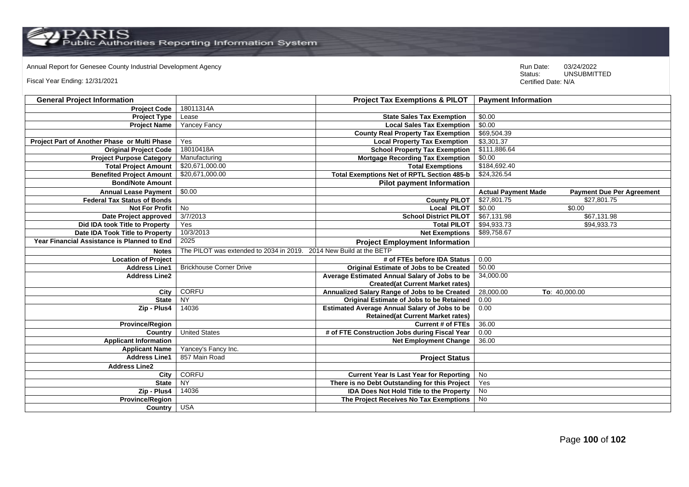# Annual Report for Genesee County Industrial Development Agency **Company of Connect Agency** Run Date: 03/24/2022<br>Status: UNSUBMIT

Fiscal Year Ending: 12/31/2021

| <b>General Project Information</b>           |                                                                    | <b>Project Tax Exemptions &amp; PILOT</b>            | <b>Payment Information</b> |                                  |
|----------------------------------------------|--------------------------------------------------------------------|------------------------------------------------------|----------------------------|----------------------------------|
| <b>Project Code</b>                          | 18011314A                                                          |                                                      |                            |                                  |
| <b>Project Type</b>                          | Lease                                                              | <b>State Sales Tax Exemption</b>                     | \$0.00                     |                                  |
| <b>Project Name</b>                          | <b>Yancey Fancy</b>                                                | <b>Local Sales Tax Exemption</b>                     | \$0.00                     |                                  |
|                                              |                                                                    | <b>County Real Property Tax Exemption</b>            | \$69,504.39                |                                  |
| Project Part of Another Phase or Multi Phase | Yes                                                                | <b>Local Property Tax Exemption</b>                  | \$3,301.37                 |                                  |
| <b>Original Project Code</b>                 | 18010418A                                                          | <b>School Property Tax Exemption</b>                 | \$111,886.64               |                                  |
| <b>Project Purpose Category</b>              | Manufacturing                                                      | <b>Mortgage Recording Tax Exemption</b>              | \$0.00                     |                                  |
| <b>Total Project Amount</b>                  | \$20,671,000.00                                                    | <b>Total Exemptions</b>                              | \$184,692.40               |                                  |
| <b>Benefited Project Amount</b>              | \$20,671,000.00                                                    | <b>Total Exemptions Net of RPTL Section 485-b</b>    | \$24,326.54                |                                  |
| <b>Bond/Note Amount</b>                      |                                                                    | <b>Pilot payment Information</b>                     |                            |                                  |
| <b>Annual Lease Payment</b>                  | \$0.00                                                             |                                                      | <b>Actual Payment Made</b> | <b>Payment Due Per Agreement</b> |
| <b>Federal Tax Status of Bonds</b>           |                                                                    | <b>County PILOT</b>                                  | \$27,801.75                | \$27,801.75                      |
| <b>Not For Profit</b>                        | No                                                                 | <b>Local PILOT</b>                                   | \$0.00                     | \$0.00                           |
| Date Project approved                        | 3/7/2013                                                           | <b>School District PILOT</b>                         | \$67,131.98                | \$67,131.98                      |
| Did IDA took Title to Property               | Yes                                                                | <b>Total PILOT</b>                                   | \$94,933.73                | \$94,933.73                      |
| Date IDA Took Title to Property              | 10/3/2013                                                          | <b>Net Exemptions</b>                                | \$89,758.67                |                                  |
| Year Financial Assistance is Planned to End  | 2025                                                               | <b>Project Employment Information</b>                |                            |                                  |
| <b>Notes</b>                                 | The PILOT was extended to 2034 in 2019. 2014 New Build at the BETP |                                                      |                            |                                  |
| <b>Location of Project</b>                   |                                                                    | # of FTEs before IDA Status                          | 0.00                       |                                  |
| <b>Address Line1</b>                         | <b>Brickhouse Corner Drive</b>                                     | Original Estimate of Jobs to be Created              | 50.00                      |                                  |
| <b>Address Line2</b>                         |                                                                    | Average Estimated Annual Salary of Jobs to be        | 34,000.00                  |                                  |
|                                              |                                                                    | <b>Created(at Current Market rates)</b>              |                            |                                  |
| City                                         | <b>CORFU</b>                                                       | Annualized Salary Range of Jobs to be Created        | 28,000.00                  | To: 40,000.00                    |
| <b>State</b>                                 | <b>NY</b>                                                          | <b>Original Estimate of Jobs to be Retained</b>      | 0.00                       |                                  |
| Zip - Plus4                                  | 14036                                                              | <b>Estimated Average Annual Salary of Jobs to be</b> | 0.00                       |                                  |
|                                              |                                                                    | <b>Retained(at Current Market rates)</b>             |                            |                                  |
| <b>Province/Region</b>                       |                                                                    | <b>Current # of FTEs</b>                             | 36.00                      |                                  |
| Country                                      | <b>United States</b>                                               | # of FTE Construction Jobs during Fiscal Year        | 0.00                       |                                  |
| <b>Applicant Information</b>                 |                                                                    | <b>Net Employment Change</b>                         | 36.00                      |                                  |
| <b>Applicant Name</b>                        | Yancey's Fancy Inc.                                                |                                                      |                            |                                  |
| <b>Address Line1</b>                         | 857 Main Road                                                      | <b>Project Status</b>                                |                            |                                  |
| <b>Address Line2</b>                         |                                                                    |                                                      |                            |                                  |
| City                                         | <b>CORFU</b>                                                       | <b>Current Year Is Last Year for Reporting</b>       | No                         |                                  |
| <b>State</b>                                 | NY                                                                 | There is no Debt Outstanding for this Project        | Yes                        |                                  |
| Zip - Plus4                                  | 14036                                                              | IDA Does Not Hold Title to the Property              | No                         |                                  |
| <b>Province/Region</b>                       |                                                                    | The Project Receives No Tax Exemptions               | <b>No</b>                  |                                  |
| <b>Country</b>                               | <b>USA</b>                                                         |                                                      |                            |                                  |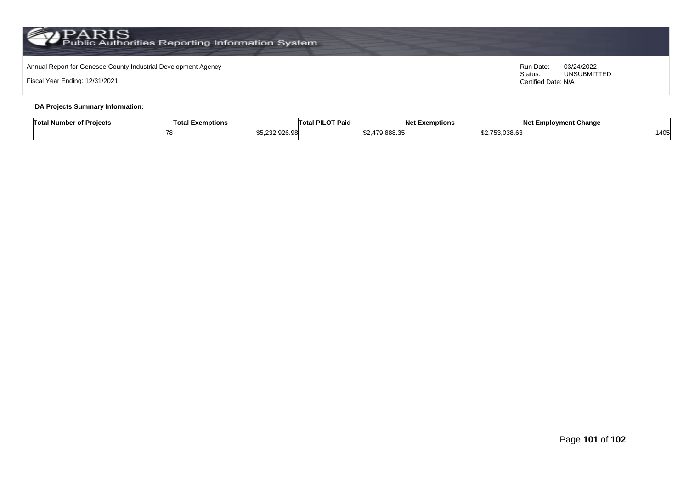# Annual Report for Genesee County Industrial Development Agency **Company of Connect Agency** Run Date: 03/24/2022<br>Status: UNSUBMIT

Fiscal Year Ending: 12/31/2021

UNSUBMITTED Certified Date: N/A

## **IDA Projects Summary Information:**

| <b>Total Number of Projects</b> | Tota<br>Exemptions | Total PILOT P-1<br>∴Paid                                | 71.L<br><b>xemptions</b><br>inet L               | <b>Employment Change</b><br>Net |
|---------------------------------|--------------------|---------------------------------------------------------|--------------------------------------------------|---------------------------------|
|                                 | \$5,232,926.98     | 00000<br>$\rightarrow$<br>$\cdots$<br><i>r</i> 9.000.33 | $\sim$ $\sim$ $\sim$<br>0.0000<br>\$2.753.038.6. | 10 <sub>k</sub><br>9∪           |